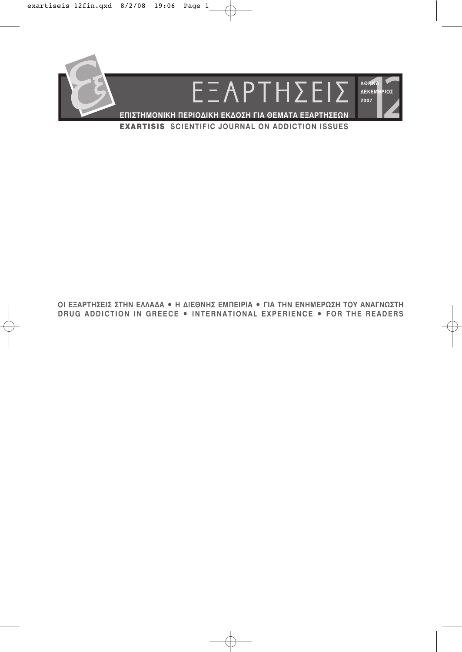

exartiseis 12fin.qxd 8/2/08 19:06 Page 1

ΟΙ ΕΞΑΡΤΗΣΕΙΣ ΣΤΗΝ ΕΛΛΑΔΑ • Η ΔΙΕΘΝΗΣ ΕΜΠΕΙΡΙΑ • ΓΙΑ ΤΗΝ ΕΝΗΜΕΡΩΣΗ ΤΟΥ ΑΝΑΓΝΩΣΤΗ DRUG ADDICTION IN GREECE . INTERNATIONAL EXPERIENCE . FOR THE READERS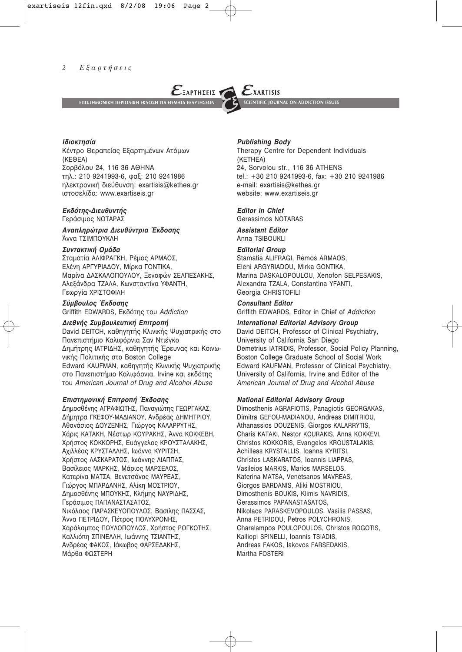

NTIFIC JOURNAL ON ADDICTION ISSUES

## *Ιδιοκτησία*

Κέντρο Θεραπείας Εξαρτημένων Ατόμων (∫∂£∂∞) Σορβόλου 24, 116 36 ΑΘΗΝΑ τηλ.: 210 9241993-6, φαξ: 210 9241986 ηλεκτρονική διεύθυνση: exartisis@kethea.gr ιστοσελίδα: www.exartiseis.gr

## *<i>Εκδότης-Διευθυντής*

Γεράσιμος ΝΟΤΑΡΑΣ

 $A$ ναπληρώτρια Διευθύντρια Έκδοσης Άννα ΤΣΙΜΠΟΥΚΛΗ

#### Συντακτική Ομάδα

Σταματία ΑΛΙΦΡΑΓΚΗ, Ρέμος ΑΡΜΑΟΣ, Ελένη ΑΡΓΥΡΙΑΔΟΥ, Μίρκα ΓΟΝΤΙΚΑ, Μαρίνα ΔΑΣΚΑΛΟΠΟΥΛΟΥ, Ξενοφών ΣΕΛΠΕΣΑΚΗΣ, Αλεξάνδρα ΤΖΑΛΑ, Κωνσταντίνα ΥΦΑΝΤΗ, Γεωργία ΧΡΙΣΤΟΦΙΛΗ

*Σύμβουλος Έκδοσης* Griffith EDWARDS, Εκδότης του Addiction

# $Διεθνής Συμβουλευτική Επιτροπή$

David DEITCH, καθηγητής Κλινικής Ψυχιατρικής στο Πανεπιστήμιο Καλιφόρνια Σαν Ντιέγκο Δημήτρης ΙΑΤΡΙΔΗΣ, καθηγητής Έρευνας και Κοινωνικής Πολιτικής στο Boston College Edward KAUFMAN, καθηγητής Κλινικής Ψυχιατρικής στο Πανεπιστήμιο Καλιφόρνια, Irvine και εκδότης ÙÔ˘ *∞merican Journal of Drug and Alcohol Abuse*

## *<i><del>Ēπιστημονική Επιτροπή Έκδοσης</del>*

Δημοσθένης ΑΓΡΑΦΙΩΤΗΣ, Παναγιώτης ΓΕΩΡΓΑΚΑΣ, Δήμητρα ΓΚΕΦΟΥ-ΜΑΔΙΑΝΟΥ, Ανδρέας ΔΗΜΗΤΡΙΟΥ, Αθανάσιος ΔΟΥΖΕΝΗΣ, Γιώργος ΚΑΛΑΡΡΥΤΗΣ, Χάρις ΚΑΤΑΚΗ, Νέστωρ ΚΟΥΡΑΚΗΣ, Άννα ΚΟΚΚΕΒΗ, Χρήστος ΚΟΚΚΟΡΗΣ, Ευάγγελος ΚΡΟΥΣΤΑΛΑΚΗΣ, Αχιλλέας ΚΡΥΣΤΑΛΛΗΣ, Ιωάννα ΚΥΡΙΤΣΗ, Χρήστος ΛΑΣΚΑΡΑΤΟΣ, Ιωάννης ΛΙΑΠΠΑΣ, Βασίλειος ΜΑΡΚΗΣ, Μάριος ΜΑΡΣΕΛΟΣ, Κατερίνα ΜΑΤΣΑ, Βενετσάνος ΜΑΥΡΕΑΣ, Γιώργος ΜΠΑΡΔΑΝΗΣ, Αλίκη ΜΟΣΤΡΙΟΥ, Δημοσθένης ΜΠΟΥΚΗΣ, Κλήμης ΝΑΥΡΙΔΗΣ, Γεράσιμος ΠΑΠΑΝΑΣΤΑΣΑΤΟΣ, Νικόλαος ΠΑΡΑΣΚΕΥΟΠΟΥΛΟΣ, Βασίλης ΠΑΣΣΑΣ, Άννα ΠΕΤΡΙΔΟΥ, Πέτρος ΠΟΛΥΧΡΟΝΗΣ, Χαράλαμπος ΠΟΥΛΟΠΟΥΛΟΣ, Χρήστος ΡΟΓΚΟΤΗΣ, Καλλιόπη ΣΠΙΝΕΛΛΗ, Ιωάννης ΤΣΙΑΝΤΗΣ, Ανδρέας ΦΑΚΟΣ, Ιάκωβος ΦΑΡΣΕΔΑΚΗΣ, Μάρθα ΦΩΣΤΕΡΗ

#### *Publishing Body*

Therapy Centre for Dependent Individuals (KETHEA) 24, Sorvolou str., 116 36 ATHENS tel.: +30 210 9241993-6, fax: +30 210 9241986 e-mail: exartisis@kethea.gr website: www.exartiseis.gr

## *Editor in Chief*

Gerassimos NOTARAS

*Assistant Editor* Anna TSIBOUKLI

#### *Editorial Group*

Stamatia ALIFRAGI, Remos ARMAOS, Eleni ARGYRIADOU, Mirka GONTIKA, Marina DASKALOPOULOU, Xenofon SELPESAKIS, Alexandra TZALA, Constantina YFANTI, Georgia CHRISTOFILI

#### *Consultant Editor*

Griffith EDWARDS, Editor in Chief of *Addiction* 

*International Editorial Advisory Group*  David DEITCH, Professor of Clinical Psychiatry, University of California San Diego Demetrius IATRIDIS, Professor, Social Policy Planning, Boston College Graduate School of Social Work Edward KAUFMAN, Professor of Clinical Psychiatry, University of California, Irvine and Editor of the *∞merican Journal of Drug and Alcohol Abuse*

## *National Editorial Advisory Group*

Dimosthenis AGRAFIOTIS, Panagiotis GEORGAKAS, Dimitra GEFOU-MADIANOU, Andreas DIMITRIOU, Athanassios DOUZENIS, Giorgos KALARRYTIS, Charis KATAKI, Nestor KOURAKIS, Anna KOKKEVI, Christos KOKKORIS, Evangelos KROUSTALAKIS, Achilleas KRYSTALLIS, Ioanna KYRITSI, Christos LASKARATOS, Ioannis LIAPPAS, Vasileios MARKIS, Marios MARSELOS, Katerina MATSA, Venetsanos MAVREAS, Giorgos BARDANIS, Aliki MOSTRIOU, Dimosthenis BOUKIS, Klimis NAVRIDIS, Gerassimos PAPANASTASATOS, Nikolaos PARASKEVOPOULOS, Vasilis PASSAS, Anna PETRIDOU, Petros POLYCHRONIS, Charalampos POULOPOULOS, Christos ROGOTIS, Kalliopi SPINELLI, Ioannis TSIADIS, Andreas FAKOS, Iakovos FARSEDAKIS, Martha FOSTERI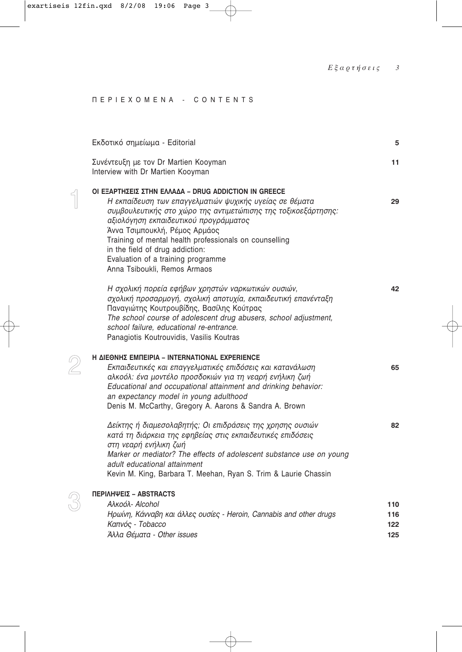#### $E$ ξαρτήσεις  $\overline{\mathcal{S}}$

# exartiseis 12fin.qxd  $8/2/08$  19:06 Page 3

# **ΠΕΡΙΕΧΟΜΕΝΑ - CONTENTS**

| Εκδοτικό σημείωμα - Editorial                                                                                                                                                                                                                                                                                                                                                                                                  | 5                        |
|--------------------------------------------------------------------------------------------------------------------------------------------------------------------------------------------------------------------------------------------------------------------------------------------------------------------------------------------------------------------------------------------------------------------------------|--------------------------|
|                                                                                                                                                                                                                                                                                                                                                                                                                                |                          |
| Συνέντευξη με τον Dr Martien Kooyman<br>Interview with Dr Martien Kooyman                                                                                                                                                                                                                                                                                                                                                      | 11                       |
| OI ΕΞΑΡΤΗΣΕΙΣ ΣΤΗΝ ΕΛΛΑΔΑ – DRUG ADDICTION IN GREECE<br>Η εκπαίδευση των επαγγελματιών ψυχικής υγείας σε θέματα<br>συμβουλευτικής στο χώρο της αντιμετώπισης της τοξικοεξάρτησης:<br>αξιολόγηση εκπαιδευτικού προγράμματος<br>Άννα Τσιμπουκλή, Ρέμος Αρμάος<br>Training of mental health professionals on counselling<br>in the field of drug addiction:<br>Evaluation of a training programme<br>Anna Tsiboukli, Remos Armaos | 29                       |
| Η σχολική πορεία εφήβων χρηστών ναρκωτικών ουσιών,<br>σχολική προσαρμογή, σχολική αποτυχία, εκπαιδευτική επανένταξη<br>Παναγιώτης Κουτρουβίδης, Βασίλης Κούτρας<br>The school course of adolescent drug abusers, school adjustment,<br>school failure, educational re-entrance.<br>Panagiotis Koutrouvidis, Vasilis Koutras                                                                                                    | 42                       |
| Η ΔΙΕΘΝΗΣ ΕΜΠΕΙΡΙΑ - INTERNATIONAL EXPERIENCE<br>Εκπαιδευτικές και επαγγελματικές επιδόσεις και κατανάλωση<br>αλκοόλ: ένα μοντέλο προσδοκιών για τη νεαρή ενήλικη ζωή<br>Educational and occupational attainment and drinking behavior:<br>an expectancy model in young adulthood<br>Denis M. McCarthy, Gregory A. Aarons & Sandra A. Brown                                                                                    | 65                       |
| Δείκτης ή διαμεσολαβητής; Οι επιδράσεις της χρησης ουσιών<br>κατά τη διάρκεια της εφηβείας στις εκπαιδευτικές επιδόσεις<br>στη νεαρή ενήλικη ζωή<br>Marker or mediator? The effects of adolescent substance use on young<br>adult educational attainment<br>Kevin M. King, Barbara T. Meehan, Ryan S. Trim & Laurie Chassin                                                                                                    | 82                       |
| <b>ΠΕΡΙΛΗΨΕΙΣ - ABSTRACTS</b><br>Αλκοόλ- Alcohol<br>Ηρωίνη, Κάνναβη και άλλες ουσίες - Heroin, Cannabis and other drugs<br>Καπνός - Tobacco<br>Άλλα Θέματα - Other issues                                                                                                                                                                                                                                                      | 110<br>116<br>122<br>125 |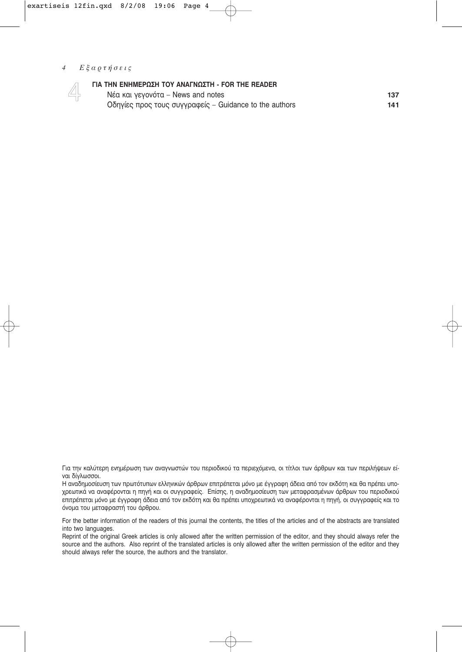#### $\overline{4}$ Εξαρτήσεις



#### ΓΙΑ ΤΗΝ ΕΝΗΜΕΡΩΣΗ ΤΟΥ ΑΝΑΓΝΩΣΤΗ - FOR THE READER Νέα και γεγονότα - News and notes 137 Οδηγίες προς τους συγγραφείς - Guidance to the authors 141

Για την καλύτερη ενημέρωση των αναγνωστών του περιοδικού τα περιεχόμενα, οι τίτλοι των άρθρων και των περιλήψεων είναι δίγλωσσοι.

Η αναδημοσίευση των πρωτότυπων ελληνικών άρθρων επιτρέπεται μόνο με έγγραφη άδεια από τον εκδότη και θα πρέπει υποχρεωτικά να αναφέρονται η πηγή και οι συγγραφείς. Επίσης, η αναδημοσίευση των μεταφρασμένων άρθρων του περιοδικού επιτρέπεται μόνο με έγγραφη άδεια από τον εκδότη και θα πρέπει υποχρεωτικά να αναφέρονται η πηγή, οι συγγραφείς και το όνομα του μεταφραστή του άρθρου.

For the better information of the readers of this journal the contents, the titles of the articles and of the abstracts are translated into two languages.

Reprint of the original Greek articles is only allowed after the written permission of the editor, and they should always refer the source and the authors. Also reprint of the translated articles is only allowed after the written permission of the editor and they should always refer the source, the authors and the translator.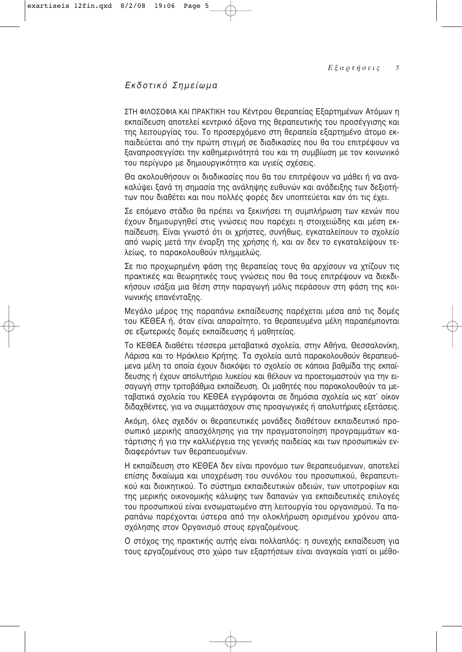# Εκδοτικό Σημείωμα

ΣΤΗ ΦΙΛΟΣΟΦΙΑ ΚΑΙ ΠΡΑΚΤΙΚΗ του Κέντρου Θεραπείας Εξαρτημένων Ατόμων η εκπαίδευση αποτελεί κεντρικό άξονα της θεραπευτικής του προσέγγισης και της λειτουργίας του. Το προσερχόμενο στη θεραπεία εξαρτημένο άτομο εκπαιδεύεται από την πρώτη στιγμή σε διαδικασίες που θα του επιτρέψουν να ξαναπροσεγγίσει την καθημερινότητά του και τη συμβίωση με τον κοινωνικό του περίγυρο με δημιουργικότητα και υγιείς σχέσεις.

Θα ακολουθήσουν οι διαδικασίες που θα του επιτρέψουν να μάθει ή να ανακαλύψει ξανά τη σημασία της ανάληψης ευθυνών και ανάδειξης των δεξιοτήτων που διαθέτει και που πολλές φορές δεν υποπτεύεται καν ότι τις έχει.

Σε επόμενο στάδιο θα πρέπει να ξεκινήσει τη συμπλήρωση των κενών που έχουν δημιουργηθεί στις γνώσεις που παρέχει η στοιχειώδης και μέση εκπαίδευση. Είναι γνωστό ότι οι χρήστες, συνήθως, εγκαταλείπουν το σχολείο από νωρίς μετά την έναρξη της χρήσης ή, και αν δεν το εγκαταλείψουν τελείως, το παρακολουθούν πλημμελώς.

Σε πιο προχωρημένη φάση της θεραπείας τους θα αρχίσουν να χτίζουν τις πρακτικές και θεωρητικές τους γνώσεις που θα τους επιτρέψουν να διεκδικήσουν ισάξια μια θέση στην παραγωγή μόλις περάσουν στη φάση της κοινωνικής επανένταξης.

Μεγάλο μέρος της παραπάνω εκπαίδευσης παρέχεται μέσα από τις δομές του ΚΕΘΕΑ ή, όταν είναι απαραίτητο, τα θεραπευμένα μέλη παραπέμπονται σε εξωτερικές δομές εκπαίδευσης ή μαθητείας.

Το ΚΕΘΕΑ διαθέτει τέσσερα μεταβατικά σχολεία, στην Αθήνα, Θεσσαλονίκη, Λάρισα και το Ηράκλειο Κρήτης. Τα σχολεία αυτά παρακολουθούν θεραπευόμενα μέλη τα οποία έχουν διακόψει το σχολείο σε κάποια βαθμίδα της εκπαίδευσης ή έχουν απολυτήριο λυκείου και θέλουν να προετοιμαστούν για την εισαγωγή στην τριτοβάθμια εκπαίδευση. Οι μαθητές που παρακολουθούν τα μεταβατικά σχολεία του ΚΕΘΕΑ εγγράφονται σε δημόσια σχολεία ως κατ' οίκον διδαχθέντες, για να συμμετάσχουν στις προαγωγικές ή απολυτήριες εξετάσεις.

Ακόμη, όλες σχεδόν οι θεραπευτικές μονάδες διαθέτουν εκπαιδευτικό προσωπικό μερικής απασχόλησης για την πραγματοποίηση προγραμμάτων κατάρτισης ή για την καλλιέργεια της γενικής παιδείας και των προσωπικών ενδιαφερόντων των θεραπευομένων.

Η εκπαίδευση στο ΚΕΘΕΑ δεν είναι προνόμιο των θεραπευόμενων, αποτελεί επίσης δικαίωμα και υποχρέωση του συνόλου του προσωπικού, θεραπευτικού και διοικητικού. Το σύστημα εκπαιδευτικών αδειών, των υποτροφίων και της μερικής οικονομικής κάλυψης των δαπανών για εκπαιδευτικές επιλογές του προσωπικού είναι ενσωματωμένο στη λειτουργία του οργανισμού. Τα παραπάνω παρέχονται ύστερα από την ολοκλήρωση ορισμένου χρόνου απασχόλησης στον Οργανισμό στους εργαζομένους.

Ο στόχος της πρακτικής αυτής είναι πολλαπλός: η συνεχής εκπαίδευση για τους εργαζομένους στο χώρο των εξαρτήσεων είναι αναγκαία γιατί οι μέθο-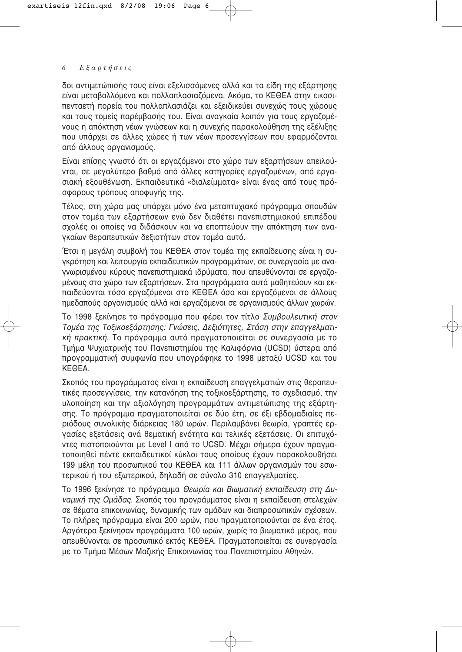δοι αντιμετώπισής τους είναι εξελισσόμενες αλλά και τα είδη της εξάρτησης είναι μεταβαλλόμενα και πολλαπλασιαζόμενα. Ακόμα, το ΚΕΘΕΑ στην εικοσιπενταετή πορεία του πολλαπλασιάζει και εξειδικεύει συνεχώς τους χώρους και τους τομείς παρέμβασής του. Είναι αναγκαία λοιπόν για τους εργαζομένους η απόκτηση νέων γνώσεων και η συνεχής παρακολούθηση της εξέλιξης που υπάρχει σε άλλες χώρες ή των νέων προσεγγίσεων που εφαρμόζονται από άλλους ορνανισμούς.

Είναι επίσης γνωστό ότι οι εργαζόμενοι στο χώρο των εξαρτήσεων απειλούνται, σε μεγαλύτερο βαθμό από άλλες κατηγορίες εργαζομένων, από εργασιακή εξουθένωση. Εκπαιδευτικά «διαλείμματα» είναι ένας από τους πρόσφορους τρόπους αποφυγής της.

Τέλος, στη χώρα μας υπάρχει μόνο ένα μεταπτυχιακό πρόγραμμα σπουδών στον τομέα των εξαρτήσεων ενώ δεν διαθέτει πανεπιστημιακού επιπέδου σχολές οι οποίες να διδάσκουν και να εποπτεύουν την απόκτηση των αναγκαίων θεραπευτικών δεξιοτήτων στον τομέα αυτό.

Έτσι η μεγάλη συμβολή του ΚΕΘΕΑ στον τομέα της εκπαίδευσης είναι η συγκρότηση και λειτουργία εκπαιδευτικών προγραμμάτων, σε συνεργασία με αναγνωρισμένου κύρους πανεπιστημιακά ιδρύματα, που απευθύνονται σε εργαζομένους στο χώρο των εξαρτήσεων. Στα προγράμματα αυτά μαθητεύουν και εκταιδεύονται τόσο εργαζόμενοι στο ΚΕΘΕΑ όσο και εργαζόμενοι σε άλλους ημεδαπούς οργανισμούς αλλά και εργαζόμενοι σε οργανισμούς άλλων χωρών.

Το 1998 ξεκίνησε το πρόγραμμα που φέρει τον τίτλο *Συμβουλευτική στον Τομέα της Τοξικοεξάρτησης: Γνώσεις, Δεξιότητες, Στάση στην επαγγελματική πρακτική*. Το πρόγραμμα αυτό πραγματοποιείται σε συνεργασία με το Τμήμα Ψυχιατρικής του Πανεπιστημίου της Καλιφόρνια (UCSD) ύστερα από προγραμματική συμφωνία που υπογράφηκε το 1998 μεταξύ UCSD και του KEΘEA.

Σκοπός του προγράμματος είναι η εκπαίδευση επαγγελματιών στις θεραπευτικές προσεγγίσεις, την κατανόηση της τοξικοεξάρτησης, το σχεδιασμό, την υλοποίηση και την αξιολόγηση προγραμμάτων αντιμετώπισης της εξάρτησης. Το πρόγραμμα πραγματοποιείται σε δύο έτη, σε έξι εβδομαδιαίες περιόδους συνολικής διάρκειας 180 ωρών. Περιλαμβάνει θεωρία, γραπτές εργασίες εξετάσεις ανά θεματική ενότητα και τελικές εξετάσεις. Οι επιτυχόντες πιστοποιούνται με Level I από το UCSD. Μέχρι σήμερα έχουν πραγματοποιηθεί πέντε εκπαιδευτικοί κύκλοι τους οποίους έχουν παρακολουθήσει 199 μέλη του προσωπικού του ΚΕΘΕΑ και 111 άλλων οργανισμών του εσωτερικού ή του εξωτερικού, δηλαδή σε σύνολο 310 επαγγελματίες.

Το 1996 ξεκίνησε το πρόγραμμα *Θεωρία και Βιωματική εκπαίδευση στη Δυvαμική της Ομάδας.* Σκοπός του προγράμματος είναι η εκπαίδευση στελεχών σε θέματα επικοινωνίας, δυναμικής των ομάδων και διαπροσωπικών σχέσεων. Το πλήρες πρόγραμμα είναι 200 ωρών, που πραγματοποιούνται σε ένα έτος. Aργότερα ξεκίνησαν προγράμματα 100 ωρών, χωρίς το βιωματικό μέρος, που απευθύνονται σε προσωπικό εκτός ΚΕΘΕΑ. Πραγματοποιείται σε συνεργασία με το Τμήμα Μέσων Μαζικής Επικοινωνίας του Πανεπιστημίου Αθηνών.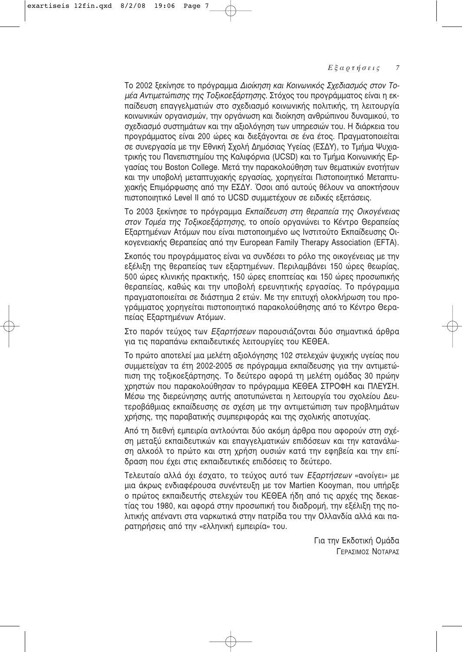Το 2002 ξεκίνησε το πρόγραμμα Διοίκηση και Κοινωνικός Σχεδιασμός στον Τομέα Αντιμετώπισης της Τοξικοεξάρτησης. Στόχος του προγράμματος είναι η εκπαίδευση επαγγελματιών στο σχεδιασμό κοινωνικής πολιτικής, τη λειτουργία κοινωνικών οργανισμών, την οργάνωση και διοίκηση ανθρώπινου δυναμικού, το σχεδιασμό συστημάτων και την αξιολόγηση των υπηρεσιών του. Η διάρκεια του προγράμματος είναι 200 ώρες και διεξάγονται σε ένα έτος. Πραγματοποιείται σε συνεργασία με την Εθνική Σχολή Δημόσιας Υγείας (ΕΣΔΥ), το Τμήμα Ψυχιατρικής του Πανεπιστημίου της Καλιφόρνια (UCSD) και το Τμήμα Κοινωνικής Εργασίας του Boston College. Μετά την παρακολούθηση των θεματικών ενοτήτων και την υποβολή μεταπτυχιακής εργασίας, χορηγείται Πιστοποιητικό Μεταπτυγιακής Επιμόρφωσης από την ΕΣΔΥ. Όσοι από αυτούς θέλουν να αποκτήσουν πιστοποιητικό Level II από το UCSD συμμετέχουν σε ειδικές εξετάσεις.

Το 2003 ξεκίνησε το πρόγραμμα *Εκπαίδευση στη θεραπεία της Οικογένειας* στον Τομέα της Τοξικοεξάρτησης, το οποίο οργανώνει το Κέντρο Θεραπείας Εξαρτημένων Ατόμων που είναι πιστοποιημένο ως Ινστιτούτο Εκπαίδευσης Οι-KOVEVELCKNC Θεραπείας από την European Family Therapy Association (EFTA).

Σκοπός του προγράμματος είναι να συνδέσει το ρόλο της οικογένειας με την εξέλιξη της θεραπείας των εξαρτημένων. Περιλαμβάνει 150 ώρες θεωρίας, 500 ώρες κλινικής πρακτικής, 150 ώρες εποπτείας και 150 ώρες προσωπικής θεραπείας, καθώς και την υποβολή ερευνητικής εργασίας. Το πρόγραμμα πραγματοποιείται σε διάστημα 2 ετών. Με την επιτυχή ολοκλήρωση του προγράμματος χορηγείται πιστοποιητικό παρακολούθησης από το Κέντρο Θεραπείας Εξαρτημένων Ατόμων.

Στο παρόν τεύχος των *Εξαρτήσεων* παρουσιάζονται δύο σημαντικά άρθρα για τις παραπάνω εκπαιδευτικές λειτουργίες του ΚΕΘΕΑ.

Το πρώτο αποτελεί μια μελέτη αξιολόγησης 102 στελεχών ψυχικής υγείας που συμμετείχαν τα έτη 2002-2005 σε πρόγραμμα εκπαίδευσης για την αντιμετώπιση της τοξικοεξάρτησης. Το δεύτερο αφορά τη μελέτη ομάδας 30 πρώην χρηστών που παρακολούθησαν το πρόγραμμα ΚΕΘΕΑ ΣΤΡΟΦΗ και ΠΛΕΥΣΗ. Μέσω της διερεύνησης αυτής αποτυπώνεται η λειτουργία του σχολείου Δευτεροβάθμιας εκπαίδευσης σε σχέση με την αντιμετώπιση των προβλημάτων χρήσης, της παραβατικής συμπεριφοράς και της σχολικής αποτυχίας.

Aπό τη διεθνή εμπειρία αντλούνται δύο ακόμη άρθρα που αφορούν στη σχέση μεταξύ εκπαιδευτικών και επαγγελματικών επιδόσεων και την κατανάλωση αλκοόλ το πρώτο και στη χρήση ουσιών κατά την εφηβεία και την επίδραση που έχει στις εκπαιδευτικές επιδόσεις το δεύτερο.

Τελευταίο αλλά όχι έσχατο, το τεύχος αυτό των *Εξαρτήσεων* «ανοίγει» με μια άκρως ενδιαφέρουσα συνέντευξη με τον Martien Kooyman, που υπήρξε ο πρώτος εκπαιδευτής στελεχών του ΚΕΘΕΑ ήδη από τις αρχές της δεκαετίας του 1980, και αφορά στην προσωπική του διαδρομή, την εξέλιξη της πολιτικής απέναντι στα ναρκωτικά στην πατρίδα του την Ολλανδία αλλά και παρατηρήσεις από την «ελληνική εμπειρία» του.

> Για την Εκδοτική Ομάδα ΓεραΣΙΜΟΣ **ΝΟΤΑΡΑΣ**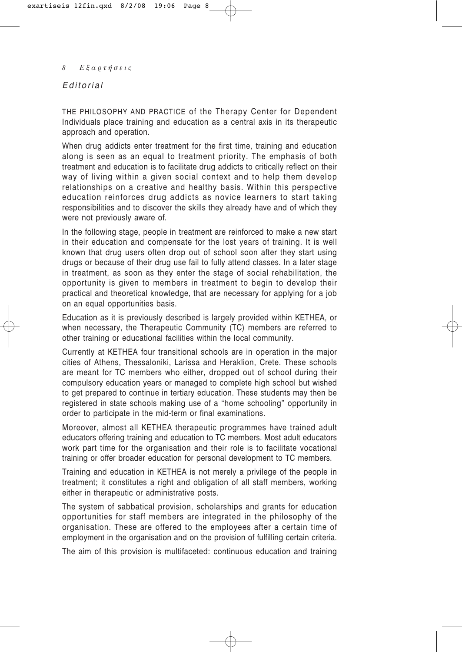# *Editorial*

THE PHILOSOPHY AND PRACTICE of the Therapy Center for Dependent Individuals place training and education as a central axis in its therapeutic approach and operation.

When drug addicts enter treatment for the first time, training and education along is seen as an equal to treatment priority. The emphasis of both treatment and education is to facilitate drug addicts to critically reflect on their way of living within a given social context and to help them develop relationships on a creative and healthy basis. Within this perspective education reinforces drug addicts as novice learners to start taking responsibilities and to discover the skills they already have and of which they were not previously aware of.

In the following stage, people in treatment are reinforced to make a new start in their education and compensate for the lost years of training. It is well known that drug users often drop out of school soon after they start using drugs or because of their drug use fail to fully attend classes. In a later stage in treatment, as soon as they enter the stage of social rehabilitation, the opportunity is given to members in treatment to begin to develop their practical and theoretical knowledge, that are necessary for applying for a job on an equal opportunities basis.

Education as it is previously described is largely provided within KETHEA, or when necessary, the Therapeutic Community (TC) members are referred to other training or educational facilities within the local community.

Currently at KETHEA four transitional schools are in operation in the major cities of Athens, Thessaloniki, Larissa and Heraklion, Crete. These schools are meant for TC members who either, dropped out of school during their compulsory education years or managed to complete high school but wished to get prepared to continue in tertiary education. These students may then be registered in state schools making use of a "home schooling" opportunity in order to participate in the mid-term or final examinations.

Moreover, almost all KETHEA therapeutic programmes have trained adult educators offering training and education to TC members. Most adult educators work part time for the organisation and their role is to facilitate vocational training or offer broader education for personal development to TC members.

Training and education in KETHEA is not merely a privilege of the people in treatment; it constitutes a right and obligation of all staff members, working either in therapeutic or administrative posts.

The system of sabbatical provision, scholarships and grants for education opportunities for staff members are integrated in the philosophy of the organisation. These are offered to the employees after a certain time of employment in the organisation and on the provision of fulfilling certain criteria.

The aim of this provision is multifaceted: continuous education and training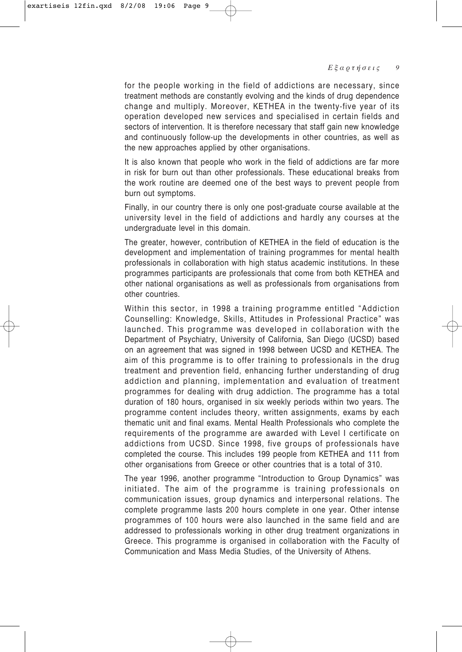for the people working in the field of addictions are necessary, since treatment methods are constantly evolving and the kinds of drug dependence change and multiply. Moreover, KETHEA in the twenty-five year of its operation developed new services and specialised in certain fields and sectors of intervention. It is therefore necessary that staff gain new knowledge and continuously follow-up the developments in other countries, as well as the new approaches applied by other organisations.

It is also known that people who work in the field of addictions are far more in risk for burn out than other professionals. These educational breaks from the work routine are deemed one of the best ways to prevent people from burn out symptoms.

Finally, in our country there is only one post-graduate course available at the university level in the field of addictions and hardly any courses at the undergraduate level in this domain.

The greater, however, contribution of KETHEA in the field of education is the development and implementation of training programmes for mental health professionals in collaboration with high status academic institutions. In these programmes participants are professionals that come from both KETHEA and other national organisations as well as professionals from organisations from other countries.

Within this sector, in 1998 a training programme entitled "Addiction Counselling: Knowledge, Skills, Attitudes in Professional Practice" was launched. This programme was developed in collaboration with the Department of Psychiatry, University of California, San Diego (UCSD) based on an agreement that was signed in 1998 between UCSD and KETHEA. The aim of this programme is to offer training to professionals in the drug treatment and prevention field, enhancing further understanding of drug addiction and planning, implementation and evaluation of treatment programmes for dealing with drug addiction. The programme has a total duration of 180 hours, organised in six weekly periods within two years. The programme content includes theory, written assignments, exams by each thematic unit and final exams. Mental Health Professionals who complete the requirements of the programme are awarded with Level I certificate on addictions from UCSD. Since 1998, five groups of professionals have completed the course. This includes 199 people from KETHEA and 111 from other organisations from Greece or other countries that is a total of 310.

The year 1996, another programme "Introduction to Group Dynamics" was initiated. The aim of the programme is training professionals on communication issues, group dynamics and interpersonal relations. The complete programme lasts 200 hours complete in one year. Other intense programmes of 100 hours were also launched in the same field and are addressed to professionals working in other drug treatment organizations in Greece. This programme is organised in collaboration with the Faculty of Communication and Mass Media Studies, of the University of Athens.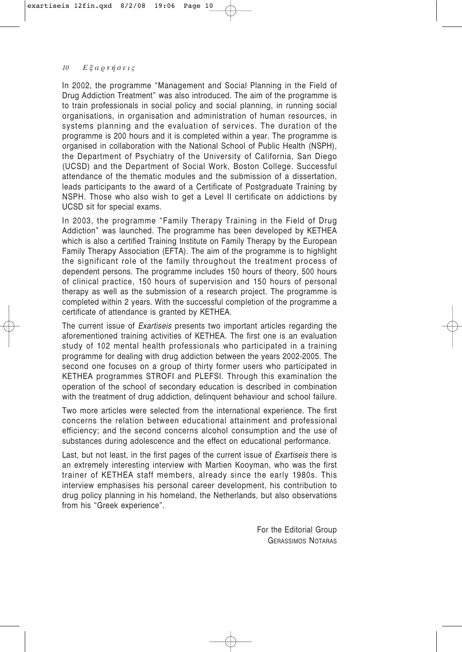In 2002, the programme "Management and Social Planning in the Field of Drug Addiction Treatment" was also introduced. The aim of the programme is to train professionals in social policy and social planning, in running social organisations, in organisation and administration of human resources, in systems planning and the evaluation of services. The duration of the programme is 200 hours and it is completed within a year. The programme is organised in collaboration with the National School of Public Health (NSPH), the Department of Psychiatry of the University of California, San Diego (UCSD) and the Department of Social Work, Boston College. Successful attendance of the thematic modules and the submission of a dissertation, leads participants to the award of a Certificate of Postgraduate Training by NSPH. Those who also wish to get a Level II certificate on addictions by UCSD sit for special exams.

In 2003, the programme "Family Therapy Training in the Field of Drug Addiction" was launched. The programme has been developed by KETHEA which is also a certified Training Institute on Family Therapy by the European Family Therapy Association (EFTA). The aim of the programme is to highlight the significant role of the family throughout the treatment process of dependent persons. The programme includes 150 hours of theory, 500 hours of clinical practice, 150 hours of supervision and 150 hours of personal therapy as well as the submission of a research project. The programme is completed within 2 years. With the successful completion of the programme a certificate of attendance is granted by KETHEA.

The current issue of *Exartiseis* presents two important articles regarding the aforementioned training activities of KETHEA. The first one is an evaluation study of 102 mental health professionals who participated in a training programme for dealing with drug addiction between the years 2002-2005. The second one focuses on a group of thirty former users who participated in KETHEA programmes STROFI and PLEFSI. Through this examination the operation of the school of secondary education is described in combination with the treatment of drug addiction, delinquent behaviour and school failure.

Two more articles were selected from the international experience. The first concerns the relation between educational attainment and professional efficiency; and the second concerns alcohol consumption and the use of substances during adolescence and the effect on educational performance.

Last, but not least, in the first pages of the current issue of *Exartiseis* there is an extremely interesting interview with Martien Kooyman, who was the first trainer of KETHEA staff members, already since the early 1980s. This interview emphasises his personal career development, his contribution to drug policy planning in his homeland, the Netherlands, but also observations from his "Greek experience".

> For the Editorial Group GERASSIMOS NOTARAS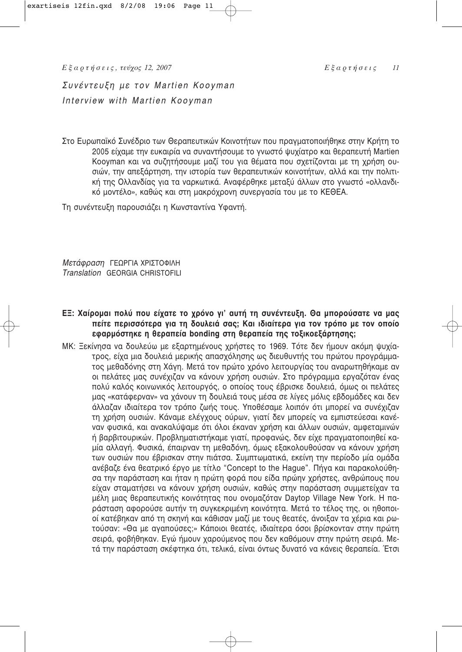*Ε ξ α ρ τ ή σ ε ι ς , τεύχος 12, 2007 Εξαρτήσεις 11*

 $\Sigma$ *UVέντευξη με τον Martien Kooyman Interview with Martien Kooyman*

Στο Ευρωπαϊκό Συνέδριο των Θεραπευτικών Κοινοτήτων που πραγματοποιήθηκε στην Κρήτη το 2005 είχαμε την ευκαιρία να συναντήσουμε το γνωστό ψυχίατρο και θεραπευτή Martien Kooyman και να συζητήσουμε μαζί του για θέματα που σχετίζονται με τη χρήση ουσιών, την απεξάρτηση, την ιστορία των θεραπευτικών κοινοτήτων, αλλά και την πολιτική της Ολλανδίας για τα ναρκωτικά. Αναφέρθηκε μεταξύ άλλων στο γνωστό «ολλανδικό μοντέλο», καθώς και στη μακρόχρονη συνεργασία του με το ΚΕΘΕΑ.

Τη συνέντευξη παρουσιάζει η Κωνσταντίνα Υφαντή.

*Μετάφραση* ΓΕΩΡΓΙΑ ΧΡΙΣΤΟΦΙΛΗ *Translation* GEORGIA CHRISTOFILI

- ΕΞ: Χαίρομαι πολύ που είχατε το χρόνο γι' αυτή τη συνέντευξη. Θα μπορούσατε να μας πείτε περισσότερα για τη δουλειά σας; Και ιδιαίτερα για τον τρόπο με τον οποίο εφαρμόστηκε η θεραπεία bonding στη θεραπεία της τοξικοεξάρτησης;
- ΜΚ: Ξεκίνησα να δουλεύω με εξαρτημένους χρήστες το 1969. Τότε δεν ήμουν ακόμη ψυχίατρος, είχα μια δουλειά μερικής απασχόλησης ως διευθυντής του πρώτου προγράμματος μεθαδόνης στη Χάγη. Μετά τον πρώτο χρόνο λειτουργίας του αναρωτηθήκαμε αν οι πελάτες μας συνέχιζαν να κάνουν χρήση ουσιών. Στο πρόγραμμα εργαζόταν ένας πολύ καλός κοινωνικός λειτουργός, ο οποίος τους έβρισκε δουλειά, όμως οι πελάτες μας «κατάφερναν» να χάνουν τη δουλειά τους μέσα σε λίγες μόλις εβδομάδες και δεν άλλαζαν ιδιαίτερα τον τρόπο ζωής τους. Υποθέσαμε λοιπόν ότι μπορεί να συνέχιζαν τη χρήση ουσιών. Κάναμε ελέγχους ούρων, γιατί δεν μπορείς να εμπιστεύεσαι κανέvαν φυσικά, και ανακαλύψαμε ότι όλοι έκαναν χρήση και άλλων ουσιών, αμφεταμινών ή βαρβιτουρικών. Προβληματιστήκαμε γιατί, προφανώς, δεν είχε πραγματοποιηθεί καμία αλλαγή. Φυσικά, έπαιρναν τη μεθαδόνη, όμως εξακολουθούσαν να κάνουν χρήση των ουσιών που έβρισκαν στην πιάτσα. Συμπτωματικά, εκείνη την περίοδο μία ομάδα ανέβαζε ένα θεατρικό έργο με τίτλο "Concept to the Hague". Πήγα και παρακολούθησα την παράσταση και ήταν η πρώτη φορά που είδα πρώην χρήστες, ανθρώπους που είχαν σταματήσει να κάνουν χρήση ουσιών, καθώς στην παράσταση συμμετείχαν τα μέλη μιας θεραπευτικής κοινότητας που ονομαζόταν Daytop Village New York. Η παράσταση αφορούσε αυτήν τη συγκεκριμένη κοινότητα. Μετά το τέλος της, οι ηθοποιοί κατέβηκαν από τη σκηνή και κάθισαν μαζί με τους θεατές, άνοιξαν τα χέρια και ρωτούσαν: «Θα με αγαπούσες;» Κάποιοι θεατές, ιδιαίτερα όσοι βρίσκονταν στην πρώτη σειρά, φοβήθηκαν, Ενώ ήμουν χαρούμενος που δεν καθόμουν στην πρώτη σειρά. Μετά την παράσταση σκέφτηκα ότι, τελικά, είναι όντως δυνατό να κάνεις θεραπεία. Έτσι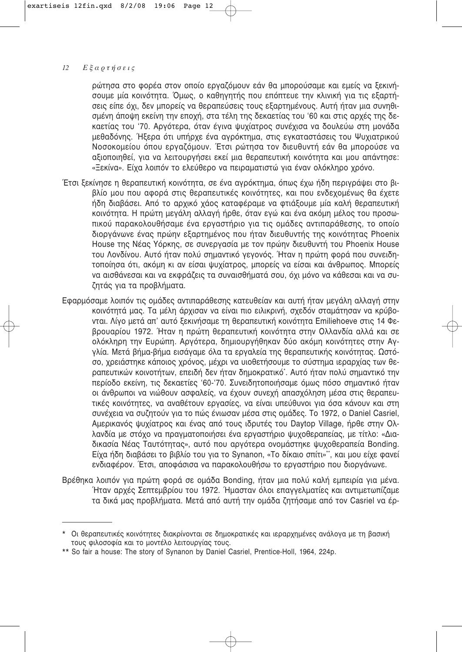ρώτησα στο φορέα στον οποίο εργαζόμουν εάν θα μπορούσαμε και εμείς να ξεκινήσουμε μία κοινότητα. Όμως, ο καθηνητής που επόπτευε την κλινική για τις εξαρτήσεις είπε όχι, δεν μπορείς να θεραπεύσεις τους εξαρτημένους. Αυτή ήταν μια συνηθισμένη άποψη εκείνη την εποχή, στα τέλη της δεκαετίας του '60 και στις αρχές της δεκαετίας του '70. Αργότερα, όταν έγινα ψυχίατρος συνέχισα να δουλεύω στη μονάδα μεθαδόνης. Ήξερα ότι υπήρχε ένα αγρόκτημα, στις εγκαταστάσεις του Ψυχιατρικού Νοσοκομείου όπου εργαζόμουν. Έτσι ρώτησα τον διευθυντή εάν θα μπορούσε να αξιοποιηθεί, για να λειτουργήσει εκεί μια θεραπευτική κοινότητα και μου απάντησε: «Ξεκίνα». Είχα λοιπόν το ελεύθερο να πειραματιστώ για έναν ολόκληρο χρόνο.

- Έτσι ξεκίνησε η θεραπευτική κοινότητα, σε ένα αγρόκτημα, όπως έχω ήδη περιγράψει στο βιβλίο μου που αφορά στις θεραπευτικές κοινότητες, και που ενδεχομένως θα έχετε ήδη διαβάσει. Από το αρχικό χάος καταφέραμε να φτιάξουμε μία καλή θεραπευτική κοινότητα. Η πρώτη μεγάλη αλλαγή ήρθε, όταν εγώ και ένα ακόμη μέλος του προσωπικού παρακολουθήσαμε ένα εργαστήριο για τις ομάδες αντιπαράθεσης, το οποίο διοργάνωνε ένας πρώην εξαρτημένος που ήταν διευθυντής της κοινότητας Phoenix House της Νέας Υόρκης, σε συνεργασία με τον πρώην διευθυντή του Phoenix House του Λονδίνου. Αυτό ήταν πολύ σημαντικό γεγονός. Ήταν η πρώτη φορά που συνειδητοποίησα ότι, ακόμη κι αν είσαι ψυχίατρος, μπορείς να είσαι και άνθρωπος. Μπορείς να αισθάνεσαι και να εκφράζεις τα συναισθήματά σου, όχι μόνο να κάθεσαι και να συζητάς για τα προβλήματα.
- Εφαρμόσαμε λοιπόν τις ομάδες αντιπαράθεσης κατευθείαν και αυτή ήταν μεγάλη αλλαγή στην κοινότητά μας. Τα μέλη άρχισαν να είναι πιο ειλικρινή, σχεδόν σταμάτησαν να κρύβοvται. Λίγο μετά απ' αυτό ξεκινήσαμε τη θεραπευτική κοινότητα Emiliehoeve στις 14 Φεβρουαρίου 1972. Ήταν η πρώτη θεραπευτική κοινότητα στην Ολλανδία αλλά και σε ολόκληρη την Ευρώπη. Αργότερα, δημιουργήθηκαν δύο ακόμη κοινότητες στην Αγγλία. Μετά βήμα-βήμα εισάγαμε όλα τα εργαλεία της θεραπευτικής κοινότητας. Ωστόσο, χρειάστηκε κάποιος χρόνος, μέχρι να υιοθετήσουμε το σύστημα ιεραρχίας των θεραπευτικών κοινοτήτων, επειδή δεν ήταν δημοκρατικό . Αυτό ήταν πολύ σημαντικό την περίοδο εκείνη, τις δεκαετίες '60-'70. Συνειδητοποιήσαμε όμως πόσο σημαντικό ήταν οι άνθρωποι να νιώθουν ασφαλείς, να έχουν συνεχή απασχόληση μέσα στις θεραπευτικές κοινότητες, να αναθέτουν εργασίες, να είναι υπεύθυνοι για όσα κάνουν και στη συνέχεια να συζητούν για το πώς ένιωσαν μέσα στις ομάδες. Το 1972, ο Daniel Casriel, Αμερικανός ψυχίατρος και ένας από τους ιδρυτές του Daytop Village, ήρθε στην Ολλανδία με στόχο να πραγματοποιήσει ένα εργαστήριο ψυχοθεραπείας, με τίτλο: «Διαδικασία Νέας Ταυτότητας», αυτό που αργότερα ονομάστηκε ψυχοθεραπεία Bonding. Eίχα ήδη διαβάσει το βιβλίο του για το Synanon, «Το δίκαιο σπίτι»\*\*, και μου είχε φανεί ενδιαφέρον. Έτσι, αποφάσισα να παρακολουθήσω το εργαστήριο που διοργάνωνε.
- Βρέθηκα λοιπόν για πρώτη φορά σε ομάδα Bonding, ήταν μια πολύ καλή εμπειρία για μένα, Ήταν αρχές Σεπτεμβρίου του 1972. Ήμασταν όλοι επαγγελματίες και αντιμετωπίζαμε τα δικά μας προβλήματα. Μετά από αυτή την ομάδα ζητήσαμε από τον Casriel να έρ-

<sup>\*</sup> Οι θεραπευτικές κοινότητες διακρίνονται σε δημοκρατικές και ιεραρχημένες ανάλογα με τη βασική τους φιλοσοφία και το μοντέλο λειτουργίας τους.

<sup>\*\*</sup> So fair a house: The story of Synanon by Daniel Casriel, Prentice-Holl, 1964, 224p.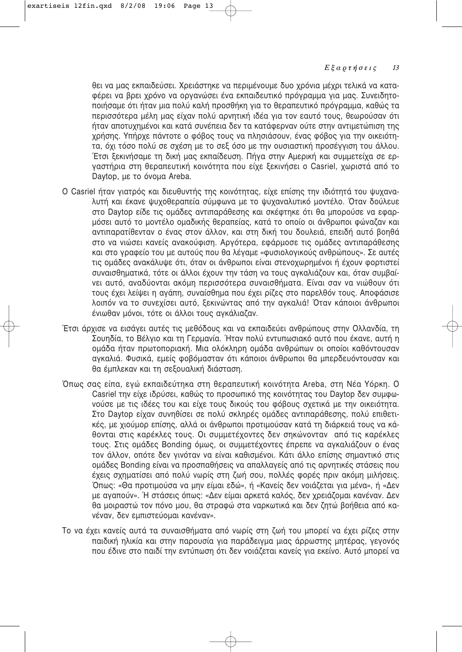θει να μας εκπαιδεύσει. Χρειάστηκε να περιμένουμε δυο χρόνια μέχρι τελικά να καταφέρει να βρει χρόνο να οργανώσει ένα εκπαιδευτικό πρόγραμμα για μας. Συνειδητοποιήσαμε ότι ήταν μια πολύ καλή προσθήκη για το θεραπευτικό πρόγραμμα, καθώς τα περισσότερα μέλη μας είχαν πολύ αρνητική ιδέα για τον εαυτό τους, θεωρούσαν ότι ήταν αποτυχημένοι και κατά συνέπεια δεν τα κατάφερναν ούτε στην αντιμετώπιση της χρήσης. Υπήρχε πάντοτε ο φόβος τους να πλησιάσουν, ένας φόβος για την οικειότητα, όχι τόσο πολύ σε σχέση με το σεξ όσο με την ουσιαστική προσέγγιση του άλλου. Έτσι ξεκινήσαμε τη δική μας εκπαίδευση. Πήγα στην Αμερική και συμμετείχα σε εργαστήρια στη θεραπευτική κοινότητα που είχε ξεκινήσει ο Casriel, χωριστά από το Daytop, με το όνομα Areba.

exartiseis  $12fin.qxd$   $8/2/08$   $19:06$  Page

- Ο Casriel ήταν γιατρός και διευθυντής της κοινότητας, είχε επίσης την ιδιότητά του ψυχαναλυτή και έκανε ψυχοθεραπεία σύμφωνα με το ψυχαναλυτικό μοντέλο. Όταν δούλευε στο Daytop είδε τις ομάδες αντιπαράθεσης και σκέφτηκε ότι θα μπορούσε να εφαρμόσει αυτό το μοντέλο ομαδικής θεραπείας, κατά το οποίο οι άνθρωποι φώναζαν και αντιπαρατίθενταν ο ένας στον άλλον, και στη δική του δουλειά, επειδή αυτό βοηθά στο να νιώσει κανείς ανακούφιση. Αργότερα, εφάρμοσε τις ομάδες αντιπαράθεσης και στο γραφείο του με αυτούς που θα λέγαμε «φυσιολογικούς ανθρώπους». Σε αυτές τις ομάδες ανακάλυψε ότι, όταν οι άνθρωποι είναι στενοχωρημένοι ή έχουν φορτιστεί συναισθηματικά, τότε οι άλλοι έχουν την τάση να τους αγκαλιάζουν και, όταν συμβαίνει αυτό, αναδύονται ακόμη περισσότερα συναισθήματα. Είναι σαν να νιώθουν ότι τους έχει λείψει η αγάπη, συναίσθημα που έχει ρίζες στο παρελθόν τους. Αποφάσισε λοιπόν να το συνεχίσει αυτό, ξεκινώντας από την αγκαλιά! Όταν κάποιοι άνθρωποι ένιωθαν μόνοι, τότε οι άλλοι τους αγκάλιαζαν.
- Έτσι άρχισε να εισάγει αυτές τις μεθόδους και να εκπαιδεύει ανθρώπους στην Ολλανδία, τη Σουηδία, το Βέλγιο και τη Γερμανία. Ήταν πολύ εντυπωσιακό αυτό που έκανε, αυτή η ομάδα ήταν πρωτοποριακή. Μια ολόκληρη ομάδα ανθρώπων οι οποίοι καθόντουσαν αγκαλιά. Φυσικά, εμείς φοβόμασταν ότι κάποιοι άνθρωποι θα μπερδευόντουσαν και θα έμπλεκαν και τη σεξουαλική διάσταση.
- Όπως σας είπα, εγώ εκπαιδεύτηκα στη θεραπευτική κοινότητα Areba, στη Νέα Υόρκη. Ο Casriel την είχε ιδρύσει, καθώς το προσωπικό της κοινότητας του Daytop δεν συμφω-VOÚσε με τις ιδέες του και είχε τους δικούς του φόβους σχετικά με την οικειότητα. Στο Daytop είχαν συνηθίσει σε πολύ σκληρές ομάδες αντιπαράθεσης, πολύ επιθετικές, με χιούμορ επίσης, αλλά οι άνθρωποι προτιμούσαν κατά τη διάρκειά τους να κάθονται στις καρέκλες τους. Οι συμμετέχοντες δεν σηκώνονταν από τις καρέκλες τους. Στις ομάδες Bonding όμως, οι συμμετέχοντες έπρεπε να αγκαλιάζουν ο ένας τον άλλον, οπότε δεν γινόταν να είναι καθισμένοι. Κάτι άλλο επίσης σημαντικό στις ομάδες Bonding είναι να προσπαθήσεις να απαλλαγείς από τις αρνητικές στάσεις που έχεις σχηματίσει από πολύ νωρίς στη ζωή σου, πολλές φορές πριν ακόμη μιλήσεις. Όπως: «Θα προτιμούσα να μην είμαι εδώ», ή «Κανείς δεν νοιάζεται για μένα», ή «Δεν με αναπούν». Ή στάσεις όπως: «Δεν είμαι αρκετά καλός, δεν χρειάζομαι κανέναν. Δεν θα μοιραστώ τον πόνο μου, θα στραφώ στα ναρκωτικά και δεν ζητώ βοήθεια από κανέναν, δεν εμπιστεύομαι κανέναν».
- Το να έχει κανείς αυτά τα συναισθήματα από νωρίς στη ζωή του μπορεί να έχει ρίζες στην παιδική ηλικία και στην παρουσία για παράδειγμα μιας άρρωστης μητέρας, γεγονός που έδινε στο παιδί την εντύπωση ότι δεν νοιάζεται κανείς για εκείνο. Αυτό μπορεί να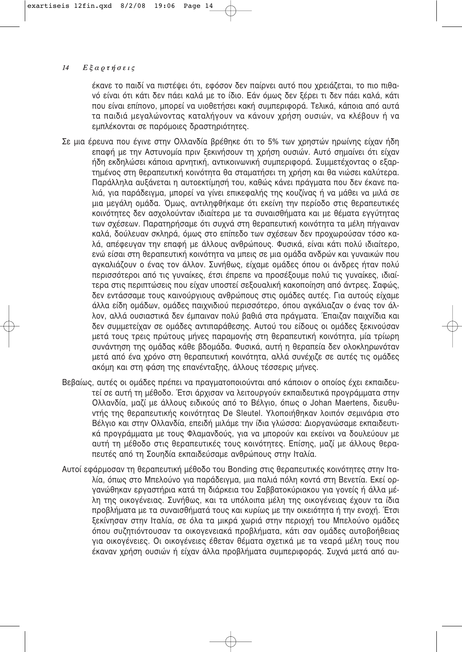έκανε το παιδί να πιστέψει ότι, εφόσον δεν παίρνει αυτό που χρειάζεται, το πιο πιθανό είναι ότι κάτι δεν πάει καλά με το ίδιο. Εάν όμως δεν ξέρει τι δεν πάει καλά, κάτι που είναι επίπονο, μπορεί να υιοθετήσει κακή συμπεριφορά. Τελικά, κάποια από αυτά τα παιδιά μεναλώνοντας καταλήνουν να κάνουν χρήση ουσιών, να κλέβουν ή να εμπλέκονται σε παρόμοιες δραστηριότητες.

- Σε μια έρευνα που έγινε στην Ολλανδία βρέθηκε ότι το 5% των χρηστών ηρωίνης είχαν ήδη επαφή με την Αστυνομία πριν ξεκινήσουν τη χρήση ουσιών. Αυτό σημαίνει ότι είχαν ήδη εκδηλώσει κάποια αρνητική, αντικοινωνική συμπεριφορά. Συμμετέχοντας ο εξαρτημένος στη θεραπευτική κοινότητα θα σταματήσει τη χρήση και θα νιώσει καλύτερα. Παράλληλα αυξάνεται η αυτοεκτίμησή του, καθώς κάνει πράγματα που δεν έκανε παλιά, για παράδειγμα, μπορεί να γίνει επικεφαλής της κουζίνας ή να μάθει να μιλά σε μια μεγάλη ομάδα. Όμως, αντιληφθήκαμε ότι εκείνη την περίοδο στις θεραπευτικές κοινότητες δεν ασχολούνταν ιδιαίτερα με τα συναισθήματα και με θέματα εγγύτητας των σχέσεων. Παρατηρήσαμε ότι συχνά στη θεραπευτική κοινότητα τα μέλη πήγαιναν καλά, δούλευαν σκληρά, όμως στο επίπεδο των σχέσεων δεν προχωρούσαν τόσο καλά, απέφευγαν την επαφή με άλλους ανθρώπους. Φυσικά, είναι κάτι πολύ ιδιαίτερο, ενώ είσαι στη θεραπευτική κοινότητα να μπεις σε μια ομάδα ανδρών και γυναικών που αγκαλιάζουν ο ένας τον άλλον. Συνήθως, είχαμε ομάδες όπου οι άνδρες ήταν πολύ περισσότεροι από τις γυναίκες, έτσι έπρεπε να προσέξουμε πολύ τις γυναίκες, ιδιαίτερα στις περιπτώσεις που είχαν υποστεί σεξουαλική κακοποίηση από άντρες. Σαφώς, δεν εντάσσαμε τους καινούργιους ανθρώπους στις ομάδες αυτές. Για αυτούς είχαμε άλλα είδη ομάδων, ομάδες παιχνιδιού περισσότερο, όπου αγκάλιαζαν ο ένας τον άλλον, αλλά ουσιαστικά δεν έμπαιναν πολύ βαθιά στα πράγματα. Έπαιζαν παιχνίδια και δεν συμμετείχαν σε ομάδες αντιπαράθεσης. Αυτού του είδους οι ομάδες ξεκινούσαν μετά τους τρεις πρώτους μήνες παραμονής στη θεραπευτική κοινότητα, μία τρίωρη συνάντηση της ομάδας κάθε βδομάδα. Φυσικά, αυτή η θεραπεία δεν ολοκληρωνόταν μετά από ένα χρόνο στη θεραπευτική κοινότητα, αλλά συνέχιζε σε αυτές τις ομάδες ακόμη και στη φάση της επανένταξης, άλλους τέσσερις μήνες.
- Βεβαίως, αυτές οι ομάδες πρέπει να πραγματοποιούνται από κάποιον ο οποίος έχει εκπαιδευτεί σε αυτή τη μέθοδο. Έτσι άρχισαν να λειτουργούν εκπαιδευτικά προγράμματα στην Ολλανδία, μαζί με άλλους ειδικούς από το Βέλγιο, όπως ο Johan Maertens, διευθυντής της θεραπευτικής κοινότητας De Sleutel. Υλοποιήθηκαν λοιπόν σεμινάρια στο Βέλγιο και στην Ολλανδία, επειδή μιλάμε την ίδια γλώσσα: Διοργανώσαμε εκπαιδευτικά προγράμματα με τους Φλαμανδούς, για να μπορούν και εκείνοι να δουλεύουν με αυτή τη μέθοδο στις θεραπευτικές τους κοινότητες. Επίσης, μαζί με άλλους θεραπευτές από τη Σουηδία εκπαιδεύσαμε ανθρώπους στην Ιταλία.
- Αυτοί εφάρμοσαν τη θεραπευτική μέθοδο του Bonding στις θεραπευτικές κοινότητες στην Ιταλία, όπως στο Μπελούνο για παράδειγμα, μια παλιά πόλη κοντά στη Βενετία. Εκεί οργανώθηκαν εργαστήρια κατά τη διάρκεια του Σαββατοκύριακου για γονείς ή άλλα μέλη της οικογένειας. Συνήθως, και τα υπόλοιπα μέλη της οικογένειας έχουν τα ίδια προβλήματα με τα συναισθήματά τους και κυρίως με την οικειότητα ή την ενοχή. Έτσι ξεκίνησαν στην Ιταλία, σε όλα τα μικρά χωριά στην περιοχή του Μπελούνο ομάδες όπου συζητιόντουσαν τα οικογενειακά προβλήματα, κάτι σαν ομάδες αυτοβοήθειας για οικογένειες. Οι οικογένειες έθεταν θέματα σχετικά με τα νεαρά μέλη τους που έκαναν χρήση ουσιών ή είχαν άλλα προβλήματα συμπεριφοράς. Συχνά μετά από αυ-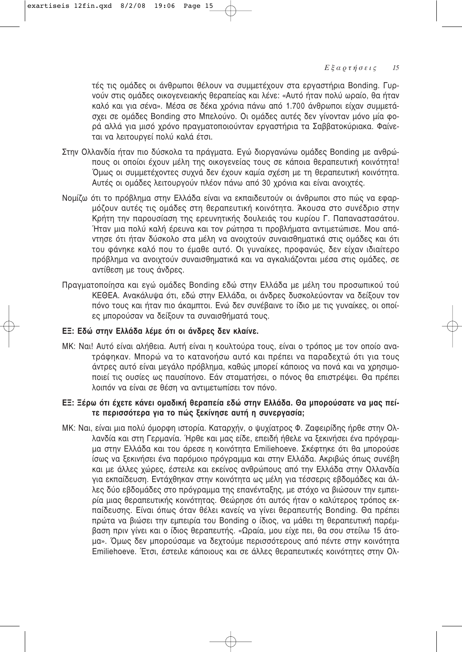exartiseis  $12fin,qxd$   $8/2/08$   $19:06$  Page

τές τις ομάδες οι άνθρωποι θέλουν να συμμετέχουν στα εργαστήρια Bonding. Γυρνούν στις ομάδες οικονενειακής θεραπείας και λένε: «Αυτό ήταν πολύ ωραίο, θα ήταν καλό και για σένα». Μέσα σε δέκα χρόνια πάνω από 1.700 άνθρωποι είχαν συμμετάσχει σε ομάδες Bonding στο Μπελούνο. Οι ομάδες αυτές δεν γίνονταν μόνο μία φορά αλλά για μισό χρόνο πραγματοποιούνταν εργαστήρια τα Σαββατοκύριακα. Φαίνεται να λειτουργεί πολύ καλά έτσι.

- Στην Ολλανδία ήταν πιο δύσκολα τα πράγματα. Εγώ διοργανώνω ομάδες Bonding με ανθρώπους οι οποίοι έχουν μέλη της οικογενείας τους σε κάποια θεραπευτική κοινότητα! Όμως οι συμμετέχοντες συχνά δεν έχουν καμία σχέση με τη θεραπευτική κοινότητα. Αυτές οι ομάδες λειτουργούν πλέον πάνω από 30 χρόνια και είναι ανοιχτές.
- Νομίζω ότι το πρόβλημα στην Ελλάδα είναι να εκπαιδευτούν οι άνθρωποι στο πώς να εφαρμόζουν αυτές τις ομάδες στη θεραπευτική κοινότητα. Άκουσα στο συνέδριο στην Κρήτη την παρουσίαση της ερευνητικής δουλειάς του κυρίου Γ. Παπαναστασάτου. Ήταν μια πολύ καλή έρευνα και τον ρώτησα τι προβλήματα αντιμετώπισε. Μου απά-Vτησε ότι ήταν δύσκολο στα μέλη να ανοιχτούν συναισθηματικά στις ομάδες και ότι του φάνηκε καλό που το έμαθε αυτό. Οι γυναίκες, προφανώς, δεν είχαν ιδιαίτερο πρόβλημα να ανοιχτούν συναισθηματικά και να αγκαλιάζονται μέσα στις ομάδες, σε αντίθεση με τους άνδρες.
- Πραγματοποίησα και εγώ ομάδες Bonding εδώ στην Ελλάδα με μέλη του προσωπικού τού ΚΕΘΕΑ. Ανακάλυψα ότι, εδώ στην Ελλάδα, οι άνδρες δυσκολεύονταν να δείξουν τον πόνο τους και ήταν πιο άκαμπτοι. Ενώ δεν συνέβαινε το ίδιο με τις γυναίκες, οι οποίες μπορούσαν να δείξουν τα συναισθήματά τους.

# **ΕΞ: Εδώ στην Ελλάδα λέμε ότι οι άνδρες δεν κλαίνε.**

ΜΚ: Ναι! Αυτό είναι αλήθεια. Αυτή είναι η κουλτούρα τους, είναι ο τρόπος με τον οποίο ανατράφηκαν. Μπορώ να το κατανοήσω αυτό και πρέπει να παραδεχτώ ότι για τους άντρες αυτό είναι μεγάλο πρόβλημα, καθώς μπορεί κάποιος να πονά και να χρησιμοποιεί τις ουσίες ως παυσίπονο. Εάν σταματήσει, ο πόνος θα επιστρέψει. Θα πρέπει λοιπόν να είναι σε θέση να αντιμετωπίσει τον πόνο.

# **ΕΞ: Ξέρω ότι έχετε κάνει ομαδική θεραπεία εδώ στην Ελλάδα. Θα μπορούσατε να μας πεί**τε περισσότερα για το πώς ξεκίνησε αυτή η συνεργασία;

ΜΚ: Ναι, είναι μια πολύ όμορφη ιστορία. Καταρχήν, ο ψυχίατρος Φ. Ζαφειρίδης ήρθε στην Ολλανδία και στη Γερμανία. Ήρθε και μας είδε, επειδή ήθελε να ξεκινήσει ένα πρόγραμμα στην Ελλάδα και του άρεσε η κοινότητα Emiliehoeve. Σκέφτηκε ότι θα μπορούσε ίσως να ξεκινήσει ένα παρόμοιο πρόγραμμα και στην Ελλάδα. Ακριβώς όπως συνέβη και με άλλες χώρες, έστειλε και εκείνος ανθρώπους από την Ελλάδα στην Ολλανδία για εκπαίδευση. Εντάχθηκαν στην κοινότητα ως μέλη για τέσσερις εβδομάδες και άλλες δύο εβδομάδες στο πρόγραμμα της επανένταξης, με στόχο να βιώσουν την εμπειρία μιας θεραπευτικής κοινότητας. Θεώρησε ότι αυτός ήταν ο καλύτερος τρόπος εκπαίδευσης. Είναι όπως όταν θέλει κανείς να νίνει θεραπευτής Bonding. Θα πρέπει πρώτα να βιώσει την εμπειρία του Bonding ο ίδιος, να μάθει τη θεραπευτική παρέμβαση πριν γίνει και ο ίδιος θεραπευτής. «Ωραία, μου είχε πει, θα σου στείλω 15 άτομα». Όμως δεν μπορούσαμε να δεχτούμε περισσότερους από πέντε στην κοινότητα Emiliehoeve. Έτσι, έστειλε κάποιους και σε άλλες θεραπευτικές κοινότητες στην Ολ-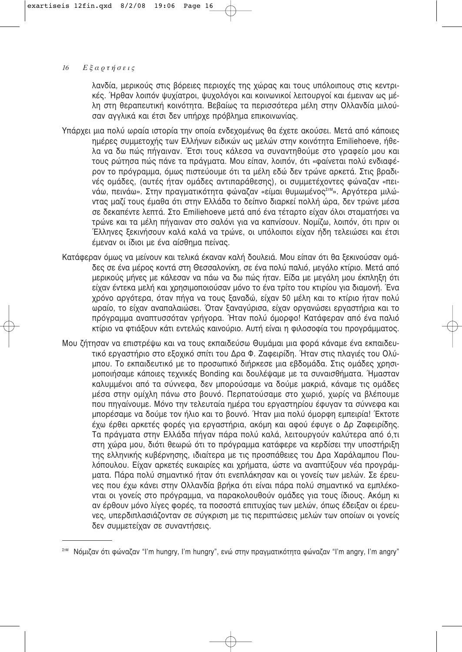λανδία, μερικούς στις βόρειες περιοχές της χώρας και τους υπόλοιπους στις κεντρικές. Ήρθαν λοιπόν ψυχίατροι, ψυχολόγοι και κοινωνικοί λειτουργοί και έμειναν ως μέλη στη θεραπευτική κοινότητα. Βεβαίως τα περισσότερα μέλη στην Ολλανδία μιλούσαν αγγλικά και έτσι δεν υπήρχε πρόβλημα επικοινωνίας.

- Υπάρχει μια πολύ ωραία ιστορία την οποία ενδεχομένως θα έχετε ακούσει. Μετά από κάποιες ημέρες συμμετοχής των Ελλήνων ειδικών ως μελών στην κοινότητα Emiliehoeve, ήθελα να δω πώς πήναιναν. Έτσι τους κάλεσα να συναντηθούμε στο νραφείο μου και τους ρώτησα πώς πάνε τα πράγματα. Μου είπαν, λοιπόν, ότι «φαίνεται πολύ ενδιαφέρον το πρόγραμμα, όμως πιστεύουμε ότι τα μέλη εδώ δεν τρώνε αρκετά. Στις βραδινές ομάδες, (αυτές ήταν ομάδες αντιπαράθεσης), οι συμμετέχοντες φώναζαν «πεινάω, πεινάω». Στην πραγματικότητα φώναζαν «είμαι θυμωμένος<sup>ΣτΜ</sup>». Αργότερα μιλώντας μαζί τους έμαθα ότι στην Ελλάδα το δείπνο διαρκεί πολλή ώρα, δεν τρώνε μέσα σε δεκαπέντε λεπτά. Στο Emiliehoeve μετά από ένα τέταρτο είχαν όλοι σταματήσει να τρώνε και τα μέλη πήγαιναν στο σαλόνι για να καπνίσουν. Νομίζω, λοιπόν, ότι πριν οι Έλληνες ξεκινήσουν καλά καλά να τρώνε, οι υπόλοιποι είχαν ήδη τελειώσει και έτσι έμεναν οι ίδιοι με ένα αίσθημα πείνας.
- Κατάφεραν όμως να μείνουν και τελικά έκαναν καλή δουλειά. Μου είπαν ότι θα ξεκινούσαν ομάδες σε ένα μέρος κοντά στη Θεσσαλονίκη, σε ένα πολύ παλιό, μεγάλο κτίριο. Μετά από μερικούς μήνες με κάλεσαν να πάω να δω πώς ήταν. Είδα με μεγάλη μου έκπληξη ότι είχαν έντεκα μελή και χρησιμοποιούσαν μόνο το ένα τρίτο του κτιρίου για διαμονή. Ένα χρόνο αργότερα, όταν πήγα να τους ξαναδώ, είχαν 50 μέλη και το κτίριο ήταν πολύ ωραίο, το είχαν αναπαλαιώσει. Όταν ξαναγύρισα, είχαν οργανώσει εργαστήρια και το πρόγραμμα αναπτυσσόταν γρήγορα. Ήταν πολύ όμορφο! Κατάφεραν από ένα παλιό κτίριο να φτιάξουν κάτι εντελώς καινούριο. Αυτή είναι η φιλοσοφία του προγράμματος.
- Μου ζήτησαν να επιστρέψω και να τους εκπαιδεύσω Θυμάμαι μια φορά κάναμε ένα εκπαιδευτικό εργαστήριο στο εξοχικό σπίτι του Δρα Φ. Ζαφειρίδη. Ήταν στις πλαγιές του Ολύμπου. Το εκπαιδευτικό με το προσωπικό διήρκεσε μια εβδομάδα. Στις ομάδες χρησιμοποιήσαμε κάποιες τεχνικές Bonding και δουλέψαμε με τα συναισθήματα. Ήμασταν καλυμμένοι από τα σύννεφα, δεν μπορούσαμε να δούμε μακριά, κάναμε τις ομάδες μέσα στην ομίχλη πάνω στο βουνό. Περπατούσαμε στο χωριό, χωρίς να βλέπουμε που πηγαίνουμε. Μόνο την τελευταία ημέρα του εργαστηρίου έφυγαν τα σύννεφα και μπορέσαμε να δούμε τον ήλιο και το βουνό. Ήταν μια πολύ όμορφη εμπειρία! Έκτοτε έχω έρθει αρκετές φορές για εργαστήρια, ακόμη και αφού έφυγε ο Δρ Ζαφειρίδης. Τα πράγματα στην Ελλάδα πήγαν πάρα πολύ καλά, λειτουργούν καλύτερα από ό,τι στη χώρα μου, διότι θεωρώ ότι το πρόγραμμα κατάφερε να κερδίσει την υποστήριξη της ελληνικής κυβέρνησης, ιδιαίτερα με τις προσπάθειες του Δρα Χαράλαμπου Πουλόπουλου. Είχαν αρκετές ευκαιρίες και χρήματα, ώστε να αναπτύξουν νέα προγράμματα. Πάρα πολύ σημαντικό ήταν ότι ενεπλάκησαν και οι γονείς των μελών. Σε έρευνες που έχω κάνει στην Ολλανδία βρήκα ότι είναι πάρα πολύ σημαντικό να εμπλέκονται οι νονείς στο πρόνραμμα, να παρακολουθούν ομάδες νια τους ίδιους. Ακόμη κι αν έρθουν μόνο λίγες φορές, τα ποσοστά επιτυχίας των μελών, όπως έδειξαν οι έρευνες, υπερδιπλασιάζονταν σε σύγκριση με τις περιπτώσεις μελών των οποίων οι γονείς δεν συμμετείχαν σε συναντήσεις.

ΣτΜ Νόμιζαν ότι φώναζαν "I'm hungry, I'm hungry", ενώ στην πραγματικότητα φώναζαν "I'm angry, I'm angry"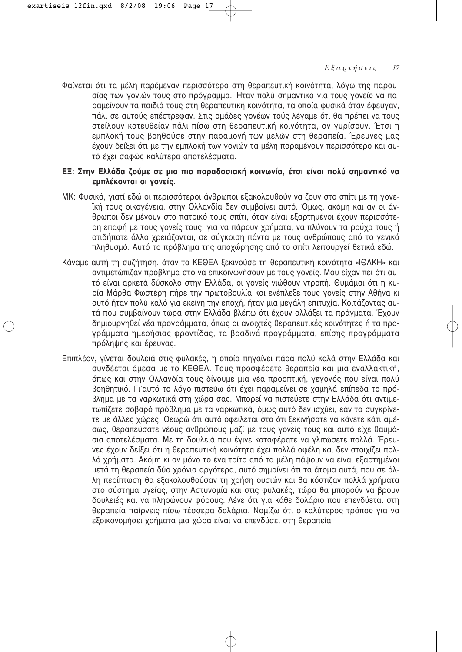Φαίνεται ότι τα μέλη παρέμεναν περισσότερο στη θεραπευτική κοινότητα, λόγω της παρουσίας των γονιών τους στο πρόγραμμα. Ήταν πολύ σημαντικό για τους γονείς να παραμείνουν τα παιδιά τους στη θεραπευτική κοινότητα, τα οποία φυσικά όταν έφευγαν, πάλι σε αυτούς επέστρεφαν. Στις ομάδες γονέων τούς λέγαμε ότι θα πρέπει να τους στείλουν κατευθείαν πάλι πίσω στη θεραπευτική κοινότητα, αν γυρίσουν. Έτσι η εμπλοκή τους βοηθούσε στην παραμονή των μελών στη θεραπεία. Έρευνες μας έχουν δείξει ότι με την εμπλοκή των γονιών τα μέλη παραμένουν περισσότερο και αυτό έχει σαφώς καλύτερα αποτελέσματα.

# ΕΞ: Στην Ελλάδα ζούμε σε μια πιο παραδοσιακή κοινωνία, έτσι είναι πολύ σημαντικό να **εμπλέκονται οι γονείς.**

- ΜΚ: Φυσικά, γιατί εδώ οι περισσότεροι άνθρωποι εξακολουθούν να ζουν στο σπίτι με τη γονεϊκή τους οικογένεια, στην Ολλανδία δεν συμβαίνει αυτό. Όμως, ακόμη και αν οι άνθρωποι δεν μένουν στο πατρικό τους σπίτι, όταν είναι εξαρτημένοι έχουν περισσότεon επαφή με τους γονείς τους, για να πάρουν χρήματα, να πλύνουν τα ρούχα τους ή οτιδήποτε άλλο χρειάζονται, σε σύγκριση πάντα με τους ανθρώπους από το γενικό πληθυσμό. Αυτό το πρόβλημα της αποχώρησης από το σπίτι λειτουργεί θετικά εδώ.
- Κάναμε αυτή τη συζήτηση, όταν το ΚΕΘΕΑ ξεκινούσε τη θεραπευτική κοινότητα «ΙΘΑΚΗ» και αντιμετώπιζαν πρόβλημα στο να επικοινωνήσουν με τους γονείς. Μου είχαν πει ότι αυτό είναι αρκετά δύσκολο στην Ελλάδα, οι νονείς νιώθουν ντροπή, Θυμάμαι ότι η κυρία Μάρθα Φωστέρη πήρε την πρωτοβουλία και ενέπλεξε τους γονείς στην Αθήνα κι αυτό ήταν πολύ καλό για εκείνη την εποχή, ήταν μια μεγάλη επιτυχία. Κοιτάζοντας αυτά που συμβαίνουν τώρα στην Ελλάδα βλέπω ότι έχουν αλλάξει τα πράγματα. Έχουν δημιουργηθεί νέα προγράμματα, όπως οι ανοιχτές θεραπευτικές κοινότητες ή τα προγράμματα ημερήσιας φροντίδας, τα βραδινά προγράμματα, επίσης προγράμματα πρόληψης και έρευνας.
- Επιπλέον, γίνεται δουλειά στις φυλακές, η οποία πηγαίνει πάρα πολύ καλά στην Ελλάδα και συνδέεται άμεσα με το KEΘEA. Τους προσφέρετε θεραπεία και μια εναλλακτική, όπως και στην Ολλανδία τους δίνουμε μια νέα προοπτική, γεγονός που είναι πολύ βοηθητικό. Γι'αυτό το λόγο πιστεύω ότι έχει παραμείνει σε χαμηλά επίπεδα το πρόβλημα με τα ναρκωτικά στη χώρα σας. Μπορεί να πιστεύετε στην Ελλάδα ότι αντιμετωπίζετε σοβαρό πρόβλημα με τα ναρκωτικά, όμως αυτό δεν ισχύει, εάν το συγκρίνετε με άλλες χώρες. Θεωρώ ότι αυτό οφείλεται στο ότι ξεκινήσατε να κάνετε κάτι αμέσως, θεραπεύσατε νέους ανθρώπους μαζί με τους γονείς τους και αυτό είχε θαυμάσια αποτελέσματα. Με τη δουλειά που έγινε καταφέρατε να γλιτώσετε πολλά. Έρευνες έχουν δείξει ότι η θεραπευτική κοινότητα έχει πολλά οφέλη και δεν στοιχίζει πολλά χρήματα. Ακόμη κι αν μόνο το ένα τρίτο από τα μέλη πάψουν να είναι εξαρτημένοι μετά τη θεραπεία δύο χρόνια αργότερα, αυτό σημαίνει ότι τα άτομα αυτά, που σε άλλη περίπτωση θα εξακολουθούσαν τη χρήση ουσιών και θα κόστιζαν πολλά χρήματα στο σύστημα υγείας, στην Αστυνομία και στις φυλακές, τώρα θα μπορούν να βρουν δουλειές και να πληρώνουν φόρους. Λένε ότι για κάθε δολάριο που επενδύεται στη θεραπεία παίρνεις πίσω τέσσερα δολάρια. Νομίζω ότι ο καλύτερος τρόπος για να εξοικονομήσει χρήματα μια χώρα είναι να επενδύσει στη θεραπεία.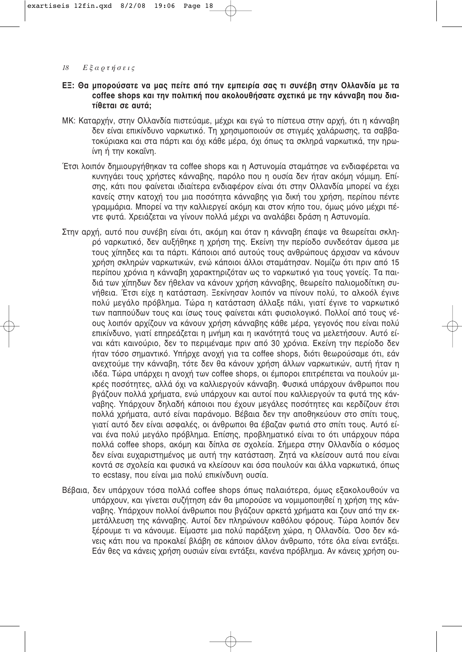- ΕΞ: Θα μπορούσατε να μας πείτε από την εμπειρία σας τι συνέβη στην Ολλανδία με τα coffee shops και την πολιτική που ακολουθήσατε σχετικά με την κάνναβη που διατίθεται σε αυτά:
- ΜΚ: Καταρχήν, στην Ολλανδία πιστεύαμε, μέχρι και εγώ το πίστευα στην αρχή, ότι η κάνναβη δεν είναι επικίνδυνο ναρκωτικό. Τη χρησιμοποιούν σε στιγμές χαλάρωσης, τα σαββατοκύριακα και στα πάρτι και όχι κάθε μέρα, όχι όπως τα σκληρά ναρκωτικά, την ηρωίνη ή την κοκαΐνη.
- Έτσι λοιπόν δημιουργήθηκαν τα coffee shops και η Αστυνομία σταμάτησε να ενδιαφέρεται να κυνηγάει τους χρήστες κάνναβης, παρόλο που η ουσία δεν ήταν ακόμη νόμιμη. Επίσης, κάτι που φαίνεται ιδιαίτερα ενδιαφέρον είναι ότι στην Ολλανδία μπορεί να έχει κανείς στην κατοχή του μια ποσότητα κάνναβης για δική του χρήση, περίπου πέντε γραμμάρια. Μπορεί να την καλλιεργεί ακόμη και στον κήπο του, όμως μόνο μέχρι πέντε φυτά. Χρειάζεται να γίνουν πολλά μέχρι να αναλάβει δράση η Αστυνομία.
- Στην αρχή, αυτό που συνέβη είναι ότι, ακόμη και όταν η κάνναβη έπαψε να θεωρείται σκληρό ναρκωτικό, δεν αυξήθηκε η χρήση της. Εκείνη την περίοδο συνδεόταν άμεσα με τους χίπηδες και τα πάρτι. Κάποιοι από αυτούς τους ανθρώπους άρχισαν να κάνουν χρήση σκληρών ναρκωτικών, ενώ κάποιοι άλλοι σταμάτησαν. Νομίζω ότι πριν από 15 περίπου χρόνια η κάνναβη χαρακτηριζόταν ως το ναρκωτικό για τους γονείς. Τα παιδιά των χίπηδων δεν ήθελαν να κάνουν χρήση κάνναβης, θεωρείτο παλιομοδίτικη συνήθεια. Έτσι είχε η κατάσταση. Ξεκίνησαν λοιπόν να πίνουν πολύ, το αλκοόλ έγινε πολύ μεγάλο πρόβλημα. Τώρα η κατάσταση άλλαξε πάλι, γιατί έγινε το ναρκωτικό των παππούδων τους και ίσως τους φαίνεται κάτι φυσιολογικό. Πολλοί από τους νέους λοιπόν αρχίζουν να κάνουν χρήση κάνναβης κάθε μέρα, γεγονός που είναι πολύ επικίνδυνο, γιατί επηρεάζεται η μνήμη και η ικανότητά τους να μελετήσουν. Αυτό είναι κάτι καινούριο, δεν το περιμέναμε πριν από 30 χρόνια. Εκείνη την περίοδο δεν ήταν τόσο σημαντικό. Υπήρχε ανοχή για τα coffee shops, διότι θεωρούσαμε ότι, εάν ανεχτούμε την κάνναβη, τότε δεν θα κάνουν χρήση άλλων ναρκωτικών, αυτή ήταν η ιδέα. Τώρα υπάρχει η ανοχή των coffee shops, οι έμποροι επιτρέπεται να πουλούν μικρές ποσότητες, αλλά όχι να καλλιεργούν κάνναβη. Φυσικά υπάρχουν άνθρωποι που βγάζουν πολλά χρήματα, ενώ υπάρχουν και αυτοί που καλλιεργούν τα φυτά της κάνναβης. Υπάρχουν δηλαδή κάποιοι που έχουν μεγάλες ποσότητες και κερδίζουν έτσι πολλά χρήματα, αυτό είναι παράνομο. Βέβαια δεν την αποθηκεύουν στο σπίτι τους, γιατί αυτό δεν είναι ασφαλές, οι άνθρωποι θα έβαζαν φωτιά στο σπίτι τους. Αυτό είναι ένα πολύ μεγάλο πρόβλημα. Επίσης, προβληματικό είναι το ότι υπάρχουν πάρα πολλά coffee shops, ακόμη και δίπλα σε σχολεία. Σήμερα στην Ολλανδία ο κόσμος δεν είναι ευχαριστημένος με αυτή την κατάσταση. Ζητά να κλείσουν αυτά που είναι κοντά σε σχολεία και φυσικά να κλείσουν και όσα πουλούν και άλλα ναρκωτικά, όπως το ecstasy, που είναι μια πολύ επικίνδυνη ουσία.
- Βέβαια, δεν υπάρχουν τόσα πολλά coffee shops όπως παλαιότερα, όμως εξακολουθούν να υπάρχουν, και γίνεται συζήτηση εάν θα μπορούσε να νομιμοποιηθεί η χρήση της κάνναβης. Υπάρχουν πολλοί άνθρωποι που βγάζουν αρκετά χρήματα και ζουν από την εκμετάλλευση της κάνναβης. Αυτοί δεν πληρώνουν καθόλου φόρους. Τώρα λοιπόν δεν ξέρουμε τι να κάνουμε. Είμαστε μια πολύ παράξενη χώρα, η Ολλανδία. Όσο δεν κάνεις κάτι που να προκαλεί βλάβη σε κάποιον άλλον άνθρωπο, τότε όλα είναι εντάξει. Εάν θες να κάνεις χρήση ουσιών είναι εντάξει, κανένα πρόβλημα. Αν κάνεις χρήση ου-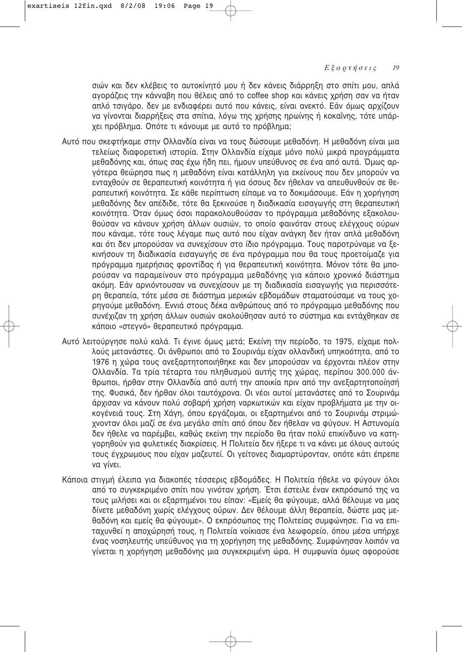σιών και δεν κλέβεις το αυτοκίνητό μου ή δεν κάνεις διάρρηξη στο σπίτι μου, απλά ανοράζεις την κάνναβη που θέλεις από το coffee shop και κάνεις χρήση σαν να ήταν απλό τσιγάρο, δεν με ενδιαφέρει αυτό που κάνεις, είναι ανεκτό. Εάν όμως αρχίζουν να γίνονται διαρρήξεις στα σπίτια. λόγω της χρήσης ηρωίνης ή κοκαΐνης, τότε υπάρ-Σει πρόβλημα. Οπότε τι κάνουμε με αυτό το πρόβλημα:

exartiseis  $12fin,qxd$   $8/2/08$   $19:06$  Page

- Aυτό που σκεφτήκαμε στην Ολλανδία είναι να τους δώσουμε μεθαδόνη. Η μεθαδόνη είναι μια τελείως διαφορετική ιστορία. Στην Ολλανδία είχαμε μόνο πολύ μικρά προγράμματα μεθαδόνης και, όπως σας έχω ήδη πει, ήμουν υπεύθυνος σε ένα από αυτά. Όμως αργότερα θεώρησα πως η μεθαδόνη είναι κατάλληλη για εκείνους που δεν μπορούν να ενταχθούν σε θεραπευτική κοινότητα ή για όσους δεν ήθελαν να απευθυνθούν σε θεραπευτική κοινότητα. Σε κάθε περίπτωση είπαμε να το δοκιμάσουμε. Εάν η χορήγηση μεθαδόνης δεν απέδιδε, τότε θα ξεκινούσε η διαδικασία εισαγωγής στη θεραπευτική κοινότητα. Όταν όμως όσοι παρακολουθούσαν το πρόγραμμα μεθαδόνης εξακολουθούσαν να κάνουν χρήση άλλων ουσιών, το οποίο φαινόταν στους ελέγχους ούρων που κάναμε, τότε τους λέγαμε πως αυτό που είχαν ανάγκη δεν ήταν απλά μεθαδόνη και ότι δεν μπορούσαν να συνεχίσουν στο ίδιο πρόγραμμα. Τους παροτρύναμε να ξεκινήσουν τη διαδικασία εισαγωγής σε ένα πρόγραμμα που θα τους προετοίμαζε για πρόγραμμα ημερήσιας φροντίδας ή για θεραπευτική κοινότητα. Μόνον τότε θα μπορούσαν να παραμείνουν στο πρόγραμμα μεθαδόνης για κάποιο χρονικό διάστημα ακόμη. Εάν αρνιόντουσαν να συνεχίσουν με τη διαδικασία εισαγωγής για περισσότερη θεραπεία, τότε μέσα σε διάστημα μερικών εβδομάδων σταματούσαμε να τους χορηγούμε μεθαδόνη. Εννιά στους δέκα ανθρώπους από το πρόγραμμα μεθαδόνης που συνέχιζαν τη χρήση άλλων ουσιών ακολούθησαν αυτό το σύστημα και εντάχθηκαν σε κάποιο «στεννό» θεραπευτικό πρόνραμμα.
- Αυτό λειτούργησε πολύ καλά. Τι ένινε όμως μετά: Εκείνη την περίοδο, το 1975, είχαμε πολλούς μετανάστες. Οι άνθρωποι από το Σουρινάμ είχαν ολλανδική υπηκοότητα, από το 1976 η χώρα τους ανεξαρτητοποιήθηκε και δεν μπορούσαν να έρχονται πλέον στην Ολλανδία. Τα τρία τέταρτα του πληθυσμού αυτής της χώρας, περίπου 300.000 άνθρωποι, ήρθαν στην Ολλανδία από αυτή την αποικία πριν από την ανεξαρτητοποίησή της. Φυσικά, δεν ήρθαν όλοι ταυτόχρονα. Οι νέοι αυτοί μετανάστες από το Σουρινάμ άρχισαν να κάνουν πολύ σοβαρή χρήση ναρκωτικών και είχαν προβλήματα με την οι-Κογένειά τους. Στη Χάγη, όπου εργάζομαι, οι εξαρτημένοι από το Σουρινάμ στριμώχνονταν όλοι μαζί σε ένα μεγάλο σπίτι από όπου δεν ήθελαν να φύγουν. Η Αστυνομία δεν ήθελε να παρέμβει, καθώς εκείνη την περίοδο θα ήταν πολύ επικίνδυνο να κατηγορηθούν για φυλετικές διακρίσεις. Η Πολιτεία δεν ήξερε τι να κάνει με όλους αυτούς τους έγχρωμους που είχαν μαζευτεί. Οι γείτονες διαμαρτύρονταν, οπότε κάτι έπρεπε να νίνει.
- Κάποια στιγμή έλειπα για διακοπές τέσσερις εβδομάδες. Η Πολιτεία ήθελε να φύγουν όλοι από το συγκεκριμένο σπίτι που γινόταν χρήση. Έτσι έστειλε έναν εκπρόσωπό της να τους μιλήσει και οι εξαρτημένοι του είπαν: «Εμείς θα φύγουμε, αλλά θέλουμε να μας δίνετε μεθαδόνη χωρίς ελένχους ούρων. Δεν θέλουμε άλλη θεραπεία, δώστε μας μεθαδόνη και εμείς θα φύγουμε». Ο εκπρόσωπος της Πολιτείας συμφώνησε. Για να επιταχυνθεί η αποχώρησή τους, η Πολιτεία νοίκιασε ένα λεωφορείο, όπου μέσα υπήρχε ένας νοσηλευτής υπεύθυνος για τη χορήγηση της μεθαδόνης. Συμφώνησαν λοιπόν να γίνεται η χορήγηση μεθαδόνης μια συγκεκριμένη ώρα. Η συμφωνία όμως αφορούσε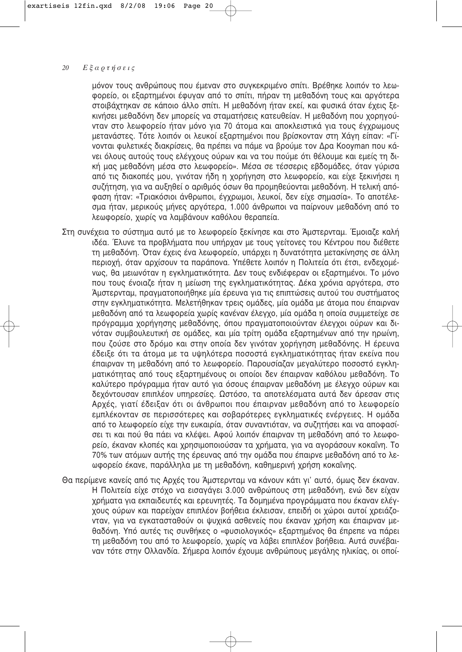μόνον τους ανθρώπους που έμεναν στο συγκεκριμένο σπίτι. Βρέθηκε λοιπόν το λεωφορείο, οι εξαρτημένοι έφυγαν από το σπίτι, πήραν τη μεθαδόνη τους και αργότερα στοιβάχτηκαν σε κάποιο άλλο σπίτι. Η μεθαδόνη ήταν εκεί, και φυσικά όταν έχεις ξεκινήσει μεθαδόνη δεν μπορείς να σταματήσεις κατευθείαν. Η μεθαδόνη που χορηγούνταν στο λεωφορείο ήταν μόνο για 70 άτομα και αποκλειστικά για τους έγχρωμους μετανάστες. Τότε λοιπόν οι λευκοί εξαρτημένοι που βρίσκονταν στη Χάγη είπαν: «Γίνονται φυλετικές διακρίσεις, θα πρέπει να πάμε να βρούμε τον Δρα Κοογman που κά-Vει όλους αυτούς τους ελέγχους ούρων και να του πούμε ότι θέλουμε και εμείς τη δική μας μεθαδόνη μέσα στο λεωφορείο». Μέσα σε τέσσερις εβδομάδες, όταν γύρισα από τις διακοπές μου, γινόταν ήδη η χορήγηση στο λεωφορείο, και είχε ξεκινήσει η συζήτηση, για να αυξηθεί ο αριθμός όσων θα προμηθεύονται μεθαδόνη. Η τελική απόφαση ήταν: «Τριακόσιοι άνθρωποι, έγχρωμοι, λευκοί, δεν είχε σημασία». Το αποτέλεσμα ήταν, μερικούς μήνες αργότερα, 1.000 άνθρωποι να παίρνουν μεθαδόνη από το λεωφορείο, χωρίς να λαμβάνουν καθόλου θεραπεία.

- Στη συνέχεια το σύστημα αυτό με το λεωφορείο ξεκίνησε και στο Άμστερνταμ. Έμοιαζε καλή ιδέα. Έλυνε τα προβλήματα που υπήρχαν με τους γείτονες του Κέντρου που διέθετε τη μεθαδόνη. Όταν έχεις ένα λεωφορείο, υπάρχει η δυνατότητα μετακίνησης σε άλλη περιοχή, όταν αρχίσουν τα παράπονα. Υπέθετε λοιπόν η Πολιτεία ότι έτσι, ενδεχομένως, θα μειωνόταν η εγκληματικότητα. Δεν τους ενδιέφεραν οι εξαρτημένοι. Το μόνο που τους ένοιαζε ήταν η μείωση της εγκληματικότητας. Δέκα χρόνια αργότερα, στο Άμστερνταμ, πραγματοποιήθηκε μία έρευνα για τις επιπτώσεις αυτού του συστήματος στην εγκληματικότητα. Μελετήθηκαν τρεις ομάδες, μία ομάδα με άτομα που έπαιρναν μεθαδόνη από τα λεωφορεία χωρίς κανέναν έλεγχο, μία ομάδα η οποία συμμετείχε σε πρόγραμμα χορήγησης μεθαδόνης, όπου πραγματοποιούνταν έλεγχοι ούρων και δινόταν συμβουλευτική σε ομάδες, και μία τρίτη ομάδα εξαρτημένων από την ηρωίνη, που ζούσε στο δρόμο και στην οποία δεν γινόταν χορήγηση μεθαδόνης. Η έρευνα έδειξε ότι τα άτομα με τα υψηλότερα ποσοστά εγκληματικότητας ήταν εκείνα που έπαιρναν τη μεθαδόνη από το λεωφορείο. Παρουσίαζαν μεγαλύτερο ποσοστό εγκληματικότητας από τους εξαρτημένους οι οποίοι δεν έπαιρναν καθόλου μεθαδόνη. Το καλύτερο πρόγραμμα ήταν αυτό για όσους έπαιρναν μεθαδόνη με έλεγχο ούρων και δεχόντουσαν επιπλέον υπηρεσίες. Ωστόσο, τα αποτελέσματα αυτά δεν άρεσαν στις Αρχές, γιατί έδειξαν ότι οι άνθρωποι που έπαιρναν μεθαδόνη από το λεωφορείο εμπλέκονταν σε περισσότερες και σοβαρότερες εγκληματικές ενέργειες. Η ομάδα από το λεωφορείο είχε την ευκαιρία, όταν συναντιόταν, να συζητήσει και να αποφασίσει τι και πού θα πάει να κλέψει. Αφού λοιπόν έπαιρναν τη μεθαδόνη από το λεωφορείο, έκαναν κλοπές και χρησιμοποιούσαν τα χρήματα, για να αγοράσουν κοκαΐνη. Το 70% των ατόμων αυτής της έρευνας από την ομάδα που έπαιρνε μεθαδόνη από το λεωφορείο έκανε, παράλληλα με τη μεθαδόνη, καθημερινή χρήση κοκαΐνης.
- Θα περίμενε κανείς από τις Αρχές του Άμστερνταμ να κάνουν κάτι γι' αυτό, όμως δεν έκαναν. Η Πολιτεία είχε στόχο να εισαγάγει 3.000 ανθρώπους στη μεθαδόνη, ενώ δεν είχαν χρήματα για εκπαιδευτές και ερευνητές. Τα δομημένα προγράμματα που έκαναν ελέγχους ούρων και παρείχαν επιπλέον βοήθεια έκλεισαν, επειδή οι χώροι αυτοί χρειάζονταν, για να εγκατασταθούν οι ψυχικά ασθενείς που έκαναν χρήση και έπαιρναν μεθαδόνη. Υπό αυτές τις συνθήκες ο «φυσιολογικός» εξαρτημένος θα έπρεπε να πάρει τη μεθαδόνη του από το λεωφορείο, χωρίς να λάβει επιπλέον βοήθεια. Αυτά συνέβαιναν τότε στην Ολλανδία. Σήμερα λοιπόν έχουμε ανθρώπους μεγάλης ηλικίας, οι οποί-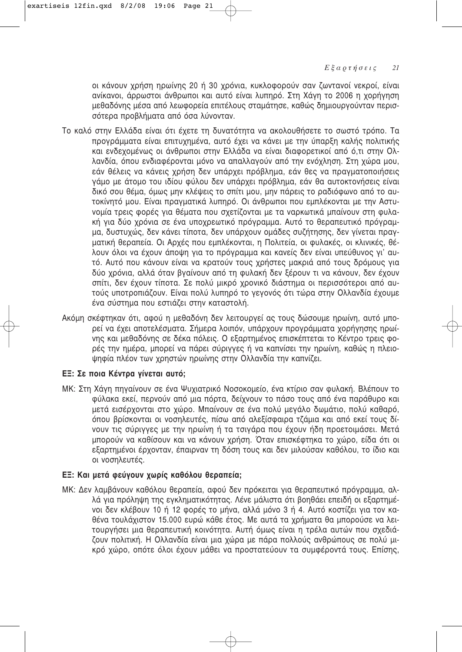- Το καλό στην Ελλάδα είναι ότι έχετε τη δυνατότητα να ακολουθήσετε το σωστό τρόπο. Τα προγράμματα είναι επιτυχημένα, αυτό έχει να κάνει με την ύπαρξη καλής πολιτικής Και ενδεχομένως οι άνθρωποι στην Ελλάδα να είναι διαφορετικοί από ό.τι στην Ολλανδία, όπου ενδιαφέρονται μόνο να απαλλαγούν από την ενόχληση. Στη χώρα μου, εάν θέλεις να κάνεις χρήση δεν υπάρχει πρόβλημα, εάν θες να πραγματοποιήσεις γάμο με άτομο του ιδίου φύλου δεν υπάρχει πρόβλημα, εάν θα αυτοκτονήσεις είναι δικό σου θέμα, όμως μην κλέψεις το σπίτι μου, μην πάρεις το ραδιόφωνο από το αυτοκίνητό μου. Είναι πραγματικά λυπηρό. Οι άνθρωποι που εμπλέκονται με την Αστυνομία τρεις φορές για θέματα που σχετίζονται με τα ναρκωτικά μπαίνουν στη φυλακή για δύο χρόνια σε ένα υποχρεωτικό πρόγραμμα. Αυτό το θεραπευτικό πρόγραμμα, δυστυχώς, δεν κάνει τίποτα, δεν υπάρχουν ομάδες συζήτησης, δεν γίνεται πραγματική θεραπεία. Οι Αρχές που εμπλέκονται, η Πολιτεία, οι φυλακές, οι κλινικές, θέλουν όλοι να έχουν άποψη για το πρόγραμμα και κανείς δεν είναι υπεύθυνος γι' αυτό. Αυτό που κάνουν είναι να κρατούν τους χρήστες μακριά από τους δρόμους για δύο χρόνια, αλλά όταν βγαίνουν από τη φυλακή δεν ξέρουν τι να κάνουν, δεν έχουν σπίτι, δεν έχουν τίποτα. Σε πολύ μικρό χρονικό διάστημα οι περισσότεροι από αυτούς υποτροπιάζουν. Είναι πολύ λυπηρό το γεγονός ότι τώρα στην Ολλανδία έχουμε ένα σύστημα που εστιάζει στην καταστολή.
- Aκόμη σκέφτηκαν ότι, αφού η μεθαδόνη δεν λειτουργεί ας τους δώσουμε ηρωίνη, αυτό μπορεί να έχει αποτελέσματα. Σήμερα λοιπόν, υπάρχουν προγράμματα χορήγησης ηρωίνης και μεθαδόνης σε δέκα πόλεις. Ο εξαρτημένος επισκέπτεται το Κέντρο τρεις φορές την ημέρα, μπορεί να πάρει σύριγγες ή να καπνίσει την ηρωίνη, καθώς η πλειοψηφία πλέον των χρηστών ηρωίνης στην Ολλανδία την καπνίζει.

# ΕΞ: Σε ποια Κέντρα γίνεται αυτό;

exartiseis  $12fin,qxd$   $8/2/08$   $19:06$  Page

ΜΚ: Στη Χάγη πηγαίνουν σε ένα Ψυχιατρικό Νοσοκομείο, ένα κτίριο σαν φυλακή. Βλέπουν το φύλακα εκεί, περνούν από μια πόρτα, δείχνουν το πάσο τους από ένα παράθυρο και μετά εισέρχονται στο χώρο. Μπαίνουν σε ένα πολύ μεγάλο δωμάτιο, πολύ καθαρό, όπου βρίσκονται οι νοσηλευτές, πίσω από αλεξίσφαιρα τζάμια και από εκεί τους δί-VOUV τις σύριγγες με την ηρωίνη ή τα τσιγάρα που έχουν ήδη προετοιμάσει. Μετά μπορούν να καθίσουν και να κάνουν χρήση. Όταν επισκέφτηκα το χώρο, είδα ότι οι εξαρτημένοι έρχονταν, έπαιρναν τη δόση τους και δεν μιλούσαν καθόλου, το ίδιο και οι νοσηλευτές.

# **ΕΞ: Και μετά φεύγουν χωρίς καθόλου θεραπεία;**

ΜΚ: Δεν λαμβάνουν καθόλου θεραπεία, αφού δεν πρόκειται για θεραπευτικό πρόγραμμα, αλλά για πρόληψη της εγκληματικότητας. Λένε μάλιστα ότι βοηθάει επειδή οι εξαρτημέ-VOΙ δεν κλέβουν 10 ή 12 φορές το μήνα, αλλά μόνο 3 ή 4. Αυτό κοστίζει για τον καθένα τουλάχιστον 15.000 ευρώ κάθε έτος. Με αυτά τα χρήματα θα μπορούσε να λειτουργήσει μια θεραπευτική κοινότητα. Αυτή όμως είναι η τρέλα αυτών που σχεδιάζουν πολιτική. Η Ολλανδία είναι μια χώρα με πάρα πολλούς ανθρώπους σε πολύ μι-<u>κρό χώρο, οπότε όλοι έχουν μάθει να προστατεύουν τα συμφέροντά τους. Επίσης, </u>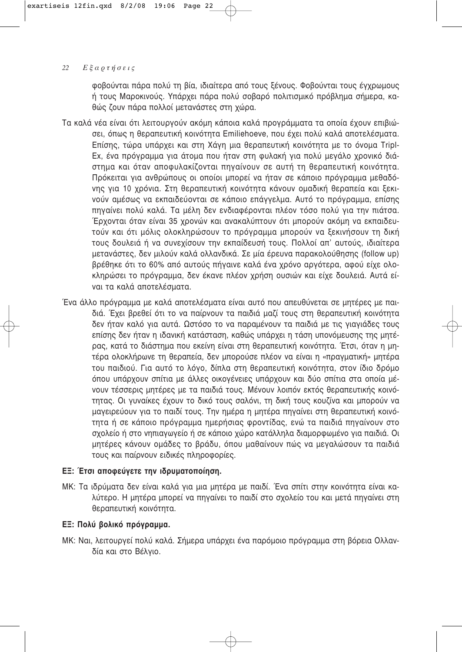φοβούνται πάρα πολύ τη βία, ιδιαίτερα από τους ξένους. Φοβούνται τους έγχρωμους ή τους Μαροκινούς. Υπάρχει πάρα πολύ σοβαρό πολιτισμικό πρόβλημα σήμερα, καθώς ζουν πάρα πολλοί μετανάστες στη χώρα.

- Τα καλά νέα είναι ότι λειτουργούν ακόμη κάποια καλά προγράμματα τα οποία έχουν επιβιώσει, όπως η θεραπευτική κοινότητα Emiliehoeve, που έχει πολύ καλά αποτελέσματα. Επίσης, τώρα υπάρχει και στη Χάγη μια θεραπευτική κοινότητα με το όνομα Tripl-Εχ, ένα πρόγραμμα για άτομα που ήταν στη φυλακή για πολύ μεγάλο χρονικό διάστημα και όταν αποφυλακίζονται πηγαίνουν σε αυτή τη θεραπευτική κοινότητα. Πρόκειται για ανθρώπους οι οποίοι μπορεί να ήταν σε κάποιο πρόγραμμα μεθαδόνης για 10 χρόνια. Στη θεραπευτική κοινότητα κάνουν ομαδική θεραπεία και ξεκινούν αμέσως να εκπαιδεύονται σε κάποιο επάννελμα. Αυτό το πρόνραμμα, επίσης πηγαίνει πολύ καλά. Τα μέλη δεν ενδιαφέρονται πλέον τόσο πολύ για την πιάτσα. Έρχονται όταν είναι 35 χρονών και ανακαλύπτουν ότι μπορούν ακόμη να εκπαιδευτούν και ότι μόλις ολοκληρώσουν το πρόγραμμα μπορούν να ξεκινήσουν τη δική τους δουλειά ή να συνεχίσουν την εκπαίδευσή τους. Πολλοί απ' αυτούς, ιδιαίτερα μετανάστες, δεν μιλούν καλά ολλανδικά. Σε μία έρευνα παρακολούθησης (follow up) βρέθηκε ότι το 60% από αυτούς πήγαινε καλά ένα χρόνο αργότερα, αφού είχε ολοκληρώσει το πρόγραμμα, δεν έκανε πλέον χρήση ουσιών και είχε δουλειά. Αυτά είναι τα καλά αποτελέσματα.
- Ένα άλλο πρόγραμμα με καλά αποτελέσματα είναι αυτό που απευθύνεται σε μητέρες με παιδιά. Έχει βρεθεί ότι το να παίρνουν τα παιδιά μαζί τους στη θεραπευτική κοινότητα δεν ήταν καλό για αυτά. Ωστόσο το να παραμένουν τα παιδιά με τις γιαγιάδες τους επίσης δεν ήταν η ιδανική κατάσταση, καθώς υπάρχει η τάση υπονόμευσης της μητέρας, κατά το διάστημα που εκείνη είναι στη θεραπευτική κοινότητα. Έτσι, όταν η μητέρα ολοκλήρωνε τη θεραπεία, δεν μπορούσε πλέον να είναι η «πραγματική» μητέρα του παιδιού. Για αυτό το λόγο, δίπλα στη θεραπευτική κοινότητα, στον ίδιο δρόμο όπου υπάρχουν σπίτια με άλλες οικογένειες υπάρχουν και δύο σπίτια στα οποία μένουν τέσσερις μητέρες με τα παιδιά τους. Μένουν λοιπόν εκτός θεραπευτικής κοινότητας. Οι γυναίκες έχουν το δικό τους σαλόνι, τη δική τους κουζίνα και μπορούν να μαγειρεύουν για το παιδί τους. Την ημέρα η μητέρα πηγαίνει στη θεραπευτική κοινότητα ή σε κάποιο πρόγραμμα ημερήσιας φροντίδας, ενώ τα παιδιά πηγαίνουν στο σχολείο ή στο νηπιαγωγείο ή σε κάποιο χώρο κατάλληλα διαμορφωμένο για παιδιά. Οι μητέρες κάνουν ομάδες το βράδυ, όπου μαθαίνουν πώς να μεγαλώσουν τα παιδιά τους και παίρνουν ειδικές πληροφορίες.

# ΕΞ: Έτσι αποφεύγετε την ιδρυματοποίηση.

ΜΚ: Τα ιδρύματα δεν είναι καλά για μια μητέρα με παιδί. Ένα σπίτι στην κοινότητα είναι καλύτερο. Η μητέρα μπορεί να πηγαίνει το παιδί στο σχολείο του και μετά πηγαίνει στη θεραπευτική κοινότητα.

# ΕΞ: Πολύ βολικό πρόγραμμα.

ΜΚ: Ναι, λειτουργεί πολύ καλά. Σήμερα υπάρχει ένα παρόμοιο πρόγραμμα στη βόρεια Ολλανδία και στο Βέλγιο.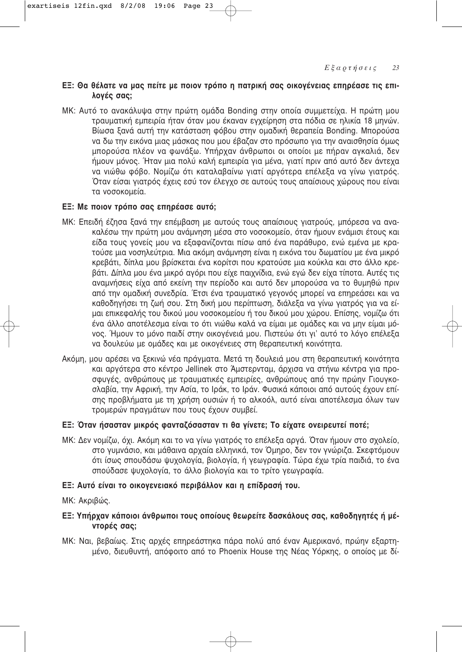# ΕΞ: Θα θέλατε να μας πείτε με ποιον τρόπο η πατρική σας οικογένειας επηρέασε τις επι- $\lambda$ ογές σας;

ΜΚ: Αυτό το ανακάλυψα στην πρώτη ομάδα Bonding στην οποία συμμετείχα. Η πρώτη μου τραυματική εμπειρία ήταν όταν μου έκαναν εγχείρηση στα πόδια σε ηλικία 18 μηνών. Βίωσα ξανά αυτή την κατάσταση φόβου στην ομαδική θεραπεία Bonding. Μπορούσα να δω την εικόνα μιας μάσκας που μου έβαζαν στο πρόσωπο για την αναισθησία όμως μπορούσα πλέον να φωνάξω. Υπήρχαν άνθρωποι οι οποίοι με πήραν ανκαλιά. δεν ήμουν μόνος. Ήταν μια πολύ καλή εμπειρία για μένα, γιατί πριν από αυτό δεν άντεχα να νιώθω φόβο. Νομίζω ότι καταλαβαίνω γιατί αργότερα επέλεξα να γίνω γιατρός. Όταν είσαι γιατρός έχεις εσύ τον έλεγχο σε αυτούς τους απαίσιους χώρους που είναι τα νοσοκομεία.

# **ΕΞ: Με ποιον τρόπο σας επηρέασε αυτό;**

- ΜΚ: Επειδή έζησα ξανά την επέμβαση με αυτούς τους απαίσιους γιατρούς, μπόρεσα να ανακαλέσω την πρώτη μου ανάμνηση μέσα στο νοσοκομείο, όταν ήμουν ενάμισι έτους και είδα τους γονείς μου να εξαφανίζονται πίσω από ένα παράθυρο, ενώ εμένα με κρατούσε μια νοσηλεύτρια. Μια ακόμη ανάμνηση είναι η εικόνα του δωματίου με ένα μικρό Κρεβάτι, δίπλα μου βρίσκεται ένα κορίτσι που κρατούσε μια κούκλα και στο άλλο κρεβάτι. Δίπλα μου ένα μικρό αγόρι που είχε παιχνίδια, ενώ εγώ δεν είχα τίποτα. Αυτές τις αναμνήσεις είχα από εκείνη την περίοδο και αυτό δεν μπορούσα να το θυμηθώ πριν από την ομαδική συνεδρία. Έτσι ένα τραυματικό γεγονός μπορεί να επηρεάσει και να καθοδηγήσει τη ζωή σου. Στη δική μου περίπτωση, διάλεξα να γίνω γιατρός για να είμαι επικεφαλής του δικού μου νοσοκομείου ή του δικού μου χώρου. Επίσης, νομίζω ότι ένα άλλο αποτέλεσμα είναι το ότι νιώθω καλά να είμαι με ομάδες και να μην είμαι μό-VOς. Ήμουν το μόνο παιδί στην οικογένειά μου. Πιστεύω ότι γι' αυτό το λόγο επέλεξα να δουλεύω με ομάδες και με οικογένειες στη θεραπευτική κοινότητα.
- Aκόμη, μου αρέσει να ξεκινώ νέα πράγματα. Μετά τη δουλειά μου στη θεραπευτική κοινότητα και αργότερα στο κέντρο Jellinek στο Άμστερνταμ, άρχισα να στήνω κέντρα για προσφυγές, ανθρώπους με τραυματικές εμπειρίες, ανθρώπους από την πρώην Γιουγκοσλαβία, την Αφρική, την Ασία, το Ιράκ, το Ιράν. Φυσικά κάποιοι από αυτούς έχουν επίσης προβλήματα με τη χρήση ουσιών ή το αλκοόλ, αυτό είναι αποτέλεσμα όλων των τρομερών πραγμάτων που τους έχουν συμβεί.

# **ΕΞ: Όταν ήσασταν μικρός φανταζόσασταν τι θα γίνετε; Το είχατε ονειρευτεί ποτέ;**

ΜΚ: Δεν νομίζω, όχι. Ακόμη και το να γίνω γιατρός το επέλεξα αργά. Όταν ήμουν στο σχολείο, στο γυμνάσιο, και μάθαινα αρχαία ελληνικά, τον Όμηρο, δεν τον γνώριζα. Σκεφτόμουν ότι ίσως σπουδάσω ψυχολογία, βιολογία, ή γεωγραφία. Τώρα έχω τρία παιδιά, το ένα σπούδασε ψυχολογία, το άλλο βιολογία και το τρίτο γεωγραφία.

# **ΕΞ: Αυτό είναι το οικογενειακό περιβάλλον και η επίδρασή του.**

ΜΚ: Ακριβώς.

- ΕΞ: Υπήρχαν κάποιοι άνθρωποι τους οποίους θεωρείτε δασκάλους σας, καθοδηγητές ή μέ-**VTOρές σας;**
- ΜΚ: Ναι, βεβαίως. Στις αρχές επηρεάστηκα πάρα πολύ από έναν Αμερικανό, πρώην εξαρτημένο, διευθυντή, απόφοιτο από το Phoenix House της Νέας Υόρκης, ο οποίος με δί-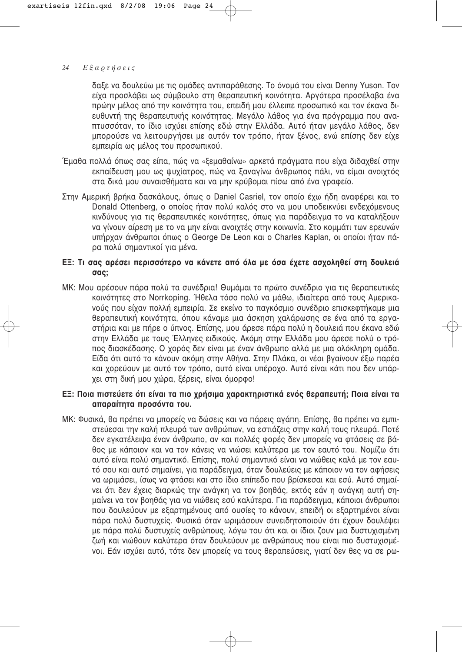δαξε να δουλεύω με τις ομάδες αντιπαράθεσης. Το όνομά του είναι Denny Yuson. Τον είχα προσλάβει ως σύμβουλο στη θεραπευτική κοινότητα. Αργότερα προσέλαβα ένα πρώην μέλος από την κοινότητα του, επειδή μου έλλειπε προσωπικό και τον έκανα διευθυντή της θεραπευτικής κοινότητας. Μεγάλο λάθος για ένα πρόγραμμα που αναπτυσσόταν, το ίδιο ισχύει επίσης εδώ στην Ελλάδα. Αυτό ήταν μεγάλο λάθος, δεν μπορούσε να λειτουργήσει με αυτόν τον τρόπο, ήταν ξένος, ενώ επίσης δεν είχε εμπειρία ως μέλος του προσωπικού.

- Έμαθα πολλά όπως σας είπα, πώς να «ξεμαθαίνω» αρκετά πράγματα που είχα διδαχθεί στην εκπαίδευση μου ως ψυχίατρος, πώς να ξαναγίνω άνθρωπος πάλι, να είμαι ανοιχτός στα δικά μου συναισθήματα και να μην κρύβομαι πίσω από ένα γραφείο.
- Στην Αμερική βρήκα δασκάλους, όπως ο Daniel Casriel, τον οποίο έχω ήδη αναφέρει και το Donald Ottenberg, ο οποίος ήταν πολύ καλός στο να μου υποδεικνύει ενδεχόμενους κινδύνους για τις θεραπευτικές κοινότητες, όπως για παράδειγμα το να καταλήξουν να γίνουν αίρεση με το να μην είναι ανοιχτές στην κοινωνία. Στο κομμάτι των ερευνών υπήρχαν άνθρωποι όπως ο George De Leon και ο Charles Kaplan, οι οποίοι ήταν πάρα πολύ σημαντικοί για μένα.

# **ΕΞ: Τι σας αρέσει περισσότερο να κάνετε από όλα με όσα έχετε ασχοληθεί στη δουλειά σας:**

ΜΚ: Μου αρέσουν πάρα πολύ τα συνέδρια! Θυμάμαι το πρώτο συνέδριο για τις θεραπευτικές Κοινότητες στο Norrkoping. Ήθελα τόσο πολύ να μάθω, ιδιαίτερα από τους Αμερικανούς που είχαν πολλή εμπειρία. Σε εκείνο το παγκόσμιο συνέδριο επισκεφτήκαμε μια θεραπευτική κοινότητα, όπου κάναμε μια άσκηση χαλάρωσης σε ένα από τα εργαστήρια και με πήρε ο ύπνος. Επίσης, μου άρεσε πάρα πολύ η δουλειά που έκανα εδώ στην Ελλάδα με τους Έλληνες ειδικούς. Ακόμη στην Ελλάδα μου άρεσε πολύ ο τρόπος διασκέδασης. Ο χορός δεν είναι με έναν άνθρωπο αλλά με μια ολόκληρη ομάδα. Eίδα ότι αυτό το κάνουν ακόμη στην Αθήνα. Στην Πλάκα, οι νέοι βγαίνουν έξω παρέα και χορεύουν με αυτό τον τρόπο, αυτό είναι υπέροχο. Αυτό είναι κάτι που δεν υπάρχει στη δική μου χώρα, ξέρεις, είναι όμορφο!

# **ΕΞ: Ποια πιστεύετε ότι είναι τα πιο χρήσιμα χαρακτηριστικά ενός θεραπευτή; Ποια είναι τα απαραίτητα προσόντα του.**

ΜΚ: Φυσικά, θα πρέπει να μπορείς να δώσεις και να πάρεις αγάπη. Επίσης, θα πρέπει να εμπιστεύεσαι την καλή πλευρά των ανθρώπων, να εστιάζεις στην καλή τους πλευρά. Ποτέ δεν εγκατέλειψα έναν άνθρωπο, αν και πολλές φορές δεν μπορείς να φτάσεις σε βάθος με κάποιον και να τον κάνεις να νιώσει καλύτερα με τον εαυτό του. Νομίζω ότι αυτό είναι πολύ σημαντικό. Επίσης, πολύ σημαντικό είναι να νιώθεις καλά με τον εαυτό σου και αυτό σημαίνει, για παράδειγμα, όταν δουλεύεις με κάποιον να τον αφήσεις να ωριμάσει, ίσως να φτάσει και στο ίδιο επίπεδο που βρίσκεσαι και εσύ, Αυτό σημαίνει ότι δεν έχεις διαρκώς την ανάγκη να τον βοηθάς, εκτός εάν η ανάγκη αυτή σημαίνει να τον βοηθάς για να νιώθεις εσύ καλύτερα. Για παράδειγμα, κάποιοι άνθρωποι που δουλεύουν με εξαρτημένους από ουσίες το κάνουν, επειδή οι εξαρτημένοι είναι πάρα πολύ δυστυχείς. Φυσικά όταν ωριμάσουν συνειδητοποιούν ότι έχουν δουλέψει με πάρα πολύ δυστυχείς ανθρώπους, λόγω του ότι και οι ίδιοι ζουν μια δυστυχισμένη ζωή και γιώθουν καλύτερα όταν δουλεύουν με ανθρώπους που είναι πιο δυστυχισμένοι. Εάν ισχύει αυτό, τότε δεν μπορείς να τους θεραπεύσεις, γιατί δεν θες να σε ρω-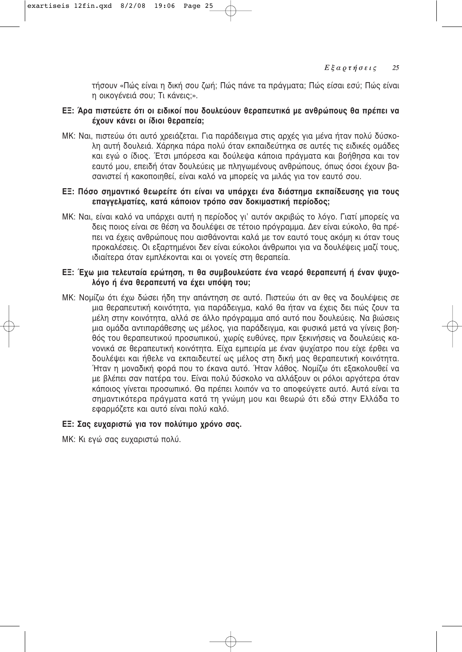exartiseis 12fin.qxd 8/2/08 19:06 Page 25

> τήσουν «Πώς είναι η δική σου ζωή; Πώς πάνε τα πράγματα; Πώς είσαι εσύ; Πώς είναι η οικογένειά σου; Τι κάνεις;».

# ΕΞ: Άρα πιστεύετε ότι οι ειδικοί που δουλεύουν θεραπευτικά με ανθρώπους θα πρέπει να έχουν κάνει οι ίδιοι θεραπεία:

ΜΚ: Ναι, πιστεύω ότι αυτό χρειάζεται. Για παράδειγμα στις αρχές για μένα ήταν πολύ δύσκολη αυτή δουλειά. Χάρηκα πάρα πολύ όταν εκπαιδεύτηκα σε αυτές τις ειδικές ομάδες και εγώ ο ίδιος. Έτσι μπόρεσα και δούλεψα κάποια πράγματα και βοήθησα και τον εαυτό μου, επειδή όταν δουλεύεις με πληνωμένους ανθρώπους, όπως όσοι έχουν βασανιστεί ή κακοποιηθεί, είναι καλό να μπορείς να μιλάς για τον εαυτό σου.

# ΕΞ: Πόσο σημαντικό θεωρείτε ότι είναι να υπάρχει ένα διάστημα εκπαίδευσης για τους επαγγελματίες, κατά κάποιον τρόπο σαν δοκιμαστική περίοδος;

ΜΚ: Ναι, είναι καλό να υπάρχει αυτή η περίοδος γι' αυτόν ακριβώς το λόγο. Γιατί μπορείς να δεις ποιος είναι σε θέση να δουλέψει σε τέτοιο πρόγραμμα. Δεν είναι εύκολο, θα πρέπει να έχεις ανθρώπους που αισθάνονται καλά με τον εαυτό τους ακόμη κι όταν τους προκαλέσεις. Οι εξαρτημένοι δεν είναι εύκολοι άνθρωποι για να δουλέψεις μαζί τους, ιδιαίτερα όταν εμπλέκονται και οι γονείς στη θεραπεία.

# ΕΞ: Έχω μια τελευταία ερώτηση, τι θα συμβουλεύατε ένα νεαρό θεραπευτή ή έναν ψυχολόγο ή ένα θεραπευτή να έχει υπόψη του;

ΜΚ: Νομίζω ότι έχω δώσει ήδη την απάντηση σε αυτό. Πιστεύω ότι αν θες να δουλέψεις σε μια θεραπευτική κοινότητα, για παράδειγμα, καλό θα ήταν να έχεις δει πώς ζουν τα μέλη στην κοινότητα, αλλά σε άλλο πρόγραμμα από αυτό που δουλεύεις. Να βιώσεις μια ομάδα αντιπαράθεσης ως μέλος, για παράδειγμα, και φυσικά μετά να γίνεις βοηθός του θεραπευτικού προσωπικού, χωρίς ευθύνες, πριν ξεκινήσεις να δουλεύεις κανονικά σε θεραπευτική κοινότητα. Είχα εμπειρία με έναν ψυχίατρο που είχε έρθει να δουλέψει και ήθελε να εκπαιδευτεί ως μέλος στη δική μας θεραπευτική κοινότητα. Ήταν η μοναδική φορά που το έκανα αυτό. Ήταν λάθος. Νομίζω ότι εξακολουθεί να με βλέπει σαν πατέρα του. Είναι πολύ δύσκολο να αλλάξουν οι ρόλοι αργότερα όταν κάποιος γίνεται προσωπικό. Θα πρέπει λοιπόν να το αποφεύγετε αυτό. Αυτά είναι τα σημαντικότερα πράγματα κατά τη γνώμη μου και θεωρώ ότι εδώ στην Ελλάδα το εφαρμόζετε και αυτό είναι πολύ καλό.

# ΕΞ: Σας ευχαριστώ για τον πολύτιμο χρόνο σας.

ΜΚ: Κι εγώ σας ευχαριστώ πολύ.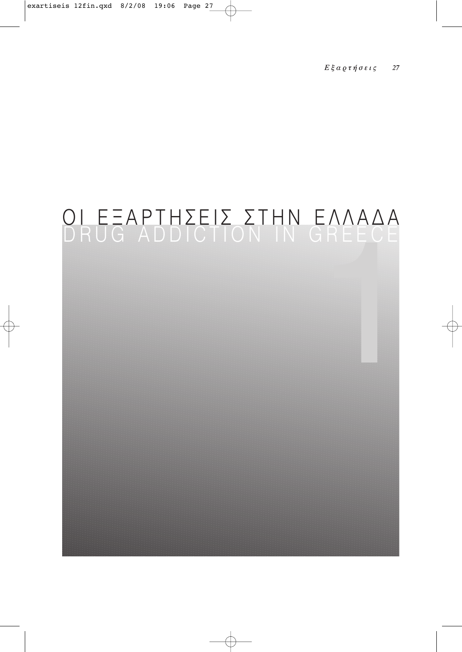$E \xi a \varrho \tau \eta \sigma \varepsilon \iota$  5 27

# <u>ΟΙ ΕΞΑΡΤΗΣΕΙΣ ΣΤΗΝ ΕΛΛΑΔΑ</u><br>DRUG ADDICTION IN GREECE</u>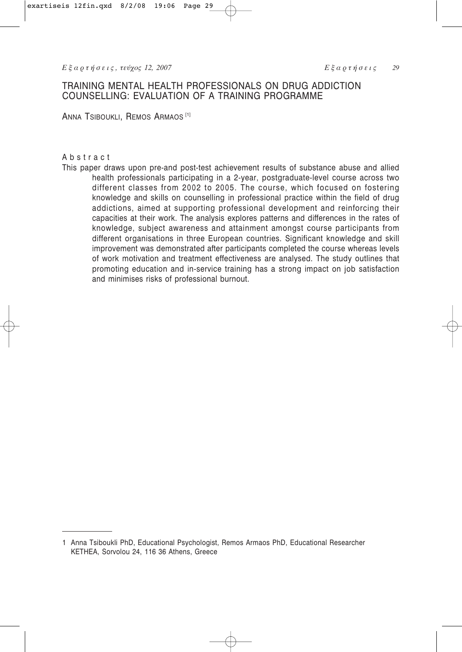*Ε ξ α ρ τ ή σ ε ι ς , τεύχος 12, 2007 Εξαρτήσεις 29*

# TRAINING MENTAL HEALTH PROFESSIONALS ON DRUG ADDICTION COUNSELLING: EVALUATION OF A TRAINING PROGRAMME

ANNA TSIBOUKLI, REMOS ARMAOS<sup>[1]</sup>

## Abstract

This paper draws upon pre-and post-test achievement results of substance abuse and allied health professionals participating in a 2-year, postgraduate-level course across two different classes from 2002 to 2005. The course, which focused on fostering knowledge and skills on counselling in professional practice within the field of drug addictions, aimed at supporting professional development and reinforcing their capacities at their work. The analysis explores patterns and differences in the rates of knowledge, subject awareness and attainment amongst course participants from different organisations in three European countries. Significant knowledge and skill improvement was demonstrated after participants completed the course whereas levels of work motivation and treatment effectiveness are analysed. The study outlines that promoting education and in-service training has a strong impact on job satisfaction and minimises risks of professional burnout.

<sup>1</sup> Anna Tsiboukli PhD, Educational Psychologist, Remos Armaos PhD, Educational Researcher KETHEA, Sorvolou 24, 116 36 Athens, Greece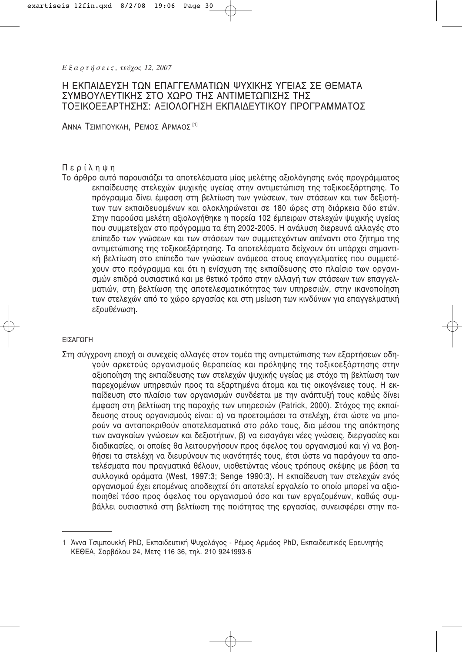*Ε ξ α ρ τ ή σ ε ι ς , τεύχος 12, 2007*

# Η ΕΚΠΑΙΔΕΥΣΗ ΤΩΝ ΕΠΑΓΓΕΛΜΑΤΙΩΝ ΨΥΧΙΚΗΣ ΥΓΕΙΑΣ ΣΕ ΘΕΜΑΤΑ ΣΥΜΒΟΥΛΕΥΤΙΚΗΣ ΣΤΟ ΧΩΡΟ ΤΗΣ ΑΝΤΙΜΕΤΩΠΙΣΗΣ ΤΗΣ ΤΟΞΙΚΟΕΞΑΡΤΗΣΗΣ: ΑΞΙΟΛΟΓΗΣΗ ΕΚΠΑΙΔΕΥΤΙΚΟΥ ΠΡΟΓΡΑΜΜΑΤΟΣ

ΑΝΝΑ ΤΣΙΜΠΟΥΚΛΗ, ΡΕΜΟΣ ΑΡΜΑΟΣ<sup>[1]</sup>

# $\Pi$ ερίληψη

<u>Το άρθρο αυτό παρουσιάζει τα αποτελέσματα μίας μελέτης αξιολόγησης ενός προγράμματος</u> εκπαίδευσης στελεχών ψυχικής υγείας στην αντιμετώπιση της τοξικοεξάρτησης. Το πρόγραμμα δίνει έμφαση στη βελτίωση των γνώσεων, των στάσεων και των δεξιοτήτων των εκπαιδευομένων και ολοκληρώνεται σε 180 ώρες στη διάρκεια δύο ετών. Στην παρούσα μελέτη αξιολογήθηκε η πορεία 102 έμπειρων στελεχών ψυχικής υγείας που συμμετείχαν στο πρόγραμμα τα έτη 2002-2005. Η ανάλυση διερευνά αλλαγές στο επίπεδο των γνώσεων και των στάσεων των συμμετεχόντων απέναντι στο ζήτημα της αντιμετώπισης της τοξικοεξάρτησης. Τα αποτελέσματα δείχνουν ότι υπάρχει σημαντική βελτίωση στο επίπεδο των γνώσεων ανάμεσα στους επαγγελματίες που συμμετέχουν στο πρόγραμμα και ότι η ενίσχυση της εκπαίδευσης στο πλαίσιο των οργανισμών επιδρά ουσιαστικά και με θετικό τρόπο στην αλλαγή των στάσεων των επαγγελματιών, στη βελτίωση της αποτελεσματικότητας των υπηρεσιών, στην ικανοποίηση των στελεχών από το χώρο εργασίας και στη μείωση των κινδύνων για επαγγελματική εξουθένωση.

# FI∑AΓOΓH

Στη σύγχρονη εποχή οι συνεχείς αλλαγές στον τομέα της αντιμετώπισης των εξαρτήσεων οδηγούν αρκετούς οργανισμούς θεραπείας και πρόληψης της τοξικοεξάρτησης στην αξιοποίηση της εκπαίδευσης των στελεχών ψυχικής υγείας με στόχο τη βελτίωση των παρεχομένων υπηρεσιών προς τα εξαρτημένα άτομα και τις οικογένειες τους. Η εκπαίδευση στο πλαίσιο των οργανισμών συνδέεται με την ανάπτυξή τους καθώς δίνει έμφαση στη βελτίωση της παροχής των υπηρεσιών (Patrick, 2000). Στόχος της εκπαίδευσης στους οργανισμούς είναι: α) να προετοιμάσει τα στελέχη, έτσι ώστε να μπορούν να ανταποκριθούν αποτελεσματικά στο ρόλο τους, δια μέσου της απόκτησης των αναγκαίων γνώσεων και δεξιοτήτων, β) να εισαγάγει νέες γνώσεις, διεργασίες και διαδικασίες, οι οποίες θα λειτουργήσουν προς όφελος του οργανισμού και γ) να βοηθήσει τα στελέχη να διευρύνουν τις ικανότητές τους, έτσι ώστε να παράγουν τα αποτελέσματα που πραγματικά θέλουν, υιοθετώντας νέους τρόπους σκέψης με βάση τα συλλογικά οράματα (West, 1997:3; Senge 1990:3). Η εκπαίδευση των στελεχών ενός οργανισμού έχει επομένως αποδειχτεί ότι αποτελεί εργαλείο το οποίο μπορεί να αξιοποιηθεί τόσο προς όφελος του οργανισμού όσο και των εργαζομένων, καθώς συμβάλλει ουσιαστικά στη βελτίωση της ποιότητας της εργασίας, συνεισφέρει στην πα-

<sup>1</sup> Άννα Τσιμπουκλή PhD, Εκπαιδευτική Ψυχολόγος - Ρέμος Αρμάος PhD, Εκπαιδευτικός Ερευνητής KEΘEA, Σορβόλου 24, Μετς 116 36, τηλ. 210 9241993-6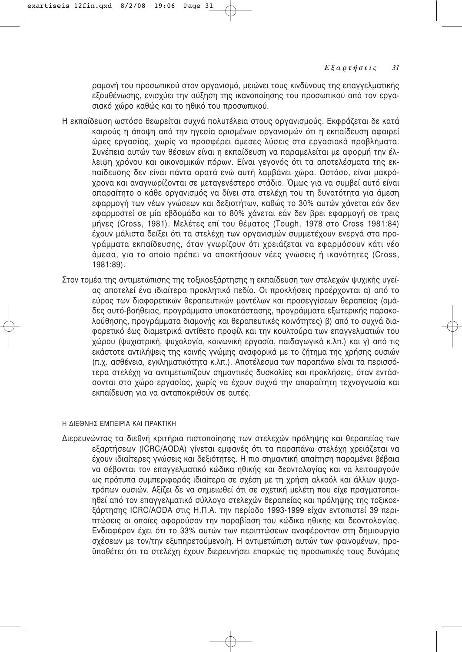ραμονή του προσωπικού στον οργανισμό, μειώνει τους κινδύνους της επαγγελματικής εξουθένωσης, ενισχύει την αύξηση της ικανοποίησης του προσωπικού από τον ερνασιακό χώρο καθώς και το ηθικό του προσωπικού.

- Η εκπαίδευση ωστόσο θεωρείται συχνά πολυτέλεια στους οργανισμούς. Εκφράζεται δε κατά καιρούς η άποψη από την ηγεσία ορισμένων οργανισμών ότι η εκπαίδευση αφαιρεί ώρες εργασίας, χωρίς να προσφέρει άμεσες λύσεις στα εργασιακά προβλήματα. Συνέπεια αυτών των θέσεων είναι η εκπαίδευση να παραμελείται με αφορμή την έλλειψη χρόνου και οικονομικών πόρων. Είναι γεγονός ότι τα αποτελέσματα της εκπαίδευσης δεν είναι πάντα ορατά ενώ αυτή λαμβάνει χώρα. Ωστόσο, είναι μακρόχρονα και αναγνωρίζονται σε μεταγενέστερο στάδιο. Όμως για να συμβεί αυτό είναι απαραίτητο ο κάθε οργανισμός να δίνει στα στελέχη του τη δυνατότητα για άμεση εφαρμογή των νέων γνώσεων και δεξιοτήτων, καθώς το 30% αυτών χάνεται εάν δεν εφαρμοστεί σε μία εβδομάδα και το 80% χάνεται εάν δεν βρει εφαρμογή σε τρεις μήνες (Cross, 1981). Μελέτες επί του θέματος (Tough, 1978 στο Cross 1981:84) έχουν μάλιστα δείξει ότι τα στελέχη των οργανισμών συμμετέχουν ενεργά στα προγράμματα εκπαίδευσης, όταν γνωρίζουν ότι χρειάζεται να εφαρμόσουν κάτι νέο άμεσα, για το οποίο πρέπει να αποκτήσουν νέες γνώσεις ή ικανότητες (Cross, 1981:89).
- Στον τομέα της αντιμετώπισης της τοξικοεξάρτησης η εκπαίδευση των στελεχών ψυχικής υνείας αποτελεί ένα ιδιαίτερα προκλητικό πεδίο. Οι προκλήσεις προέρχονται α) από το εύρος των διαφορετικών θεραπευτικών μοντέλων και προσεγγίσεων θεραπείας (ομάδες αυτό-βοήθειας, προγράμματα υποκατάστασης, προγράμματα εξωτερικής παρακολούθησης, προγράμματα διαμονής και θεραπευτικές κοινότητες) β) από το συχνά δια-ΦΟρετικό έως διαμετρικά αντίθετο προφίλ και την κουλτούρα των επαγγελματιών του χώρου (ψυχιατρική, ψυχολογία, κοινωνική εργασία, παιδαγωγικά κ.λπ.) και γ) από τις εκάστοτε αντιλήψεις της κοινής γνώμης αναφορικά με το ζήτημα της χρήσης ουσιών (π.χ. ασθένεια, εγκληματικότητα κ.λπ.). Αποτέλεσμα των παραπάνω είναι τα περισσότερα στελέχη να αντιμετωπίζουν σημαντικές δυσκολίες και προκλήσεις, όταν εντάσσονται στο χώρο εργασίας, χωρίς να έχουν συχνά την απαραίτητη τεχνογνωσία και εκπαίδευση για να ανταποκριθούν σε αυτές.
- Η ΔΙΕΘΝΗΣ ΕΜΠΕΙΡΙΑ ΚΑΙ ΠΡΑΚΤΙΚΗ
- Διερευνώντας τα διεθνή κριτήρια πιστοποίησης των στελεχών πρόληψης και θεραπείας των εξαρτήσεων (ICRC/AODA) γίνεται εμφανές ότι τα παραπάνω στελέχη χρειάζεται να έχουν ιδιαίτερες γνώσεις και δεξιότητες. Η πιο σημαντική απαίτηση παραμένει βέβαια να σέβονται τον επαγγελματικό κώδικα ηθικής και δεοντολογίας και να λειτουργούν ως πρότυπα συμπεριφοράς ιδιαίτερα σε σχέση με τη χρήση αλκοόλ και άλλων ψυχοτρόπων ουσιών. Αξίζει δε να σημειωθεί ότι σε σχετική μελέτη που είχε πραγματοποιηθεί από τον επαγγελματικό σύλλογο στελεχών θεραπείας και πρόληψης της τοξικοεξάρτησης ICRC/AODA στις Η.Π.Α. την περίοδο 1993-1999 είχαν εντοπιστεί 39 περιπτώσεις οι οποίες αφορούσαν την παραβίαση του κώδικα ηθικής και δεοντολογίας. Ενδιαφέρον έχει ότι το 33% αυτών των περιπτώσεων αναφέρονταν στη δημιουργία σχέσεων με τον/την εξυπηρετούμενο/η. Η αντιμετώπιση αυτών των φαινομένων, προϋποθέτει ότι τα στελέχη έχουν διερευνήσει επαρκώς τις προσωπικές τους δυνάμεις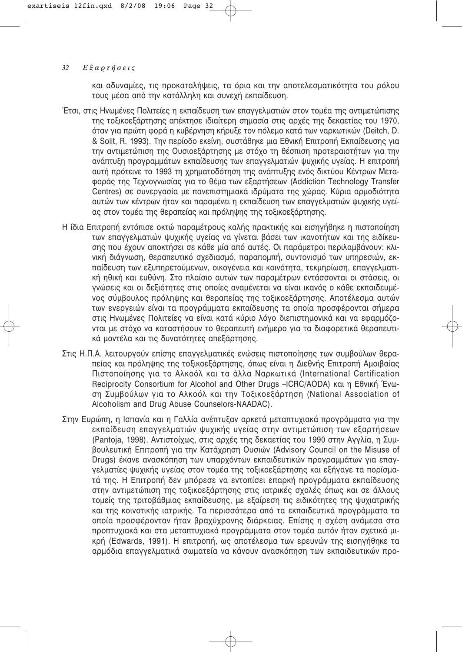και αδυναμίες, τις προκαταλήψεις, τα όρια και την αποτελεσματικότητα του ρόλου τους μέσα από την κατάλληλη και συνεχή εκπαίδευση.

- Έτσι, στις Ηνωμένες Πολιτείες η εκπαίδευση των επαννελματιών στον τομέα της αντιμετώπισης της τοξικοεξάρτησης απέκτησε ιδιαίτερη σημασία στις αρχές της δεκαετίας του 1970, όταν για πρώτη φορά η κυβέρνηση κήρυξε τον πόλεμο κατά των ναρκωτικών (Deitch, D. & Solit, R. 1993). Την περίοδο εκείνη, συστάθηκε μια Εθνική Επιτροπή Εκπαίδευσης για την αντιμετώπιση της Ουσιοεξάρτησης με στόχο τη θέσπιση προτεραιοτήτων για την ανάπτυξη προγραμμάτων εκπαίδευσης των επαγγελματιών ψυχικής υγείας. Η επιτροπή αυτή πρότεινε το 1993 τη χρηματοδότηση της ανάπτυξης ενός δικτύου Κέντρων Μεταφοράς της Τεχνογνωσίας για το θέμα των εξαρτήσεων (Addiction Technology Transfer Centres) σε συνεργασία με πανεπιστημιακά ιδρύματα της χώρας. Κύρια αρμοδιότητα αυτών των κέντρων ήταν και παραμένει η εκπαίδευση των επαγγελματιών ψυχικής υγείας στον τομέα της θεραπείας και πρόληψης της τοξικοεξάρτησης.
- Η ίδια Επιτροπή εντόπισε οκτώ παραμέτρους καλής πρακτικής και εισηνήθηκε η πιστοποίηση των επαγγελματιών ψυχικής υγείας να γίνεται βάσει των ικανοτήτων και της ειδίκευσης που έχουν αποκτήσει σε κάθε μία από αυτές. Οι παράμετροι περιλαμβάνουν: κλι-VΙΚή διάγνωση, θεραπευτικό σχεδιασμό, παραπομπή, συντονισμό των υπηρεσιών, εκπαίδευση των εξυπηρετούμενων, οικονένεια και κοινότητα, τεκμηρίωση, επαννελματική ηθική και ευθύνη. Στο πλαίσιο αυτών των παραμέτρων εντάσσονται οι στάσεις, οι γνώσεις και οι δεξιότητες στις οποίες αναμένεται να είναι ικανός ο κάθε εκπαιδευμένος σύμβουλος πρόληψης και θεραπείας της τοξικοεξάρτησης. Αποτέλεσμα αυτών των ενεργειών είναι τα προγράμματα εκπαίδευσης τα οποία προσφέρονται σήμερα στις Ηνωμένες Πολιτείες να είναι κατά κύριο λόγο διεπιστημονικά και να εφαρμόζονται με στόχο να καταστήσουν το θεραπευτή ενήμερο για τα διαφορετικά θεραπευτικά μοντέλα και τις δυνατότητες απεξάρτησης.
- Στις Η.Π.Α. λειτουργούν επίσης επαγγελματικές ενώσεις πιστοποίησης των συμβούλων θεραπείας και πρόληψης της τοξικοεξάρτησης, όπως είναι η Διεθνής Επιτροπή Αμοιβαίας Πιστοποίησης για το Αλκοόλ και τα άλλα Ναρκωτικά (International Certification Reciprocity Consortium for Alcohol and Other Drugs –ICRC/AODA) και η Εθνική Ένωση Συμβούλων για το Αλκοόλ και την Τοξικοεξάρτηση (National Association of Alcoholism and Drug Abuse Counselors-NAADAC).
- Στην Ευρώπη, η Ισπανία και η Γαλλία ανέπτυξαν αρκετά μεταπτυχιακά προγράμματα για την εκπαίδευση επαγγελματιών ψυχικής υγείας στην αντιμετώπιση των εξαρτήσεων (Pantoja, 1998). Αντιστοίχως, στις αρχές της δεκαετίας του 1990 στην Αγγλία, η Συμβουλευτική Επιτροπή για την Κατάχρηση Ουσιών (Advisory Council on the Misuse of Drugs) έκανε ανασκόπηση των υπαρχόντων εκπαιδευτικών προγραμμάτων για επαγγελματίες ψυχικής υγείας στον τομέα της τοξικοεξάρτησης και εξήγαγε τα πορίσματά της. Η Επιτροπή δεν μπόρεσε να εντοπίσει επαρκή προγράμματα εκπαίδευσης στην αντιμετώπιση της τοξικοεξάρτησης στις ιατρικές σχολές όπως και σε άλλους τομείς της τριτοβάθμιας εκπαίδευσης, με εξαίρεση τις ειδικότητες της ψυχιατρικής και της κοινοτικής ιατρικής. Τα περισσότερα από τα εκπαιδευτικά προγράμματα τα οποία προσφέρονταν ήταν βραχύχρονης διάρκειας. Επίσης η σχέση ανάμεσα στα προπτυχιακά και στα μεταπτυχιακά προγράμματα στον τομέα αυτόν ήταν σχετικά μικρή (Edwards, 1991). Η επιτροπή, ως αποτέλεσμα των ερευνών της εισηνήθηκε τα αρμόδια επαγγελματικά σωματεία να κάνουν ανασκόπηση των εκπαιδευτικών προ-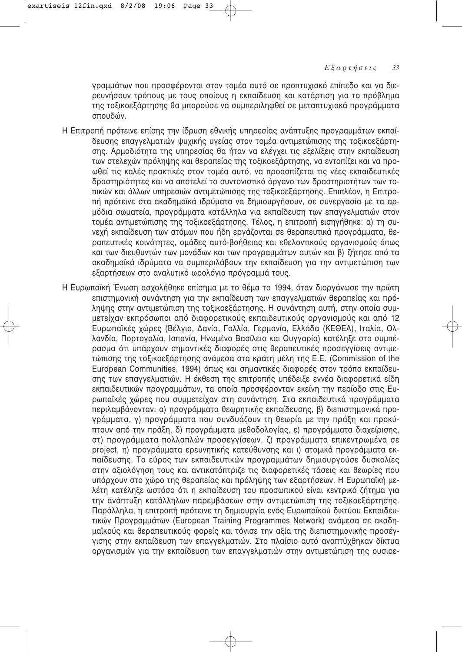γραμμάτων που προσφέρονται στον τομέα αυτό σε προπτυχιακό επίπεδο και να διερευνήσουν τρόπους με τους οποίους η εκπαίδευση και κατάρτιση για το πρόβλημα της τοξικοεξάρτησης θα μπορούσε να συμπεριληφθεί σε μεταπτυχιακά προγράμματα σπουδών.

- Η Επιτροπή πρότεινε επίσης την ίδρυση εθνικής υπηρεσίας ανάπτυξης προγραμμάτων εκπαίδευσης επαγγελματιών ψυχικής υγείας στον τομέα αντιμετώπισης της τοξικοεξάρτησης, Αρμοδιότητα της υπηρεσίας θα ήταν να ελένχει τις εξελίξεις στην εκπαίδευση των στελεχών πρόληψης και θεραπείας της τοξικοεξάρτησης, να εντοπίζει και να προωθεί τις καλές πρακτικές στον τομέα αυτό, να προασπίζεται τις νέες εκπαιδευτικές δραστηριότητες και να αποτελεί το συντονιστικό όργανο των δραστηριοτήτων των τοπικών και άλλων υπηρεσιών αντιμετώπισης της τοξικοεξάρτησης. Επιπλέον, η Επιτροπή πρότεινε στα ακαδημαϊκά ιδρύματα να δημιουργήσουν, σε συνεργασία με τα αρμόδια σωματεία, προγράμματα κατάλληλα για εκπαίδευση των επαγγελματιών στον τομέα αντιμετώπισης της τοξικοεξάρτησης. Τέλος, η επιτροπή εισηγήθηκε: α) τη συνεχή εκπαίδευση των ατόμων που ήδη εργάζονται σε θεραπευτικά προγράμματα, θεραπευτικές κοινότητες, ομάδες αυτό-βοήθειας και εθελοντικούς οργανισμούς όπως και των διευθυντών των μονάδων και των προγραμμάτων αυτών και β) ζήτησε από τα ακαδημαϊκά ιδρύματα να συμπεριλάβουν την εκπαίδευση για την αντιμετώπιση των εξαρτήσεων στο αναλυτικό ωρολόγιο πρόγραμμά τους.
- Η Ευρωπαϊκή Ένωση ασχολήθηκε επίσημα με το θέμα το 1994, όταν διοργάνωσε την πρώτη επιστημονική συνάντηση για την εκπαίδευση των επαγγελματιών θεραπείας και πρόληψης στην αντιμετώπιση της τοξικοεξάρτησης. Η συνάντηση αυτή, στην οποία συμμετείχαν εκπρόσωποι από διαφορετικούς εκπαιδευτικούς οργανισμούς και από 12 Ευρωπαϊκές χώρες (Βέλγιο, Δανία, Γαλλία, Γερμανία, Ελλάδα (ΚΕΘΕΑ), Ιταλία, Ολλανδία, Πορτογαλία, Ισπανία, Ηνωμένο Βασίλειο και Ουγγαρία) κατέληξε στο συμπέρασμα ότι υπάρχουν σημαντικές διαφορές στις θεραπευτικές προσεγγίσεις αντιμετώπισης της τοξικοεξάρτησης ανάμεσα στα κράτη μέλη της Ε.Ε. (Commission of the European Communities, 1994) όπως και σημαντικές διαφορές στον τρόπο εκπαίδευσης των επαγγελματιών. Η έκθεση της επιτροπής υπέδειξε εννέα διαφορετικά είδη εκπαιδευτικών προγραμμάτων, τα οποία προσφέρονταν εκείνη την περίοδο στις Euρωπαϊκές χώρες που συμμετείχαν στη συνάντηση. Στα εκπαιδευτικά προγράμματα περιλαμβάνονταν: α) προγράμματα θεωρητικής εκπαίδευσης, β) διεπιστημονικά προγράμματα, γ) προγράμματα που συνδυάζουν τη θεωρία με την πράξη και προκύπτουν από την πράξη, δ) προγράμματα μεθοδολογίας, ε) προγράμματα διαχείρισης, στ) προγράμματα πολλαπλών προσεγγίσεων, ζ) προγράμματα επικεντρωμένα σε project, η) προγράμματα ερευνητικής κατεύθυνσης και ι) ατομικά προγράμματα εκπαίδευσης. Το εύρος των εκπαιδευτικών προγραμμάτων δημιουργούσε δυσκολίες στην αξιολόγηση τους και αντικατόπτριζε τις διαφορετικές τάσεις και θεωρίες που υπάρχουν στο χώρο της θεραπείας και πρόληψης των εξαρτήσεων. Η Ευρωπαϊκή μελέτη κατέληξε ωστόσο ότι η εκπαίδευση του προσωπικού είναι κεντρικό ζήτημα για την ανάπτυξη κατάλληλων παρεμβάσεων στην αντιμετώπιση της τοξικοεξάρτησης. Παράλληλα, η επιτροπή πρότεινε τη δημιουργία ενός Ευρωπαϊκού δικτύου Εκπαιδευτικών Προγραμμάτων (European Training Programmes Network) ανάμεσα σε ακαδημαϊκούς και θεραπευτικούς φορείς και τόνισε την αξία της διεπιστημονικής προσέγγισης στην εκπαίδευση των επαγγελματιών. Στο πλαίσιο αυτό αναπτύχθηκαν δίκτυα οργανισμών για την εκπαίδευση των επαγγελματιών στην αντιμετώπιση της ουσιοε-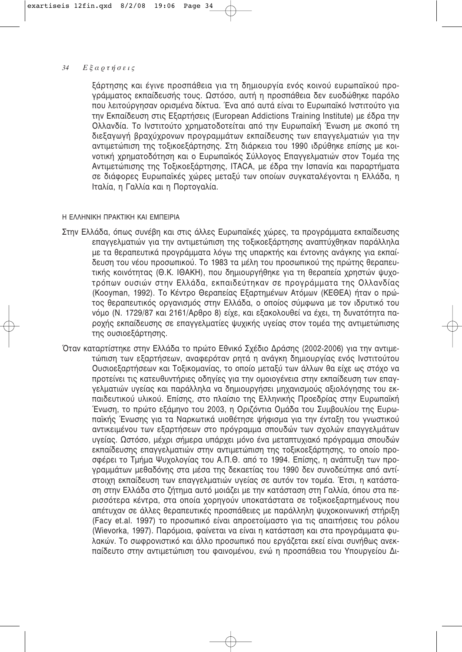ξάρτησης και έγινε προσπάθεια για τη δημιουργία ενός κοινού ευρωπαϊκού προγράμματος εκπαίδευσής τους. Ωστόσο, αυτή η προσπάθεια δεν ευοδώθηκε παρόλο που λειτούργησαν ορισμένα δίκτυα. Ένα από αυτά είναι το Ευρωπαϊκό Ινστιτούτο για την Εκπαίδευση στις Εξαρτήσεις (European Addictions Training Institute) με έδρα την Ολλανδία. Το Ινστιτούτο χρηματοδοτείται από την Ευρωπαϊκή Ένωση με σκοπό τη διεξαγωγή βραχύχρονων προγραμμάτων εκπαίδευσης των επαγγελματιών για την αντιμετώπιση της τοξικοεξάρτησης. Στη διάρκεια του 1990 ιδρύθηκε επίσης με κοινοτική χρηματοδότηση και ο Ευρωπαϊκός Σύλλογος Επαγγελματιών στον Τομέα της Αντιμετώπισης της Τοξικοεξάρτησης, ITACA, με έδρα την Ισπανία και παραρτήματα σε διάφορες Ευρωπαϊκές χώρες μεταξύ των οποίων συγκαταλέγονται η Ελλάδα, η Ιταλία, η Γαλλία και η Πορτογαλία.

#### Η ΕΛΛΗΝΙΚΗ ΠΡΑΚΤΙΚΗ ΚΑΙ ΕΜΠΕΙΡΙΑ

- Στην Ελλάδα, όπως συνέβη και στις άλλες Ευρωπαϊκές χώρες, τα προγράμματα εκπαίδευσης επαγγελματιών για την αντιμετώπιση της τοξικοεξάρτησης αναπτύχθηκαν παράλληλα με τα θεραπευτικά προγράμματα λόγω της υπαρκτής και έντονης ανάγκης για εκπαίδευση του νέου προσωπικού. Το 1983 τα μέλη του προσωπικού της πρώτης θεραπευτικής κοινότητας (Θ.Κ. ΙΘΑΚΗ), που δημιουργήθηκε για τη θεραπεία χρηστών ψυχοτρόπων ουσιών στην Ελλάδα, εκπαιδεύτηκαν σε προνράμματα της Ολλανδίας (Kooyman, 1992). Το Κέντρο Θεραπείας Εξαρτημένων Ατόμων (ΚΕΘΕΑ) ήταν ο πρώτος θεραπευτικός οργανισμός στην Ελλάδα, ο οποίος σύμφωνα με τον ιδρυτικό του νόμο (Ν. 1729/87 και 2161/Αρθρο 8) είχε, και εξακολουθεί να έχει, τη δυνατότητα παροχής εκπαίδευσης σε επαγγελματίες ψυχικής υγείας στον τομέα της αντιμετώπισης της ουσιοεξάρτησης.
- Όταν καταρτίστηκε στην Ελλάδα το πρώτο Εθνικό Σχέδιο Δράσης (2002-2006) για την αντιμετώπιση των εξαρτήσεων, αναφερόταν ρητά η ανάγκη δημιουργίας ενός Ινστιτούτου Ουσιοεξαρτήσεων και Τοξικομανίας, το οποίο μεταξύ των άλλων θα είχε ως στόχο να προτείνει τις κατευθυντήριες οδηγίες για την ομοιογένεια στην εκπαίδευση των επαγγελματιών υγείας και παράλληλα να δημιουργήσει μηχανισμούς αξιολόγησης του εκπαιδευτικού υλικού. Επίσης, στο πλαίσιο της Ελληνικής Προεδρίας στην Ευρωπαϊκή Ένωση, το πρώτο εξάμηνο του 2003, η Οριζόντια Ομάδα του Συμβουλίου της Ευρωπαϊκής Ένωσης για τα Ναρκωτικά υιοθέτησε ψήφισμα για την ένταξη του γνωστικού αντικειμένου των εξαρτήσεων στο πρόγραμμα σπουδών των σχολών επαγγελμάτων υγείας. Ωστόσο, μέχρι σήμερα υπάρχει μόνο ένα μεταπτυχιακό πρόγραμμα σπουδών εκπαίδευσης επαγγελματιών στην αντιμετώπιση της τοξικοεξάρτησης, το οποίο προσφέρει το Τμήμα Ψυχολογίας του Α.Π.Θ. από το 1994. Επίσης, η ανάπτυξη των προγραμμάτων μεθαδόνης στα μέσα της δεκαετίας του 1990 δεν συνοδεύτηκε από αντίστοιχη εκπαίδευση των επαγγελματιών υγείας σε αυτόν τον τομέα. Έτσι, η κατάσταση στην Ελλάδα στο ζήτημα αυτό μοιάζει με την κατάσταση στη Γαλλία, όπου στα περισσότερα κέντρα, στα οποία χορηγούν υποκατάστατα σε τοξικοεξαρτημένους που απέτυχαν σε άλλες θεραπευτικές προσπάθειες με παράλληλη ψυχοκοινωνική στήριξη (Facy et.al. 1997) το προσωπικό είναι απροετοίμαστο για τις απαιτήσεις του ρόλου (Wievorka, 1997). Παρόμοια, φαίνεται να είναι η κατάσταση και στα προγράμματα φυλακών. Το σωφρονιστικό και άλλο προσωπικό που ερνάζεται εκεί είναι συνήθως ανεκπαίδευτο στην αντιμετώπιση του φαινομένου, ενώ η προσπάθεια του Υπουργείου Δι-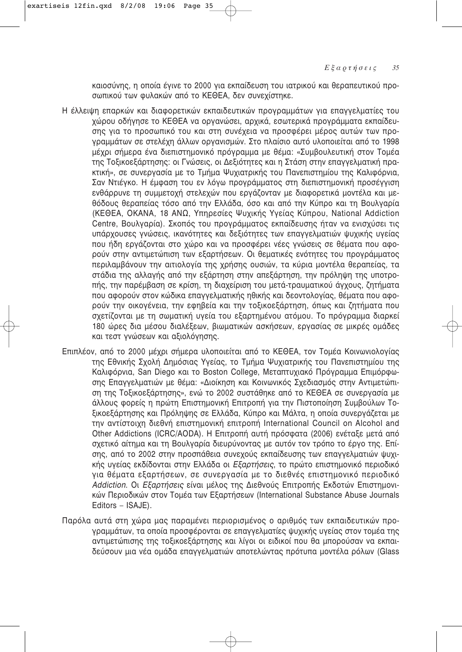καιοσύνης, η οποία έγινε το 2000 για εκπαίδευση του ιατρικού και θεραπευτικού προσωπικού των φυλακών από το ΚΕΘΕΑ, δεν συνεχίστηκε,

- Η έλλειψη επαρκών και διαφορετικών εκπαιδευτικών προνραμμάτων νια επαννελματίες του χώρου οδήγησε το KEΘEA να οργανώσει, αρχικά, εσωτερικά προγράμματα εκπαίδευσης για το προσωπικό του και στη συνέχεια να προσφέρει μέρος αυτών των προγραμμάτων σε στελέχη άλλων οργανισμών. Στο πλαίσιο αυτό υλοποιείται από το 1998 μέχρι σήμερα ένα διεπιστημονικό πρόγραμμα με θέμα: «Συμβουλευτική στον Τομέα της Τοξικοεξάρτησης: οι Γνώσεις, οι Δεξιότητες και η Στάση στην επαγγελματική πρα-Κτική», σε συνεργασία με το Τμήμα Ψυχιατρικής του Πανεπιστημίου της Καλιφόρνια, Σαν Ντιέγκο. Η έμφαση του εν λόγω προγράμματος στη διεπιστημονική προσέγγιση ενθάρρυνε τη συμμετοχή στελεχών που εργάζονταν με διαφορετικά μοντέλα και μεθόδους θεραπείας τόσο από την Ελλάδα, όσο και από την Κύπρο και τη Βουλγαρία (KEΘEA, OKANA, 18 ANΩ, Υπηρεσίες Ψυχικής Υγείας Κύπρου, National Addiction Centre, Βουλγαρία). Σκοπός του προγράμματος εκπαίδευσης ήταν να ενισχύσει τις υπάρχουσες γνώσεις, ικανότητες και δεξιότητες των επαγγελματιών ψυχικής υγείας που ήδη εργάζονται στο χώρο και να προσφέρει νέες γνώσεις σε θέματα που αφορούν στην αντιμετώπιση των εξαρτήσεων. Οι θεματικές ενότητες του προγράμματος περιλαμβάνουν την αιτιολογία της χρήσης ουσιών, τα κύρια μοντέλα θεραπείας, τα στάδια της αλλαγής από την εξάρτηση στην απεξάρτηση, την πρόληψη της υποτροπής, την παρέμβαση σε κρίση, τη διαχείριση του μετά-τραυματικού άγχους, ζητήματα που αφορούν στον κώδικα επαγγελματικής ηθικής και δεοντολογίας, θέματα που αφορούν την οικογένεια, την εφηβεία και την τοξικοεξάρτηση, όπως και ζητήματα που σχετίζονται με τη σωματική υγεία του εξαρτημένου ατόμου. Το πρόγραμμα διαρκεί 180 ώρες δια μέσου διαλέξεων, βιωματικών ασκήσεων, εργασίας σε μικρές ομάδες και τεστ γνώσεων και αξιολόγησης.
- Επιπλέον, από το 2000 μέχρι σήμερα υλοποιείται από το ΚΕΘΕΑ, τον Τομέα Κοινωνιολογίας της Εθνικής Σχολή Δημόσιας Υγείας, το Τμήμα Ψυχιατρικής του Πανεπιστημίου της Καλιφόρνια, San Diego και το Boston College, Μεταπτυχιακό Πρόγραμμα Επιμόρφωσης Επαγγελματιών με θέμα: «Διοίκηση και Κοινωνικός Σχεδιασμός στην Αντιμετώπιση της Τοξικοεξάρτησης», ενώ το 2002 συστάθηκε από το KEΘEA σε συνεργασία με άλλους φορείς η πρώτη Επιστημονική Επιτροπή για την Πιστοποίηση Συμβούλων Τοξικοεξάρτησης και Πρόληψης σε Ελλάδα, Κύπρο και Μάλτα, η οποία συνεργάζεται με την αντίστοιχη διεθνή επιστημονική επιτροπή International Council on Alcohol and Other Addictions (ICRC/AODA). Η Επιτροπή αυτή πρόσφατα (2006) ενέταξε μετά από σχετικό αίτημα και τη Βουλγαρία διευρύνοντας με αυτόν τον τρόπο το έργο της. Επίσης, από το 2002 στην προσπάθεια συνεχούς εκπαίδευσης των επαγγελματιών ψυχικής υγείας εκδίδονται στην Ελλάδα οι *Εξαρτήσεις*, το πρώτο επιστημονικό περιοδικό για θέματα εξαρτήσεων, σε συνεργασία με το διεθνές επιστημονικό περιοδικό *Addiction*. Οι *Εξαρτήσεις* είναι μέλος της Διεθνούς Επιτροπής Εκδοτών Επιστημονικών Περιοδικών στον Τομέα των Εξαρτήσεων (International Substance Abuse Journals Editors – ISAJE).
- Παρόλα αυτά στη χώρα μας παραμένει περιορισμένος ο αριθμός των εκπαιδευτικών προγραμμάτων, τα οποία προσφέρονται σε επαγγελματίες ψυχικής υγείας στον τομέα της αντιμετώπισης της τοξικοεξάρτησης και λίγοι οι ειδικοί που θα μπορούσαν να εκπαιδεύσουν μια νέα ομάδα επαγγελματιών αποτελώντας πρότυπα μοντέλα ρόλων (Glass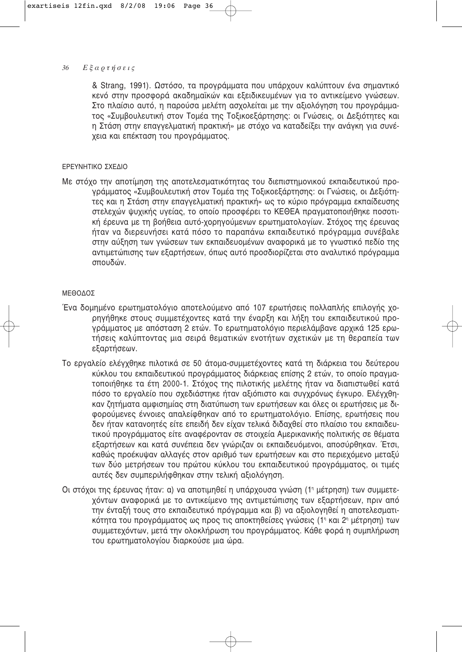& Strang, 1991). Ωστόσο, τα προγράμματα που υπάρχουν καλύπτουν ένα σημαντικό Κενό στην προσφορά ακαδημαϊκών και εξειδικευμένων για το αντικείμενο γνώσεων. Στο πλαίσιο αυτό, η παρούσα μελέτη ασχολείται με την αξιολόγηση του προγράμματος «Συμβουλευτική στον Τομέα της Τοξικοεξάρτησης: οι Γνώσεις, οι Δεξιότητες και η Στάση στην επαγγελματική πρακτική» με στόχο να καταδείξει την ανάγκη για συνέχεια και επέκταση του προγράμματος.

# **ΕΡΕΥΝΗΤΙΚΩ ΣΥΕΛΙΩ**

Με στόχο την αποτίμηση της αποτελεσματικότητας του διεπιστημονικού εκπαιδευτικού προγράμματος «Συμβουλευτική στον Τομέα της Τοξικοεξάρτησης: οι Γνώσεις, οι Δεξιότητες και η Στάση στην επαγγελματική πρακτική» ως το κύριο πρόγραμμα εκπαίδευσης στελεχών ψυχικής υγείας, το οποίο προσφέρει το ΚΕΘΕΑ πραγματοποιήθηκε ποσοτική έρευνα με τη βοήθεια αυτό-χορηγούμενων ερωτηματολογίων. Στόχος της έρευνας ήταν να διερευνήσει κατά πόσο το παραπάνω εκπαιδευτικό πρόγραμμα συνέβαλε στην αύξηση των γνώσεων των εκπαιδευομένων αναφορικά με το γνωστικό πεδίο της αντιμετώπισης των εξαρτήσεων, όπως αυτό προσδιορίζεται στο αναλυτικό πρόγραμμα σπουδών.

## ª∂£√¢√™

- Ένα δομημένο ερωτηματολόγιο αποτελούμενο από 107 ερωτήσεις πολλαπλής επιλογής χοpηγήθηκε στους συμμετέχοντες κατά την έναρξη και λήξη του εκπαιδευτικού προγράμματος με απόσταση 2 ετών. Το ερωτηματολόγιο περιελάμβανε αρχικά 125 ερωτήσεις καλύπτοντας μια σειρά θεματικών ενοτήτων σχετικών με τη θεραπεία των εξαρτήσεων.
- <u>Το εργαλείο ελέγχθηκε πιλοτικά σε 50 άτομα-συμμετέχοντες κατά τη διάρκεια του δεύτερου</u> κύκλου του εκπαιδευτικού προγράμματος διάρκειας επίσης 2 ετών, το οποίο πραγματοποιήθηκε τα έτη 2000-1. Στόχος της πιλοτικής μελέτης ήταν να διαπιστωθεί κατά πόσο το εργαλείο που σχεδιάστηκε ήταν αξιόπιστο και συγχρόνως έγκυρο. Ελέγχθηκαν ζητήματα αμφισημίας στη διατύπωση των ερωτήσεων και όλες οι ερωτήσεις με διφορούμενες έννοιες απαλείφθηκαν από το ερωτηματολόγιο. Επίσης, ερωτήσεις που δεν ήταν κατανοητές είτε επειδή δεν είχαν τελικά διδαχθεί στο πλαίσιο του εκπαιδευτικού προγράμματος είτε αναφέρονταν σε στοιχεία Αμερικανικής πολιτικής σε θέματα εξαρτήσεων και κατά συνέπεια δεν γνώριζαν οι εκπαιδευόμενοι, αποσύρθηκαν. Έτσι, καθώς προέκυψαν αλλαγές στον αριθμό των ερωτήσεων και στο περιεχόμενο μεταξύ των δύο μετρήσεων του πρώτου κύκλου του εκπαιδευτικού προγράμματος, οι τιμές αυτές δεν συμπεριλήφθηκαν στην τελική αξιολόγηση.
- Οι στόχοι της έρευνας ήταν: α) να αποτιμηθεί η υπάρχουσα γνώση (1<sup>η</sup> μέτρηση) των συμμετεχόντων αναφορικά με το αντικείμενο της αντιμετώπισης των εξαρτήσεων, πριν από την ένταξή τους στο εκπαιδευτικό πρόγραμμα και β) να αξιολογηθεί η αποτελεσματι-Κότητα του προγράμματος ως προς τις αποκτηθείσες γνώσεις (1<sup>η</sup> και 2<sup>η</sup> μέτρηση) των συμμετεχόντων, μετά την ολοκλήρωση του προγράμματος. Κάθε φορά η συμπλήρωση του ερωτηματολογίου διαρκούσε μια ώρα.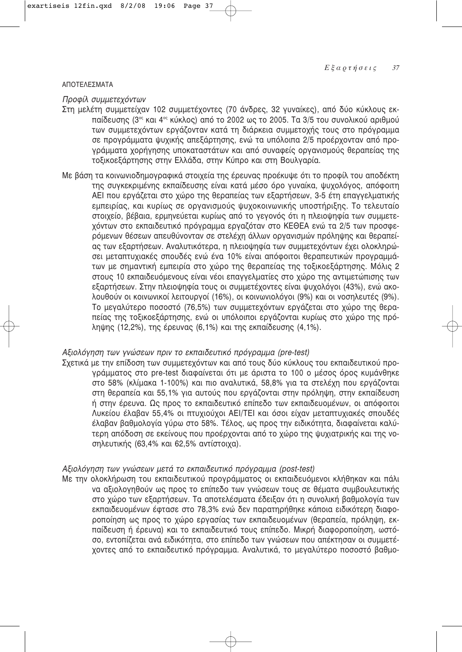## ΑΠΟΤΕΛΕΣΜΑΤΑ

# *Προφίλ συμμετεχόντων*

- Στη μελέτη συμμετείχαν 102 συμμετέχοντες (70 άνδρες, 32 γυναίκες), από δύο κύκλους εκ- $\pi$ αίδευσης (3<sup>%</sup> και 4<sup>%</sup> κύκλος) από το 2002 ως το 2005. Τα 3/5 του συνολικού αριθμού των συμμετεχόντων εργάζονταν κατά τη διάρκεια συμμετοχής τους στο πρόγραμμα σε προγράμματα ψυχικής απεξάρτησης, ενώ τα υπόλοιπα 2/5 προέρχονταν από προγράμματα χορήγησης υποκαταστάτων και από συναφείς οργανισμούς θεραπείας της τοξικοεξάρτησης στην Ελλάδα, στην Κύπρο και στη Βουλγαρία.
- Με βάση τα κοινωνιοδημογραφικά στοιχεία της έρευνας προέκυψε ότι το προφίλ του αποδέκτη της συγκεκριμένης εκπαίδευσης είναι κατά μέσο όρο γυναίκα, ψυχολόγος, απόφοιτη ΑΕΙ που εργάζεται στο χώρο της θεραπείας των εξαρτήσεων, 3-5 έτη επαγγελματικής εμπειρίας, και κυρίως σε οργανισμούς ψυχοκοινωνικής υποστήριξης. Το τελευταίο στοιχείο, βέβαια, ερμηνεύεται κυρίως από το γεγονός ότι η πλειοψηφία των συμμετεχόντων στο εκπαιδευτικό πρόγραμμα εργαζόταν στο ΚΕΘΕΑ ενώ τα 2/5 των προσφερόμενων θέσεων απευθύνονταν σε στελέχη άλλων οργανισμών πρόληψης και θεραπείας των εξαρτήσεων. Αναλυτικότερα, η πλειοψηφία των συμμετεχόντων έχει ολοκληρώσει μεταπτυχιακές σπουδές ενώ ένα 10% είναι απόφοιτοι θεραπευτικών προγραμμάτων με σημαντική εμπειρία στο χώρο της θεραπείας της τοξικοεξάρτησης. Μόλις 2 στους 10 εκπαιδευόμενους είναι νέοι επαγγελματίες στο χώρο της αντιμετώπισης των εξαρτήσεων. Στην πλειοψηφία τους οι συμμετέχοντες είναι ψυχολόγοι (43%), ενώ ακολουθούν οι κοινωνικοί λειτουργοί (16%), οι κοινωνιολόγοι (9%) και οι νοσηλευτές (9%). Το μεγαλύτερο ποσοστό (76,5%) των συμμετεχόντων εργάζεται στο χώρο της θεραπείας της τοξικοεξάρτησης, ενώ οι υπόλοιποι εργάζονται κυρίως στο χώρο της πρόληψης (12,2%), της έρευνας (6,1%) και της εκπαίδευσης (4,1%).

# *Aξιολόγηση των γνώσεων πριν το εκπαιδευτικό πρόγραμμα (pre-test)*

Σχετικά με την επίδοση των συμμετεχόντων και από τους δύο κύκλους του εκπαιδευτικού προγράμματος στο pre-test διαφαίνεται ότι με άριστα το 100 ο μέσος όρος κυμάνθηκε στο 58% (κλίμακα 1-100%) και πιο αναλυτικά, 58,8% για τα στελέχη που εργάζονται στη θεραπεία και 55,1% για αυτούς που εργάζονται στην πρόληψη, στην εκπαίδευση ή στην έρευνα. Ως προς το εκπαιδευτικό επίπεδο των εκπαιδευομένων, οι απόφοιτοι Λυκείου έλαβαν 55,4% οι πτυχιούχοι ΑΕΙ/ΤΕΙ και όσοι είχαν μεταπτυχιακές σπουδές έλαβαν βαθμολογία γύρω στο 58%. Τέλος, ως προς την ειδικότητα, διαφαίνεται καλύτερη απόδοση σε εκείνους που προέρχονται από το χώρο της ψυχιατρικής και της νοσηλευτικής (63,4% και 62,5% αντίστοιχα).

# *∞ÍÈÔÏfiÁËÛË ÙˆÓ ÁÓÒÛÂˆÓ ÌÂÙ¿ ÙÔ ÂÎ·È‰Â˘ÙÈÎfi ÚfiÁÚ·ÌÌ· (post-test)*

Με την ολοκλήρωση του εκπαιδευτικού προγράμματος οι εκπαιδευόμενοι κλήθηκαν και πάλι να αξιολογηθούν ως προς το επίπεδο των γνώσεων τους σε θέματα συμβουλευτικής στο χώρο των εξαρτήσεων. Τα αποτελέσματα έδειξαν ότι η συνολική βαθμολογία των εκπαιδευομένων έφτασε στο 78,3% ενώ δεν παρατηρήθηκε κάποια ειδικότερη διαφοροποίηση ως προς το χώρο εργασίας των εκπαιδευομένων (θεραπεία, πρόληψη, εκπαίδευση ή έρευνα) και το εκπαιδευτικό τους επίπεδο. Μικρή διαφοροποίηση, ωστόσο, εντοπίζεται ανά ειδικότητα, στο επίπεδο των γνώσεων που απέκτησαν οι συμμετέχοντες από το εκπαιδευτικό πρόνραμμα. Αναλυτικά, το μεναλύτερο ποσοστό βαθμο-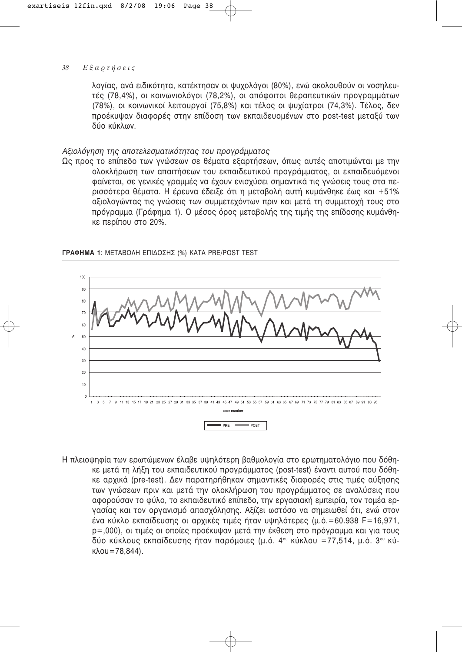λογίας, ανά ειδικότητα, κατέκτησαν οι ψυχολόγοι (80%), ενώ ακολουθούν οι νοσηλευτές (78,4%), οι κοινωνιολόγοι (78,2%), οι απόφοιτοι θεραπευτικών προγραμμάτων (78%), οι κοινωνικοί λειτουργοί (75,8%) και τέλος οι ψυχίατροι (74,3%). Τέλος, δεν προέκυψαν διαφορές στην επίδοση των εκπαιδευομένων στο post-test μεταξύ των δύο κύκλων.

# $\overline{A}$ *ξιολόγηση της αποτελεσματικότητας του προγράμματος*

Ως προς το επίπεδο των γνώσεων σε θέματα εξαρτήσεων, όπως αυτές αποτιμώνται με την ολοκλήρωση των απαιτήσεων του εκπαιδευτικού προγράμματος, οι εκπαιδευόμενοι φαίνεται, σε γενικές γραμμές να έχουν ενισχύσει σημαντικά τις γνώσεις τους στα περισσότερα θέματα. Η έρευνα έδειξε ότι η μεταβολή αυτή κυμάνθηκε έως και +51% αξιολογώντας τις γνώσεις των συμμετεχόντων πριν και μετά τη συμμετοχή τους στο πρόγραμμα (Γράφημα 1). Ο μέσος όρος μεταβολής της τιμής της επίδοσης κυμάνθη $κ$ ε περίπου στο 20%.



ΓΡΑΦΗΜΑ 1: ΜΕΤΑΒΟΛΗ ΕΠΙΔΟΣΗΣ (%) ΚΑΤΑ PRE/POST TEST

Η πλειοψηφία των ερωτώμενων έλαβε υψηλότερη βαθμολογία στο ερωτηματολόγιο που δόθηκε μετά τη λήξη του εκπαιδευτικού προγράμματος (post-test) έναντι αυτού που δόθηκε αρχικά (pre-test). Δεν παρατηρήθηκαν σημαντικές διαφορές στις τιμές αύξησης των γνώσεων πριν και μετά την ολοκλήρωση του προγράμματος σε αναλύσεις που αφορούσαν το φύλο, το εκπαιδευτικό επίπεδο, την εργασιακή εμπειρία, τον τομέα ερνασίας και τον οργανισμό απασχόλησης. Αξίζει ωστόσο να σημειωθεί ότι, ενώ στον ένα κύκλο εκπαίδευσης οι αρχικές τιμές ήταν υψηλότερες (μ.ό.=60.938 F=16,971, p=,000), οι τιμές οι οποίες προέκυψαν μετά την έκθεση στο πρόγραμμα και για τους δύο κύκλους εκπαίδευσης ήταν παρόμοιες (μ.ό. 4<sup>°</sup> κύκλου =77,514, μ.ό. 3<sup>°</sup> κύ- $K\lambda$ OU = 78,844).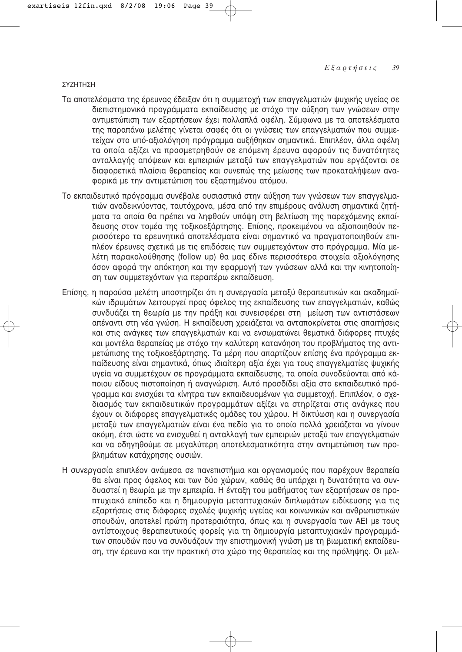exartiseis 12fin.qxd 8/2/08 19:06 Page 39

# ΣΥΖΗΤΗΣΗ

- Τα αποτελέσματα της έρευνας έδειξαν ότι η συμμετοχή των επαγγελματιών ψυχικής υγείας σε διεπιστημονικά προγράμματα εκπαίδευσης με στόχο την αύξηση των γνώσεων στην αντιμετώπιση των εξαρτήσεων έχει πολλαπλά οφέλη. Σύμφωνα με τα αποτελέσματα της παραπάνω μελέτης γίνεται σαφές ότι οι γνώσεις των επαννελματιών που συμμετείχαν στο υπό-αξιολόγηση πρόγραμμα αυξήθηκαν σημαντικά. Επιπλέον, άλλα οφέλη τα οποία αξίζει να προσμετρηθούν σε επόμενη έρευνα αφορούν τις δυνατότητες ανταλλανής απόψεων και εμπειριών μεταξύ των επαννελματιών που ερνάζονται σε διαφορετικά πλαίσια θεραπείας και συνεπώς της μείωσης των προκαταλήψεων αναφορικά με την αντιμετώπιση του εξαρτημένου ατόμου.
- Το εκπαιδευτικό πρόγραμμα συνέβαλε ουσιαστικά στην αύξηση των γνώσεων των επαγγελματιών αναδεικνύοντας, ταυτόχρονα, μέσα από την επιμέρους ανάλυση σημαντικά ζητήματα τα οποία θα πρέπει να ληφθούν υπόψη στη βελτίωση της παρεχόμενης εκπαίδευσης στον τομέα της τοξικοεξάρτησης. Επίσης, προκειμένου να αξιοποιηθούν περισσότερο τα ερευνητικά αποτελέσματα είναι σημαντικό να πραγματοποιηθούν επιπλέον έρευνες σχετικά με τις επιδόσεις των συμμετεχόντων στο πρόγραμμα. Μία μελέτη παρακολούθησης (follow up) θα μας έδινε περισσότερα στοιχεία αξιολόγησης όσον αφορά την απόκτηση και την εφαρμογή των γνώσεων αλλά και την κινητοποίηση των συμμετεχόντων για περαιτέρω εκπαίδευση.
- Επίσης, η παρούσα μελέτη υποστηρίζει ότι η συνεργασία μεταξύ θεραπευτικών και ακαδημαϊ-Κών ιδρυμάτων λειτουργεί προς όφελος της εκπαίδευσης των επαγγελματιών, καθώς συνδυάζει τη θεωρία με την πράξη και συνεισφέρει στη μείωση των αντιστάσεων απέναντι στη νέα γνώση. Η εκπαίδευση χρειάζεται να ανταποκρίνεται στις απαιτήσεις και στις ανάγκες των επαγγελματιών και να ενσωματώνει θεματικά διάφορες πτυχές και μοντέλα θεραπείας με στόχο την καλύτερη κατανόηση του προβλήματος της αντιμετώπισης της τοξικοεξάρτησης. Τα μέρη που απαρτίζουν επίσης ένα πρόγραμμα εκπαίδευσης είναι σημαντικά, όπως ιδιαίτερη αξία έχει για τους επαγγελματίες ψυχικής υγεία να συμμετέχουν σε προγράμματα εκπαίδευσης, τα οποία συνοδεύονται από κάποιου είδους πιστοποίηση ή αναγνώριση. Αυτό προσδίδει αξία στο εκπαιδευτικό πρόγραμμα και ενισχύει τα κίνητρα των εκπαιδευομένων για συμμετοχή. Επιπλέον, ο σχεδιασμός των εκπαιδευτικών προγραμμάτων αξίζει να στηρίζεται στις ανάγκες που έχουν οι διάφορες επαγγελματικές ομάδες του χώρου. Η δικτύωση και η συνεργασία μεταξύ των επαγγελματιών είναι ένα πεδίο για το οποίο πολλά χρειάζεται να γίνουν ακόμη, έτσι ώστε να ενισχυθεί η ανταλλαγή των εμπειριών μεταξύ των επαγγελματιών και να οδηγηθούμε σε μεγαλύτερη αποτελεσματικότητα στην αντιμετώπιση των προβλημάτων κατάχρησης ουσιών.
- Η συνεργασία επιπλέον ανάμεσα σε πανεπιστήμια και οργανισμούς που παρέχουν θεραπεία θα είναι προς όφελος και των δύο χώρων, καθώς θα υπάρχει η δυνατότητα να συνδυαστεί η θεωρία με την εμπειρία. Η ένταξη του μαθήματος των εξαρτήσεων σε προπτυχιακό επίπεδο και η δημιουργία μεταπτυχιακών διπλωμάτων ειδίκευσης για τις εξαρτήσεις στις διάφορες σχολές ψυχικής υγείας και κοινωνικών και ανθρωπιστικών σπουδών, αποτελεί πρώτη προτεραιότητα, όπως και η συνεργασία των ΑΕΙ με τους αντίστοιχους θεραπευτικούς φορείς για τη δημιουργία μεταπτυχιακών προγραμμάτων σπουδών που να συνδυάζουν την επιστημονική γνώση με τη βιωματική εκπαίδευση, την έρευνα και την πρακτική στο χώρο της θεραπείας και της πρόληψης. Οι μελ-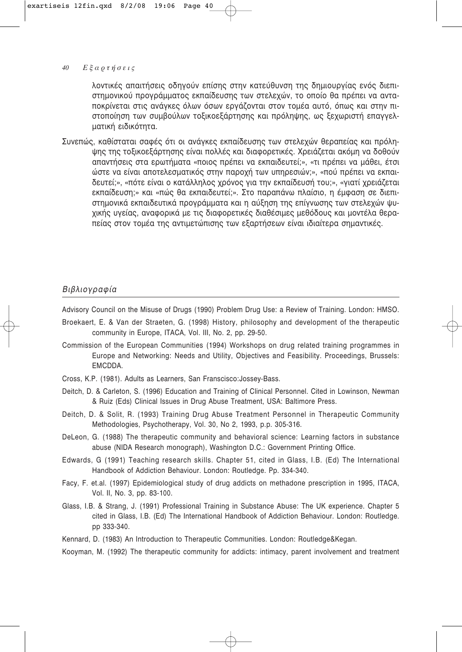λοντικές απαιτήσεις οδηγούν επίσης στην κατεύθυνση της δημιουργίας ενός διεπιστημονικού προγράμματος εκπαίδευσης των στελεχών, το οποίο θα πρέπει να ανταποκρίνεται στις ανάγκες όλων όσων εργάζονται στον τομέα αυτό, όπως και στην πιστοποίηση των συμβούλων τοξικοεξάρτησης και πρόληψης, ως ξεχωριστή επαγγελματική ειδικότητα.

Συνεπώς, καθίσταται σαφές ότι οι ανάγκες εκπαίδευσης των στελεχών θεραπείας και πρόληψης της τοξικοεξάρτησης είναι πολλές και διαφορετικές. Χρειάζεται ακόμη να δοθούν απαντήσεις στα ερωτήματα «ποιος πρέπει να εκπαιδευτεί;», «τι πρέπει να μάθει, έτσι ώστε να είναι αποτελεσματικός στην παροχή των υπηρεσιών;», «πού πρέπει να εκπαιδευτεί;», «πότε είναι ο κατάλληλος χρόνος για την εκπαίδευσή του;», «γιατί χρειάζεται εκπαίδευση;» και «πώς θα εκπαιδευτεί;». Στο παραπάνω πλαίσιο, η έμφαση σε διεπιστημονικά εκπαιδευτικά προγράμματα και η αύξηση της επίγνωσης των στελεχών ψυχικής υγείας, αναφορικά με τις διαφορετικές διαθέσιμες μεθόδους και μοντέλα θεραπείας στον τομέα της αντιμετώπισης των εξαρτήσεων είναι ιδιαίτερα σημαντικές.

# $B$ ιβλιογραφία

Advisory Council on the Misuse of Drugs (1990) Problem Drug Use: a Review of Training. London: HMSO.

- Broekaert, E. & Van der Straeten, G. (1998) History, philosophy and development of the therapeutic community in Europe, ITACA, Vol. III, No. 2, pp. 29-50.
- Commission of the European Communities (1994) Workshops on drug related training programmes in Europe and Networking: Needs and Utility, Objectives and Feasibility. Proceedings, Brussels: EMCDDA.
- Cross, K.P. (1981). Adults as Learners, San Franscisco:Jossey-Bass.
- Deitch, D. & Carleton, S. (1996) Education and Training of Clinical Personnel. Cited in Lowinson, Newman & Ruiz (Eds) Clinical Issues in Drug Abuse Treatment, USA: Baltimore Press.
- Deitch, D. & Solit, R. (1993) Training Drug Abuse Treatment Personnel in Therapeutic Community Methodologies, Psychotherapy, Vol. 30, No 2, 1993, p.p. 305-316.
- DeLeon, G. (1988) The therapeutic community and behavioral science: Learning factors in substance abuse (NIDA Research monograph), Washington D.C.: Government Printing Office.
- Edwards, G (1991) Teaching research skills. Chapter 51, cited in Glass, I.B. (Ed) The International Handbook of Addiction Behaviour. London: Routledge. Pp. 334-340.
- Facy, F. et.al. (1997) Epidemiological study of drug addicts on methadone prescription in 1995, ITACA, Vol. II, No. 3, pp. 83-100.
- Glass, I.B. & Strang, J. (1991) Professional Training in Substance Abuse: The UK experience. Chapter 5 cited in Glass, I.B. (Ed) The International Handbook of Addiction Behaviour. London: Routledge. pp 333-340.
- Kennard, D. (1983) An Introduction to Therapeutic Communities. London: Routledge&Kegan.
- Kooyman, M. (1992) The therapeutic community for addicts: intimacy, parent involvement and treatment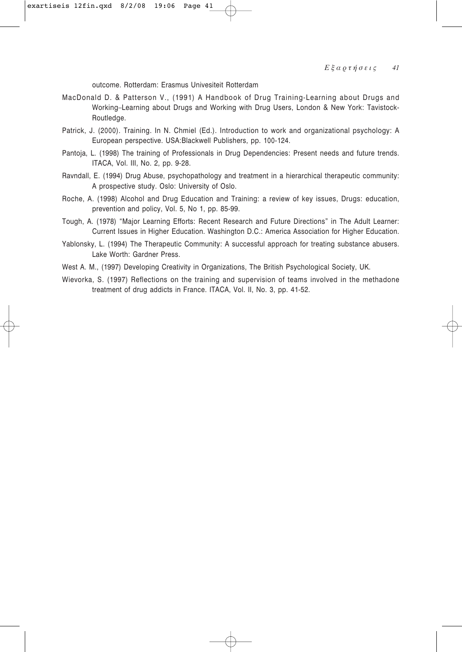outcome. Rotterdam: Erasmus Univesiteit Rotterdam

- MacDonald D. & Patterson V., (1991) A Handbook of Drug Training-Learning about Drugs and Working–Learning about Drugs and Working with Drug Users, London & New York: Tavistock-Routledge.
- Patrick, J. (2000). Training. In N. Chmiel (Ed.). Introduction to work and organizational psychology: A European perspective. USA:Blackwell Publishers, pp. 100-124.
- Pantoja, L. (1998) The training of Professionals in Drug Dependencies: Present needs and future trends. ITACA, Vol. III, No. 2, pp. 9-28.
- Ravndall, E. (1994) Drug Abuse, psychopathology and treatment in a hierarchical therapeutic community: A prospective study. Oslo: University of Oslo.
- Roche, A. (1998) Alcohol and Drug Education and Training: a review of key issues, Drugs: education, prevention and policy, Vol. 5, No 1, pp. 85-99.
- Tough, A. (1978) "Major Learning Efforts: Recent Research and Future Directions" in The Adult Learner: Current Issues in Higher Education. Washington D.C.: America Association for Higher Education.
- Yablonsky, L. (1994) The Therapeutic Community: A successful approach for treating substance abusers. Lake Worth: Gardner Press.

West A. M., (1997) Developing Creativity in Organizations, The British Psychological Society, UK.

Wievorka, S. (1997) Reflections on the training and supervision of teams involved in the methadone treatment of drug addicts in France. ITACA, Vol. II, No. 3, pp. 41-52.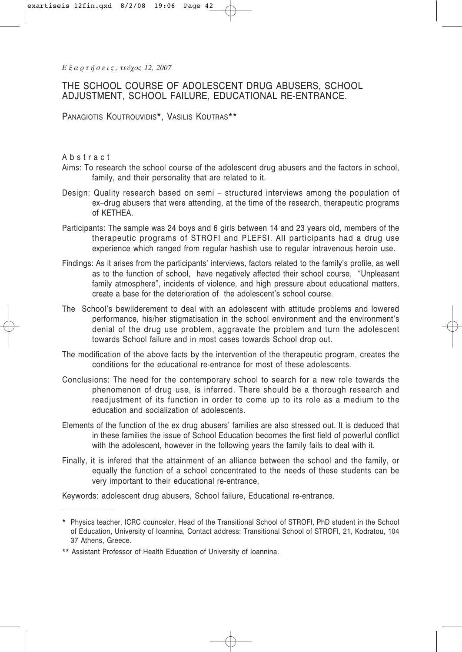*Ε ξ α ρ τ ή σ ε ι ς , τεύχος 12, 2007*

THE SCHOOL COURSE OF ADOLESCENT DRUG ABUSERS, SCHOOL ADJUSTMENT, SCHOOL FAILURE, EDUCATIONAL RE-ENTRANCE.

PANAGIOTIS KOUTROUVIDIS\*, VASILIS KOUTRAS\*\*

Abstract

- Aims: To research the school course of the adolescent drug abusers and the factors in school, family, and their personality that are related to it.
- Design: Quality research based on semi structured interviews among the population of ex–drug abusers that were attending, at the time of the research, therapeutic programs of KETHEA.
- Participants: The sample was 24 boys and 6 girls between 14 and 23 years old, members of the therapeutic programs of STROFI and PLEFSI. All participants had a drug use experience which ranged from regular hashish use to regular intravenous heroin use.
- Findings: As it arises from the participants' interviews, factors related to the family's profile, as well as to the function of school, have negatively affected their school course. "Unpleasant family atmosphere", incidents of violence, and high pressure about educational matters, create a base for the deterioration of the adolescent's school course.
- The School's bewilderement to deal with an adolescent with attitude problems and lowered performance, his/her stigmatisation in the school environment and the environment's denial of the drug use problem, aggravate the problem and turn the adolescent towards School failure and in most cases towards School drop out.
- The modification of the above facts by the intervention of the therapeutic program, creates the conditions for the educational re-entrance for most of these adolescents.
- Conclusions: The need for the contemporary school to search for a new role towards the phenomenon of drug use, is inferred. There should be a thorough research and readjustment of its function in order to come up to its role as a medium to the education and socialization of adolescents.
- Elements of the function of the ex drug abusers' families are also stressed out. It is deduced that in these families the issue of School Education becomes the first field of powerful conflict with the adolescent, however in the following years the family fails to deal with it.
- Finally, it is infered that the attainment of an alliance between the school and the family, or equally the function of a school concentrated to the needs of these students can be very important to their educational re-entrance,

Keywords: adolescent drug abusers, School failure, Educational re-entrance.

<sup>\*</sup> Physics teacher, ICRC councelor, Head of the Transitional School of STROFI, PhD student in the School of Education, University of Ioannina, Contact address: Transitional School of STROFI, 21, Kodratou, 104 37 Athens, Greece.

<sup>\*\*</sup> Assistant Professor of Health Education of University of Ioannina.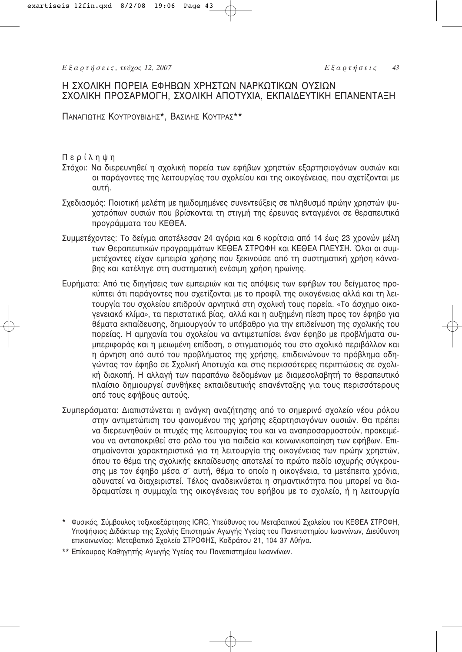Εξαρτήσεις, τεύγος 12, 2007

Εξαρτήσεις  $43$ 

# Η ΣΧΟΛΙΚΗ ΠΟΡΕΙΑ ΕΦΗΒΩΝ ΧΡΗΣΤΩΝ ΝΑΡΚΩΤΙΚΩΝ ΟΥΣΙΩΝ ΣΧΟΛΙΚΗ ΠΡΟΣΑΡΜΟΓΗ, ΣΧΟΛΙΚΗ ΑΠΟΤΥΧΙΑ, ΕΚΠΑΙΔΕΥΤΙΚΗ ΕΠΑΝΕΝΤΑΞΗ

**ΠΑΝΑΓΙΟΤΗΣ ΚΟΥΤΡΟΥΒΙΛΗΣ\*, ΒΑΣΙΛΗΣ ΚΟΥΤΡΑΣ\*\*** 

Περίληψη

- Στόχοι: Να διερευνηθεί η σχολική πορεία των εφήβων χρηστών εξαρτησιογόνων ουσιών και οι παράνοντες της λειτουργίας του σχολείου και της οικονένειας, που σχετίζονται με αυτή.
- Σχεδιασμός: Ποιοτική μελέτη με ημιδομημένες συνεντεύξεις σε πληθυσμό πρώην χρηστών ψυχοτρόπων ουσιών που βρίσκονται τη στιγμή της έρευνας ενταγμένοι σε θεραπευτικά προγράμματα του ΚΕΘΕΑ.
- Συμμετέχοντες: Το δείγμα αποτέλεσαν 24 αγόρια και 6 κορίτσια από 14 έως 23 χρονών μέλη των Θεραπευτικών προγραμμάτων ΚΕΘΕΑ ΣΤΡΟΦΗ και ΚΕΘΕΑ ΠΛΕΥΣΗ. Όλοι οι συμμετέχοντες είχαν εμπειρία χρήσης που ξεκινούσε από τη συστηματική χρήση κάνναβης και κατέληνε στη συστηματική ενέσιμη χρήση ηρωίνης.
- Ευρήματα: Από τις διηγήσεις των εμπειριών και τις απόψεις των εφήβων του δείγματος προκύπτει ότι παράγοντες που σχετίζονται με το προφίλ της οικογένειας αλλά και τη λειτουργία του σχολείου επιδρούν αρνητικά στη σχολική τους πορεία. «Το άσχημο οικογενειακό κλίμα», τα περιστατικά βίας, αλλά και η αυξημένη πίεση προς τον έφηβο για θέματα εκπαίδευσης, δημιουργούν το υπόβαθρο για την επιδείνωση της σχολικής του πορείας. Η αμηχανία του σχολείου να αντιμετωπίσει έναν έφηβο με προβλήματα συμπεριφοράς και η μειωμένη επίδοση, ο στιγματισμός του στο σχολικό περιβάλλον και η άρνηση από αυτό του προβλήματος της χρήσης, επιδεινώνουν το πρόβλημα οδηγώντας τον έφηβο σε Σχολική Αποτυχία και στις περισσότερες περιπτώσεις σε σχολική διακοπή. Η αλλαγή των παραπάνω δεδομένων με διαμεσολαβητή το θεραπευτικό πλαίσιο δημιουργεί συνθήκες εκπαιδευτικής επανένταξης για τους περισσότερους από τους εφήβους αυτούς.
- Συμπεράσματα: Διαπιστώνεται η ανάγκη αναζήτησης από το σημερινό σχολείο νέου ρόλου στην αντιμετώπιση του φαινομένου της χρήσης εξαρτησιογόνων ουσιών. Θα πρέπει να διερευνηθούν οι πτυχές της λειτουργίας του και να αναπροσαρμοστούν, προκειμένου να ανταποκριθεί στο ρόλο του για παιδεία και κοινωνικοποίηση των εφήβων. Επισημαίνονται χαρακτηριστικά για τη λειτουργία της οικογένειας των πρώην χρηστών, όπου το θέμα της σχολικής εκπαίδευσης αποτελεί το πρώτο πεδίο ισχυρής σύγκρουσης με τον έφηβο μέσα σ' αυτή, θέμα το οποίο η οικογένεια, τα μετέπειτα χρόνια, αδυνατεί να διαχειριστεί. Τέλος αναδεικνύεται η σημαντικότητα που μπορεί να διαδραματίσει η συμμαχία της οικογένειας του εφήβου με το σχολείο, ή η λειτουργία

Φυσικός, Σύμβουλος τοξικοεξάρτησης ICRC, Υπεύθυνος του Μεταβατικού Σχολείου του ΚΕΘΕΑ ΣΤΡΟΦΗ, Υποψήφιος Διδάκτωρ της Σχολής Επιστημών Αγωγής Υγείας του Πανεπιστημίου Ιωαννίνων, Διεύθυνση επικοινωνίας: Μεταβατικό Σχολείο ΣΤΡΟΦΗΣ, Κοδράτου 21, 104 37 Αθήνα.

<sup>\*\*</sup> Επίκουρος Καθηγητής Αγωγής Υγείας του Πανεπιστημίου Ιωαννίνων.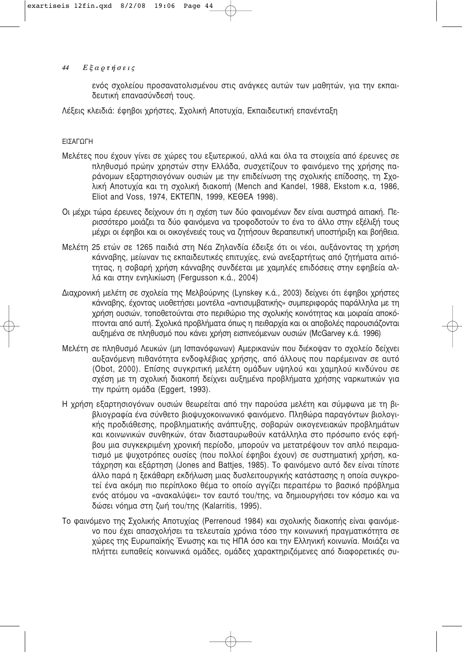ενός σχολείου προσανατολισμένου στις ανάγκες αυτών των μαθητών, για την εκπαιδευτική επανασύνδεσή τους.

Λέξεις κλειδιά: έφηβοι χρήστες, Σχολική Αποτυχία, Εκπαιδευτική επανένταξη

# ΕΙΣΑΓΩΓΗ

- Μελέτες που έχουν γίνει σε χώρες του εξωτερικού, αλλά και όλα τα στοιχεία από έρευνες σε πληθυσμό πρώην χρηστών στην Ελλάδα, συσχετίζουν το φαινόμενο της χρήσης παράνομων εξαρτησιογόνων ουσιών με την επιδείνωση της σχολικής επίδοσης, τη Σχολική Αποτυχία και τη σχολική διακοπή (Mench and Kandel, 1988, Ekstom κ.α, 1986, Eliot and Voss, 1974, EKTEΠN, 1999, KEΘEA 1998).
- Οι μέχρι τώρα έρευνες δείχνουν ότι η σχέση των δύο φαινομένων δεν είναι αυστηρά αιτιακή. Περισσότερο μοιάζει τα δύο φαινόμενα να τροφοδοτούν το ένα το άλλο στην εξέλιξή τους μέχρι οι έφηβοι και οι οικογένειές τους να ζητήσουν θεραπευτική υποστήριξη και βοήθεια.
- Μελέτη 25 ετών σε 1265 παιδιά στη Νέα Ζηλανδία έδειξε ότι οι νέοι, αυξάνοντας τη χρήση κάνναβης, μείωναν τις εκπαιδευτικές επιτυχίες, ενώ ανεξαρτήτως από ζητήματα αιτιότητας, η σοβαρή χρήση κάνναβης συνδέεται με χαμηλές επιδόσεις στην εφηβεία αλλά και στην ενηλικίωση (Fergusson κ.ά., 2004)
- Διαχρονική μελέτη σε σχολεία της Μελβούρνης (Lynskey κ.ά., 2003) δείχνει ότι έφηβοι χρήστες κάνναβης, έχοντας υιοθετήσει μοντέλα «αντισυμβατικής» συμπεριφοράς παράλληλα με τη χρήση ουσιών, τοποθετούνται στο περιθώριο της σχολικής κοινότητας και μοιραία αποκόπτονται από αυτή. Σχολικά προβλήματα όπως η πειθαρχία και οι αποβολές παρουσιάζονται αυξημένα σε πληθυσμό που κάνει χρήση εισπνεόμενων ουσιών (McGarvey κ.ά. 1996)
- Μελέτη σε πληθυσμό Λευκών (μη Ισπανόφωνων) Αμερικανών που διέκοψαν το σχολείο δείχνει αυξανόμενη πιθανότητα ενδοφλέβιας χρήσης, από άλλους που παρέμειναν σε αυτό (Obot, 2000). Επίσης συγκριτική μελέτη ομάδων υψηλού και χαμηλού κινδύνου σε σχέση με τη σχολική διακοπή δείχνει αυξημένα προβλήματα χρήσης ναρκωτικών για την πρώτη ομάδα (Eggert, 1993).
- Η χρήση εξαρτησιογόνων ουσιών θεωρείται από την παρούσα μελέτη και σύμφωνα με τη βιβλιογραφία ένα σύνθετο βιοψυχοκοινωνικό φαινόμενο. Πληθώρα παραγόντων βιολογικής προδιάθεσης, προβληματικής ανάπτυξης, σοβαρών οικογενειακών προβλημάτων Και κοινωνικών συνθηκών, όταν διασταυρωθούν κατάλληλα στο πρόσωπο ενός εφήβου μια συγκεκριμένη χρονική περίοδο, μπορούν να μετατρέψουν τον απλό πειραματισμό με ψυχοτρόπες ουσίες (που πολλοί έφηβοι έχουν) σε συστηματική χρήση, κατάχρηση και εξάρτηση (Jones and Battjes, 1985). Το φαινόμενο αυτό δεν είναι τίποτε άλλο παρά η ξεκάθαρη εκδήλωση μιας δυσλειτουργικής κατάστασης η οποία συγκροτεί ένα ακόμη πιο περίπλοκο θέμα το οποίο αγγίζει περαιτέρω το βασικό πρόβλημα ενός ατόμου να «ανακαλύψει» τον εαυτό του/της, να δημιουργήσει τον κόσμο και να δώσει νόημα στη ζωή του/της (Kalarritis, 1995).
- Το φαινόμενο της Σχολικής Αποτυχίας (Perrenoud 1984) και σχολικής διακοπής είναι φαινόμενο που έχει απασχολήσει τα τελευταία χρόνια τόσο την κοινωνική πραγματικότητα σε χώρες της Ευρωπαϊκής Ένωσης και τις ΗΠΑ όσο και την Ελληνική κοινωνία. Μοιάζει να πλήττει ευπαθείς κοινωνικά ομάδες, ομάδες χαρακτηριζόμενες από διαφορετικές συ-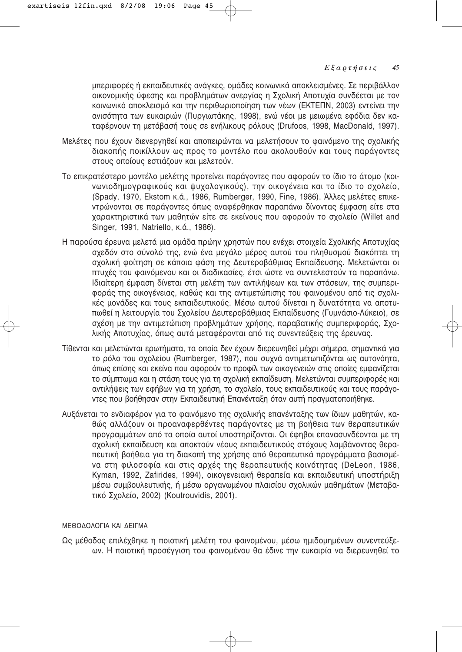exartiseis  $12fin,qxd$   $8/2/08$   $19:06$  Page

μπεριφορές ή εκπαιδευτικές ανάγκες, ομάδες κοινωνικά αποκλεισμένες. Σε περιβάλλον ΟΙΚΟΥΟμικής ύφεσης και προβλημάτων ανεργίας η Σχολική Αποτυχία συνδέεται με τον Κοινωνικό αποκλεισμό και την περιθωριοποίηση των νέων (ΕΚΤΕΠΝ, 2003) εντείνει την ανισότητα των ευκαιριών (Πυργιωτάκης, 1998), ενώ νέοι με μειωμένα εφόδια δεν καταφέρνουν τη μετάβασή τους σε ενήλικους ρόλους (Drufoos, 1998, MacDonald, 1997).

- Μελέτες που έχουν διενεργηθεί και αποπειρώνται να μελετήσουν το φαινόμενο της σχολικής διακοπής ποικίλλουν ως προς το μοντέλο που ακολουθούν και τους παράνοντες στους οποίους εστιάζουν και μελετούν.
- Το επικρατέστερο μοντέλο μελέτης προτείνει παράγοντες που αφορούν το ίδιο το άτομο (κοι-Vωνιοδημογραφικούς και ψυχολογικούς), την οικογένεια και το ίδιο το σχολείο, (Spady, 1970, Ekstom κ.ά., 1986, Rumberger, 1990, Fine, 1986). Aλλες μελέτες επικεντρώνονται σε παράγοντες όπως αναφέρθηκαν παραπάνω δίνοντας έμφαση είτε στα χαρακτηριστικά των μαθητών είτε σε εκείνους που αφορούν το σχολείο (Willet and Singer, 1991, Natriello, K.á., 1986).
- Η παρούσα έρευνα μελετά μια ομάδα πρώην χρηστών που ενέχει στοιχεία Σχολικής Αποτυχίας σχεδόν στο σύνολό της, ενώ ένα μεγάλο μέρος αυτού του πληθυσμού διακόπτει τη σχολική φοίτηση σε κάποια φάση της Δευτεροβάθμιας Εκπαίδευσης. Μελετώνται οι πτυχές του φαινόμενου και οι διαδικασίες, έτσι ώστε να συντελεστούν τα παραπάνω. Ιδιαίτερη έμφαση δίνεται στη μελέτη των αντιλήψεων και των στάσεων, της συμπερι-Φοράς της οικογένειας, καθώς και της αντιμετώπισης του φαινομένου από τις σχολικές μονάδες και τους εκπαιδευτικούς. Μέσω αυτού δίνεται η δυνατότητα να αποτυπωθεί η λειτουργία του Σχολείου Δευτεροβάθμιας Εκπαίδευσης (Γυμνάσιο-Λύκειο), σε σχέση με την αντιμετώπιση προβλημάτων χρήσης, παραβατικής συμπεριφοράς, Σχολικής Αποτυχίας, όπως αυτά μεταφέρονται από τις συνεντεύξεις της έρευνας.
- Τίθενται και μελετώνται ερωτήματα, τα οποία δεν έχουν διερευνηθεί μέχρι σήμερα, σημαντικά για το ρόλο του σχολείου (Rumberger, 1987), που συχνά αντιμετωπιζόνται ως αυτονόητα, όπως επίσης και εκείνα που αφορούν το προφίλ των οικογενειών στις οποίες εμφανίζεται το σύμπτωμα και η στάση τους για τη σχολική εκπαίδευση. Μελετώνται συμπεριφορές και αντιλήψεις των εφήβων για τη χρήση, το σχολείο, τους εκπαιδευτικούς και τους παράγοντες που βοήθησαν στην Εκπαιδευτική Επανένταξη όταν αυτή πραγματοποιήθηκε.
- Aυξάνεται το ενδιαφέρον για το φαινόμενο της σχολικής επανένταξης των ίδιων μαθητών, καθώς αλλάζουν οι προαναφερθέντες παράγοντες με τη βοήθεια των θεραπευτικών προγραμμάτων από τα οποία αυτοί υποστηρίζονται. Οι έφηβοι επανασυνδέονται με τη σχολική εκπαίδευση και αποκτούν νέους εκπαιδευτικούς στόχους λαμβάνοντας θεραπευτική βοήθεια για τη διακοπή της χρήσης από θεραπευτικά προγράμματα βασισμένα στη φιλοσοφία και στις αρχές της θεραπευτικής κοινότητας (DeLeon, 1986, Kyman, 1992, Zafirides, 1994), οικογενειακή θεραπεία και εκπαιδευτική υποστήριξη μέσω συμβουλευτικής, ή μέσω οργανωμένου πλαισίου σχολικών μαθημάτων (Μεταβατικό Σχολείο, 2002) (Koutrouvidis, 2001).

# ΜΕΘΟΔΟΛΟΓΙΑ ΚΑΙ ΔΕΙΓΜΑ

Ως μέθοδος επιλέχθηκε η ποιοτική μελέτη του φαινομένου, μέσω ημιδομημένων συνεντεύξεων. Η ποιοτική προσέγγιση του φαινομένου θα έδινε την ευκαιρία να διερευνηθεί το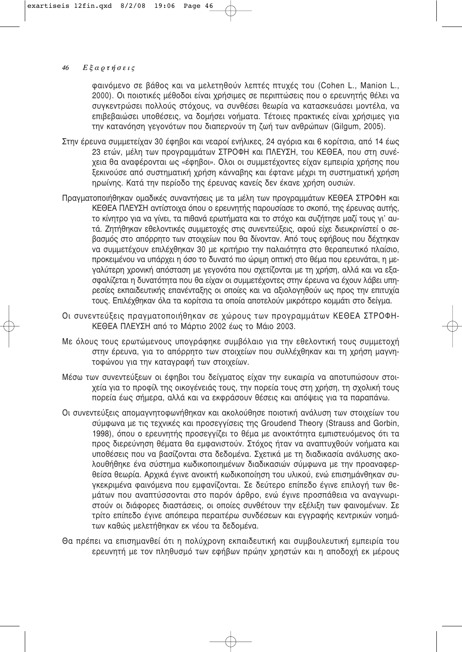φαινόμενο σε βάθος και να μελετηθούν λεπτές πτυχές του (Cohen L., Manion L., 2000). Οι ποιοτικές μέθοδοι είναι χρήσιμες σε περιπτώσεις που ο ερευνητής θέλει να <u>συγκεντρώσει πολλούς στόχους, να συνθέσει θεωρία να κατασκευάσει μοντέλα, να</u> επιβεβαιώσει υποθέσεις, να δομήσει νοήματα. Τέτοιες πρακτικές είναι χρήσιμες για την κατανόηση νενονότων που διαπερνούν τη ζωή των ανθρώπων (Gilgum, 2005).

- Στην έρευνα συμμετείχαν 30 έφηβοι και νεαροί ενήλικες, 24 αγόρια και 6 κορίτσια, από 14 έως 23 ετών, μέλη των προγραμμάτων ΣΤΡΟΦΗ και ΠΛΕΥΣΗ, του ΚΕΘΕΑ, που στη συνέχεια θα αναφέρονται ως «έφηβοι». Ολοι οι συμμετέχοντες είχαν εμπειρία χρήσης που ξεκινούσε από συστηματική χρήση κάνναβης και έφτανε μέχρι τη συστηματική χρήση ηρωίνης. Κατά την περίοδο της έρευνας κανείς δεν έκανε χρήση ουσιών.
- Πραγματοποιήθηκαν ομαδικές συναντήσεις με τα μέλη των προγραμμάτων ΚΕΘΕΑ ΣΤΡΟΦΗ και ΚΕΘΕΑ ΠΛΕΥΣΗ αντίστοιχα όπου ο ερευνητής παρουσίασε το σκοπό, της έρευνας αυτής, το κίνητρο για να γίνει, τα πιθανά ερωτήματα και το στόχο και συζήτησε μαζί τους γι' αυτά. Ζητήθηκαν εθελοντικές συμμετοχές στις συνεντεύξεις, αφού είχε διευκρινίστεί ο σεβασμός στο απόρρητο των στοιχείων που θα δίνονταν. Από τους εφήβους που δέχτηκαν να συμμετέχουν επιλέχθηκαν 30 με κριτήριο την παλαιότητα στο θεραπευτικό πλαίσιο, προκειμένου να υπάρχει η όσο το δυνατό πιο ώριμη οπτική στο θέμα που ερευνάται, η μεγαλύτερη χρονική απόσταση με γεγονότα που σχετίζονται με τη χρήση, αλλά και να εξασφαλίζεται η δυνατότητα που θα είχαν οι συμμετέχοντες στην έρευνα να έχουν λάβει υπηρεσίες εκπαιδευτικής επανένταξης οι οποίες και να αξιολογηθούν ως προς την επιτυχία τους. Επιλέχθηκαν όλα τα κορίτσια τα οποία αποτελούν μικρότερο κομμάτι στο δείγμα.
- Οι συνεντεύξεις πραγματοποιήθηκαν σε χώρους των προγραμμάτων ΚΕΘΕΑ ΣΤΡΟΦΗ-ΚΕΘΕΑ ΠΛΕΥΣΗ από το Μάρτιο 2002 έως το Μάιο 2003.
- Με όλους τους ερωτώμενους υπογράφηκε συμβόλαιο για την εθελοντική τους συμμετοχή στην έρευνα, για το απόρρητο των στοιχείων που συλλέχθηκαν και τη χρήση μαγνητοφώνου για την καταγραφή των στοιχείων.
- Μέσω των συνεντεύξεων οι έφηβοι του δείγματος είχαν την ευκαιρία να αποτυπώσουν στοιχεία για το προφίλ της οικογένειάς τους, την πορεία τους στη χρήση, τη σχολική τους πορεία έως σήμερα, αλλά και να εκφράσουν θέσεις και απόψεις για τα παραπάνω.
- Οι συνεντεύξεις απομαγνητοφωνήθηκαν και ακολούθησε ποιοτική ανάλυση των στοιχείων του σύμφωνα με τις τεχνικές και προσεγγίσεις της Groudend Theory (Strauss and Gorbin, 1998), όπου ο ερευνητής προσεγγίζει το θέμα με ανοικτότητα εμπιστευόμενος ότι τα προς διερεύνηση θέματα θα εμφανιστούν. Στόχος ήταν να αναπτυχθούν νοήματα και υποθέσεις που να βασίζονται στα δεδομένα. Σχετικά με τη διαδικασία ανάλυσης ακολουθήθηκε ένα σύστημα κωδικοποιημένων διαδικασιών σύμφωνα με την προαναφερθείσα θεωρία. Αρχικά έγινε ανοικτή κωδικοποίηση του υλικού, ενώ επισημάνθηκαν συγκεκριμένα φαινόμενα που εμφανίζονται. Σε δεύτερο επίπεδο έγινε επιλογή των θεμάτων που αναπτύσσονται στο παρόν άρθρο, ενώ έγινε προσπάθεια να αναγνωριστούν οι διάφορες διαστάσεις, οι οποίες συνθέτουν την εξέλιξη των φαινομένων. Σε τρίτο επίπεδο έγινε απόπειρα περαιτέρω συνδέσεων και εγγραφής κεντρικών νοημάτων καθώς μελετήθηκαν εκ νέου τα δεδομένα.
- Θα πρέπει να επισημανθεί ότι η πολύχρονη εκπαιδευτική και συμβουλευτική εμπειρία του ερευνητή με τον πληθυσμό των εφήβων πρώην χρηστών και η αποδοχή εκ μέρους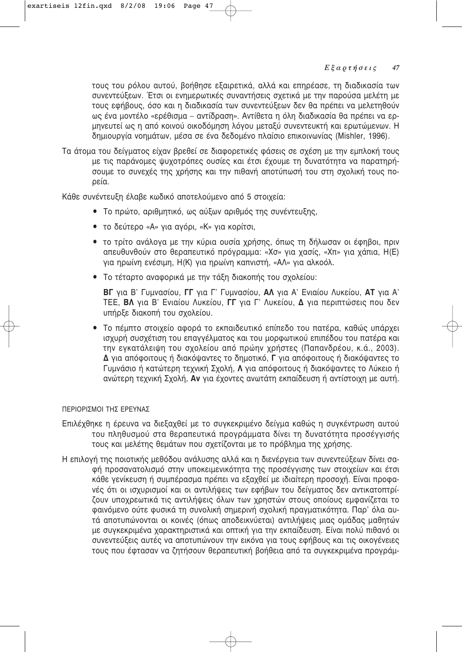τους του ρόλου αυτού, βοήθησε εξαιρετικά, αλλά και επηρέασε, τη διαδικασία των συνεντεύξεων. Έτσι οι ενημερωτικές συναντήσεις σχετικά με την παρούσα μελέτη με τους εφήβους, όσο και η διαδικασία των συνεντεύξεων δεν θα πρέπει να μελετηθούν ως ένα μοντέλο «ερέθισμα – αντίδραση». Αντίθετα η όλη διαδικασία θα πρέπει να ερμηνευτεί ως η από κοινού οικοδόμηση λόγου μεταξύ συνεντευκτή και ερωτώμενων. Η δημιουργία νοημάτων, μέσα σε ένα δεδομένο πλαίσιο επικοινωνίας (Mishler, 1996).

Τα άτομα του δείνματος είχαν βρεθεί σε διαφορετικές φάσεις σε σχέση με την εμπλοκή τους με τις παράνομες ψυχοτρόπες ουσίες και έτσι έχουμε τη δυνατότητα να παρατηρήσουμε το συνεχές της χρήσης και την πιθανή αποτύπωσή του στη σχολική τους πορεία.

Κάθε συνέντευξη έλαβε κωδικό αποτελούμενο από 5 στοιχεία:

- Το πρώτο, αριθμητικό, ως αύξων αριθμός της συνέντευξης,
- το δεύτερο «Α» για αγόρι, «Κ» για κορίτσι,
- το τρίτο ανάλογα με την κύρια ουσία χρήσης, όπως τη δήλωσαν οι έφηβοι, πριν απευθυνθούν στο θεραπευτικό πρόγραμμα: «Χσ» για χασίς, «Χπ» για χάπια, Η(Ε) για ηρωίνη ενέσιμη, Η(Κ) για ηρωίνη καπνιστή, «ΑΛ» για αλκοόλ.
- Το τέταρτο αναφορικά με την τάξη διακοπής του σχολείου:

**ΒΓ** για Β' Γυμνασίου, ΓΓ για Γ' Γυμνασίου, **ΑΛ** για Α' Ενιαίου Λυκείου, **ΑΤ** για Α' **ΤΕΕ, ΒΛ** για Β' Ενιαίου Λυκείου, ΓΓ για Γ' Λυκείου, Δ για περιπτώσεις που δεν υπήρξε διακοπή του σχολείου.

• Το πέμπτο στοιχείο αφορά το εκπαιδευτικό επίπεδο του πατέρα, καθώς υπάρχει ισχυρή συσχέτιση του επαγγέλματος και του μορφωτικού επιπέδου του πατέρα και την εγκατάλειψη του σχολείου από πρώην χρήστες (Παπανδρέου, κ.ά., 2003). **Δ** για απόφοιτους ή διακόψαντες το δημοτικό, Γ για απόφοιτους ή διακόψαντες το Γυμνάσιο ή κατώτερη τεχνική Σχολή, **Λ** για απόφοιτους ή διακόψαντες το Λύκειο ή ανώτερη τεχνική Σχολή, **Αν** για έχοντες ανωτάτη εκπαίδευση ή αντίστοιχη με αυτή.

# ΠΕΡΙΟΡΙΣΜΟΙ ΤΗΣ ΕΡΕΥΝΑΣ

exartiseis  $12fin,qxd$   $8/2/08$   $19:06$  Page

- Επιλέχθηκε η έρευνα να διεξαχθεί με το συγκεκριμένο δείγμα καθώς η συγκέντρωση αυτού του πληθυσμού στα θεραπευτικά προγράμματα δίνει τη δυνατότητα προσέγγισής τους και μελέτης θεμάτων που σχετίζονται με το πρόβλημα της χρήσης.
- Η επιλογή της ποιοτικής μεθόδου ανάλυσης αλλά και η διενέργεια των συνεντεύξεων δίνει σαφή προσανατολισμό στην υποκειμενικότητα της προσέγγισης των στοιχείων και έτσι κάθε γενίκευση ή συμπέρασμα πρέπει να εξαχθεί με ιδιαίτερη προσοχή. Είναι προφανές ότι οι ισχυρισμοί και οι αντιλήψεις των εφήβων του δείγματος δεν αντικατοπτρίζουν υποχρεωτικά τις αντιλήψεις όλων των χρηστών στους οποίους εμφανίζεται το φαινόμενο ούτε φυσικά τη συνολική σημερινή σχολική πραγματικότητα. Παρ' όλα αυτά αποτυπώνονται οι κοινές (όπως αποδεικνύεται) αντιλήψεις μιας ομάδας μαθητών με συγκεκριμένα χαρακτηριστικά και οπτική για την εκπαίδευση. Είναι πολύ πιθανό οι συνεντεύξεις αυτές να αποτυπώνουν την εικόνα για τους εφήβους και τις οικογένειες τους που έφτασαν να ζητήσουν θεραπευτική βοήθεια από τα συγκεκριμένα προγράμ-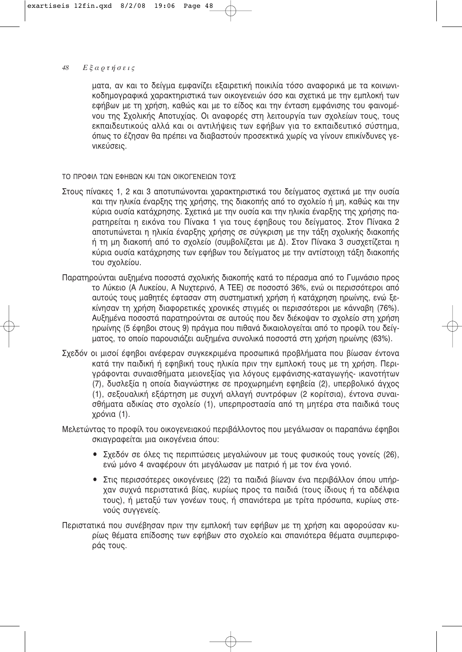> ματα, αν και το δείγμα εμφανίζει εξαιρετική ποικιλία τόσο αναφορικά με τα κοινωνικοδημογραφικά χαρακτηριστικά των οικογενειών όσο και σχετικά με την εμπλοκή των εφήβων με τη χρήση, καθώς και με το είδος και την ένταση εμφάνισης του φαινομένου της Σχολικής Αποτυχίας. Οι αναφορές στη λειτουργία των σχολείων τους, τους εκπαιδευτικούς αλλά και οι αντιλήψεις των εφήβων για το εκπαιδευτικό σύστημα, όπως το έζησαν θα πρέπει να διαβαστούν προσεκτικά χωρίς να γίνουν επικίνδυνες γενικεύσεις.

# ΤΟ ΠΡΟΦΙΛ ΤΟΝ ΕΦΗΒΟΝ ΚΑΙ ΤΟΝ ΟΙΚΟΓΕΝΕΙΟΝ ΤΟΥΣ

- Στους πίνακες 1, 2 και 3 αποτυπώνονται χαρακτηριστικά του δείγματος σχετικά με την ουσία και την ηλικία έναρξης της χρήσης, της διακοπής από το σχολείο ή μη, καθώς και την κύρια ουσία κατάχρησης. Σχετικά με την ουσία και την ηλικία έναρξης της χρήσης παρατηρείται η εικόνα του Πίνακα 1 για τους έφηβους του δείγματος. Στον Πίνακα 2 αποτυπώνεται η ηλικία έναρξης χρήσης σε σύγκριση με την τάξη σχολικής διακοπής ή τη μη διακοπή από το σχολείο (συμβολίζεται με Δ). Στον Πίνακα 3 συσχετίζεται η κύρια ουσία κατάχρησης των εφήβων του δείγματος με την αντίστοιχη τάξη διακοπής του σχολείου.
- Παρατηρούνται αυξημένα ποσοστά σχολικής διακοπής κατά το πέρασμα από το Γυμνάσιο προς το Λύκειο (Α Λυκείου, Α Νυχτερινό, Α ΤΕΕ) σε ποσοστό 36%, ενώ οι περισσότεροι από αυτούς τους μαθητές έφτασαν στη συστηματική χρήση ή κατάχρηση ηρωίνης, ενώ ξεκίνησαν τη χρήση διαφορετικές χρονικές στιγμές οι περισσότεροι με κάνναβη (76%). Αυξημένα ποσοστά παρατηρούνται σε αυτούς που δεν διέκοψαν το σχολείο στη χρήση ηρωίνης (5 έφηβοι στους 9) πράγμα που πιθανά δικαιολογείται από το προφίλ του δείγματος, το οποίο παρουσιάζει αυξημένα συνολικά ποσοστά στη χρήση ηρωίνης (63%).
- Σχεδόν οι μισοί έφηβοι ανέφεραν συγκεκριμένα προσωπικά προβλήματα που βίωσαν έντονα κατά την παιδική ή εφηβική τους ηλικία πριν την εμπλοκή τους με τη χρήση. Περιγράφονται συναισθήματα μειονεξίας για λόγους εμφάνισης-καταγωγής- ικανοτήτων (7), δυσλεξία η οποία διαγνώστηκε σε προχωρημένη εφηβεία (2), υπερβολικό άγχος (1), σεξουαλική εξάρτηση με συχνή αλλαγή συντρόφων (2 κορίτσια), έντονα συναισθήματα αδικίας στο σχολείο (1), υπερπροστασία από τη μητέρα στα παιδικά τους χρόνια (1).
- Μελετώντας το προφίλ του οικογενειακού περιβάλλοντος που μεγάλωσαν οι παραπάνω έφηβοι σκιαγραφείται μια οικογένεια όπου:
	- Σχεδόν σε όλες τις περιπτώσεις μεγαλώνουν με τους φυσικούς τους γονείς (26). ενώ μόνο 4 αναφέρουν ότι μεγάλωσαν με πατριό ή με τον ένα γονιό.
	- Στις περισσότερες οικογένειες (22) τα παιδιά βίωναν ένα περιβάλλον όπου υπήρχαν συχνά περιστατικά βίας, κυρίως προς τα παιδιά (τους ίδιους ή τα αδέλφια τους), ή μεταξύ των γονέων τους, ή σπανιότερα με τρίτα πρόσωπα, κυρίως στενούς συγγενείς.
- Περιστατικά που συνέβησαν πριν την εμπλοκή των εφήβων με τη χρήση και αφορούσαν κυρίως θέματα επίδοσης των εφήβων στο σχολείο και σπανιότερα θέματα συμπεριφοράς τους.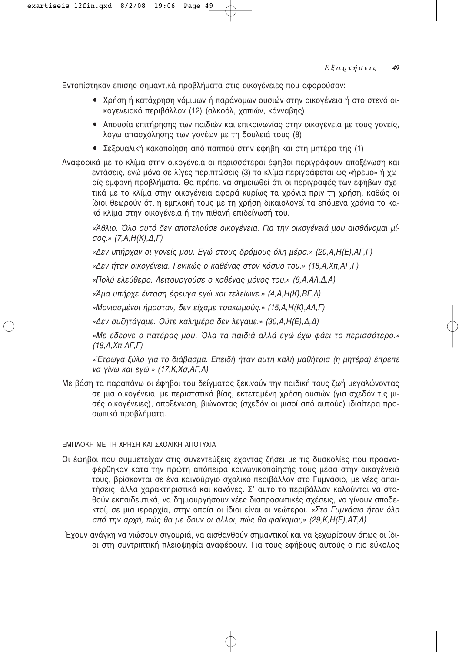exartiseis 12fin.qxd 8/2/08 19:06 Page 49

Εντοπίστηκαν επίσης σημαντικά προβλήματα στις οικογένειες που αφορούσαν:

- Χρήση ή κατάχρηση νόμιμων ή παράνομων ουσιών στην οικογένεια ή στο στενό οικογενειακό περιβάλλον (12) (αλκοόλ, χαπιών, κάνναβης)
- Απουσία επιτήρησης των παιδιών και επικοινωνίας στην οικογένεια με τους γονείς, λόγω απασχόλησης των γονέων με τη δουλειά τους (8)
- Σεξουαλική κακοποίηση από παππού στην έφηβη και στη μητέρα της (1)
- Αναφορικά με το κλίμα στην οικονένεια οι περισσότεροι έφηβοι περινράφουν αποξένωση και εντάσεις, ενώ μόνο σε λίγες περιπτώσεις (3) το κλίμα περιγράφεται ως «ήρεμο» ή χωρίς εμφανή προβλήματα. Θα πρέπει να σημειωθεί ότι οι περιγραφές των εφήβων σχετικά με το κλίμα στην οικογένεια αφορά κυρίως τα χρόνια πριν τη χρήση, καθώς οι ίδιοι θεωρούν ότι η εμπλοκή τους με τη χρήση δικαιολογεί τα επόμενα χρόνια το κακό κλίμα στην οικογένεια ή την πιθανή επιδείνωσή του.

«Άθλιο. Όλο αυτό δεν αποτελούσε οικογένεια. Για την οικογένειά μου αισθάνομαι μί- $OOC.$ » (7,A,H(K),∆,Γ)

«Δεν υπήρχαν οι γονείς μου. Εγώ στους δρόμους όλη μέρα.» (20,Α,Η(Ε),ΑΓ,Γ)

«Δεν ήταν οικογένεια. Γενικώς ο καθένας στον κόσμο του.» (18,Α,Χπ,ΑΓ,Γ)

«Πολύ ελεύθερο. Λειτουργούσε ο καθένας μόνος του.» (6,Α,ΑΛ,Δ,Α)

«Άμα υπήρχε ένταση έφευγα εγώ και τελείωνε.» (4,A,H(K),BΓ,Λ)

«Μονιασμένοι ήμασταν, δεν είχαμε τσακωμούς.» (15,Α,Η(Κ),ΑΛ,Γ)

«Δεν συζητάγαμε. Ούτε καλημέρα δεν λέγαμε.» (30, A, H(E), Δ, Δ)

«Με έδερνε ο πατέρας μου. Όλα τα παιδιά αλλά εγώ έχω φάει το περισσότερο.» *(18,∞,Ã,∞°,°)*

«Έτρωγα ξύλο για το διάβασμα. Επειδή ήταν αυτή καλή μαθήτρια (η μητέρα) έπρεπε *να γίνω και εγώ.» (17,Κ,Χσ,ΑΓ,Λ)* 

Με βάση τα παραπάνω οι έφηβοι του δείγματος ξεκινούν την παιδική τους ζωή μεγαλώνοντας σε μια οικογένεια, με περιστατικά βίας, εκτεταμένη χρήση ουσιών (για σχεδόν τις μισές οικογένειες), αποξένωση, βιώνοντας (σχεδόν οι μισοί από αυτούς) ιδιαίτερα προσωπικά προβλήματα.

# ΓΜΠΛΟΚΗ ΜΕ ΤΗ ΧΡΗΣΗ ΚΑΙ ΣΧΟΛΙΚΗ ΑΠΟΤΥΧΙΑ

- Οι έφηβοι που συμμετείχαν στις συνεντεύξεις έχοντας ζήσει με τις δυσκολίες που προαναφέρθηκαν κατά την πρώτη απόπειρα κοινωνικοποίησής τους μέσα στην οικογένειά τους, βρίσκονται σε ένα καινούργιο σχολικό περιβάλλον στο Γυμνάσιο, με νέες απαιτήσεις, άλλα χαρακτηριστικά και κανόνες. Σ' αυτό το περιβάλλον καλούνται να σταθούν εκπαιδευτικά, να δημιουργήσουν νέες διαπροσωπικές σχέσεις, να γίνουν αποδε-Κτοί, σε μια ιεραρχία, στην οποία οι ίδιοι είναι οι νεώτεροι. *«Στο Γυμνάσιο ήταν όλα* από την αρχή, πώς θα με δουν οι άλλοι, πώς θα φαίνομαι;» (29,Κ,Η(Ε),ΑΤ,Λ)
- Έχουν ανάγκη να νιώσουν σιγουριά, να αισθανθούν σημαντικοί και να ξεχωρίσουν όπως οι ίδιοι στη συντριπτική πλειοψηφία αναφέρουν. Για τους εφήβους αυτούς ο πιο εύκολος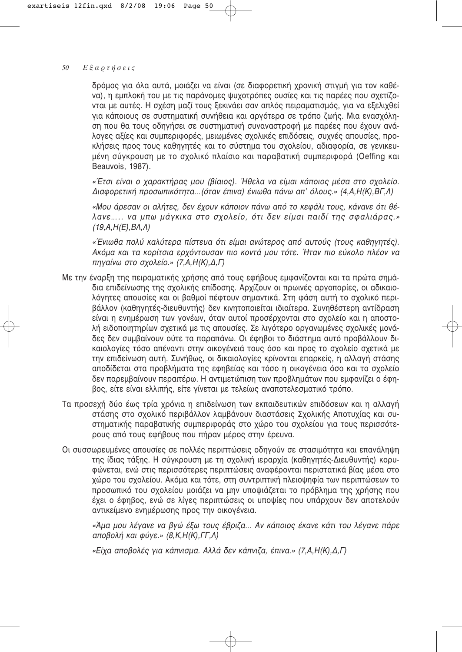δρόμος για όλα αυτά, μοιάζει να είναι (σε διαφορετική χρονική στιγμή για τον καθέva), η εμπλοκή του με τις παράνομες ψυχοτρόπες ουσίες και τις παρέες που σχετίζονται με αυτές. Η σχέση μαζί τους ξεκινάει σαν απλός πειραματισμός, για να εξελιχθεί για κάποιους σε συστηματική συνήθεια και αργότερα σε τρόπο ζωής. Μια ενασχόληση που θα τους οδηγήσει σε συστηματική συναναστροφή με παρέες που έχουν ανάλογες αξίες και συμπεριφορές, μειωμένες σχολικές επιδόσεις, συχνές απουσίες, προκλήσεις προς τους καθηγητές και το σύστημα του σχολείου, αδιαφορία, σε γενικευμένη σύγκρουση με το σχολικό πλαίσιο και παραβατική συμπεριφορά (Oeffing και Beauvois, 1987).

«Έτσι είναι ο χαρακτήρας μου (βίαιος). Ήθελα να είμαι κάποιος μέσα στο σχολείο.  $\Delta$ ιαφορετική προσωπικότητα...(όταν έπινα) ένιωθα πάνω απ' όλους.» (4,A,H(K),BΓ,Λ)

«Μου άρεσαν οι αλήτες, δεν έχουν κάποιον πάνω από το κεφάλι τους, κάνανε ότι θέ- $\lambda$ ανε….. να μπω μάγκικα στο σχολείο, ότι δεν είμαι παιδί της σφαλιάρας.» *(19,∞,∏(∂),μ§,§)*

«Ένιωθα πολύ καλύτερα πίστευα ότι είμαι ανώτερος από αυτούς (τους καθηγητές). *Aκόμα και τα κορίτσια ερχόντουσαν πιο κοντά μου τότε. Ήταν πιο εύκολο πλέον να πηγαίνω στο σχολείο.» (7,Α,Η(Κ),Δ,Γ)* 

- Με την έναρξη της πειραματικής χρήσης από τους εφήβους εμφανίζονται και τα πρώτα σημάδια επιδείνωσης της σχολικής επίδοσης. Αρχίζουν οι πρωινές αργοπορίες, οι αδικαιολόγητες απουσίες και οι βαθμοί πέφτουν σημαντικά. Στη φάση αυτή το σχολικό περιβάλλον (καθηγητές-διευθυντής) δεν κινητοποιείται ιδιαίτερα. Συνηθέστερη αντίδραση είναι η ενημέρωση των γονέων, όταν αυτοί προσέρχονται στο σχολείο και η αποστολή ειδοποιητηρίων σχετικά με τις απουσίες. Σε λιγότερο οργανωμένες σχολικές μονάδες δεν συμβαίνουν ούτε τα παραπάνω. Οι έφηβοι το διάστημα αυτό προβάλλουν δικαιολογίες τόσο απέναντι στην οικογένειά τους όσο και προς το σχολείο σχετικά με την επιδείνωση αυτή. Συνήθως, οι δικαιολογίες κρίνονται επαρκείς, η αλλαγή στάσης αποδίδεται στα προβλήματα της εφηβείας και τόσο η οικογένεια όσο και το σχολείο δεν παρεμβαίνουν περαιτέρω. Η αντιμετώπιση των προβλημάτων που εμφανίζει ο έφηβος, είτε είναι ελλιπής, είτε γίνεται με τελείως αναποτελεσματικό τρόπο.
- Τα προσεχή δύο έως τρία χρόνια η επιδείνωση των εκπαιδευτικών επιδόσεων και η αλλαγή στάσης στο σχολικό περιβάλλον λαμβάνουν διαστάσεις Σχολικής Αποτυχίας και συστηματικής παραβατικής συμπεριφοράς στο χώρο του σχολείου για τους περισσότερους από τους εφήβους που πήραν μέρος στην έρευνα.
- Οι συσσωρευμένες απουσίες σε πολλές περιπτώσεις οδηγούν σε στασιμότητα και επανάληψη της ίδιας τάξης. Η σύγκρουση με τη σχολική ιεραρχία (καθηγητές-Διευθυντής) κορυ-Φώνεται, ενώ στις περισσότερες περιπτώσεις αναφέρονται περιστατικά βίας μέσα στο Σώρο του σχολείου. Ακόμα και τότε, στη συντριπτική πλειοψηφία των περιπτώσεων το προσωπικό του σχολείου μοιάζει να μην υποψιάζεται το πρόβλημα της χρήσης που έχει ο έφηβος, ενώ σε λίγες περιπτώσεις οι υποψίες που υπάρχουν δεν αποτελούν αντικείμενο ενημέρωσης προς την οικογένεια.

«Άμα μου λέγανε να βγώ έξω τους έβριζα... Αν κάποιος έκανε κάτι του λέγανε πάρε  $\alpha$ ποβολή και φύγε.» (8,Κ,Η(Κ),ΓΓ,Λ)

«Είχα αποβολές για κάπνισμα. Αλλά δεν κάπνιζα, έπινα.» (7,Α,Η(Κ),Δ,Γ)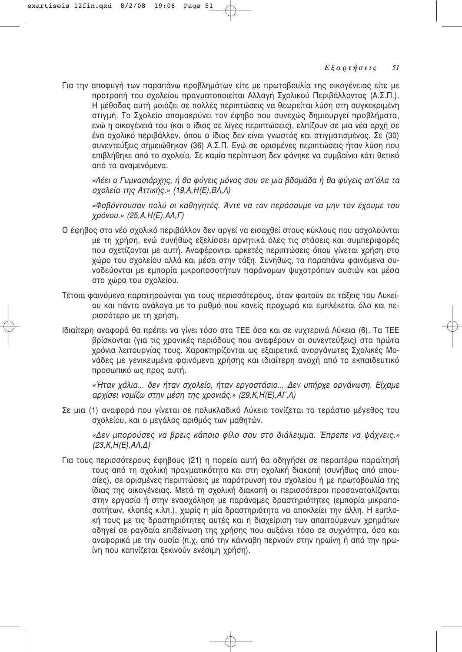Για την αποφυγή των παραπάνω προβλημάτων είτε με πρωτοβουλία της οικογένειας είτε με προτροπή του σχολείου πραγματοποιείται Αλλαγή Σχολικού Περιβάλλοντος (Α.Σ.Π.). Η μέθοδος αυτή μοιάζει σε πολλές περιπτώσεις να θεωρείται λύση στη συγκεκριμένη στιγμή. Το Σχολείο απομακρύνει τον έφηβο που συνεχώς δημιουργεί προβλήματα, ενώ η οικονένειά του (και ο ίδιος σε λίνες περιπτώσεις), ελπίζουν σε μια νέα αρχή σε ένα σχολικό περιβάλλον, όπου ο ίδιος δεν είναι γνωστός και στιγματισμένος. Σε (30) συνεντεύξεις σημειώθηκαν (36) Α.Σ.Π. Ενώ σε ορισμένες περιπτώσεις ήταν λύση που επιβλήθηκε από το σχολείο. Σε καμία περίπτωση δεν φάνηκε να συμβαίνει κάτι θετικό από τα αναμενόμενα.

exartiseis  $12fin,qxd$   $8/2/08$   $19:06$  Page

«Λέει ο Γυμνασιάρχης, ή θα φύγεις μόνος σου σε μια βδομάδα ή θα φύγεις απ'όλα τα *σχολεία της Αττικής.» (19,Α,Η(Ε),ΒΛ,Λ)* 

«Φοβόντουσαν πολύ οι καθηγητές. Άντε να τον περάσουμε να μην τον έχουμε του *χρόνου.» (25, Α, Η(Ε), ΑΛ, Γ)* 

- Ο έφηβος στο νέο σχολικό περιβάλλον δεν αρνεί να εισαχθεί στους κύκλους που ασχολούνται με τη χρήση, ενώ συνήθως εξελίσσει αρνητικά όλες τις στάσεις και συμπεριφορές που σχετίζονται με αυτή. Αναφέρονται αρκετές περιπτώσεις όπου γίνεται χρήση στο χώρο του σχολείου αλλά και μέσα στην τάξη. Συνήθως, τα παραπάνω φαινόμενα συνοδεύονται με εμπορία μικροποσοτήτων παράνομων ψυχοτρόπων ουσιών και μέσα στο χώρο του σχολείου.
- Τέτοια φαινόμενα παρατηρούνται για τους περισσότερους, όταν φοιτούν σε τάξεις του Λυκείου και πάντα ανάλογα με το ρυθμό που κανείς προχωρά και εμπλέκεται όλο και περισσότερο με τη χρήση.
- Ιδιαίτερη αναφορά θα πρέπει να γίνει τόσο στα TEE όσο και σε νυχτερινά Λύκεια (6). Τα TEE βρίσκονται (για τις χρονικές περιόδους που αναφέρουν οι συνεντεύξεις) στα πρώτα χρόνια λειτουργίας τους. Χαρακτηρίζονται ως εξαιρετικά ανοργάνωτες Σχολικές Μονάδες με γενικευμένα φαινόμενα χρήσης και ιδιαίτερη ανοχή από το εκπαιδευτικό προσωπικό ως προς αυτή.

«Ήταν χάλια... δεν ήταν σχολείο, ήταν εργοστάσιο... Δεν υπήρχε οργάνωση. Είχαμε *·Ú¯›ÛÂÈ ÓÔÌ›˙ˆ ÛÙËÓ Ì¤ÛË Ù˘ ¯ÚÔÓÈ¿˜.» (29,∫,∏(∂),∞°,§)*

Σε μια (1) αναφορά που γίνεται σε πολυκλαδικό Λύκειο τονίζεται το τεράστιο μέγεθος του σχολείου, και ο μεγάλος αριθμός των μαθητών.

«Δεν μπορούσες να βρεις κάποιο φίλο σου στο διάλειμμα. Έπρεπε να ψάχνεις.» *(23,∫,∏(∂),∞§,¢)*

Για τους περισσότερους έφηβους (21) η πορεία αυτή θα οδηγήσει σε περαιτέρω παραίτησή τους από τη σχολική πραγματικότητα και στη σχολική διακοπή (συνήθως από απουσίες), σε ορισμένες περιπτώσεις με παρότρυνση του σχολείου ή με πρωτοβουλία της ίδιας της οικογένειας. Μετά τη σχολική διακοπή οι περισσότεροι προσανατολίζονται στην εργασία ή στην ενασχόληση με παράνομες δραστηριότητες (εμπορία μικροποσοτήτων, κλοπές κ.λπ.), χωρίς η μία δραστηριότητα να αποκλείει την άλλη. Η εμπλοκή τους με τις δραστηριότητες αυτές και η διαχείριση των απαιτούμενων χρημάτων οδηγεί σε ραγδαία επιδείνωση της χρήσης που αυξάνει τόσο σε συχνότητα, όσο και αναφορικά με την ουσία (π.χ. από την κάνναβη περνούν στην ηρωίνη ή από την ηρωίνη που καπνίζεται ξεκινούν ενέσιμη χρήση).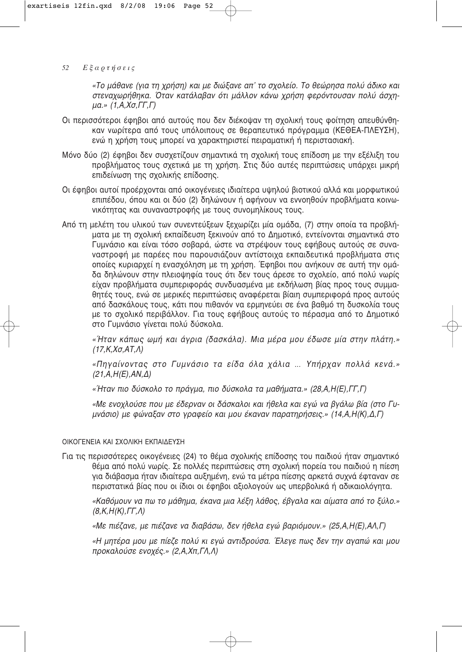«Το μάθανε (για τη χρήση) και με διώξανε απ' το σχολείο. Το θεώρησα πολύ άδικο και στεναχωρήθηκα. Όταν κατάλαβαν ότι μάλλον κάνω χρήση φερόντουσαν πολύ άσχη- $\mu$ α.» (1,Α,Χσ,ΓΓ,Γ)

- Οι περισσότεροι έφηβοι από αυτούς που δεν διέκοψαν τη σχολική τους φοίτηση απευθύνθηκαν νωρίτερα από τους υπόλοιπους σε θεραπευτικό πρόγραμμα (ΚΕΘΕΑ-ΠΛΕΥΣΗ), ενώ η χρήση τους μπορεί να χαρακτηριστεί πειραματική ή περιστασιακή.
- Μόνο δύο (2) έφηβοι δεν συσχετίζουν σημαντικά τη σχολική τους επίδοση με την εξέλιξη του προβλήματος τους σχετικά με τη χρήση. Στις δύο αυτές περιπτώσεις υπάρχει μικρή επιδείνωση της σχολικής επίδοσης.
- Οι έφηβοι αυτοί προέρχονται από οικογένειες ιδιαίτερα υψηλού βιοτικού αλλά και μορφωτικού επιπέδου, όπου και οι δύο (2) δηλώνουν ή αφήνουν να εννοηθούν προβλήματα κοινωvικότητας και συναναστροφής με τους συνομηλίκους τους.
- Aπό τη μελέτη του υλικού των συνεντεύξεων ξεχωρίζει μία ομάδα, (7) στην οποία τα προβλήματα με τη σχολική εκπαίδευση ξεκινούν από το Δημοτικό, εντείνονται σημαντικά στο Γυμνάσιο και είναι τόσο σοβαρά, ώστε να στρέψουν τους εφήβους αυτούς σε συναναστροφή με παρέες που παρουσιάζουν αντίστοιχα εκπαιδευτικά προβλήματα στις οποίες κυριαρχεί η ενασχόληση με τη χρήση. Έφηβοι που ανήκουν σε αυτή την ομάδα δηλώνουν στην πλειοψηφία τους ότι δεν τους άρεσε το σχολείο, από πολύ νωρίς είχαν προβλήματα συμπεριφοράς συνδυασμένα με εκδήλωση βίας προς τους συμμαθητές τους, ενώ σε μερικές περιπτώσεις αναφέρεται βίαιη συμπεριφορά προς αυτούς από δασκάλους τους, κάτι που πιθανόν να ερμηνεύει σε ένα βαθμό τη δυσκολία τους με το σχολικό περιβάλλον. Για τους εφήβους αυτούς το πέρασμα από το Δημοτικό στο Γυμνάσιο γίνεται πολύ δύσκολα.

«Ήταν κάπως ωμή και άγρια (δασκάλα). Μια μέρα μου έδωσε μία στην πλάτη.» *(17,∫,ÃÛ,∞Δ,§)*

«Πηγαίνοντας στο Γυμνάσιο τα είδα όλα χάλια … Υπήρχαν πολλά κενά.» *(21,∞,∏(∂),∞¡,¢)*

«Ήταν πιο δύσκολο το πράγμα, πιο δύσκολα τα μαθήματα.» (28,Α,Η(Ε),ΓΓ,Γ)

«Με ενοχλούσε που με έδερναν οι δάσκαλοι και ήθελα και εγώ να βγάλω βία (στο Γυμνάσιο) με φώναξαν στο γραφείο και μου έκαναν παρατηρήσεις.» (14,A,H(K),Δ,Γ)

# ΟΙΚΟΓΕΝΕΙΑ ΚΑΙ ΣΧΟΛΙΚΗ ΕΚΠΑΙΔΕΥΣΗ

Για τις περισσότερες οικογένειες (24) το θέμα σχολικής επίδοσης του παιδιού ήταν σημαντικό θέμα από πολύ νωρίς. Σε πολλές περιπτώσεις στη σχολική πορεία του παιδιού η πίεση για διάβασμα ήταν ιδιαίτερα αυξημένη, ενώ τα μέτρα πίεσης αρκετά συχνά έφταναν σε περιστατικά βίας που οι ίδιοι οι έφηβοι αξιολογούν ως υπερβολικά ή αδικαιολόγητα.

«Καθόμουν να πω το μάθημα, έκανα μια λέξη λάθος, έβγαλα και αίματα από το ξύλο.» *(8,∫,∏(∫),°°,§)*

«Με πιέζανε, με πιέζανε να διαβάσω, δεν ήθελα εγώ βαριόμουν.» (25,Α,Η(Ε),ΑΛ,Γ)

«Η μητέρα μου με πίεζε πολύ κι εγώ αντιδρούσα. Έλεγε πως δεν την αγαπώ και μου ΓΙροκαλούσε ενοχές.» (2,Α,Χπ,ΓΛ,Λ)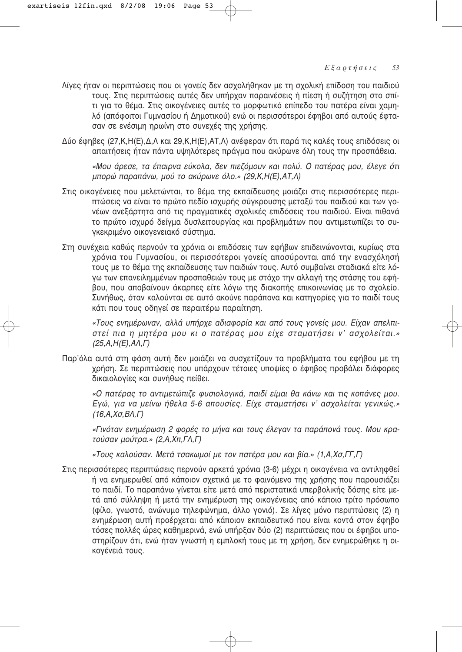- Λίγες ήταν οι περιπτώσεις που οι γονείς δεν ασχολήθηκαν με τη σχολική επίδοση του παιδιού τους. Στις περιπτώσεις αυτές δεν υπήρχαν παραινέσεις ή πίεση ή συζήτηση στο σπίτι για το θέμα. Στις οικογένειες αυτές το μορφωτικό επίπεδο του πατέρα είναι χαμηλό (απόφοιτοι Γυμνασίου ή Δημοτικού) ενώ οι περισσότεροι έφηβοι από αυτούς έφτασαν σε ενέσιμη ηρωίνη στο συνεχές της χρήσης.
- Δύο έφηβες (27,Κ,Η(Ε),Δ,Λ και 29,Κ,Η(Ε),ΑΤ,Λ) ανέφεραν ότι παρά τις καλές τους επιδόσεις οι απαιτήσεις ήταν πάντα υψηλότερες πράνμα που ακύρωνε όλη τους την προσπάθεια.

«Μου άρεσε, τα έπαιρνα εύκολα, δεν πιεζόμουν και πολύ, Ο πατέρας μου, έλενε ότι  $\mu$ πορώ παραπάνω, μού το ακύρωνε όλο.» (29,Κ,Η(E),ΑΤ,Λ)

- Στις οικογένειες που μελετώνται, το θέμα της εκπαίδευσης μοιάζει στις περισσότερες περιπτώσεις να είναι το πρώτο πεδίο ισχυρής σύγκρουσης μεταξύ του παιδιού και των γονέων ανεξάρτητα από τις πραγματικές σχολικές επιδόσεις του παιδιού. Είναι πιθανά το πρώτο ισχυρό δείγμα δυσλειτουργίας και προβλημάτων που αντιμετωπίζει το συγκεκριμένο οικογενειακό σύστημα.
- Στη συνέχεια καθώς περνούν τα χρόνια οι επιδόσεις των εφήβων επιδεινώνονται, κυρίως στα χρόνια του Γυμνασίου, οι περισσότεροι γονείς αποσύρονται από την ενασχόλησή τους με το θέμα της εκπαίδευσης των παιδιών τους. Αυτό συμβαίνει σταδιακά είτε λόγω των επανειλημμένων προσπαθειών τους με στόχο την αλλαγή της στάσης του εφήβου, που αποβαίνουν άκαρπες είτε λόγω της διακοπής επικοινωνίας με το σχολείο. Συνήθως, όταν καλούνται σε αυτό ακούνε παράπονα και κατηνορίες για το παιδί τους κάτι που τους οδηγεί σε περαιτέρω παραίτηση.

«Τους ενημέρωναν, αλλά υπήρχε αδιαφορία και από τους γονείς μου. Είχαν απελπιστεί πια η μητέρα μου κι ο πατέρας μου είχε σταματήσει ν' ασχολείται.» *(25,∞,∏(∂),∞§,°)*

Παρ'όλα αυτά στη φάση αυτή δεν μοιάζει να συσχετίζουν τα προβλήματα του εφήβου με τη χρήση. Σε περιπτώσεις που υπάρχουν τέτοιες υποψίες ο έφηβος προβάλει διάφορες δικαιολογίες και συνήθως πείθει.

«Ο πατέρας το αντιμετώπιζε φυσιολογικά, παιδί είμαι θα κάνω και τις κοπάνες μου. *Eγώ, για να μείνω ήθελα 5-6 απουσίες. Είχε σταματήσει ν' ασχολείται γενικώς.» (16,∞,ÃÛ,μ§,°)*

«Γινόταν ενημέρωση 2 φορές το μήνα και τους έλεγαν τα παράπονά τους. Μου κρα*τούσαν μούτρα.» (2,Α,Χπ,ΓΛ,Γ)* 

«Τους καλούσαν. Μετά τσακωμοί με τον πατέρα μου και βία.» (1,Α,Χσ,ΓΓ,Γ)

Στις περισσότερες περιπτώσεις περνούν αρκετά χρόνια (3-6) μέχρι η οικογένεια να αντιληφθεί ή να ενημερωθεί από κάποιον σχετικά με το φαινόμενο της χρήσης που παρουσιάζει το παιδί. Το παραπάνω γίνεται είτε μετά από περιστατικά υπερβολικής δόσης είτε μετά από σύλληψη ή μετά την ενημέρωση της οικογένειας από κάποιο τρίτο πρόσωπο (φίλο, γνωστό, ανώνυμο τηλεφώνημα, άλλο γονιό). Σε λίγες μόνο περιπτώσεις (2) η ενημέρωση αυτή προέρχεται από κάποιον εκπαιδευτικό που είναι κοντά στον έφηβο τόσες πολλές ώρες καθημερινά, ενώ υπήρξαν δύο (2) περιπτώσεις που οι έφηβοι υποστηρίζουν ότι, ενώ ήταν γνωστή η εμπλοκή τους με τη χρήση, δεν ενημερώθηκε η οικογένειά τους.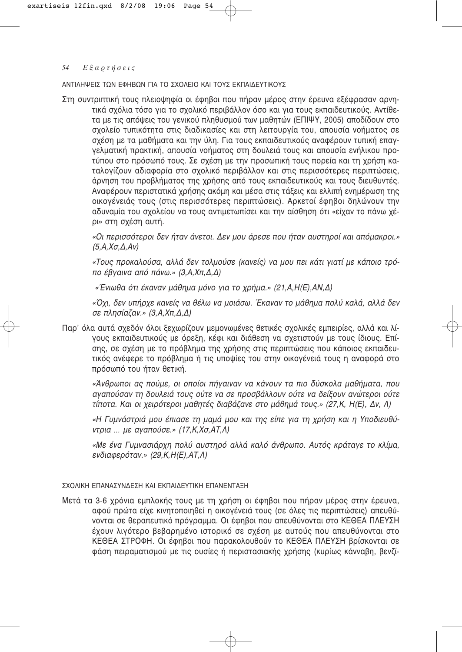ΑΝΤΙΛΗΨΕΙΣ ΤΩΝ ΕΦΗΒΩΝ ΓΙΑ ΤΟ ΣΧΟΛΕΙΟ ΚΑΙ ΤΟΥΣ ΕΚΠΑΙΔΕΥΤΙΚΟΥΣ

Στη συντριπτική τους πλειοψηφία οι έφηβοι που πήραν μέρος στην έρευνα εξέφρασαν αρνητικά σχόλια τόσο για το σχολικό περιβάλλον όσο και για τους εκπαιδευτικούς. Αντίθετα με τις απόψεις του γενικού πληθυσμού των μαθητών (ΕΠΙΨΥ, 2005) αποδίδουν στο σχολείο τυπικότητα στις διαδικασίες και στη λειτουργία του, απουσία νοήματος σε σχέση με τα μαθήματα και την ύλη. Για τους εκπαιδευτικούς αναφέρουν τυπική επαγγελματική πρακτική, απουσία νοήματος στη δουλειά τους και απουσία ενήλικου προτύπου στο πρόσωπό τους. Σε σχέση με την προσωπική τους πορεία και τη χρήση καταλογίζουν αδιαφορία στο σχολικό περιβάλλον και στις περισσότερες περιπτώσεις, άρνηση του προβλήματος της χρήσης από τους εκπαιδευτικούς και τους διευθυντές. Αναφέρουν περιστατικά χρήσης ακόμη και μέσα στις τάξεις και ελλιπή ενημέρωση της οικογένειάς τους (στις περισσότερες περιπτώσεις). Αρκετοί έφηβοι δηλώνουν την αδυναμία του σχολείου να τους αντιμετωπίσει και την αίσθηση ότι «είχαν το πάνω χέρι» στη σχέση αυτή.

*«√È ÂÚÈÛÛfiÙÂÚÔÈ ‰ÂÓ ‹Ù·Ó ¿ÓÂÙÔÈ. ¢ÂÓ ÌÔ˘ ¿ÚÂÛ Ԣ ‹Ù·Ó ·˘ÛÙËÚÔ› Î·È ·fiÌ·ÎÚÔÈ.» (5,Α,Χσ,Δ,Αν)* 

«Τους προκαλούσα, αλλά δεν τολμούσε (κανείς) να μου πει κάτι γιατί με κάποιο τρό*πο έβγαινα από πάνω.» (3,Α,Χπ,Δ,Δ)* 

«Ένιωθα ότι έκαναν μάθημα μόνο για το χρήμα.» (21, A, H(E), AN, Δ)

«Όχι, δεν υπήρχε κανείς να θέλω να μοιάσω. Έκαναν το μάθημα πολύ καλά, αλλά δεν *σε πλησίαζαν.» (3,Α,Χπ,Δ,Δ)* 

Παρ' όλα αυτά σχεδόν όλοι ξεχωρίζουν μεμονωμένες θετικές σχολικές εμπειρίες, αλλά και λίγους εκπαιδευτικούς με όρεξη, κέφι και διάθεση να σχετιστούν με τους ίδιους. Επίσης, σε σχέση με το πρόβλημα της χρήσης στις περιπτώσεις που κάποιος εκπαιδευτικός ανέφερε το πρόβλημα ή τις υποψίες του στην οικογένειά τους η αναφορά στο πρόσωπό του ήταν θετική.

«Άνθρωποι ας πούμε, οι οποίοι πήγαιναν να κάνουν τα πιο δύσκολα μαθήματα, που *·Á·Ô‡Û·Ó ÙË ‰Ô˘ÏÂÈ¿ ÙÔ˘˜ Ô‡Ù ӷ Û ÚÔÛ'¿ÏÏÔ˘Ó Ô‡Ù ӷ ‰Â›ÍÔ˘Ó ·ÓÒÙÂÚÔÈ Ô‡ÙÂ* τίποτα. Και οι χειρότεροι μαθητές διαβάζανε στο μάθημά τους.» (27,Κ, Η(Ε), Δν, Λ)

«Η Γυμνάστριά μου έπιασε τη μαμά μου και της είπε για τη χρήση και η Υποδιευθύ-*Vτρια … με αγαπούσε.» (17,Κ,Χσ,ΑΤ,Λ)* 

«Με ένα Γυμνασιάρχη πολύ αυστηρό αλλά καλό άνθρωπο. Αυτός κράταγε το κλίμα,  $\epsilon$ νδιαφερόταν.» (29, K, H(E), AT, Λ)

# ΣΧΟΛΙΚΗ ΕΠΑΝΑΣΥΝΔΕΣΗ ΚΑΙ ΕΚΠΑΙΔΕΥΤΙΚΗ ΕΠΑΝΕΝΤΑΞΗ

Μετά τα 3-6 χρόνια εμπλοκής τους με τη χρήση οι έφηβοι που πήραν μέρος στην έρευνα, αφού πρώτα είχε κινητοποιηθεί η οικογένειά τους (σε όλες τις περιπτώσεις) απευθύνονται σε θεραπευτικό πρόγραμμα. Οι έφηβοι που απευθύνονται στο ΚΕΘΕΑ ΠΛΕΥΣΗ έχουν λιγότερο βεβαρημένο ιστορικό σε σχέση με αυτούς που απευθύνονται στο ΚΕΘΕΑ ΣΤΡΟΦΗ. Οι έφηβοι που παρακολουθούν το ΚΕΘΕΑ ΠΛΕΥΣΗ βρίσκονται σε φάση πειραματισμού με τις ουσίες ή περιστασιακής χρήσης (κυρίως κάνναβη, βενζί-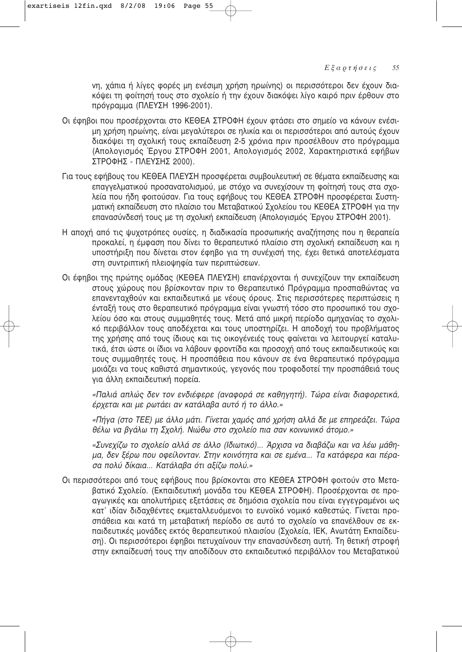νη, χάπια ή λίγες φορές μη ενέσιμη χρήση ηρωίνης) οι περισσότεροι δεν έχουν δια-Κόψει τη φοίτησή τους στο σχολείο ή την έχουν διακόψει λίγο καιρό πριν έρθουν στο πρόγραμμα (ΠΛΕΥΣΗ 1996-2001).

Οι έφηβοι που προσέρχονται στο ΚΕΘΕΑ ΣΤΡΟΦΗ έχουν φτάσει στο σημείο να κάνουν ενέσιμη χρήση ηρωίνης, είναι μεγαλύτεροι σε ηλικία και οι περισσότεροι από αυτούς έχουν διακόψει τη σχολική τους εκπαίδευση 2-5 χρόνια πριν προσέλθουν στο πρόγραμμα (Απολογισμός Έργου ΣΤΡΟΦΗ 2001, Απολογισμός 2002, Χαρακτηριστικά εφήβων ΣΤΡΟΦΗΣ - ΠΛΕΥΣΗΣ 2000).

exartiseis 12fin.qxd 8/2/08 19:06 Page 55

- Για τους εφήβους του ΚΕΘΕΑ ΠΛΕΥΣΗ προσφέρεται συμβουλευτική σε θέματα εκπαίδευσης και επαγγελματικού προσανατολισμού, με στόχο να συνεχίσουν τη φοίτησή τους στα σχολεία που ήδη φοιτούσαν. Για τους εφήβους του ΚΕΘΕΑ ΣΤΡΟΦΗ προσφέρεται Συστηματική εκπαίδευση στο πλαίσιο του Μεταβατικού Σχολείου του ΚΕΘΕΑ ΣΤΡΟΦΗ για την επανασύνδεσή τους με τη σχολική εκπαίδευση (Απολογισμός Έργου ΣΤΡΟΦΗ 2001).
- Η αποχή από τις ψυχοτρόπες ουσίες, η διαδικασία προσωπικής αναζήτησης που η θεραπεία προκαλεί, η έμφαση που δίνει το θεραπευτικό πλαίσιο στη σχολική εκπαίδευση και η υποστήριξη που δίνεται στον έφηβο για τη συνέχισή της, έχει θετικά αποτελέσματα στη συντριπτική πλειοψηφία των περιπτώσεων.
- Οι έφηβοι της πρώτης ομάδας (ΚΕΘΕΑ ΠΛΕΥΣΗ) επανέρχονται ή συνεχίζουν την εκπαίδευση στους χώρους που βρίσκονταν πριν το Θεραπευτικό Πρόγραμμα προσπαθώντας να επανενταχθούν και εκπαιδευτικά με νέους όρους. Στις περισσότερες περιπτώσεις η ένταξή τους στο θεραπευτικό πρόνραμμα είναι γνωστή τόσο στο προσωπικό του σχολείου όσο και στους συμμαθητές τους. Μετά από μικρή περίοδο αμηχανίας το σχολικό περιβάλλον τους αποδέχεται και τους υποστηρίζει. Η αποδοχή του προβλήματος της χρήσης από τους ίδιους και τις οικογένειές τους φαίνεται να λειτουργεί καταλυτικά, έτσι ώστε οι ίδιοι να λάβουν φροντίδα και προσοχή από τους εκπαιδευτικούς και τους συμμαθητές τους. Η προσπάθεια που κάνουν σε ένα θεραπευτικό πρόγραμμα μοιάζει να τους καθιστά σημαντικούς, νενονός που τροφοδοτεί την προσπάθειά τους για άλλη εκπαιδευτική πορεία.

«Παλιά απλώς δεν τον ενδιέφερε (αναφορά σε καθηγητή). Τώρα είναι διαφορετικά, *έρχεται και με ρωτάει αν κατάλαβα αυτό ή το άλλο.»* 

«Πήγα (στο ΤΕΕ) με άλλο μάτι. Γίνεται χαμός από χρήση αλλά δε με επηρεάζει. Τώρα θέλω να βγάλω τη Σχολή. Νιώθω στο σχολείο πια σαν κοινωνικό άτομο.»

«Συνεχίζω το σχολείο αλλά σε άλλο (Ιδιωτικό)... Άρχισα να διαβάζω και να λέω μάθημα, δεν ξέρω που οφείλονταν. Στην κοινότητα και σε εμένα… Τα κατάφερα και πέρασα πολύ δίκαια... Κατάλαβα ότι αξίζω πολύ.»

Οι περισσότεροι από τους εφήβους που βρίσκονται στο ΚΕΘΕΑ ΣΤΡΟΦΗ φοιτούν στο Μεταβατικό Σχολείο. (Εκπαιδευτική μονάδα του ΚΕΘΕΑ ΣΤΡΟΦΗ). Προσέρχονται σε προαγωγικές και απολυτήριες εξετάσεις σε δημόσια σχολεία που είναι εγγεγραμένοι ως κατ' ιδίαν διδαχθέντες εκμεταλλευόμενοι το ευνοϊκό νομικό καθεστώς. Γίνεται προσπάθεια και κατά τη μεταβατική περίοδο σε αυτό το σχολείο να επανέλθουν σε εκπαιδευτικές μονάδες εκτός θεραπευτικού πλαισίου (Σχολεία, ΙΕΚ, Ανωτάτη Εκπαίδευση). Οι περισσότεροι έφηβοι πετυχαίνουν την επανασύνδεση αυτή. Τη θετική στροφή στην εκπαίδευσή τους την αποδίδουν στο εκπαιδευτικό περιβάλλον του Μεταβατικού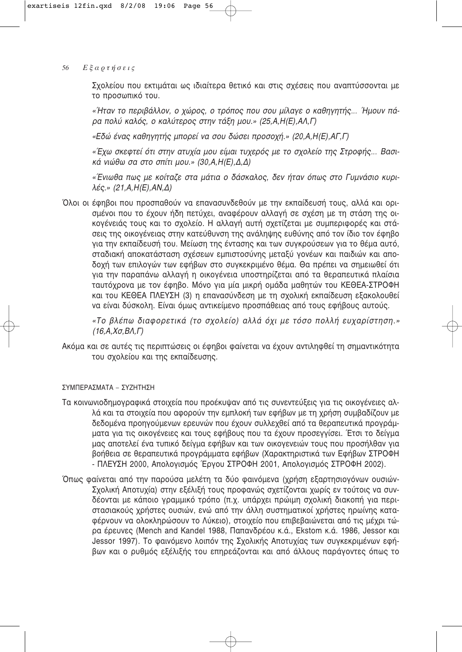Σχολείου που εκτιμάται ως ιδιαίτερα θετικό και στις σχέσεις που αναπτύσσονται με το προσωπικό του.

«Ήταν το περιβάλλον, ο χώρος, ο τρόπος που σου μίλαγε ο καθηγητής... Ήμουν πάρα πολύ καλός, ο καλύτερος στην τάξη μου.» (25,Α,Η(Ε),ΑΛ,Γ)

«Εδώ ένας καθηγητής μπορεί να σου δώσει προσοχή.» (20,Α,Η(Ε),ΑΓ,Γ)

«Έχω σκεφτεί ότι στην ατυχία μου είμαι τυχερός με το σχολείο της Στροφής... Βασι*κά νιώθω σα στο σπίτι μου.» (30,Α,Η(Ε),Δ,Δ)* 

«Ένιωθα πως με κοίταζε στα μάτια ο δάσκαλος, δεν ήταν όπως στο Γυμνάσιο κυρι*λές.»* (21,Α,Η(*E*),ΑΝ,Δ)

Όλοι οι έφηβοι που προσπαθούν να επανασυνδεθούν με την εκπαίδευσή τους, αλλά και ορισμένοι που το έχουν ήδη πετύχει, αναφέρουν αλλαγή σε σχέση με τη στάση της οι-Κογένειάς τους και το σχολείο. Η αλλαγή αυτή σχετίζεται με συμπεριφορές και στάσεις της οικογένειας στην κατεύθυνση της ανάληψης ευθύνης από τον ίδιο τον έφηβο για την εκπαίδευσή του. Μείωση της έντασης και των συγκρούσεων για το θέμα αυτό, σταδιακή αποκατάσταση σχέσεων εμπιστοσύνης μεταξύ γονέων και παιδιών και αποδοχή των επιλογών των εφήβων στο συγκεκριμένο θέμα. Θα πρέπει να σημειωθεί ότι για την παραπάνω αλλαγή η οικογένεια υποστηρίζεται από τα θεραπευτικά πλαίσια ταυτόχρονα με τον έφηβο. Μόνο για μία μικρή ομάδα μαθητών του ΚΕΘΕΑ-ΣΤΡΟΦΗ και του ΚΕΘΕΑ ΠΛΕΥΣΗ (3) η επανασύνδεση με τη σχολική εκπαίδευση εξακολουθεί να είναι δύσκολη. Είναι όμως αντικείμενο προσπάθειας από τους εφήβους αυτούς.

«Το βλέπω διαφορετικά (το σχολείο) αλλά όχι με τόσο πολλή ευχαρίστηση.» *(16,∞,ÃÛ,μ§,°)*

Aκόμα και σε αυτές τις περιπτώσεις οι έφηβοι φαίνεται να έχουν αντιληφθεί τη σημαντικότητα του σχολείου και της εκπαίδευσης.

# ΣΥΜΠΕΡΑΣΜΑΤΑ – ΣΥΖΗΤΗΣΗ

- Τα κοινωνιοδημογραφικά στοιχεία που προέκυψαν από τις συνεντεύξεις για τις οικογένειες αλλά και τα στοιχεία που αφορούν την εμπλοκή των εφήβων με τη χρήση συμβαδίζουν με δεδομένα προηγούμενων ερευνών που έχουν συλλεχθεί από τα θεραπευτικά προγράμματα για τις οικογένειες και τους εφήβους που τα έχουν προσεγγίσει. Έτσι το δείγμα μας αποτελεί ένα τυπικό δείγμα εφήβων και των οικογενειών τους που προσήλθαν για βοήθεια σε θεραπευτικά προγράμματα εφήβων (Χαρακτηριστικά των Εφήβων ΣΤΡΟΦΗ - ΠΛΕΥΣΗ 2000, Απολογισμός Έργου ΣΤΡΟΦΗ 2001, Απολογισμός ΣΤΡΟΦΗ 2002).
- Όπως φαίνεται από την παρούσα μελέτη τα δύο φαινόμενα (χρήση εξαρτησιογόνων ουσιών-Σχολική Αποτυχία) στην εξέλιξή τους προφανώς σχετίζονται χωρίς εν τούτοις να συνδέονται με κάποιο γραμμικό τρόπο (π.χ. υπάρχει πρώιμη σχολική διακοπή για περιστασιακούς χρήστες ουσιών, ενώ από την άλλη συστηματικοί χρήστες ηρωίνης καταφέρνουν να ολοκληρώσουν το Λύκειο), στοιχείο που επιβεβαιώνεται από τις μέχρι τώρα έρευνες (Mench and Kandel 1988, Παπανδρέου κ.ά., Ekstom κ.ά. 1986, Jessor και Jessor 1997). Το φαινόμενο λοιπόν της Σχολικής Αποτυχίας των συγκεκριμένων εφήβων και ο ρυθμός εξέλιξής του επηρεάζονται και από άλλους παράγοντες όπως το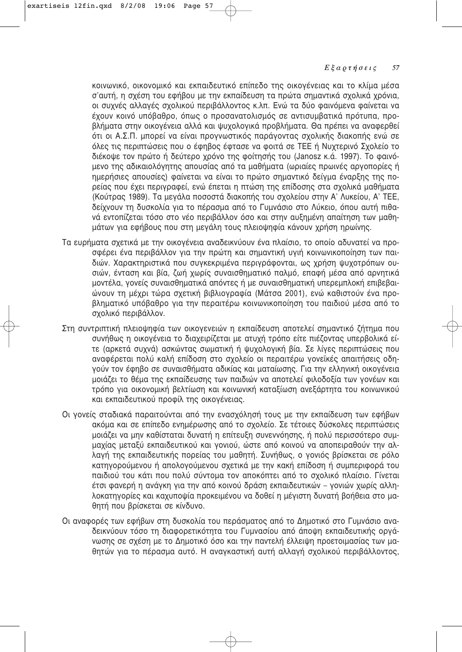κοινωνικό, οικονομικό και εκπαιδευτικό επίπεδο της οικογένειας και το κλίμα μέσα σ'αυτή, η σχέση του εφήβου με την εκπαίδευση τα πρώτα σημαντικά σχολικά χρόνια, οι συχνές αλλαγές σχολικού περιβάλλοντος κ.λπ. Ενώ τα δύο φαινόμενα φαίνεται να έχουν κοινό υπόβαθρο, όπως ο προσανατολισμός σε αντισυμβατικά πρότυπα, προβλήματα στην οικογένεια αλλά και ψυχολογικά προβλήματα. Θα πρέπει να αναφερθεί ότι οι Α.Σ.Π. μπορεί να είναι προγνωστικός παράγοντας σχολικής διακοπής ενώ σε όλες τις περιπτώσεις που ο έφηβος έφτασε να φοιτά σε ΤΕΕ ή Νυχτερινό Σχολείο το διέκοψε τον πρώτο ή δεύτερο χρόνο της φοίτησής του (Janosz κ.ά. 1997). Το φαινόμενο της αδικαιολόγητης απουσίας από τα μαθήματα (ωριαίες πρωινές αργοπορίες ή ημερήσιες απουσίες) φαίνεται να είναι το πρώτο σημαντικό δείγμα έναρξης της πορείας που έχει περιγραφεί, ενώ έπεται η πτώση της επίδοσης στα σχολικά μαθήματα (Κούτρας 1989). Τα μεγάλα ποσοστά διακοπής του σχολείου στην Α' Λυκείου, Α' ΤΕΕ, δείχνουν τη δυσκολία για το πέρασμα από το Γυμνάσιο στο Λύκειο, όπου αυτή πιθανά εντοπίζεται τόσο στο νέο περιβάλλον όσο και στην αυξημένη απαίτηση των μαθημάτων για εφήβους που στη μεγάλη τους πλειοψηφία κάνουν χρήση ηρωίνης.

- Τα ευρήματα σχετικά με την οικονένεια αναδεικνύουν ένα πλαίσιο, το οποίο αδυνατεί να προσφέρει ένα περιβάλλον για την πρώτη και σημαντική υγιή κοινωνικοποίηση των παιδιών. Χαρακτηριστικά που συγκεκριμένα περιγράφονται, ως χρήση ψυχοτρόπων ουσιών, ένταση και βία, ζωή χωρίς συναισθηματικό παλμό, επαφή μέσα από αρνητικά μοντέλα, γονείς συναισθηματικά απόντες ή με συναισθηματική υπερεμπλοκή επιβεβαιώνουν τη μέχρι τώρα σχετική βιβλιογραφία (Μάτσα 2001), ενώ καθιστούν ένα προβληματικό υπόβαθρο για την περαιτέρω κοινωνικοποίηση του παιδιού μέσα από το σχολικό περιβάλλον.
- Στη συντριπτική πλειοψηφία των οικογενειών η εκπαίδευση αποτελεί σημαντικό ζήτημα που συνήθως η οικονένεια το διαχειρίζεται με ατυχή τρόπο είτε πιέζοντας υπερβολικά είτε (αρκετά συχνά) ασκώντας σωματική ή ψυχολογική βία. Σε λίγες περιπτώσεις που αναφέρεται πολύ καλή επίδοση στο σχολείο οι περαιτέρω γονεϊκές απαιτήσεις οδηγούν τον έφηβο σε συναισθήματα αδικίας και ματαίωσης. Για την ελληνική οικονένεια μοιάζει το θέμα της εκπαίδευσης των παιδιών να αποτελεί φιλοδοξία των γονέων και τρόπο για οικονομική βελτίωση και κοινωνική καταξίωση ανεξάρτητα του κοινωνικού και εκπαιδευτικού προφίλ της οικονένειας.
- Οι γονείς σταδιακά παραιτούνται από την ενασχόλησή τους με την εκπαίδευση των εφήβων ακόμα και σε επίπεδο ενημέρωσης από το σχολείο. Σε τέτοιες δύσκολες περιπτώσεις μοιάζει να μην καθίσταται δυνατή η επίτευξη συνεννόησης, ή πολύ περισσότερο συμμαχίας μεταξύ εκπαιδευτικού και γονιού, ώστε από κοινού να αποπειραθούν την αλλαγή της εκπαιδευτικής πορείας του μαθητή. Συνήθως, ο γονιός βρίσκεται σε ρόλο κατηγορούμενου ή απολογούμενου σχετικά με την κακή επίδοση ή συμπεριφορά του παιδιού του κάτι που πολύ σύντομα τον αποκόπτει από το σχολικό πλαίσιο. Γίνεται έτσι φανερή η ανάγκη για την από κοινού δράση εκπαιδευτικών – γονιών χωρίς αλληλοκατηγορίες και καχυποψία προκειμένου να δοθεί η μέγιστη δυνατή βοήθεια στο μαθητή που βρίσκεται σε κίνδυνο.
- Οι αναφορές των εφήβων στη δυσκολία του περάσματος από το Δημοτικό στο Γυμνάσιο αναδεικνύουν τόσο τη διαφορετικότητα του Γυμνασίου από άποψη εκπαιδευτικής οργάνωσης σε σχέση με το Δημοτικό όσο και την παντελή έλλειψη προετοιμασίας των μαθητών για το πέρασμα αυτό. Η αναγκαστική αυτή αλλαγή σχολικού περιβάλλοντος,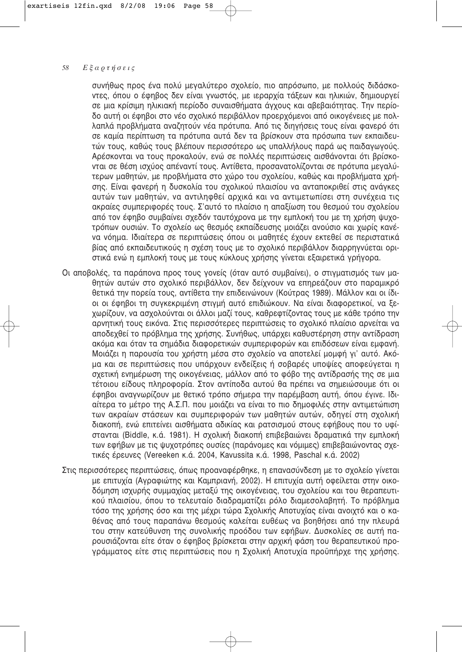συνήθως προς ένα πολύ μεγαλύτερο σχολείο, πιο απρόσωπο, με πολλούς διδάσκο-VΤες, όπου ο έφηβος δεν είναι γνωστός, με ιεραρχία τάξεων και ηλικιών, δημιουργεί σε μια κρίσιμη ηλικιακή περίοδο συναισθήματα άγχους και αβεβαιότητας. Την περίοδο αυτή οι έφηβοι στο νέο σχολικό περιβάλλον προερχόμενοι από οικογένειες με πολλαπλά προβλήματα αναζητούν νέα πρότυπα. Από τις διηγήσεις τους είναι φανερό ότι σε καμία περίπτωση τα πρότυπα αυτά δεν τα βρίσκουν στα πρόσωπα των εκπαιδευτών τους, καθώς τους βλέπουν περισσότερο ως υπαλλήλους παρά ως παιδαγωγούς. Αρέσκονται να τους προκαλούν, ενώ σε πολλές περιπτώσεις αισθάνονται ότι βρίσκονται σε θέση ισχύος απέναντί τους. Αντίθετα, προσανατολίζονται σε πρότυπα μεγαλύτερων μαθητών, με προβλήματα στο χώρο του σχολείου, καθώς και προβλήματα χρήσης. Είναι φανερή η δυσκολία του σχολικού πλαισίου να ανταποκριθεί στις ανάγκες αυτών των μαθητών, να αντιληφθεί αρχικά και να αντιμετωπίσει στη συνέχεια τις ακραίες συμπεριφορές τους. Σ'αυτό το πλαίσιο η απαξίωση του θεσμού του σχολείου από τον έφηβο συμβαίνει σχεδόν ταυτόχρονα με την εμπλοκή του με τη χρήση ψυχοτρόπων ουσιών. Το σχολείο ως θεσμός εκπαίδευσης μοιάζει ανούσιο και χωρίς κανένα νόημα. Ιδιαίτερα σε περιπτώσεις όπου οι μαθητές έχουν εκτεθεί σε περιστατικά βίας από εκπαιδευτικούς η σχέση τους με το σχολικό περιβάλλον διαρρηγνύεται οριστικά ενώ η εμπλοκή τους με τους κύκλους χρήσης γίνεται εξαιρετικά γρήγορα.

- Οι αποβολές, τα παράπονα προς τους γονείς (όταν αυτό συμβαίνει), ο στιγματισμός των μαθητών αυτών στο σχολικό περιβάλλον, δεν δείχνουν να επηρεάζουν στο παραμικρό θετικά την πορεία τους, αντίθετα την επιδεινώνουν (Κούτρας 1989). Μάλλον και οι ίδιοι οι έφηβοι τη συγκεκριμένη στιγμή αυτό επιδιώκουν. Να είναι διαφορετικοί, να ξεχωρίζουν, να ασχολούνται οι άλλοι μαζί τους, καθρεφτίζοντας τους με κάθε τρόπο την αρνητική τους εικόνα. Στις περισσότερες περιπτώσεις το σχολικό πλαίσιο αρνείται να αποδεχθεί το πρόβλημα της χρήσης. Συνήθως, υπάρχει καθυστέρηση στην αντίδραση ακόμα και όταν τα σημάδια διαφορετικών συμπεριφορών και επιδόσεων είναι εμφανή. Μοιάζει η παρουσία του χρήστη μέσα στο σχολείο να αποτελεί μομφή γι' αυτό. Ακόμα και σε περιπτώσεις που υπάρχουν ενδείξεις ή σοβαρές υποψίες αποφεύγεται η σχετική ενημέρωση της οικογένειας, μάλλον από το φόβο της αντίδρασής της σε μια τέτοιου είδους πληροφορία. Στον αντίποδα αυτού θα πρέπει να σημειώσουμε ότι οι έφηβοι αναγνωρίζουν με θετικό τρόπο σήμερα την παρέμβαση αυτή, όπου έγινε. Ιδιαίτερα το μέτρο της Α.Σ.Π. που μοιάζει να είναι το πιο δημοφιλές στην αντιμετώπιση των ακραίων στάσεων και συμπεριφορών των μαθητών αυτών, οδηνεί στη σχολική διακοπή, ενώ επιτείνει αισθήματα αδικίας και ρατσισμού στους εφήβους που το υφίστανται (Biddle, κ.ά. 1981). Η σχολική διακοπή επιβεβαιώνει δραματικά την εμπλοκή των εφήβων με τις ψυχοτρόπες ουσίες (παράνομες και νόμιμες) επιβεβαιώνοντας σχετικές έρευνες (Vereeken κ.ά. 2004, Kavussita κ.ά. 1998, Paschal κ.ά. 2002)
- Στις περισσότερες περιπτώσεις, όπως προαναφέρθηκε, η επανασύνδεση με το σχολείο γίνεται με επιτυχία (Αγραφιώτης και Καμπριανή, 2002). Η επιτυχία αυτή οφείλεται στην οικοδόμηση ισχυρής συμμαχίας μεταξύ της οικογένειας, του σχολείου και του θεραπευτικού πλαισίου, όπου το τελευταίο διαδραματίζει ρόλο διαμεσολαβητή. Το πρόβλημα τόσο της χρήσης όσο και της μέχρι τώρα Σχολικής Αποτυχίας είναι ανοιχτό και ο καθένας από τους παραπάνω θεσμούς καλείται ευθέως να βοηθήσει από την πλευρά του στην κατεύθυνση της συνολικής προόδου των εφήβων. Δυσκολίες σε αυτή παρουσιάζονται είτε όταν ο έφηβος βρίσκεται στην αρχική φάση του θεραπευτικού προγράμματος είτε στις περιπτώσεις που η Σχολική Αποτυχία προϋπήρχε της χρήσης.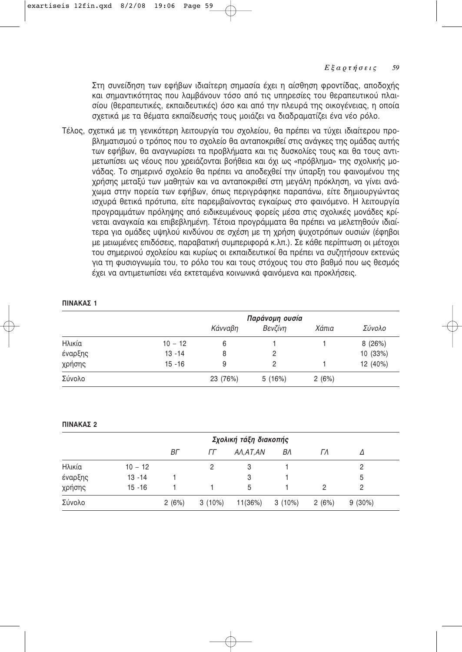Στη συνείδηση των εφήβων ιδιαίτερη σημασία έχει η αίσθηση φροντίδας, αποδοχής και σημαντικότητας που λαμβάνουν τόσο από τις υπηρεσίες του θεραπευτικού πλαισίου (θεραπευτικές, εκπαιδευτικές) όσο και από την πλευρά της οικογένειας, η οποία σχετικά με τα θέματα εκπαίδευσής τους μοιάζει να διαδραματίζει ένα νέο ρόλο.

Τέλος, σχετικά με τη γενικότερη λειτουργία του σχολείου, θα πρέπει να τύχει ιδιαίτερου προ- $\beta$ ληματισμού ο τρόπος που το σχολείο θα ανταποκριθεί στις ανάγκες της ομάδας αυτής των εφήβων. θα αναννωρίσει τα προβλήματα και τις δυσκολίες τους και θα τους αντιμετωπίσει ως νέους που χρειάζονται βοήθεια και όχι ως «πρόβλημα» της σχολικής μονάδας. Το σημερινό σχολείο θα πρέπει να αποδεχθεί την ύπαρξη του φαινομένου της χρήσης μεταξύ των μαθητών και να ανταποκριθεί στη μεγάλη πρόκληση, να γίνει ανάχωμα στην πορεία των εφήβων, όπως περιγράφηκε παραπάνω, είτε δημιουργώντας ισχυρά θετικά πρότυπα, είτε παρεμβαίνοντας εγκαίρως στο φαινόμενο. Η λειτουργία προγραμμάτων πρόληψης από ειδικευμένους φορείς μέσα στις σχολικές μονάδες κρίνεται αναγκαία και επιβεβλημένη. Τέτοια προγράμματα θα πρέπει να μελετηθούν ιδιαίτερα για ομάδες υψηλού κινδύνου σε σχέση με τη χρήση ψυχοτρόπων ουσιών (έφηβοι με μειωμένες επιδόσεις, παραβατική συμπεριφορά κ.λπ.). Σε κάθε περίπτωση οι μέτοχοι του σημερινού σχολείου και κυρίως οι εκπαιδευτικοί θα πρέπει να συζητήσουν εκτενώς για τη φυσιογνωμία του, το ρόλο του και τους στόχους του στο βαθμό που ως θεσμός έχει να αντιμετωπίσει νέα εκτεταμένα κοινωνικά φαινόμενα και προκλήσεις.

# **¶π¡∞∫∞™ 1**

|         | Παράνομη ουσία |          |         |       |          |
|---------|----------------|----------|---------|-------|----------|
|         |                | Κάνναβη  | Βενζίνη | Χάπια | Σύνολο   |
| Ηλικία  | $10 - 12$      | 6        |         |       | 8(26%)   |
| έναρξης | $13 - 14$      | 8        | 2       |       | 10 (33%) |
| χρήσης  | $15 - 16$      | 9        | 2       |       | 12 (40%) |
| Σύνολο  |                | 23 (76%) | 5(16%)  | 2(6%) |          |

## **ΠΙΝΑΚΑΣ 2**

|         | Σχολική τάξη διακοπής |       |        |          |           |       |           |  |
|---------|-----------------------|-------|--------|----------|-----------|-------|-----------|--|
|         |                       | ΒГ    | ГΓ     | AA,AT,AN | ΒΛ        | ГΛ    | Δ         |  |
| Ηλικία  | $10 - 12$             |       |        | 3        |           |       |           |  |
| έναρξης | $13 - 14$             |       |        | 3        |           |       | 5         |  |
| χρήσης  | $15 - 16$             |       |        | 5        |           | 2     | 2         |  |
| Σύνολο  |                       | 2(6%) | 3(10%) | 11(36%)  | $3(10\%)$ | 2(6%) | $9(30\%)$ |  |

### exartiseis 12fin.qxd 8/2/08 19:06 Page 59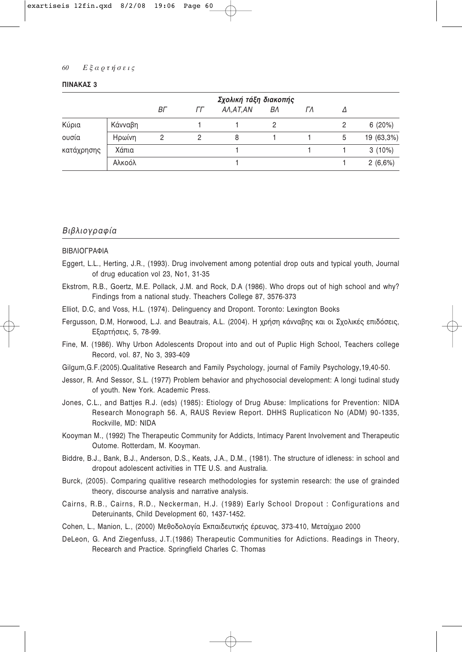# ΠΙΝΑΚΑΣ 3

|            |         | Σχολική τάξη διακοπής |    |          |    |    |   |            |
|------------|---------|-----------------------|----|----------|----|----|---|------------|
|            |         | BГ                    | ГΓ | AA,AT,AN | ΒΛ | ГΛ |   |            |
| Κύρια      | Κάνναβη |                       |    |          |    |    |   | 6(20%)     |
| ουσία      | Ηρωίνη  |                       |    | 8        |    |    | 5 | 19 (63,3%) |
| κατάχρησης | Χάπια   |                       |    |          |    |    |   | $3(10\%)$  |
|            | Αλκοόλ  |                       |    |          |    |    |   | 2(6,6%)    |

# Βιβλιογραφία

# ΒΙΒΛΙΟΓΡΑΦΙΑ

- Eggert, L.L., Herting, J.R., (1993). Drug involvement among potential drop outs and typical youth, Journal of drug education vol 23, No1, 31-35
- Ekstrom, R.B., Goertz, M.E. Pollack, J.M. and Rock, D.A (1986). Who drops out of high school and why? Findings from a national study. Theachers College 87, 3576-373
- Elliot, D.C, and Voss, H.L. (1974). Delinguency and Dropont. Toronto: Lexington Books
- Fergusson, D.M, Horwood, L.J. and Beautrais, A.L. (2004). Η χρήση κάνναβης και οι Σχολικές επιδόσεις, Εξαρτήσεις, 5, 78-99.
- Fine, M. (1986). Why Urbon Adolescents Dropout into and out of Puplic High School, Teachers college Record, vol. 87, No 3, 393-409
- Gilgum, G.F. (2005). Qualitative Research and Family Psychology, journal of Family Psychology, 19,40-50.
- Jessor, R. And Sessor, S.L. (1977) Problem behavior and phychosocial development: A longi tudinal study of youth. New York. Academic Press.
- Jones, C.L., and Battjes R.J. (eds) (1985): Etiology of Drug Abuse: Implications for Prevention: NIDA Research Monograph 56. A, RAUS Review Report. DHHS Ruplicaticon No (ADM) 90-1335, Rockville, MD: NIDA
- Kooyman M., (1992) The Therapeutic Community for Addicts, Intimacy Parent Involvement and Therapeutic Outome. Rotterdam, M. Kooyman.
- Biddre, B.J., Bank, B.J., Anderson, D.S., Keats, J.A., D.M., (1981). The structure of idleness: in school and dropout adolescent activities in TTE U.S. and Australia.
- Burck, (2005). Comparing qualitive research methodologies for systemin research: the use of grainded theory, discourse analysis and narrative analysis.
- Cairns, R.B., Cairns, R.D., Neckerman, H.J. (1989) Early School Dropout : Configurations and Deteruinants, Child Development 60, 1437-1452.
- Cohen, L., Manion, L., (2000) Μεθοδολογία Εκπαιδευτικής έρευνας, 373-410, Μεταίχμιο 2000
- DeLeon, G. And Ziegenfuss, J.T.(1986) Therapeutic Communities for Adictions. Readings in Theory, Recearch and Practice. Springfield Charles C. Thomas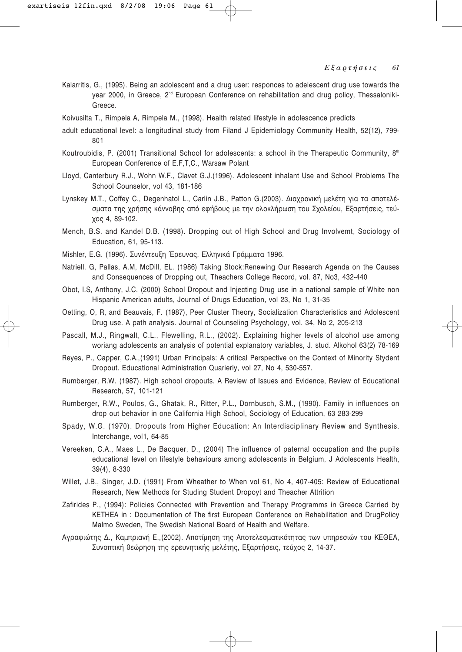- Kalarritis, G., (1995). Being an adolescent and a drug user: responces to adelescent drug use towards the year 2000, in Greece, 2<sup>nd</sup> European Conference on rehabilitation and drug policy, Thessaloniki-Greece.
- Koivusilta T., Rimpela A, Rimpela M., (1998). Health related lifestyle in adolescence predicts
- adult educational level: a longitudinal study from Filand J Epidemiology Community Health, 52(12), 799-801
- Koutroubidis, P. (2001) Transitional School for adolescents: a school ih the Therapeutic Community, 8<sup>th</sup> European Conference of E.F,T,C., Warsaw Polant
- Lloyd, Canterbury R.J., Wohn W.F., Clavet G.J.(1996). Adolescent inhalant Use and School Problems The School Counselor, vol 43, 181-186
- Lynskey M.T., Coffey C., Degenhatol L., Carlin J.B., Patton G. (2003). Διαχρονική μελέτη για τα αποτελέσματα της χρήσης κάνναβης από εφήβους με την ολοκλήρωση του Σχολείου. Εξαρτήσεις, τεύχος 4, 89-102.
- Mench, B.S. and Kandel D.B. (1998). Dropping out of High School and Drug Involvemt, Sociology of Education, 61, 95-113.
- Mishler, E.G. (1996). Συνέντευξη Έρευνας, Ελληνικά Γράμματα 1996.

exartiseis 12fin.qxd

 $8/2/08$ 

19:06

Page

- Natriell. G, Pallas, A.M, McDill, EL. (1986) Taking Stock: Renewing Our Research Agenda on the Causes and Consequences of Dropping out, Theachers College Record, vol. 87, No3, 432-440
- Obot, I.S, Anthony, J.C. (2000) School Dropout and Injecting Drug use in a national sample of White non Hispanic American adults, Journal of Drugs Education, vol 23, No 1, 31-35
- Oetting, O, R, and Beauvais, F. (1987), Peer Cluster Theory, Socialization Characteristics and Adolescent Drug use. A path analysis. Journal of Counseling Psychology, vol. 34, No 2, 205-213
- Pascall, M.J., Ringwalt, C.L., Flewelling, R.L., (2002). Explaining higher levels of alcohol use among woriang adolescents an analysis of potential explanatory variables, J. stud. Alkohol 63(2) 78-169
- Reves, P., Capper, C.A., (1991) Urban Principals: A critical Perspective on the Context of Minority Stydent Dropout. Educational Administration Quarierly, vol 27, No 4, 530-557.
- Rumberger, R.W. (1987). High school dropouts. A Review of Issues and Evidence, Review of Educational Research, 57, 101-121
- Rumberger, R.W., Poulos, G., Ghatak, R., Ritter, P.L., Dornbusch, S.M., (1990). Family in influences on drop out behavior in one California High School, Sociology of Education, 63 283-299
- Spady, W.G. (1970). Dropouts from Higher Education: An Interdisciplinary Review and Synthesis. Interchange, vol1, 64-85
- Vereeken, C.A., Maes L., De Bacquer, D., (2004) The influence of paternal occupation and the pupils educational level on lifestyle behaviours among adolescents in Belgium, J Adolescents Health,  $39(4), 8-330$
- Willet, J.B., Singer, J.D. (1991) From Wheather to When vol 61, No 4, 407-405: Review of Educational Research, New Methods for Studing Student Dropoyt and Theacher Attrition
- Zafirides P., (1994): Policies Connected with Prevention and Therapy Programms in Greece Carried by KETHEA in: Documentation of The first European Conference on Rehabilitation and DrugPolicy Malmo Sweden, The Swedish National Board of Health and Welfare.
- Αγραφιώτης Δ., Καμπριανή Ε., (2002). Αποτίμηση της Αποτελεσματικότητας των υπηρεσιών του ΚΕΘΕΑ, Συνοπτική θεώρηση της ερευνητικής μελέτης, Εξαρτήσεις, τεύχος 2, 14-37.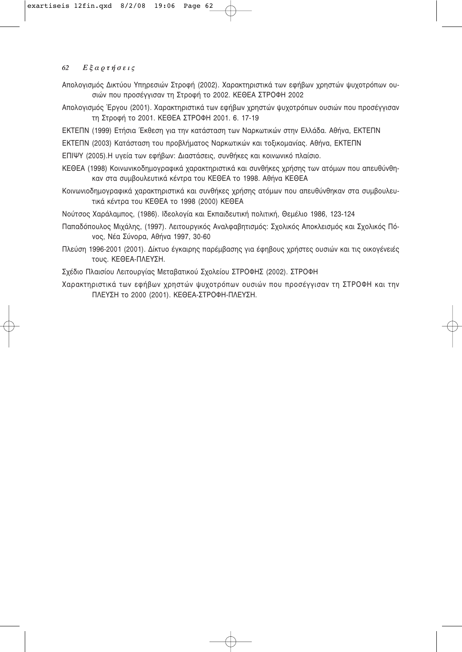Απολογισμός Δικτύου Υπηρεσιών Στροφή (2002). Χαρακτηριστικά των εφήβων χρηστών ψυχοτρόπων ουσιών που προσέγγισαν τη Στροφή το 2002. ΚΕΘΕΑ ΣΤΡΟΦΗ 2002

Απολογισμός Έργου (2001). Χαρακτηριστικά των εφήβων χρηστών ψυχοτρόπων ουσιών που προσέγγισαν τη Στροφή το 2001. ΚΕΘΕΑ ΣΤΡΟΦΗ 2001. 6. 17-19

ΕΚΤΕΠΝ (1999) Ετήσια Έκθεση για την κατάσταση των Ναρκωτικών στην Ελλάδα. Αθήνα, ΕΚΤΕΠΝ

ΕΚΤΕΠΝ (2003) Κατάσταση του προβλήματος Ναρκωτικών και τοξικομανίας. Αθήνα, ΕΚΤΕΠΝ

ΕΠΙΨΥ (2005). Η υγεία των εφήβων: Διαστάσεις, συνθήκες και κοινωνικό πλαίσιο.

- ΚΕΘΕΑ (1998) Κοινωνικοδημογραφικά χαρακτηριστικά και συνθήκες χρήσης των ατόμων που απευθύνθηκαν στα συμβουλευτικά κέντρα του ΚΕΘΕΑ το 1998. Αθήνα ΚΕΘΕΑ
- Κοινωνιοδημογραφικά χαρακτηριστικά και συνθήκες χρήσης ατόμων που απευθύνθηκαν στα συμβουλευτικά κέντρα του ΚΕΘΕΑ το 1998 (2000) ΚΕΘΕΑ

Νούτσος Χαράλαμπος, (1986). Ιδεολογία και Εκπαιδευτική πολιτική, Θεμέλιο 1986, 123-124

- Παπαδόπουλος Μιχάλης, (1997). Λειτουργικός Αναλφαβητισμός: Σχολικός Αποκλεισμός και Σχολικός Πόνος, Νέα Σύνορα, Αθήνα 1997, 30-60
- Πλεύση 1996-2001 (2001). Δίκτυο έγκαιρης παρέμβασης για έφηβους χρήστες ουσιών και τις οικογένειές τους. ΚΕΘΕΑ-ΠΛΕΥΣΗ.

Σχέδιο Πλαισίου Λειτουργίας Μεταβατικού Σχολείου ΣΤΡΟΦΗΣ (2002). ΣΤΡΟΦΗ

Χαρακτηριστικά των εφήβων χρηστών ψυχοτρόπων ουσιών που προσέγγισαν τη ΣΤΡΟΦΗ και την ΠΛΕΥΣΗ το 2000 (2001). ΚΕΘΕΑ-ΣΤΡΟΦΗ-ΠΛΕΥΣΗ.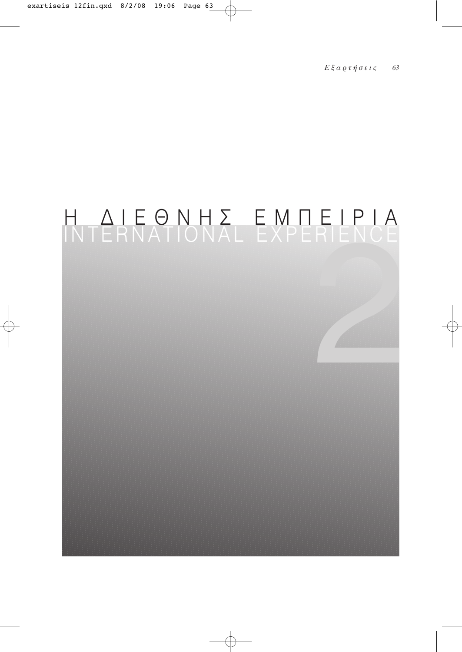$E \xi a \varrho \tau \eta \sigma \varepsilon \iota$ ς 63

# H AIEONH E EMPEIPIA<br>INTERNATIONAL EXPERIENCE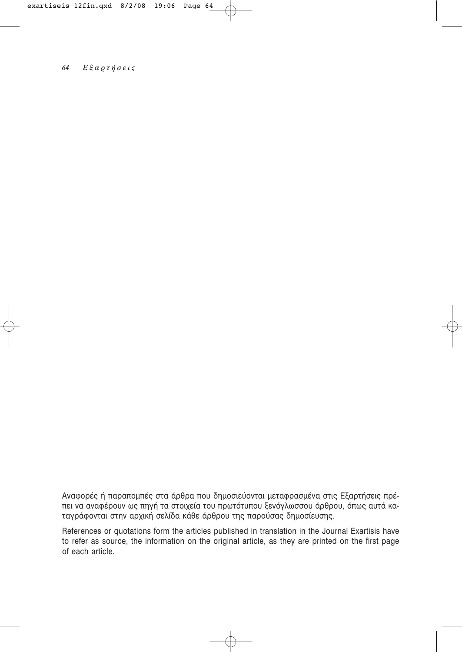64  $E$ ξαρτήσεις

Αναφορές ή παραπομπές στα άρθρα που δημοσιεύονται μεταφρασμένα στις Εξαρτήσεις πρέπει να αναφέρουν ως πηγή τα στοιχεία του πρωτότυπου ξενόγλωσσου άρθρου, όπως αυτά καταγράφονται στην αρχική σελίδα κάθε άρθρου της παρούσας δημοσίευσης.

References or quotations form the articles published in translation in the Journal Exartisis have to refer as source, the information on the original article, as they are printed on the first page of each article.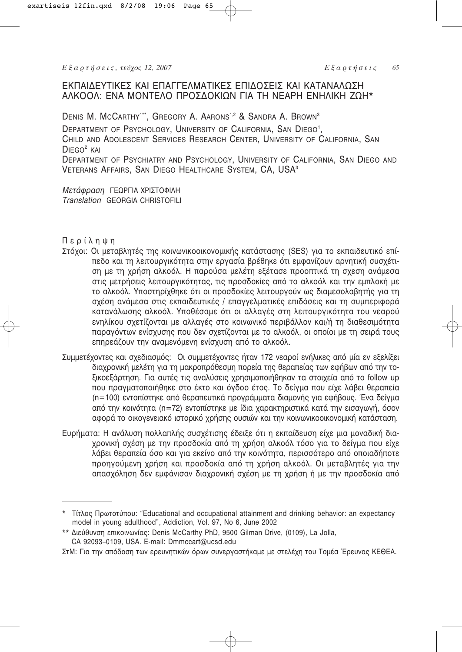Εξαρτήσεις, τεύχος 12, 2007

# ΕΚΠΑΙΔΕΥΤΙΚΕΣ ΚΑΙ ΕΠΑΓΓΕΛΜΑΤΙΚΕΣ ΕΠΙΔΟΣΕΙΣ ΚΑΙ ΚΑΤΑΝΑΛΩΣΗ ΑΛΚΟΟΛ: ΕΝΑ ΜΟΝΤΕΛΟ ΠΡΟΣΔΟΚΙΩΝ ΓΙΑ ΤΗ ΝΕΑΡΗ ΕΝΗΛΙΚΗ ΖΩΗ\*

DENIS M. MCCARTHY<sup>1\*\*</sup>, GREGORY A. AARONS<sup>1,2</sup> & SANDRA A. BROWN<sup>3</sup>

DEPARTMENT OF PSYCHOLOGY, UNIVERSITY OF CALIFORNIA, SAN DIEGO<sup>1</sup>, CHILD AND ADOLESCENT SERVICES RESEARCH CENTER, UNIVERSITY OF CALIFORNIA, SAN  $DIEGO<sup>2</sup>$  KAI

DEPARTMENT OF PSYCHIATRY AND PSYCHOLOGY, UNIVERSITY OF CALIFORNIA, SAN DIEGO AND VETERANS AFFAIRS, SAN DIEGO HEALTHCARE SYSTEM, CA, USA<sup>3</sup>

Μετάφραση ΓΕΩΡΓΙΑ ΧΡΙΣΤΟΦΙΛΗ Translation GEORGIA CHRISTOFILI

# Περίληψη

- Στόχοι: Οι μεταβλητές της κοινωνικοοικονομικής κατάστασης (SES) για το εκπαιδευτικό επίπεδο και τη λειτουργικότητα στην εργασία βρέθηκε ότι εμφανίζουν αρνητική συσχέτιση με τη χρήση αλκοόλ. Η παρούσα μελέτη εξέτασε προοπτικά τη σχεση ανάμεσα στις μετρήσεις λειτουργικότητας, τις προσδοκίες από το αλκοόλ και την εμπλοκή με το αλκοόλ. Υποστηρίχθηκε ότι οι προσδοκίες λειτουργούν ως διαμεσολαβητής για τη σχέση ανάμεσα στις εκπαιδευτικές / επαγγελματικές επιδόσεις και τη συμπεριφορά κατανάλωσης αλκοόλ. Υποθέσαμε ότι οι αλλαγές στη λειτουργικότητα του νεαρού ενηλίκου σχετίζονται με αλλαγές στο κοινωνικό περιβάλλον και/ή τη διαθεσιμότητα παραγόντων ενίσχυσης που δεν σχετίζονται με το αλκοόλ, οι οποίοι με τη σειρά τους επηρεάζουν την αναμενόμενη ενίσχυση από το αλκοόλ.
- Συμμετέχοντες και σχεδιασμός: Οι συμμετέχοντες ήταν 172 νεαροί ενήλικες από μία εν εξελίξει διαχρονική μελέτη για τη μακροπρόθεσμη πορεία της θεραπείας των εφήβων από την τοξικοεξάρτηση. Για αυτές τις αναλύσεις χρησιμοποιήθηκαν τα στοιχεία από το follow up που πραγματοποιήθηκε στο έκτο και όγδοο έτος. Το δείγμα που είχε λάβει θεραπεία (n=100) εντοπίστηκε από θεραπευτικά προγράμματα διαμονής για εφήβους. Ένα δείγμα από την κοινότητα (n=72) εντοπίστηκε με ίδια χαρακτηριστικά κατά την εισαγωγή, όσον αφορά το οικογενειακό ιστορικό χρήσης ουσιών και την κοινωνικοοικονομική κατάσταση.
- Ευρήματα: Η ανάλυση πολλαπλής συσχέτισης έδειξε ότι η εκπαίδευση είχε μια μοναδική διαχρονική σχέση με την προσδοκία από τη χρήση αλκοόλ τόσο για το δείγμα που είχε λάβει θεραπεία όσο και για εκείνο από την κοινότητα, περισσότερο από οποιαδήποτε προηγούμενη χρήση και προσδοκία από τη χρήση αλκοόλ. Οι μεταβλητές για την απασχόληση δεν εμφάνισαν διαχρονική σχέση με τη χρήση ή με την προσδοκία από

\*\* Διεύθυνση επικοινωνίας: Denis McCarthy PhD, 9500 Gilman Drive, (0109), La Jolla, CA 92093-0109, USA. E-mail: Dmmccart@ucsd.edu

ΣτΜ: Για την απόδοση των ερευνητικών όρων συνεργαστήκαμε με στελέχη του Τομέα Έρευνας ΚΕΘΕΑ.

<sup>\*</sup> Τίτλος Πρωτοτύπου: "Educational and occupational attainment and drinking behavior; an expectancy model in young adulthood", Addiction, Vol. 97, No 6, June 2002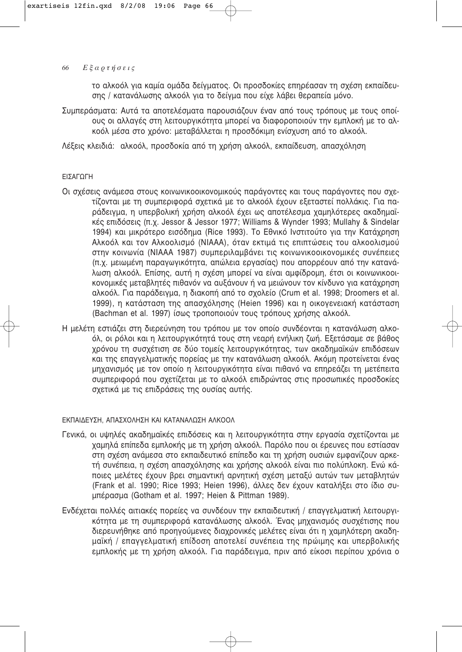το αλκοόλ για καμία ομάδα δείγματος. Οι προσδοκίες επηρέασαν τη σχέση εκπαίδευσης / κατανάλωσης αλκοόλ για το δείγμα που είχε λάβει θεραπεία μόνο.

Συμπεράσματα: Αυτά τα αποτελέσματα παρουσιάζουν έναν από τους τρόπους με τους οποίους οι αλλαγές στη λειτουργικότητα μπορεί να διαφοροποιούν την εμπλοκή με το αλκοόλ μέσα στο χρόνο: μεταβάλλεται η προσδόκιμη ενίσχυση από το αλκοόλ.

Λέξεις κλειδιά: αλκοόλ, προσδοκία από τη χρήση αλκοόλ, εκπαίδευση, απασχόληση

# ΕΙΣΑΓΩΓΗ

- Οι σχέσεις ανάμεσα στους κοινωνικοοικονομικούς παράγοντες και τους παράγοντες που σχετίζονται με τη συμπεριφορά σχετικά με το αλκοόλ έχουν εξεταστεί πολλάκις. Για παράδειγμα, η υπερβολική χρήση αλκοόλ έχει ως αποτέλεσμα χαμηλότερες ακαδημαϊκές επιδόσεις (π.χ. Jessor & Jessor 1977; Williams & Wynder 1993; Mullahy & Sindelar 1994) και μικρότερο εισόδημα (Rice 1993). Το Εθνικό Ινστιτούτο για την Κατάχρηση Aλκοόλ και τον Αλκοολισμό (NIAAA), όταν εκτιμά τις επιπτώσεις του αλκοολισμού στην κοινωνία (NIAAA 1987) συμπεριλαμβάνει τις κοινωνικοοικονομικές συνέπειες (π.χ. μειωμένη παραγωγικότητα, απώλεια εργασίας) που απορρέουν από την κατανάλωση αλκοόλ. Επίσης, αυτή η σχέση μπορεί να είναι αμφίδρομη, έτσι οι κοινωνικοοικονομικές μεταβλητές πιθανόν να αυξάνουν ή να μειώνουν τον κίνδυνο για κατάχρηση αλκοόλ. Για παράδειγμα, η διακοπή από το σχολείο (Crum et al. 1998; Droomers et al. 1999), η κατάσταση της απασχόλησης (Heien 1996) και η οικογενειακή κατάσταση (Bachman et al. 1997) ίσως τροποποιούν τους τρόπους χρήσης αλκοόλ.
- Η μελέτη εστιάζει στη διερεύνηση του τρόπου με τον οποίο συνδέονται η κατανάλωση αλκοόλ, οι ρόλοι και η λειτουργικότητά τους στη νεαρή ενήλικη ζωή. Εξετάσαμε σε βάθος χρόνου τη συσχέτιση σε δύο τομείς λειτουργικότητας, των ακαδημαϊκών επιδόσεων και της επαγγελματικής πορείας με την κατανάλωση αλκοόλ. Ακόμη προτείνεται ένας μηχανισμός με τον οποίο η λειτουργικότητα είναι πιθανό να επηρεάζει τη μετέπειτα συμπεριφορά που σχετίζεται με το αλκοόλ επιδρώντας στις προσωπικές προσδοκίες σχετικά με τις επιδράσεις της ουσίας αυτής.

# ΕΚΠΑΙΔΕΥΣΗ, ΑΠΑΣΧΟΛΗΣΗ ΚΑΙ ΚΑΤΑΝΑΛΩΣΗ ΑΛΚΟΟΛ

- Γενικά, οι υψηλές ακαδημαϊκές επιδόσεις και η λειτουργικότητα στην εργασία σχετίζονται με χαμηλά επίπεδα εμπλοκής με τη χρήση αλκοόλ. Παρόλο που οι έρευνες που εστίασαν στη σχέση ανάμεσα στο εκπαιδευτικό επίπεδο και τη χρήση ουσιών εμφανίζουν αρκετή συνέπεια, η σχέση απασχόλησης και χρήσης αλκοόλ είναι πιο πολύπλοκη. Ενώ κάποιες μελέτες έχουν βρει σημαντική αρνητική σχέση μεταξύ αυτών των μεταβλητών (Frank et al. 1990; Rice 1993; Heien 1996), άλλες δεν έχουν καταλήξει στο ίδιο συμπέρασμα (Gotham et al. 1997; Heien & Pittman 1989).
- Ενδέχεται πολλές αιτιακές πορείες να συνδέουν την εκπαιδευτική / επαγγελματική λειτουργι-Κότητα με τη συμπεριφορά κατανάλωσης αλκοόλ. Ένας μηχανισμός συσχέτισης που διερευνήθηκε από προηγούμενες διαχρονικές μελέτες είναι ότι η χαμηλότερη ακαδημαϊκή / επαγγελματική επίδοση αποτελεί συνέπεια της πρώιμης και υπερβολικής εμπλοκής με τη χρήση αλκοόλ. Για παράδειγμα, πριν από είκοσι περίπου χρόνια ο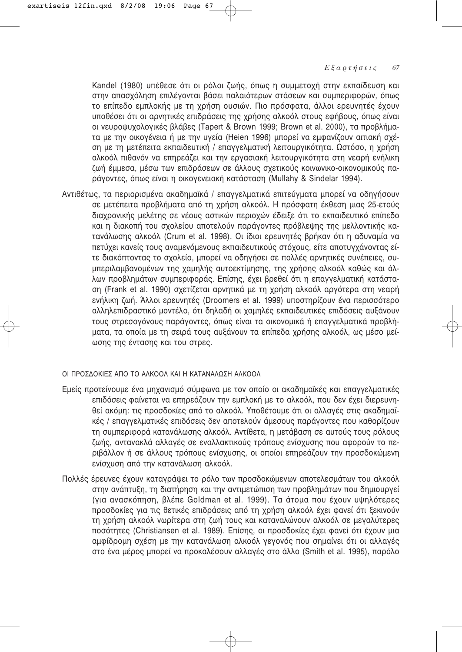Kandel (1980) υπέθεσε ότι οι ρόλοι ζωής, όπως η συμμετοχή στην εκπαίδευση και στην απασχόληση επιλένονται βάσει παλαιότερων στάσεων και συμπεριφορών, όπως το επίπεδο εμπλοκής με τη χρήση ουσιών. Πιο πρόσφατα, άλλοι ερευνητές έχουν υποθέσει ότι οι αρνητικές επιδράσεις της χρήσης αλκοόλ στους εφήβους, όπως είναι οι νευροψυχολογικές βλάβες (Tapert & Brown 1999; Brown et al. 2000), τα προβλήματα με την οικογένεια ή με την υγεία (Heien 1996) μπορεί να εμφανίζουν αιτιακή σχέση με τη μετέπειτα εκπαιδευτική / επαγγελματική λειτουργικότητα. Ωστόσο, η χρήση αλκοόλ πιθανόν να επηρεάζει και την εργασιακή λειτουργικότητα στη νεαρή ενήλικη ζωή έμμεσα, μέσω των επιδράσεων σε άλλους σχετικούς κοινωνικο-οικονομικούς παράγοντες, όπως είναι η οικογενειακή κατάσταση (Mullahy & Sindelar 1994).

Aντιθέτως, τα περιορισμένα ακαδημαϊκά / επαγγελματικά επιτεύγματα μπορεί να οδηγήσουν σε μετέπειτα προβλήματα από τη χρήση αλκοόλ. Η πρόσφατη έκθεση μιας 25-ετούς διαχρονικής μελέτης σε νέους αστικών περιοχών έδειξε ότι το εκπαιδευτικό επίπεδο και η διακοπή του σχολείου αποτελούν παράγοντες πρόβλεψης της μελλοντικής κατανάλωσης αλκοόλ (Crum et al. 1998). Οι ίδιοι ερευνητές βρήκαν ότι η αδυναμία να πετύχει κανείς τους αναμενόμενους εκπαιδευτικούς στόχους, είτε αποτυγχάνοντας είτε διακόπτοντας το σχολείο, μπορεί να οδηγήσει σε πολλές αρνητικές συνέπειες, συμπεριλαμβανομένων της χαμηλής αυτοεκτίμησης, της χρήσης αλκοόλ καθώς και άλλων προβλημάτων συμπεριφοράς. Επίσης, έχει βρεθεί ότι η επαγγελματική κατάσταση (Frank et al. 1990) σχετίζεται αρνητικά με τη χρήση αλκοόλ αργότερα στη νεαρή ενήλικη ζωή. Άλλοι ερευνητές (Droomers et al. 1999) υποστηρίζουν ένα περισσότερο αλληλεπιδραστικό μοντέλο, ότι δηλαδή οι χαμηλές εκπαιδευτικές επιδόσεις αυξάνουν τους στρεσογόνους παράγοντες, όπως είναι τα οικονομικά ή επαγγελματικά προβλήματα, τα οποία με τη σειρά τους αυξάνουν τα επίπεδα χρήσης αλκοόλ, ως μέσο μείωσης της έντασης και του στρες.

# ΟΙ ΠΡΟΣΔΟΚΙΕΣ ΑΠΟ ΤΟ ΑΛΚΟΟΛ ΚΑΙ Η ΚΑΤΑΝΑΛΩΣΗ ΑΛΚΟΟΛ

exartiseis  $12fin.qxd$   $8/2/08$   $19:06$  Page

- Εμείς προτείνουμε ένα μηχανισμό σύμφωνα με τον οποίο οι ακαδημαϊκές και επαγγελματικές επιδόσεις φαίνεται να επηρεάζουν την εμπλοκή με το αλκοόλ, που δεν έχει διερευνηθεί ακόμη: τις προσδοκίες από το αλκοόλ. Υποθέτουμε ότι οι αλλαγές στις ακαδημαϊκές / επαγγελματικές επιδόσεις δεν αποτελούν άμεσους παράγοντες που καθορίζουν τη συμπεριφορά κατανάλωσης αλκοόλ. Αντίθετα, η μετάβαση σε αυτούς τους ρόλους ζωής, αντανακλά αλλαγές σε εναλλακτικούς τρόπους ενίσχυσης που αφορούν το περιβάλλον ή σε άλλους τρόπους ενίσχυσης, οι οποίοι επηρεάζουν την προσδοκώμενη ενίσχυση από την κατανάλωση αλκοόλ.
- Πολλές έρευνες έχουν καταγράψει το ρόλο των προσδοκώμενων αποτελεσμάτων του αλκοόλ στην ανάπτυξη, τη διατήρηση και την αντιμετώπιση των προβλημάτων που δημιουργεί (για ανασκόπηση, βλέπε Goldman et al. 1999). Τα άτομα που έχουν υψηλότερες προσδοκίες για τις θετικές επιδράσεις από τη χρήση αλκοόλ έχει φανεί ότι ξεκινούν τη χρήση αλκοόλ νωρίτερα στη ζωή τους και καταναλώνουν αλκοόλ σε μεγαλύτερες ποσότητες (Christiansen et al. 1989). Επίσης, οι προσδοκίες έχει φανεί ότι έχουν μια αμφίδρομη σχέση με την κατανάλωση αλκοόλ γεγονός που σημαίνει ότι οι αλλαγές στο ένα μέρος μπορεί να προκαλέσουν αλλαγές στο άλλο (Smith et al. 1995), παρόλο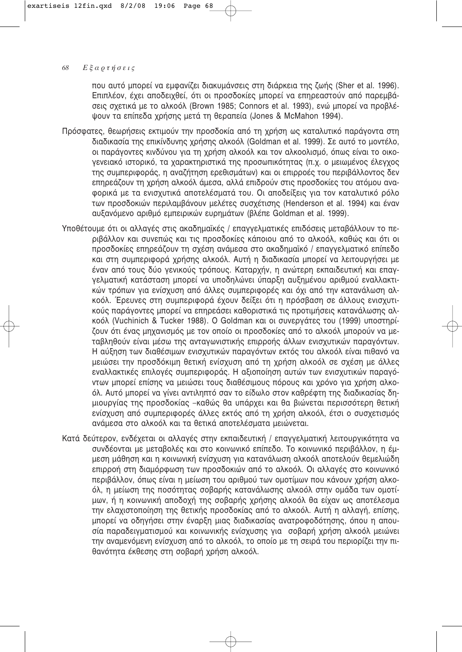που αυτό μπορεί να εμφανίζει διακυμάνσεις στη διάρκεια της ζωής (Sher et al. 1996). Επιπλέον, έχει αποδειχθεί, ότι οι προσδοκίες μπορεί να επηρεαστούν από παρεμβάσεις σχετικά με το αλκοόλ (Brown 1985; Connors et al. 1993), ενώ μπορεί να προβλέψουν τα επίπεδα χρήσης μετά τη θεραπεία (Jones & McMahon 1994).

- Πρόσφατες, θεωρήσεις εκτιμούν την προσδοκία από τη χρήση ως καταλυτικό παράγοντα στη διαδικασία της επικίνδυνης χρήσης αλκοόλ (Goldman et al. 1999). Σε αυτό το μοντέλο, οι παράγοντες κινδύνου για τη χρήση αλκοόλ και τον αλκοολισμό, όπως είναι το οικογενειακό ιστορικό, τα χαρακτηριστικά της προσωπικότητας (π.χ. ο μειωμένος έλεγχος της συμπεριφοράς, η αναζήτηση ερεθισμάτων) και οι επιρροές του περιβάλλοντος δεν επηρεάζουν τη χρήση αλκοόλ άμεσα, αλλά επιδρούν στις προσδοκίες του ατόμου αναφορικά με τα ενισχυτικά αποτελέσματά του. Οι αποδείξεις για τον καταλυτικό ρόλο των προσδοκιών περιλαμβάνουν μελέτες συσχέτισης (Henderson et al. 1994) και έναν αυξανόμενο αριθμό εμπειρικών ευρημάτων (βλέπε Goldman et al. 1999).
- Υποθέτουμε ότι οι αλλαγές στις ακαδημαϊκές / επαγγελματικές επιδόσεις μεταβάλλουν το περιβάλλον και συνεπώς και τις προσδοκίες κάποιου από το αλκοόλ, καθώς και ότι οι προσδοκίες επηρεάζουν τη σχέση ανάμεσα στο ακαδημαϊκό / επαγγελματικό επίπεδο και στη συμπεριφορά χρήσης αλκοόλ. Αυτή η διαδικασία μπορεί να λειτουργήσει με έναν από τους δύο γενικούς τρόπους. Καταρχήν, η ανώτερη εκπαιδευτική και επαγγελματική κατάσταση μπορεί να υποδηλώνει ύπαρξη αυξημένου αριθμού εναλλακτι-Κών τρόπων για ενίσχυση από άλλες συμπεριφορές και όχι από την κατανάλωση αλκοόλ. Έρευνες στη συμπεριφορά έχουν δείξει ότι η πρόσβαση σε άλλους ενισχυτι-<u>κούς παράγοντες μπορεί να επηρεάσει καθοριστικά τις προτιμήσεις κατανάλωσης αλ-</u> KOÓλ (Vuchinich & Tucker 1988). O Goldman και οι συνεργάτες του (1999) υποστηρίζουν ότι ένας μηχανισμός με τον οποίο οι προσδοκίες από το αλκοόλ μπορούν να μεταβληθούν είναι μέσω της αντανωνιστικής επιρροής άλλων ενισχυτικών παραγόντων. Η αύξηση των διαθέσιμων ενισχυτικών παραγόντων εκτός του αλκοόλ είναι πιθανό να μειώσει την προσδόκιμη θετική ενίσχυση από τη χρήση αλκοόλ σε σχέση με άλλες εναλλακτικές επιλογές συμπεριφοράς. Η αξιοποίηση αυτών των ενισχυτικών παραγόντων μπορεί επίσης να μειώσει τους διαθέσιμους πόρους και χρόνο για χρήση αλκοόλ. Αυτό μπορεί να γίνει αντιληπτό σαν το είδωλο στον καθρέφτη της διαδικασίας δημιουργίας της προσδοκίας –καθώς θα υπάρχει και θα βιώνεται περισσότερη θετική ενίσχυση από συμπεριφορές άλλες εκτός από τη χρήση αλκοόλ, έτσι ο συσχετισμός ανάμεσα στο αλκοόλ και τα θετικά αποτελέσματα μειώνεται.
- Κατά δεύτερον, ενδέχεται οι αλλαγές στην εκπαιδευτική / επαγγελματική λειτουργικότητα να συνδέονται με μεταβολές και στο κοινωνικό επίπεδο. Το κοινωνικό περιβάλλον, η έμμεση μάθηση και η κοινωνική ενίσχυση για κατανάλωση αλκοόλ αποτελούν θεμελιώδη επιρροή στη διαμόρφωση των προσδοκιών από το αλκοόλ. Οι αλλαγές στο κοινωνικό περιβάλλον, όπως είναι η μείωση του αριθμού των ομοτίμων που κάνουν χρήση αλκοόλ, η μείωση της ποσότητας σοβαρής κατανάλωσης αλκοόλ στην ομάδα των ομοτίμων, ή η κοινωνική αποδοχή της σοβαρής χρήσης αλκοόλ θα είχαν ως αποτέλεσμα την ελαχιστοποίηση της θετικής προσδοκίας από το αλκοόλ. Αυτή η αλλανή, επίσης, μπορεί να οδηγήσει στην έναρξη μιας διαδικασίας ανατροφοδότησης, όπου η απουσία παραδειγματισμού και κοινωνικής ενίσχυσης για σοβαρή χρήση αλκοόλ μειώνει την αναμενόμενη ενίσχυση από το αλκοόλ, το οποίο με τη σειρά του περιορίζει την πιθανότητα έκθεσης στη σοβαρή χρήση αλκοόλ.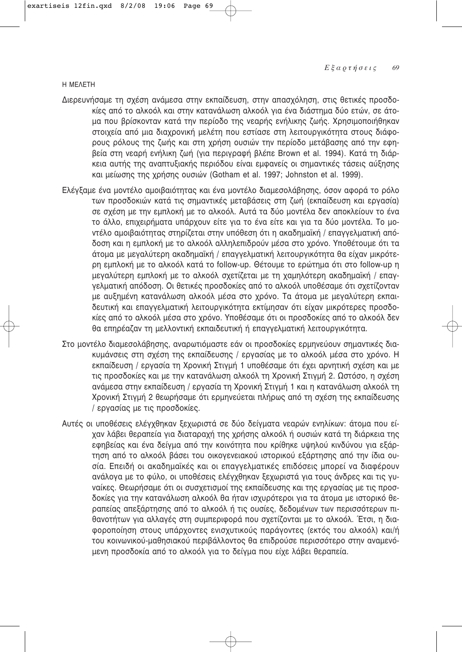H MEΛETH

- Διερευνήσαμε τη σχέση ανάμεσα στην εκπαίδευση, στην απασχόληση, στις θετικές προσδοκίες από το αλκοόλ και στην κατανάλωση αλκοόλ για ένα διάστημα δύο ετών, σε άτομα που βρίσκονταν κατά την περίοδο της νεαρής ενήλικης ζωής. Χρησιμοποιήθηκαν στοιχεία από μια διαχρονική μελέτη που εστίασε στη λειτουργικότητα στους διάφορους ρόλους της ζωής και στη χρήση ουσιών την περίοδο μετάβασης από την εφηβεία στη νεαρή ενήλικη ζωή (για περιγραφή βλέπε Brown et al. 1994). Κατά τη διάρκεια αυτής της αναπτυξιακής περιόδου είναι εμφανείς οι σημαντικές τάσεις αύξησης και μείωσης της χρήσης ουσιών (Gotham et al. 1997; Johnston et al. 1999).
- Ελέγξαμε ένα μοντέλο αμοιβαιότητας και ένα μοντέλο διαμεσολάβησης, όσον αφορά το ρόλο των προσδοκιών κατά τις σημαντικές μεταβάσεις στη ζωή (εκπαίδευση και εργασία) σε σχέση με την εμπλοκή με το αλκοόλ. Αυτά τα δύο μοντέλα δεν αποκλείουν το ένα το άλλο, επιχειρήματα υπάρχουν είτε για το ένα είτε και για τα δύο μοντέλα. Το μοvτέλο αμοιβαιότητας στηρίζεται στην υπόθεση ότι η ακαδημαϊκή / επαγγελματική απόδοση και η εμπλοκή με το αλκοόλ αλληλεπιδρούν μέσα στο χρόνο. Υποθέτουμε ότι τα άτομα με μεγαλύτερη ακαδημαϊκή / επαγγελματική λειτουργικότητα θα είχαν μικρότερη εμπλοκή με το αλκοόλ κατά το follow-up. Θέτουμε το ερώτημα ότι στο follow-up η μεγαλύτερη εμπλοκή με το αλκοόλ σχετίζεται με τη χαμηλότερη ακαδημαϊκή / επαγγελματική απόδοση. Οι θετικές προσδοκίες από το αλκοόλ υποθέσαμε ότι σχετίζονταν με αυξημένη κατανάλωση αλκοόλ μέσα στο χρόνο. Τα άτομα με μεγαλύτερη εκπαιδευτική και επαγγελματική λειτουργικότητα εκτίμησαν ότι είχαν μικρότερες προσδοκίες από το αλκοόλ μέσα στο χρόνο. Υποθέσαμε ότι οι προσδοκίες από το αλκοόλ δεν θα επηρέαζαν τη μελλοντική εκπαιδευτική ή επαγγελματική λειτουργικότητα.
- Στο μοντέλο διαμεσολάβησης, αναρωτιόμαστε εάν οι προσδοκίες ερμηνεύουν σημαντικές διακυμάνσεις στη σχέση της εκπαίδευσης / εργασίας με το αλκοόλ μέσα στο χρόνο. Η εκπαίδευση / εργασία τη Χρονική Στιγμή 1 υποθέσαμε ότι έχει αρνητική σχέση και με τις προσδοκίες και με την κατανάλωση αλκοόλ τη Χρονική Στιγμή 2. Ωστόσο, η σχέση ανάμεσα στην εκπαίδευση / εργασία τη Χρονική Στιγμή 1 και η κατανάλωση αλκοόλ τη Χρονική Στιγμή 2 θεωρήσαμε ότι ερμηνεύεται πλήρως από τη σχέση της εκπαίδευσης / εργασίας με τις προσδοκίες.
- Aυτές οι υποθέσεις ελέγχθηκαν ξεχωριστά σε δύο δείγματα νεαρών ενηλίκων: άτομα που είχαν λάβει θεραπεία για διαταραχή της χρήσης αλκοόλ ή ουσιών κατά τη διάρκεια της εφηβείας και ένα δείγμα από την κοινότητα που κρίθηκε υψηλού κινδύνου για εξάρτηση από το αλκοόλ βάσει του οικογενειακού ιστορικού εξάρτησης από την ίδια ουσία. Επειδή οι ακαδημαϊκές και οι επαγγελματικές επιδόσεις μπορεί να διαφέρουν ανάλογα με το φύλο, οι υποθέσεις ελέγχθηκαν ξεχωριστά για τους άνδρες και τις γυναίκες. Θεωρήσαμε ότι οι συσχετισμοί της εκπαίδευσης και της εργασίας με τις προσδοκίες για την κατανάλωση αλκοόλ θα ήταν ισχυρότεροι για τα άτομα με ιστορικό θεραπείας απεξάρτησης από το αλκοόλ ή τις ουσίες, δεδομένων των περισσότερων πιθανοτήτων για αλλαγές στη συμπεριφορά που σχετίζονται με το αλκοόλ. Έτσι, η δια-Φοροποίηση στους υπάρχοντες ενισχυτικούς παράγοντες (εκτός του αλκοόλ) και/ή του κοινωνικού-μαθησιακού περιβάλλοντος θα επιδρούσε περισσότερο στην αναμενόμενη προσδοκία από το αλκοόλ για το δείγμα που είχε λάβει θεραπεία.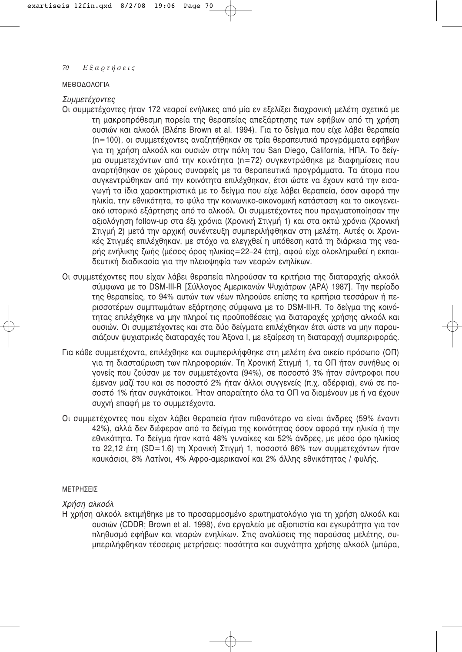# ΜΕΘΟΔΟΛΟΓΙΑ

# $Σ$ *Uμμετέχοντες*

Οι συμμετέχοντες ήταν 172 νεαροί ενήλικες από μία εν εξελίξει διαχρονική μελέτη σχετικά με τη μακροπρόθεσμη πορεία της θεραπείας απεξάρτησης των εφήβων από τη χρήση ουσιών και αλκοόλ (Βλέπε Brown et al. 1994). Για το δείγμα που είχε λάβει θεραπεία (n=100), οι συμμετέχοντες αναζητήθηκαν σε τρία θεραπευτικά προγράμματα εφήβων για τη χρήση αλκοόλ και ουσιών στην πόλη του San Diego, California, ΗΠΑ. Το δείγμα συμμετεχόντων από την κοινότητα (n=72) συγκεντρώθηκε με διαφημίσεις που αναρτήθηκαν σε χώρους συναφείς με τα θεραπευτικά προγράμματα. Τα άτομα που συγκεντρώθηκαν από την κοινότητα επιλέχθηκαν, έτσι ώστε να έχουν κατά την εισαγωγή τα ίδια χαρακτηριστικά με το δείγμα που είχε λάβει θεραπεία, όσον αφορά την ηλικία, την εθνικότητα, το φύλο την κοινωνικο-οικονομική κατάσταση και το οικογενειακό ιστορικό εξάρτησης από το αλκοόλ. Οι συμμετέχοντες που πραγματοποίησαν την αξιολόγηση follow-up στα έξι χρόνια (Χρονική Στιγμή 1) και στα οκτώ χρόνια (Χρονική Στιγμή 2) μετά την αρχική συνέντευξη συμπεριλήφθηκαν στη μελέτη. Αυτές οι Χρονικές Στιγμές επιλέχθηκαν, με στόχο να ελεγχθεί η υπόθεση κατά τη διάρκεια της νεαρής ενήλικης ζωής (μέσος όρος ηλικίας=22–24 έτη), αφού είχε ολοκληρωθεί η εκπαιδευτική διαδικασία για την πλειοψηφία των νεαρών ενηλίκων.

- Οι συμμετέχοντες που είχαν λάβει θεραπεία πληρούσαν τα κριτήρια της διαταραχής αλκοόλ σύμφωνα με το DSM-III-R [Σύλλογος Αμερικανών Ψυχιάτρων (APA) 1987]. Την περίοδο της θεραπείας, το 94% αυτών των νέων πληρούσε επίσης τα κριτήρια τεσσάρων ή περισσοτέρων συμπτωμάτων εξάρτησης σύμφωνα με το DSM-III-R. Το δείγμα της κοινότητας επιλέχθηκε να μην πληροί τις προϋποθέσεις για διαταραχές χρήσης αλκοόλ και ουσιών. Οι συμμετέχοντες και στα δύο δείγματα επιλέχθηκαν έτσι ώστε να μην παρουσιάζουν ψυχιατρικές διαταραχές του Άξονα Ι, με εξαίρεση τη διαταραχή συμπεριφοράς.
- Για κάθε συμμετέχοντα, επιλέχθηκε και συμπεριλήφθηκε στη μελέτη ένα οικείο πρόσωπο (ΟΠ) για τη διασταύρωση των πληροφοριών. Τη Χρονική Στιγμή 1, τα ΟΠ ήταν συνήθως οι γονείς που ζούσαν με τον συμμετέχοντα (94%), σε ποσοστό 3% ήταν σύντροφοι που έμεναν μαζί του και σε ποσοστό 2% ήταν άλλοι συγγενείς (π.χ. αδέρφια), ενώ σε ποσοστό 1% ήταν συγκάτοικοι. Ήταν απαραίτητο όλα τα ΟΠ να διαμένουν με ή να έχουν συχνή επαφή με το συμμετέχοντα.
- Οι συμμετέχοντες που είχαν λάβει θεραπεία ήταν πιθανότερο να είναι άνδρες (59% έναντι 42%), αλλά δεν διέφεραν από το δείγμα της κοινότητας όσον αφορά την ηλικία ή την εθνικότητα. Το δείγμα ήταν κατά 48% γυναίκες και 52% άνδρες, με μέσο όρο ηλικίας τα 22,12 έτη (SD=1.6) τη Χρονική Στιγμή 1, ποσοστό 86% των συμμετεχόντων ήταν καυκάσιοι, 8% Λατίνοι, 4% Αφρο-αμερικανοί και 2% άλλης εθνικότητας / φυλής.

## ΜΕΤΡΗΣΕΙΣ

# *Χρήση αλκοόλ*

Η χρήση αλκοόλ εκτιμήθηκε με το προσαρμοσμένο ερωτηματολόγιο για τη χρήση αλκοόλ και ουσιών (CDDR; Brown et al. 1998), ένα εργαλείο με αξιοπιστία και εγκυρότητα για τον πληθυσμό εφήβων και νεαρών ενηλίκων. Στις αναλύσεις της παρούσας μελέτης, συμπεριλήφθηκαν τέσσερις μετρήσεις: ποσότητα και συχνότητα χρήσης αλκοόλ (μπύρα,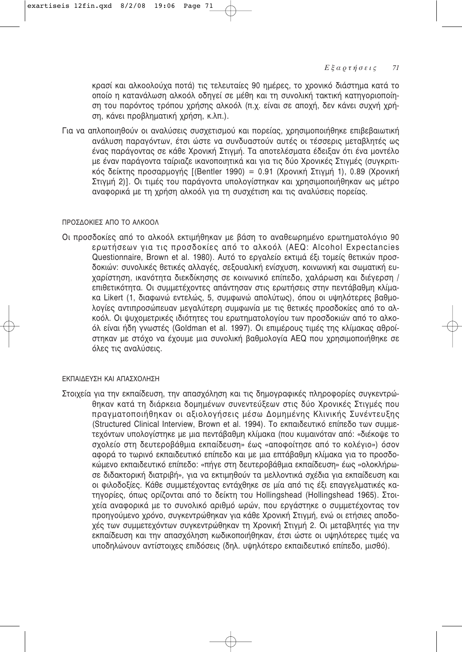Κρασί και αλκοολούχα ποτά) τις τελευταίες 90 ημέρες, το χρονικό διάστημα κατά το οποίο η κατανάλωση αλκοόλ οδηγεί σε μέθη και τη συνολική τακτική κατηγοριοποίηση του παρόντος τρόπου χρήσης αλκοόλ (π.χ. είναι σε αποχή, δεν κάνει συχνή χρήση, κάνει προβληματική χρήση, κ.λπ.).

Για να απλοποιηθούν οι αναλύσεις συσχετισμού και πορείας, χρησιμοποιήθηκε επιβεβαιωτική ανάλυση παραγόντων, έτσι ώστε να συνδυαστούν αυτές οι τέσσερις μεταβλητές ως ένας παράνοντας σε κάθε Χρονική Στινμή. Τα αποτελέσματα έδειξαν ότι ένα μοντέλο με έναν παράγοντα ταίριαζε ικανοποιητικά και για τις δύο Χρονικές Στιγμές (συγκριτι- $K$ ός δείκτης προσαρμογής [(Bentler 1990) = 0.91 (Χρονική Στιγμή 1), 0.89 (Χρονική Στιγμή 2)]. Οι τιμές του παράγοντα υπολογίστηκαν και χρησιμοποιήθηκαν ως μέτρο αναφορικά με τη χρήση αλκοόλ για τη συσχέτιση και τις αναλύσεις πορείας.

# ΠΡΟΣΛΟΚΙΕΣ ΑΠΟ ΤΟ ΑΛΚΟΟΛ

exartiseis  $12fin.qxd$   $8/2/08$   $19:06$  Page

Οι προσδοκίες από το αλκοόλ εκτιμήθηκαν με βάση το αναθεωρημένο ερωτηματολόγιο 90 ερωτήσεων για τις προσδοκίες από το αλκοόλ (AEQ: Alcohol Expectancies Questionnaire, Brown et al. 1980). Aυτό το εργαλείο εκτιμά έξι τομείς θετικών προσδοκιών: συνολικές θετικές αλλαγές, σεξουαλική ενίσχυση, κοινωνική και σωματική ευγαρίστηση, ικανότητα διεκδίκησης σε κοινωνικό επίπεδο, χαλάρωση και διέγερση / επιθετικότητα. Οι συμμετέχοντες απάντησαν στις ερωτήσεις στην πεντάβαθμη κλίμακα Likert (1, διαφωνώ εντελώς, 5, συμφωνώ απολύτως), όπου οι υψηλότερες βαθμολογίες αντιπροσώπευαν μεγαλύτερη συμφωνία με τις θετικές προσδοκίες από το αλκοόλ. Οι ψυχομετρικές ιδιότητες του ερωτηματολογίου των προσδοκιών από το αλκοόλ είναι ήδη γνωστές (Goldman et al. 1997). Οι επιμέρους τιμές της κλίμακας αθροίστηκαν με στόχο να έχουμε μια συνολική βαθμολογία AEQ που χρησιμοποιήθηκε σε όλες τις αναλύσεις.

# **FKΠAIΛFYΣH KAI AΠAΣΧΩΛHΣH**

Στοιχεία για την εκπαίδευση, την απασχόληση και τις δημογραφικές πληροφορίες συγκεντρώθηκαν κατά τη διάρκεια δομημένων συνεντεύξεων στις δύο Χρονικές Στιγμές που πραγματοποιήθηκαν οι αξιολογήσεις μέσω Δομημένης Κλινικής Συνέντευξης (Structured Clinical Interview, Brown et al. 1994). Το εκπαιδευτικό επίπεδο των συμμετεχόντων υπολογίστηκε με μια πεντάβαθμη κλίμακα (που κυμαινόταν από: «διέκοψε το σχολείο στη δευτεροβάθμια εκπαίδευση» έως «αποφοίτησε από το κολέγιο») όσον αφορά το τωρινό εκπαιδευτικό επίπεδο και με μια επτάβαθμη κλίμακα για το προσδο-Κώμενο εκπαιδευτικό επίπεδο: «πήγε στη δευτεροβάθμια εκπαίδευση» έως «ολοκλήρωσε διδακτορική διατριβή», για να εκτιμηθούν τα μελλοντικά σχέδια για εκπαίδευση και οι φιλοδοξίες. Κάθε συμμετέχοντας εντάχθηκε σε μία από τις έξι επαγγελματικές κατηνορίες, όπως ορίζονται από το δείκτη του Hollingshead (Hollingshead 1965). Στοιχεία αναφορικά με το συνολικό αριθμό ωρών, που εργάστηκε ο συμμετέχοντας τον προηγούμενο χρόνο, συγκεντρώθηκαν για κάθε Χρονική Στιγμή, ενώ οι ετήσιες αποδογές των συμμετεχόντων συνκεντρώθηκαν τη Χρονική Στινμή 2. Οι μεταβλητές για την εκπαίδευση και την απασχόληση κωδικοποιήθηκαν, έτσι ώστε οι υψηλότερες τιμές να υποδηλώνουν αντίστοιχες επιδόσεις (δηλ. υψηλότερο εκπαιδευτικό επίπεδο, μισθό).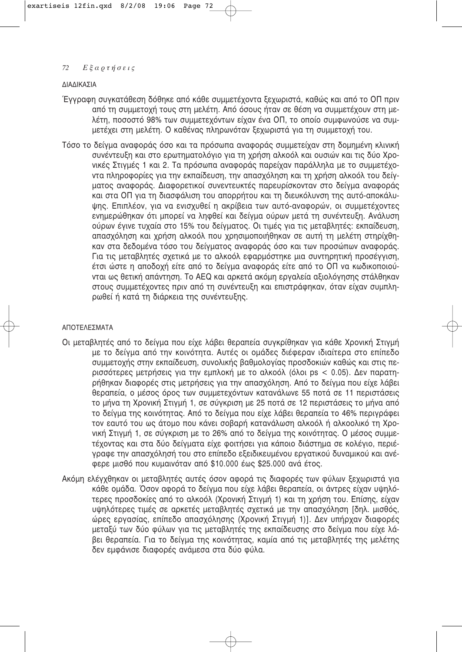# ΔΙΑΔΙΚΑΣΙΑ

- Έγγραφη συγκατάθεση δόθηκε από κάθε συμμετέχοντα ξεχωριστά, καθώς και από το ΟΠ πριν από τη συμμετοχή τους στη μελέτη. Από όσους ήταν σε θέση να συμμετέχουν στη μελέτη, ποσοστό 98% των συμμετεχόντων είχαν ένα ΟΠ, το οποίο συμφωνούσε να συμμετέχει στη μελέτη. Ο καθένας πληρωνόταν ξεχωριστά για τη συμμετοχή του.
- Τόσο το δείγμα αναφοράς όσο και τα πρόσωπα αναφοράς συμμετείχαν στη δομημένη κλινική συνέντευξη και στο ερωτηματολόγιο για τη χρήση αλκοόλ και ουσιών και τις δύο Χρονικές Στιγμές 1 και 2. Τα πρόσωπα αναφοράς παρείχαν παράλληλα με το συμμετέχοντα πληροφορίες για την εκπαίδευση, την απασχόληση και τη χρήση αλκοόλ του δείγματος αναφοράς. Διαφορετικοί συνεντευκτές παρευρίσκονταν στο δείγμα αναφοράς και στα ΟΠ για τη διασφάλιση του απορρήτου και τη διευκόλυνση της αυτό-αποκάλυψης. Επιπλέον, για να ενισχυθεί η ακρίβεια των αυτό-αναφορών, οι συμμετέχοντες ενημερώθηκαν ότι μπορεί να ληφθεί και δείγμα ούρων μετά τη συνέντευξη. Ανάλυση ούρων έγινε τυχαία στο 15% του δείγματος. Οι τιμές για τις μεταβλητές: εκπαίδευση, απασχόληση και χρήση αλκοόλ που χρησιμοποιήθηκαν σε αυτή τη μελέτη στηρίχθηκαν στα δεδομένα τόσο του δείγματος αναφοράς όσο και των προσώπων αναφοράς. Για τις μεταβλητές σχετικά με το αλκοόλ εφαρμόστηκε μια συντηρητική προσέγγιση, έτσι ώστε η αποδοχή είτε από το δείγμα αναφοράς είτε από το ΟΠ να κωδικοποιούνται ως θετική απάντηση. Το AEQ και αρκετά ακόμη εργαλεία αξιολόγησης στάλθηκαν στους συμμετέχοντες πριν από τη συνέντευξη και επιστράφηκαν, όταν είχαν συμπληρωθεί ή κατά τη διάρκεια της συνέντευξης.

# ΑΠΟΤΕΛΕΣΜΑΤΑ

- Οι μεταβλητές από το δείγμα που είχε λάβει θεραπεία συγκρίθηκαν για κάθε Χρονική Στιγμή με το δείγμα από την κοινότητα. Αυτές οι ομάδες διέφεραν ιδιαίτερα στο επίπεδο συμμετοχής στην εκπαίδευση, συνολικής βαθμολογίας προσδοκιών καθώς και στις περισσότερες μετρήσεις για την εμπλοκή με το αλκοόλ (όλοι ps < 0.05). Δεν παρατηρήθηκαν διαφορές στις μετρήσεις για την απασχόληση. Από το δείγμα που είχε λάβει θεραπεία, ο μέσος όρος των συμμετεχόντων κατανάλωνε 55 ποτά σε 11 περιστάσεις το μήνα τη Χρονική Στιγμή 1, σε σύγκριση με 25 ποτά σε 12 περιστάσεις το μήνα από το δείγμα της κοινότητας. Από το δείγμα που είχε λάβει θεραπεία το 46% περιγράφει τον εαυτό του ως άτομο που κάνει σοβαρή κατανάλωση αλκοόλ ή αλκοολικό τη Χρονική Στιγμή 1, σε σύγκριση με το 26% από το δείγμα της κοινότητας. Ο μέσος συμμετέχοντας και στα δύο δείγματα είχε φοιτήσει για κάποιο διάστημα σε κολέγιο, περιέγραφε την απασχόλησή του στο επίπεδο εξειδικευμένου εργατικού δυναμικού και ανέφερε μισθό που κυμαινόταν από \$10.000 έως \$25.000 ανά έτος.
- Ακόμη ελέγχθηκαν οι μεταβλητές αυτές όσον αφορά τις διαφορές των φύλων ξεχωριστά για κάθε ομάδα. Όσον αφορά το δείγμα που είχε λάβει θεραπεία, οι άντρες είχαν υψηλότερες προσδοκίες από το αλκοόλ (Χρονική Στιγμή 1) και τη χρήση του. Επίσης, είχαν υψηλότερες τιμές σε αρκετές μεταβλητές σχετικά με την απασχόληση [δηλ. μισθός, ώρες εργασίας, επίπεδο απασχόλησης (Χρονική Στιγμή 1)]. Δεν υπήρχαν διαφορές μεταξύ των δύο φύλων για τις μεταβλητές της εκπαίδευσης στο δείγμα που είχε λάβει θεραπεία. Για το δείγμα της κοινότητας, καμία από τις μεταβλητές της μελέτης δεν εμφάνισε διαφορές ανάμεσα στα δύο φύλα.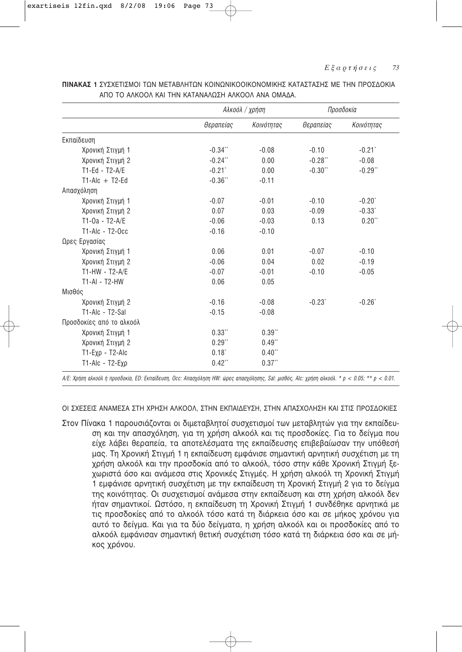|                          |                       | Αλκοόλ / χρήση       |                       | Προσδοκία            |
|--------------------------|-----------------------|----------------------|-----------------------|----------------------|
|                          | Θεραπείας             | Κοινότητας           | θεραπείας             | Κοινότητας           |
| Εκπαίδευση               |                       |                      |                       |                      |
| Χρονική Στιγμή 1         | $-0.34$ <sup>**</sup> | $-0.08$              | $-0.10$               | $-0.21$ <sup>*</sup> |
| Χρονική Στιγμή 2         | $-0.24$ <sup>**</sup> | 0.00                 | $-0.28$ **            | $-0.08$              |
| $T1-Ed - T2-A/E$         | $-0.21$               | 0.00                 | $-0.30$ <sup>**</sup> | $-0.29$ **           |
| $T1-AIC + T2-Ed$         | $-0.36**$             | $-0.11$              |                       |                      |
| Απασχόληση               |                       |                      |                       |                      |
| Χρονική Στιγμή 1         | $-0.07$               | $-0.01$              | $-0.10$               | $-0.20$ <sup>*</sup> |
| Χρονική Στιγμή 2         | 0.07                  | 0.03                 | $-0.09$               | $-0.33^{*}$          |
| $T1-0a - T2-A/E$         | $-0.06$               | $-0.03$              | 0.13                  | $0.20$ **            |
| $T1-AIC - T2-0cc$        | $-0.16$               | $-0.10$              |                       |                      |
| Ωρες Εργασίας            |                       |                      |                       |                      |
| Χρονική Στιγμή 1         | 0.06                  | 0.01                 | $-0.07$               | $-0.10$              |
| Χρονική Στιγμή 2         | $-0.06$               | 0.04                 | 0.02                  | $-0.19$              |
| $T1-HW - T2-A/E$         | $-0.07$               | $-0.01$              | $-0.10$               | $-0.05$              |
| T1-AI - T2-HW            | 0.06                  | 0.05                 |                       |                      |
| Μισθός                   |                       |                      |                       |                      |
| Χρονική Στιγμή 2         | $-0.16$               | $-0.08$              | $-0.23$ *             | $-0.26$ <sup>*</sup> |
| $T1-AIC - T2-Sal$        | $-0.15$               | $-0.08$              |                       |                      |
| Προσδοκίες από το αλκοόλ |                       |                      |                       |                      |
| Χρονική Στιγμή 1         | $0.33**$              | $0.39**$             |                       |                      |
| Χρονική Στιγμή 2         | $0.29**$              | $0.49$ <sup>**</sup> |                       |                      |
| $T1-E\chi\rho - T2-AIC$  | $0.18^{*}$            | $0.40**$             |                       |                      |
| T1-Alc - T2-Εχρ          | $0.42**$              | $0.37$ **            |                       |                      |

ΠΙΝΑΚΑΣ 1 ΣΥΣΧΕΤΙΣΜΟΙ ΤΩΝ ΜΕΤΑΒΛΗΤΩΝ ΚΟΙΝΩΝΙΚΟΟΙΚΟΝΟΜΙΚΗΣ ΚΑΤΑΣΤΑΣΗΣ ΜΕ ΤΗΝ ΠΡΟΣΔΟΚΙΑ ΑΠΟ ΤΟ ΑΛΚΟΟΛ ΚΑΙ ΤΗΝ ΚΑΤΑΝΑΛΩΣΗ ΑΛΚΟΟΛ ΑΝΑ ΟΜΑΔΑ.

exartiseis  $12fin,qxd$   $8/2/08$   $19:06$  Page

*A/E: Χρήση αλκοόλ ή προσδοκία, ΕD: Εκπαίδευση, Occ: Απασχόληση HW: ώρες απασχόλησης, Sal: μισθός, Alc: χρήση αλκοόλ. \* p < 0.05; \*\* p < 0.01.* 

ΟΙ ΣΧΕΣΕΙΣ ΑΝΑΜΕΣΑ ΣΤΗ ΧΡΗΣΗ ΑΛΚΟΟΛ, ΣΤΗΝ ΕΚΠΑΙΔΕΥΣΗ, ΣΤΗΝ ΑΠΑΣΧΟΛΗΣΗ ΚΑΙ ΣΤΙΣ ΠΡΟΣΔΟΚΙΕΣ

Στον Πίνακα 1 παρουσιάζονται οι διμεταβλητοί συσχετισμοί των μεταβλητών για την εκπαίδευση και την απασχόληση, για τη χρήση αλκοόλ και τις προσδοκίες. Για το δείγμα που είχε λάβει θεραπεία, τα αποτελέσματα της εκπαίδευσης επιβεβαίωσαν την υπόθεσή μας. Τη Χρονική Στιγμή 1 η εκπαίδευση εμφάνισε σημαντική αρνητική συσχέτιση με τη χρήση αλκοόλ και την προσδοκία από το αλκοόλ, τόσο στην κάθε Χρονική Στιγμή ξεχωριστά όσο και ανάμεσα στις Χρονικές Στιγμές. Η χρήση αλκοόλ τη Χρονική Στιγμή 1 εμφάνισε αρνητική συσχέτιση με την εκπαίδευση τη Χρονική Στιγμή 2 για το δείγμα της κοινότητας. Οι συσχετισμοί ανάμεσα στην εκπαίδευση και στη χρήση αλκοόλ δεν ήταν σημαντικοί. Ωστόσο, η εκπαίδευση τη Χρονική Στιγμή 1 συνδέθηκε αρνητικά με τις προσδοκίες από το αλκοόλ τόσο κατά τη διάρκεια όσο και σε μήκος χρόνου για αυτό το δείγμα. Και για τα δύο δείγματα, η χρήση αλκοόλ και οι προσδοκίες από το αλκοόλ εμφάνισαν σημαντική θετική συσχέτιση τόσο κατά τη διάρκεια όσο και σε μήκος χρόνου.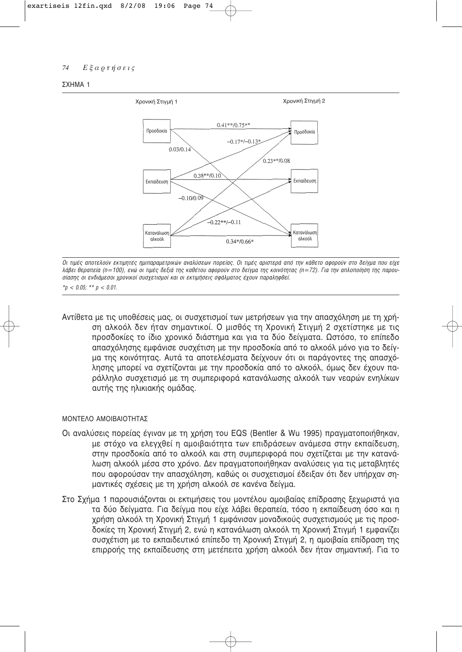### ΣΧΗΜΑ 1



Οι τιμές αποτελούν εκτιμητές ημιπαραμετρικών αναλύσεων πορείας. Οι τιμές αριστερά από την κάθετο αφορούν στο δείγμα που είχε *λάβει θεραπεία (n=100), ενώ οι τιμές δεξιά της καθέτου αφορούν στο δείγμα της κοινότητας (n=72). Για την απλοποίηση της παρου-Û›·Û˘ ÔÈ ÂӉȿÌÂÛÔÈ ¯ÚÔÓÈÎÔ› Û˘Û¯ÂÙÈÛÌÔ› Î·È ÔÈ ÂÎÙÈÌ‹ÛÂȘ ÛÊ¿ÏÌ·ÙÔ˜ ¤¯Ô˘Ó ·Ú·ÏËÊı›.* 

*\*p < 0.05; \*\* p < 0.01.* 

Aντίθετα με τις υποθέσεις μας, οι συσχετισμοί των μετρήσεων για την απασχόληση με τη χρήση αλκοόλ δεν ήταν σημαντικοί. Ο μισθός τη Χρονική Στιγμή 2 σχετίστηκε με τις προσδοκίες το ίδιο χρονικό διάστημα και για τα δύο δείγματα. Ωστόσο, το επίπεδο απασχόλησης εμφάνισε συσχέτιση με την προσδοκία από το αλκοόλ μόνο για το δείγμα της κοινότητας. Αυτά τα αποτελέσματα δείχνουν ότι οι παράγοντες της απασχόλησης μπορεί να σχετίζονται με την προσδοκία από το αλκοόλ, όμως δεν έχουν παράλληλο συσχετισμό με τη συμπεριφορά κατανάλωσης αλκοόλ των νεαρών ενηλίκων αυτής της ηλικιακής ομάδας.

## ΜΟΝΤΕΛΟ ΑΜΟΙΒΑΙΟΤΗΤΑΣ

- Οι αναλύσεις πορείας έγιναν με τη χρήση του EQS (Bentler & Wu 1995) πραγματοποιήθηκαν, με στόχο να ελεγχθεί η αμοιβαιότητα των επιδράσεων ανάμεσα στην εκπαίδευση, στην προσδοκία από το αλκοόλ και στη συμπεριφορά που σχετίζεται με την κατανάλωση αλκοόλ μέσα στο χρόνο. Δεν πραγματοποιήθηκαν αναλύσεις για τις μεταβλητές που αφορούσαν την απασχόληση, καθώς οι συσχετισμοί έδειξαν ότι δεν υπήρχαν σημαντικές σχέσεις με τη χρήση αλκοόλ σε κανένα δείγμα.
- Στο Σχήμα 1 παρουσιάζονται οι εκτιμήσεις του μοντέλου αμοιβαίας επίδρασης ξεχωριστά για τα δύο δείγματα. Για δείγμα που είχε λάβει θεραπεία, τόσο η εκπαίδευση όσο και η χρήση αλκοόλ τη Χρονική Στιγμή 1 εμφάνισαν μοναδικούς συσχετισμούς με τις προσδοκίες τη Χρονική Στιγμή 2, ενώ η κατανάλωση αλκοόλ τη Χρονική Στιγμή 1 εμφανίζει συσχέτιση με το εκπαιδευτικό επίπεδο τη Χρονική Στιγμή 2, η αμοιβαία επίδραση της επιρροής της εκπαίδευσης στη μετέπειτα χρήση αλκοόλ δεν ήταν σημαντική. Για το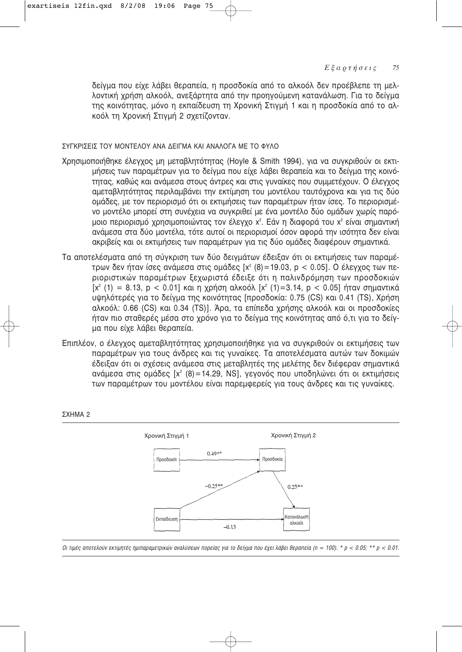δείγμα που είχε λάβει θεραπεία, η προσδοκία από το αλκοόλ δεν προέβλεπε τη μελλοντική χρήση αλκοόλ, ανεξάρτητα από την προηγούμενη κατανάλωση. Για το δείγμα της κοινότητας, μόνο η εκπαίδευση τη Χρονική Στιγμή 1 και η προσδοκία από το αλκοόλ τη Χρονική Στιγμή 2 σχετίζονταν.

# ΣΥΓΚΡΙΣΕΙΣ ΤΟΥ ΜΟΝΤΕΛΟΥ ΑΝΑ ΛΕΙΓΜΑ ΚΑΙ ΑΝΑΛΟΓΑ ΜΕ ΤΟ ΦΥΛΟ

- Χρησιμοποιήθηκε έλεγχος μη μεταβλητότητας (Hoyle & Smith 1994), για να συγκριθούν οι εκτιμήσεις των παραμέτρων για το δείγμα που είχε λάβει θεραπεία και το δείγμα της κοινότητας, καθώς και ανάμεσα στους άντρες και στις γυναίκες που συμμετέχουν. Ο έλεγχος αμεταβλητότητας περιλαμβάνει την εκτίμηση του μοντέλου ταυτόχρονα και για τις δύο ομάδες, με τον περιορισμό ότι οι εκτιμήσεις των παραμέτρων ήταν ίσες. Το περιορισμένο μοντέλο μπορεί στη συνέχεια να συγκριθεί με ένα μοντέλο δύο ομάδων χωρίς παρόμοιο περιορισμό χρησιμοποιώντας τον έλεγχο x². Εάν η διαφορά του x² είναι σημαντική ανάμεσα στα δύο μοντέλα, τότε αυτοί οι περιορισμοί όσον αφορά την ισότητα δεν είναι ακριβείς και οι εκτιμήσεις των παραμέτρων για τις δύο ομάδες διαφέρουν σημαντικά.
- Τα αποτελέσματα από τη σύγκριση των δύο δειγμάτων έδειξαν ότι οι εκτιμήσεις των παραμέτρων δεν ήταν ίσες ανάμεσα στις ομάδες [x<sup>2</sup> (8)=19.03, p < 0.05]. Ο έλεγχος των περιοριστικών παραμέτρων ξεχωριστά έδειξε ότι η παλινδρόμηση των προσδοκιών  $[x^{2} (1) = 8.13, p < 0.01]$  και η χρήση αλκοόλ  $[x^{2} (1) = 3.14, p < 0.05]$  ήταν σημαντικά υψηλότερές για το δείνμα της κοινότητας [προσδοκία: 0.75 (CS) και 0.41 (TS), Χρήση aλκοόλ: 0.66 (CS) και 0.34 (TS)]. Άρα, τα επίπεδα χρήσης αλκοόλ και οι προσδοκίες ήταν πιο σταθερές μέσα στο χρόνο για το δείγμα της κοινότητας από ό,τι για το δείγμα που είχε λάβει θεραπεία.
- Επιπλέον, ο έλεγχος αμεταβλητότητας χρησιμοποιήθηκε για να συγκριθούν οι εκτιμήσεις των παραμέτρων για τους άνδρες και τις γυναίκες. Τα αποτελέσματα αυτών των δοκιμών έδειξαν ότι οι σχέσεις ανάμεσα στις μεταβλητές της μελέτης δεν διέφεραν σημαντικά ανάμεσα στις ομάδες [x<sup>2</sup> (8)=14.29, NS], γεγονός που υποδηλώνει ότι οι εκτιμήσεις των παραμέτρων του μοντέλου είναι παρεμφερείς για τους άνδρες και τις γυναίκες.



#### ΣXHMA 2

*Οι τιμές αποτελούν εκτιμητές ημιπαραμετρικών αναλύσεων πορείας για το δείγμα που έχει λάβει θεραπεία (n = 100). \* p < 0.05; \*\* p < 0.01.* 

#### exartiseis 12fin.qxd 8/2/08 19:06 Page 75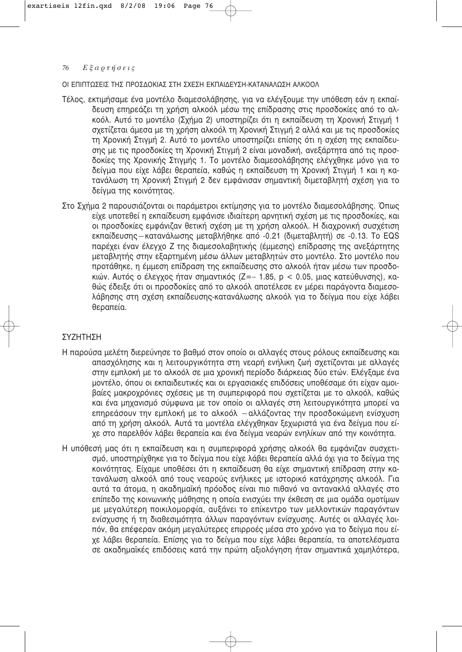ΟΙ ΕΠΙΠΤΩΣΕΙΣ ΤΗΣ ΠΡΟΣΔΟΚΙΑΣ ΣΤΗ ΣΧΕΣΗ ΕΚΠΑΙΔΕΥΣΗ-ΚΑΤΑΝΑΛΩΣΗ ΑΛΚΟΟΛ

- Τέλος, εκτιμήσαμε ένα μοντέλο διαμεσολάβησης, για να ελέγξουμε την υπόθεση εάν η εκπαίδευση επηρεάζει τη χρήση αλκοόλ μέσω της επίδρασης στις προσδοκίες από το αλ-Κοόλ. Αυτό το μοντέλο (Σχήμα 2) υποστηρίζει ότι η εκπαίδευση τη Χρονική Στιγμή 1 σχετίζεται άμεσα με τη χρήση αλκοόλ τη Χρονική Στιγμή 2 αλλά και με τις προσδοκίες τη Χρονική Στιγμή 2. Αυτό το μοντέλο υποστηρίζει επίσης ότι η σχέση της εκπαίδευσης με τις προσδοκίες τη Χρονική Στιγμή 2 είναι μοναδική, ανεξάρτητα από τις προσδοκίες της Χρονικής Στιγμής 1. Το μοντέλο διαμεσολάβησης ελέγχθηκε μόνο για το δείγμα που είχε λάβει θεραπεία, καθώς η εκπαίδευση τη Χρονική Στιγμή 1 και η κατανάλωση τη Χρονική Στιγμή 2 δεν εμφάνισαν σημαντική διμεταβλητή σχέση για το δείγμα της κοινότητας.
- Στο Σχήμα 2 παρουσιάζονται οι παράμετροι εκτίμησης για το μοντέλο διαμεσολάβησης. Όπως είχε υποτεθεί η εκπαίδευση εμφάνισε ιδιαίτερη αρνητική σχέση με τις προσδοκίες, και οι προσδοκίες εμφάνιζαν θετική σχέση με τη χρήση αλκοόλ. Η διαχρονική συσχέτιση εκπαίδευσης - κατανάλωσης μεταβλήθηκε από -0.21 (διμεταβλητή) σε -0.13. Το EQS παρέχει έναν έλεγχο Z της διαμεσολαβητικής (έμμεσης) επίδρασης της ανεξάρτητης μεταβλητής στην εξαρτημένη μέσω άλλων μεταβλητών στο μοντέλο. Στο μοντέλο που προτάθηκε, η έμμεση επίδραση της εκπαίδευσης στο αλκοόλ ήταν μέσω των προσδο- $KI\omega$ ν. Αυτός ο έλεγχος ήταν σημαντικός (Z=– 1.85, p < 0.05, μιας κατεύθυνσης), καθώς έδειξε ότι οι προσδοκίες από το αλκοόλ αποτέλεσε εν μέρει παράγοντα διαμεσολάβησης στη σχέση εκπαίδευσης-κατανάλωσης αλκοόλ για το δείγμα που είχε λάβει θεραπεία.

# ΣΥΖΗΤΗΣΗ

- Η παρούσα μελέτη διερεύνησε το βαθμό στον οποίο οι αλλαγές στους ρόλους εκπαίδευσης και απασχόλησης και η λειτουργικότητα στη νεαρή ενήλικη ζωή σχετίζονται με αλλαγές στην εμπλοκή με το αλκοόλ σε μια χρονική περίοδο διάρκειας δύο ετών. Ελέγξαμε ένα μοντέλο, όπου οι εκπαιδευτικές και οι εργασιακές επιδόσεις υποθέσαμε ότι είχαν αμοιβαίες μακροχρόνιες σχέσεις με τη συμπεριφορά που σχετίζεται με το αλκοόλ, καθώς και ένα μηχανισμό σύμφωνα με τον οποίο οι αλλαγές στη λειτουργικότητα μπορεί να επηρεάσουν την εμπλοκή με το αλκοόλ —αλλάζοντας την προσδοκώμενη ενίσχυση από τη χρήση αλκοόλ. Αυτά τα μοντέλα ελέγχθηκαν ξεχωριστά για ένα δείγμα που είχε στο παρελθόν λάβει θεραπεία και ένα δείγμα νεαρών ενηλίκων από την κοινότητα.
- Η υπόθεσή μας ότι η εκπαίδευση και η συμπεριφορά χρήσης αλκοόλ θα εμφάνιζαν συσχετισμό, υποστηρίχθηκε για το δείγμα που είχε λάβει θεραπεία αλλά όχι για το δείγμα της κοινότητας. Είχαμε υποθέσει ότι η εκπαίδευση θα είχε σημαντική επίδραση στην κατανάλωση αλκοόλ από τους νεαρούς ενήλικες με ιστορικό κατάχρησης αλκοόλ. Για αυτά τα άτομα, η ακαδημαϊκή πρόοδος είναι πιο πιθανό να αντανακλά αλλαγές στο επίπεδο της κοινωνικής μάθησης η οποία ενισχύει την έκθεση σε μια ομάδα ομοτίμων με μεγαλύτερη ποικιλομορφία, αυξάνει το επίκεντρο των μελλοντικών παραγόντων ενίσχυσης ή τη διαθεσιμότητα άλλων παραγόντων ενίσχυσης. Αυτές οι αλλαγές λοιπόν, θα επέφεραν ακόμη μεγαλύτερες επιρροές μέσα στο χρόνο για το δείγμα που είχε λάβει θεραπεία. Επίσης για το δείγμα που είχε λάβει θεραπεία, τα αποτελέσματα σε ακαδημαϊκές επιδόσεις κατά την πρώτη αξιολόγηση ήταν σημαντικά χαμηλότερα,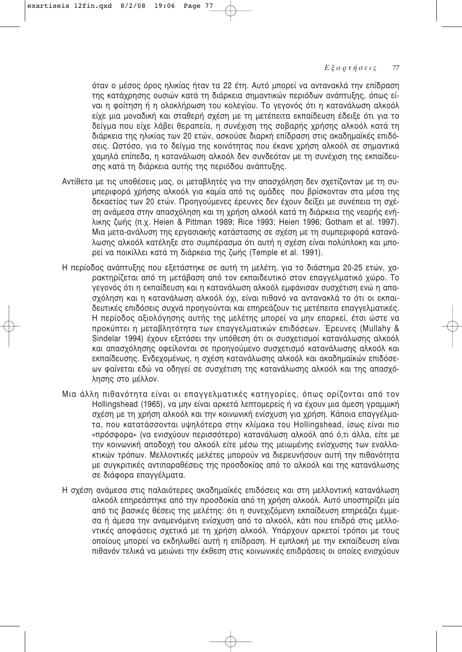exartiseis  $12fin.qxd$   $8/2/08$   $19:06$  Page

όταν ο μέσος όρος ηλικίας ήταν τα 22 έτη. Αυτό μπορεί να αντανακλά την επίδραση της κατάχρησης ουσιών κατά τη διάρκεια σημαντικών περιόδων ανάπτυξης, όπως είναι η φοίτηση ή η ολοκλήρωση του κολεγίου. Το γεγονός ότι η κατανάλωση αλκοόλ είχε μια μοναδική και σταθερή σχέση με τη μετέπειτα εκπαίδευση έδειξε ότι για το δείγμα που είχε λάβει θεραπεία, η συνέχιση της σοβαρής χρήσης αλκοόλ κατά τη διάρκεια της ηλικίας των 20 ετών, ασκούσε διαρκή επίδραση στις ακαδημαϊκές επιδόσεις. Ωστόσο, για το δείγμα της κοινότητας που έκανε χρήση αλκοόλ σε σημαντικά χαμηλά επίπεδα, η κατανάλωση αλκοόλ δεν συνδεόταν με τη συνέχιση της εκπαίδευσης κατά τη διάρκεια αυτής της περιόδου ανάπτυξης.

- Αντίθετα με τις υποθέσεις μας, οι μεταβλητές για την απασχόληση δεν σχετίζονταν με τη συμπεριφορά χρήσης αλκοόλ για καμία από τις ομάδες που βρίσκονταν στα μέσα της δεκαετίας των 20 ετών. Προηγούμενες έρευνες δεν έχουν δείξει με συνέπεια τη σχέση ανάμεσα στην απασχόληση και τη χρήση αλκοόλ κατά τη διάρκεια της νεαρής ενήλικης ζωής (π.χ. Heien & Pittman 1989; Rice 1993; Heien 1996; Gotham et al. 1997). Μια μετα-ανάλυση της εργασιακής κατάστασης σε σχέση με τη συμπεριφορά κατανάλωσης αλκοόλ κατέληξε στο συμπέρασμα ότι αυτή η σχέση είναι πολύπλοκη και μπορεί να ποικίλλει κατά τη διάρκεια της ζωής (Temple et al. 1991).
- Η περίοδος ανάπτυξης που εξετάστηκε σε αυτή τη μελέτη, για το διάστημα 20-25 ετών, χαρακτηρίζεται από τη μετάβαση από τον εκπαιδευτικό στον επαγγελματικό χώρο. Το γεγονός ότι η εκπαίδευση και η κατανάλωση αλκοόλ εμφάνισαν συσχέτιση ενώ η απασχόληση και η κατανάλωση αλκοόλ όχι, είναι πιθανό να αντανακλά το ότι οι εκπαιδευτικές επιδόσεις συχνά προηγούνται και επηρεάζουν τις μετέπειτα επαγγελματικές. Η περίοδος αξιολόγησης αυτής της μελέτης μπορεί να μην επαρκεί, έτσι ώστε να προκύπτει η μεταβλητότητα των επαγγελματικών επιδόσεων. Έρευνες (Mullahy & Sindelar 1994) έχουν εξετάσει την υπόθεση ότι οι συσχετισμοί κατανάλωσης αλκοόλ και απασχόλησης οφείλονται σε προηγούμενο συσχετισμό κατανάλωσης αλκοόλ και εκπαίδευσης. Ενδεχομένως, η σχέση κατανάλωσης αλκοόλ και ακαδημαϊκών επιδόσεων φαίνεται εδώ να οδηγεί σε συσχέτιση της κατανάλωσης αλκοόλ και της απασχόλησης στο μέλλον.
- Μια άλλη πιθανότητα είναι οι επαγγελματικές κατηγορίες, όπως ορίζονται από τον Hollingshead (1965), να μην είναι αρκετά λεπτομερείς ή να έχουν μια άμεση γραμμική σχέση με τη χρήση αλκοόλ και την κοινωνική ενίσχυση για χρήση. Κάποια επαγγέλματα, που κατατάσσονται υψηλότερα στην κλίμακα του Hollingshead, ίσως είναι πιο «πρόσφορα» (να ενισχύουν περισσότερο) κατανάλωση αλκοόλ από ό,τι άλλα, είτε με την κοινωνική αποδοχή του αλκοόλ είτε μέσω της μειωμένης ενίσχυσης των εναλλακτικών τρόπων. Μελλοντικές μελέτες μπορούν να διερευνήσουν αυτή την πιθανότητα με συγκριτικές αντιπαραθέσεις της προσδοκίας από το αλκοόλ και της κατανάλωσης σε διάφορα επαγγέλματα.
- Η σχέση ανάμεσα στις παλαιότερες ακαδημαϊκές επιδόσεις και στη μελλοντική κατανάλωση αλκοόλ επηρεάστηκε από την προσδοκία από τη χρήση αλκοόλ. Αυτό υποστηρίζει μία από τις βασικές θέσεις της μελέτης: ότι η συνεχιζόμενη εκπαίδευση επηρεάζει έμμεσα ή άμεσα την αναμενόμενη ενίσχυση από το αλκοόλ, κάτι που επιδρά στις μελλοντικές αποφάσεις σχετικά με τη χρήση αλκοόλ. Υπάρχουν αρκετοί τρόποι με τους οποίους μπορεί να εκδηλωθεί αυτή η επίδραση. Η εμπλοκή με την εκπαίδευση είναι πιθανόν τελικά να μειώνει την έκθεση στις κοινωνικές επιδράσεις οι οποίες ενισχύουν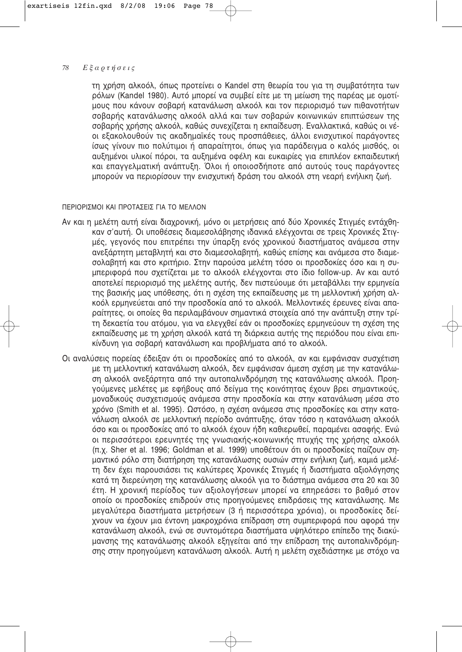τη χρήση αλκοόλ, όπως προτείνει ο Kandel στη θεωρία του για τη συμβατότητα των ρόλων (Kandel 1980). Αυτό μπορεί να συμβεί είτε με τη μείωση της παρέας με ομοτίμους που κάνουν σοβαρή κατανάλωση αλκοόλ και τον περιορισμό των πιθανοτήτων σοβαρής κατανάλωσης αλκοόλ αλλά και των σοβαρών κοινωνικών επιπτώσεων της σοβαρής χρήσης αλκοόλ, καθώς συνεχίζεται η εκπαίδευση. Εναλλακτικά, καθώς οι νέοι εξακολουθούν τις ακαδημαϊκές τους προσπάθειες, άλλοι ενισχυτικοί παράγοντες ίσως γίνουν πιο πολύτιμοι ή απαραίτητοι, όπως για παράδειγμα ο καλός μισθός, οι αυξημένοι υλικοί πόροι, τα αυξημένα οφέλη και ευκαιρίες για επιπλέον εκπαιδευτική και επαγγελματική ανάπτυξη. Όλοι ή οποιοσδήποτε από αυτούς τους παράγοντες μπορούν να περιορίσουν την ενισχυτική δράση του αλκοόλ στη νεαρή ενήλικη ζωή.

# ΠΕΡΙΟΡΙΣΜΟΙ ΚΑΙ ΠΡΟΤΑΣΕΙΣ ΓΙΑ ΤΟ ΜΕΛΛΟΝ

- Αν και η μελέτη αυτή είναι διαχρονική, μόνο οι μετρήσεις από δύο Χρονικές Στιγμές εντάχθηκαν σ'αυτή. Οι υποθέσεις διαμεσολάβησης ιδανικά ελέγχονται σε τρεις Χρονικές Στιγμές, γεγονός που επιτρέπει την ύπαρξη ενός χρονικού διαστήματος ανάμεσα στην ανεξάρτητη μεταβλητή και στο διαμεσολαβητή, καθώς επίσης και ανάμεσα στο διαμεσολαβητή και στο κριτήριο. Στην παρούσα μελέτη τόσο οι προσδοκίες όσο και η συμπεριφορά που σχετίζεται με το αλκοόλ ελέγχονται στο ίδιο follow-up. Αν και αυτό αποτελεί περιορισμό της μελέτης αυτής, δεν πιστεύουμε ότι μεταβάλλει την ερμηνεία της βασικής μας υπόθεσης, ότι η σχέση της εκπαίδευσης με τη μελλοντική χρήση αλκοόλ ερμηνεύεται από την προσδοκία από το αλκοόλ. Μελλοντικές έρευνες είναι απαραίτητες, οι οποίες θα περιλαμβάνουν σημαντικά στοιχεία από την ανάπτυξη στην τρίτη δεκαετία του ατόμου, για να ελεγχθεί εάν οι προσδοκίες ερμηνεύουν τη σχέση της εκπαίδευσης με τη χρήση αλκοόλ κατά τη διάρκεια αυτής της περιόδου που είναι επικίνδυνη για σοβαρή κατανάλωση και προβλήματα από το αλκοόλ.
- Οι αναλύσεις πορείας έδειξαν ότι οι προσδοκίες από το αλκοόλ, αν και εμφάνισαν συσχέτιση με τη μελλοντική κατανάλωση αλκοόλ, δεν εμφάνισαν άμεση σχέση με την κατανάλωση αλκοόλ ανεξάρτητα από την αυτοπαλινδρόμηση της κατανάλωσης αλκοόλ. Προηγούμενες μελέτες με εφήβους από δείγμα της κοινότητας έχουν βρει σημαντικούς, μοναδικούς συσχετισμούς ανάμεσα στην προσδοκία και στην κατανάλωση μέσα στο χρόνο (Smith et al. 1995). Ωστόσο, η σχέση ανάμεσα στις προσδοκίες και στην κατανάλωση αλκοόλ σε μελλοντική περίοδο ανάπτυξης, όταν τόσο η κατανάλωση αλκοόλ όσο και οι προσδοκίες από το αλκοόλ έχουν ήδη καθιερωθεί, παραμένει ασαφής. Ενώ οι περισσότεροι ερευνητές της γνωσιακής-κοινωνικής πτυχής της χρήσης αλκοόλ (π.χ. Sher et al. 1996; Goldman et al. 1999) υποθέτουν ότι οι προσδοκίες παίζουν σημαντικό ρόλο στη διατήρηση της κατανάλωσης ουσιών στην ενήλικη ζωή, καμιά μελέτη δεν έχει παρουσιάσει τις καλύτερες Χρονικές Στιγμές ή διαστήματα αξιολόγησης κατά τη διερεύνηση της κατανάλωσης αλκοόλ για το διάστημα ανάμεσα στα 20 και 30 έτη. Η χρονική περίοδος των αξιολογήσεων μπορεί να επηρεάσει το βαθμό στον οποίο οι προσδοκίες επιδρούν στις προηγούμενες επιδράσεις της κατανάλωσης. Με μεναλύτερα διαστήματα μετρήσεων (3 ή περισσότερα χρόνια), οι προσδοκίες δείχνουν να έχουν μια έντονη μακροχρόνια επίδραση στη συμπεριφορά που αφορά την κατανάλωση αλκοόλ, ενώ σε συντομότερα διαστήματα υψηλότερο επίπεδο της διακύμανσης της κατανάλωσης αλκοόλ εξηνείται από την επίδραση της αυτοπαλινδρόμησης στην προηγούμενη κατανάλωση αλκοόλ. Αυτή η μελέτη σχεδιάστηκε με στόχο να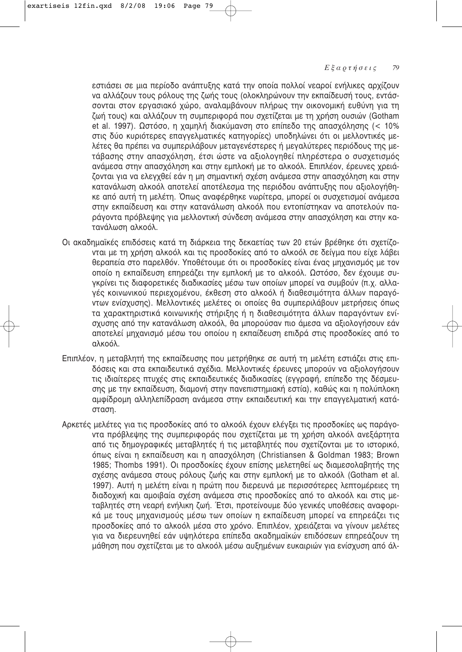εστιάσει σε μια περίοδο ανάπτυξης κατά την οποία πολλοί νεαροί ενήλικες αρχίζουν να αλλάζουν τους ρόλους της ζωής τους (ολοκληρώνουν την εκπαίδευσή τους, εντάσσονται στον εργασιακό χώρο, αναλαμβάνουν πλήρως την οικονομική ευθύνη για τη ζωή τους) και αλλάζουν τη συμπεριφορά που σχετίζεται με τη χρήση ουσιών (Gotham et al. 1997). Ωστόσο, η χαμηλή διακύμανση στο επίπεδο της απασχόλησης (< 10% στις δύο κυριότερες επαγγελματικές κατηγορίες) υποδηλώνει ότι οι μελλοντικές μελέτες θα πρέπει να συμπεριλάβουν μεταγενέστερες ή μεγαλύτερες περιόδους της μετάβασης στην απασχόληση, έτσι ώστε να αξιολογηθεί πληρέστερα ο συσχετισμός ανάμεσα στην απασχόληση και στην εμπλοκή με το αλκοόλ. Επιπλέον, έρευνες χρειάζονται για να ελεγχθεί εάν η μη σημαντική σχέση ανάμεσα στην απασχόληση και στην κατανάλωση αλκοόλ αποτελεί αποτέλεσμα της περιόδου ανάπτυξης που αξιολογήθηκε από αυτή τη μελέτη. Όπως αναφέρθηκε νωρίτερα, μπορεί οι συσχετισμοί ανάμεσα στην εκπαίδευση και στην κατανάλωση αλκοόλ που εντοπίστηκαν να αποτελούν παράγοντα πρόβλεψης για μελλοντική σύνδεση ανάμεσα στην απασχόληση και στην κατανάλωση αλκοόλ.

- Οι ακαδημαϊκές επιδόσεις κατά τη διάρκεια της δεκαετίας των 20 ετών βρέθηκε ότι σχετίζονται με τη χρήση αλκοόλ και τις προσδοκίες από το αλκοόλ σε δείγμα που είχε λάβει θεραπεία στο παρελθόν. Υποθέτουμε ότι οι προσδοκίες είναι ένας μηχανισμός με τον οποίο η εκπαίδευση επηρεάζει την εμπλοκή με το αλκοόλ. Ωστόσο, δεν έχουμε συγκρίνει τις διαφορετικές διαδικασίες μέσω των οποίων μπορεί να συμβούν (π.χ. αλλαγές κοινωνικού περιεχομένου, έκθεση στο αλκοόλ ή διαθεσιμότητα άλλων παραγό-Vτων ενίσχυσης). Μελλοντικές μελέτες οι οποίες θα συμπεριλάβουν μετρήσεις όπως τα χαρακτηριστικά κοινωνικής στήριξης ή η διαθεσιμότητα άλλων παραγόντων ενίσχυσης από την κατανάλωση αλκοόλ, θα μπορούσαν πιο άμεσα να αξιολογήσουν εάν αποτελεί μηχανισμό μέσω του οποίου η εκπαίδευση επιδρά στις προσδοκίες από το αλκοόλ.
- Επιπλέον, η μεταβλητή της εκπαίδευσης που μετρήθηκε σε αυτή τη μελέτη εστιάζει στις επιδόσεις και στα εκπαιδευτικά σχέδια. Μελλοντικές έρευνες μπορούν να αξιολογήσουν τις ιδιαίτερες πτυχές στις εκπαιδευτικές διαδικασίες (εγγραφή, επίπεδο της δέσμευσης με την εκπαίδευση, διαμονή στην πανεπιστημιακή εστία), καθώς και η πολύπλοκη αμφίδρομη αλληλεπίδραση ανάμεσα στην εκπαιδευτική και την επαγγελματική κατάσταση.
- Αρκετές μελέτες για τις προσδοκίες από το αλκοόλ έχουν ελέγξει τις προσδοκίες ως παράγοντα πρόβλεψης της συμπεριφοράς που σχετίζεται με τη χρήση αλκοόλ ανεξάρτητα από τις δημογραφικές μεταβλητές ή τις μεταβλητές που σχετίζονται με το ιστορικό, όπως είναι η εκπαίδευση και η απασχόληση (Christiansen & Goldman 1983; Brown 1985; Thombs 1991). Οι προσδοκίες έχουν επίσης μελετηθεί ως διαμεσολαβητής της σχέσης ανάμεσα στους ρόλους ζωής και στην εμπλοκή με το αλκοόλ (Gotham et al. 1997). Αυτή η μελέτη είναι η πρώτη που διερευνά με περισσότερες λεπτομέρειες τη διαδοχική και αμοιβαία σχέση ανάμεσα στις προσδοκίες από το αλκοόλ και στις μεταβλητές στη νεαρή ενήλικη ζωή. Έτσι, προτείνουμε δύο γενικές υποθέσεις αναφορικά με τους μηχανισμούς μέσω των οποίων η εκπαίδευση μπορεί να επηρεάζει τις προσδοκίες από το αλκοόλ μέσα στο χρόνο. Επιπλέον, χρειάζεται να γίνουν μελέτες για να διερευνηθεί εάν υψηλότερα επίπεδα ακαδημαϊκών επιδόσεων επηρεάζουν τη μάθηση που σχετίζεται με το αλκοόλ μέσω αυξημένων ευκαιριών για ενίσχυση από άλ-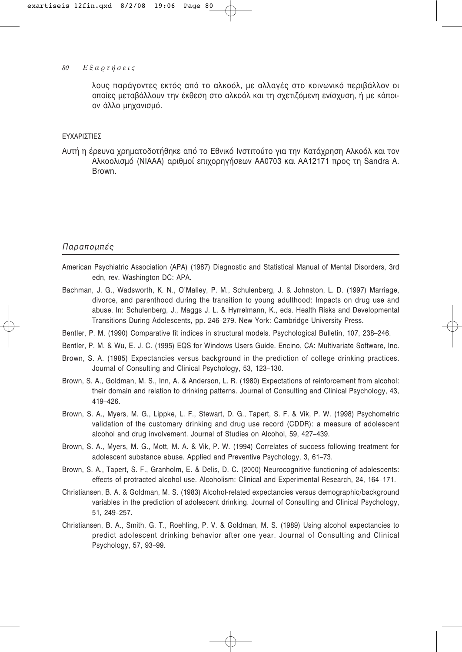#### $\overline{80}$ Εξαρτήσεις

λους παράγοντες εκτός από το αλκοόλ, με αλλαγές στο κοινωνικό περιβάλλον οι οποίες μεταβάλλουν την έκθεση στο αλκοόλ και τη σχετιζόμενη ενίσχυση, ή με κάποιον άλλο μηχανισμό.

# ΕΥΧΑΡΙΣΤΙΕΣ

Αυτή η έρευνα χρηματοδοτήθηκε από το Εθνικό Ινστιτούτο για την Κατάχρηση Αλκοόλ και τον Αλκοολισμό (NIAAA) αριθμοί επιχορηγήσεων AA0703 και AA12171 προς τη Sandra A. Brown.

# Παραπομπές

- American Psychiatric Association (APA) (1987) Diagnostic and Statistical Manual of Mental Disorders, 3rd edn, rev. Washington DC: APA.
- Bachman, J. G., Wadsworth, K. N., O'Malley, P. M., Schulenberg, J. & Johnston, L. D. (1997) Marriage, divorce, and parenthood during the transition to young adulthood: Impacts on drug use and abuse. In: Schulenberg, J., Maggs J. L. & Hyrrelmann, K., eds. Health Risks and Developmental Transitions During Adolescents, pp. 246-279. New York: Cambridge University Press.
- Bentler, P. M. (1990) Comparative fit indices in structural models. Psychological Bulletin, 107, 238-246.
- Bentler, P. M. & Wu, E. J. C. (1995) EQS for Windows Users Guide. Encino, CA: Multivariate Software, Inc.
- Brown, S. A. (1985) Expectancies versus background in the prediction of college drinking practices. Journal of Consulting and Clinical Psychology, 53, 123-130.
- Brown, S. A., Goldman, M. S., Inn, A. & Anderson, L. R. (1980) Expectations of reinforcement from alcohol: their domain and relation to drinking patterns. Journal of Consulting and Clinical Psychology, 43, 419-426.
- Brown, S. A., Myers, M. G., Lippke, L. F., Stewart, D. G., Tapert, S. F. & Vik, P. W. (1998) Psychometric validation of the customary drinking and drug use record (CDDR): a measure of adolescent alcohol and drug involvement. Journal of Studies on Alcohol, 59, 427-439.
- Brown, S. A., Myers, M. G., Mott, M. A. & Vik, P. W. (1994) Correlates of success following treatment for adolescent substance abuse. Applied and Preventive Psychology, 3, 61-73.
- Brown, S. A., Tapert, S. F., Granholm, E. & Delis, D. C. (2000) Neurocognitive functioning of adolescents: effects of protracted alcohol use. Alcoholism: Clinical and Experimental Research, 24, 164-171.
- Christiansen, B. A. & Goldman, M. S. (1983) Alcohol-related expectancies versus demographic/background variables in the prediction of adolescent drinking. Journal of Consulting and Clinical Psychology, 51, 249-257.
- Christiansen, B. A., Smith, G. T., Roehling, P. V. & Goldman, M. S. (1989) Using alcohol expectancies to predict adolescent drinking behavior after one year. Journal of Consulting and Clinical Psychology, 57, 93-99.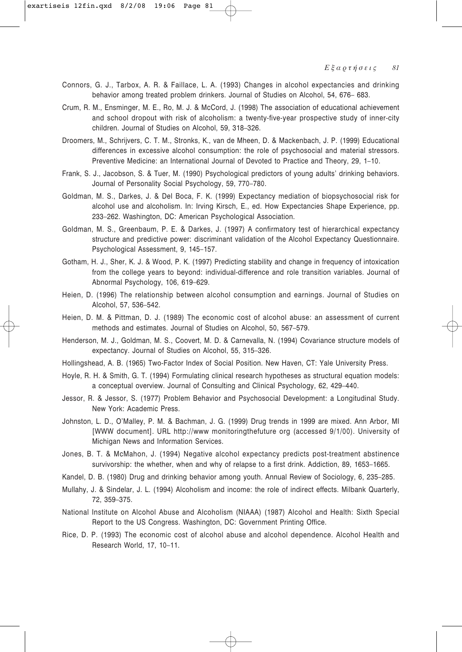- Connors, G. J., Tarbox, A. R. & Faillace, L. A. (1993) Changes in alcohol expectancies and drinking behavior among treated problem drinkers. Journal of Studies on Alcohol, 54, 676– 683.
- Crum, R. M., Ensminger, M. E., Ro, M. J. & McCord, J. (1998) The association of educational achievement and school dropout with risk of alcoholism: a twenty-five-year prospective study of inner-city children. Journal of Studies on Alcohol, 59, 318–326.
- Droomers, M., Schrijvers, C. T. M., Stronks, K., van de Mheen, D. & Mackenbach, J. P. (1999) Educational differences in excessive alcohol consumption: the role of psychosocial and material stressors. Preventive Medicine: an International Journal of Devoted to Practice and Theory, 29, 1–10.
- Frank, S. J., Jacobson, S. & Tuer, M. (1990) Psychological predictors of young adults' drinking behaviors. Journal of Personality Social Psychology, 59, 770–780.
- Goldman, M. S., Darkes, J. & Del Boca, F. K. (1999) Expectancy mediation of biopsychosocial risk for alcohol use and alcoholism. In: Irving Kirsch, E., ed. How Expectancies Shape Experience, pp. 233–262. Washington, DC: American Psychological Association.
- Goldman, M. S., Greenbaum, P. E. & Darkes, J. (1997) A confirmatory test of hierarchical expectancy structure and predictive power: discriminant validation of the Alcohol Expectancy Questionnaire. Psychological Assessment, 9, 145–157.
- Gotham, H. J., Sher, K. J. & Wood, P. K. (1997) Predicting stability and change in frequency of intoxication from the college years to beyond: individual-difference and role transition variables. Journal of Abnormal Psychology, 106, 619–629.
- Heien, D. (1996) The relationship between alcohol consumption and earnings. Journal of Studies on Alcohol, 57, 536–542.
- Heien, D. M. & Pittman, D. J. (1989) The economic cost of alcohol abuse: an assessment of current methods and estimates. Journal of Studies on Alcohol, 50, 567–579.
- Henderson, M. J., Goldman, M. S., Coovert, M. D. & Carnevalla, N. (1994) Covariance structure models of expectancy. Journal of Studies on Alcohol, 55, 315–326.
- Hollingshead, A. B. (1965) Two-Factor Index of Social Position. New Haven, CT: Yale University Press.
- Hoyle, R. H. & Smith, G. T. (1994) Formulating clinical research hypotheses as structural equation models: a conceptual overview. Journal of Consulting and Clinical Psychology, 62, 429–440.
- Jessor, R. & Jessor, S. (1977) Problem Behavior and Psychosocial Development: a Longitudinal Study. New York: Academic Press.
- Johnston, L. D., O'Malley, P. M. & Bachman, J. G. (1999) Drug trends in 1999 are mixed. Ann Arbor, MI [WWW document]. URL http://www monitoringthefuture org (accessed 9/1/00). University of Michigan News and Information Services.
- Jones, B. T. & McMahon, J. (1994) Negative alcohol expectancy predicts post-treatment abstinence survivorship: the whether, when and why of relapse to a first drink. Addiction, 89, 1653–1665.
- Kandel, D. B. (1980) Drug and drinking behavior among youth. Annual Review of Sociology, 6, 235–285.
- Mullahy, J. & Sindelar, J. L. (1994) Alcoholism and income: the role of indirect effects. Milbank Quarterly, 72, 359–375.
- National Institute on Alcohol Abuse and Alcoholism (NIAAA) (1987) Alcohol and Health: Sixth Special Report to the US Congress. Washington, DC: Government Printing Office.
- Rice, D. P. (1993) The economic cost of alcohol abuse and alcohol dependence. Alcohol Health and Research World, 17, 10–11.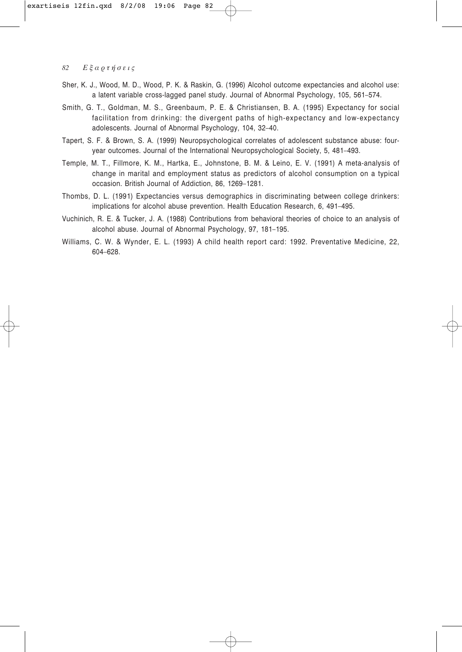- Sher, K. J., Wood, M. D., Wood, P. K. & Raskin, G. (1996) Alcohol outcome expectancies and alcohol use: a latent variable cross-lagged panel study. Journal of Abnormal Psychology, 105, 561–574.
- Smith, G. T., Goldman, M. S., Greenbaum, P. E. & Christiansen, B. A. (1995) Expectancy for social facilitation from drinking: the divergent paths of high-expectancy and low-expectancy adolescents. Journal of Abnormal Psychology, 104, 32–40.
- Tapert, S. F. & Brown, S. A. (1999) Neuropsychological correlates of adolescent substance abuse: fouryear outcomes. Journal of the International Neuropsychological Society, 5, 481–493.
- Temple, M. T., Fillmore, K. M., Hartka, E., Johnstone, B. M. & Leino, E. V. (1991) A meta-analysis of change in marital and employment status as predictors of alcohol consumption on a typical occasion. British Journal of Addiction, 86, 1269–1281.
- Thombs, D. L. (1991) Expectancies versus demographics in discriminating between college drinkers: implications for alcohol abuse prevention. Health Education Research, 6, 491–495.
- Vuchinich, R. E. & Tucker, J. A. (1988) Contributions from behavioral theories of choice to an analysis of alcohol abuse. Journal of Abnormal Psychology, 97, 181–195.
- Williams, C. W. & Wynder, E. L. (1993) A child health report card: 1992. Preventative Medicine, 22, 604–628.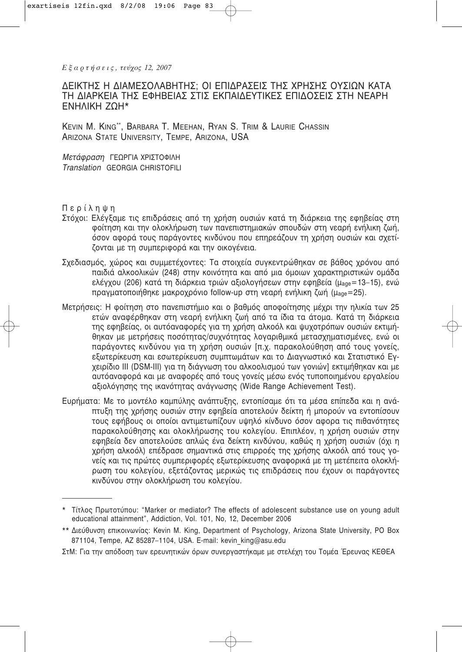*Ε ξ α ρ τ ή σ ε ι ς , τεύχος 12, 2007*

# ΔΕΙΚΤΗΣ Η ΔΙΑΜΕΣΟΛΑΒΗΤΗΣ: ΟΙ ΕΠΙΔΡΑΣΕΙΣ ΤΗΣ ΧΡΗΣΗΣ ΟΥΣΙΩΝ ΚΑΤΑ ΤΗ ΔΙΑΡΚΕΙΑ ΤΗΣ ΕΦΗΒΕΙΑΣ ΣΤΙΣ ΕΚΠΑΙΔΕΥΤΙΚΕΣ ΕΠΙΔΟΣΕΙΣ ΣΤΗ ΝΕΑΡΗ ΕΝΗΛΙΚΗ ΖΩΗ\*

KEVIN M. KING\*\*, BARBARA T. MEEHAN, RYAN S. TRIM & LAURIE CHASSIN ARIZONA STATE UNIVERSITY, TEMPE, ARIZONA, USA

*Μετάφραση* ΓΕΩΡΓΙΑ ΧΡΙΣΤΟΦΙΛΗ *Translation* GEORGIA CHRISTOFILI

Περίληψη

- Στόχοι: Ελέγξαμε τις επιδράσεις από τη χρήση ουσιών κατά τη διάρκεια της εφηβείας στη φοίτηση και την ολοκλήρωση των πανεπιστημιακών σπουδών στη νεαρή ενήλικη ζωή, όσον αφορά τους παράγοντες κινδύνου που επηρεάζουν τη χρήση ουσιών και σχετίζονται με τη συμπεριφορά και την οικογένεια.
- Σχεδιασμός, χώρος και συμμετέχοντες: Τα στοιχεία συγκεντρώθηκαν σε βάθος χρόνου από παιδιά αλκοολικών (248) στην κοινότητα και από μια όμοιων χαρακτηριστικών ομάδα ελέγχου (206) κατά τη διάρκεια τριών αξιολογήσεων στην εφηβεία (μ<sub>age</sub>=13-15), ενώ πραγματοποιήθηκε μακροχρόνιο follow-up στη νεαρή ενήλικη ζωή (μ<sub>age</sub>=25).
- Μετρήσεις: Η φοίτηση στο πανεπιστήμιο και ο βαθμός αποφοίτησης μέχρι την ηλικία των 25 ετών αναφέρθηκαν στη νεαρή ενήλικη ζωή από τα ίδια τα άτομα. Κατά τη διάρκεια της εφηβείας, οι αυτόαναφορές για τη χρήση αλκοόλ και ψυχοτρόπων ουσιών εκτιμήθηκαν με μετρήσεις ποσότητας/συχνότητας λογαριθμικά μετασχηματισμένες, ενώ οι παράγοντες κινδύνου για τη χρήση ουσιών [π.χ. παρακολούθηση από τους γονείς, εξωτερίκευση και εσωτερίκευση συμπτωμάτων και το Διαγνωστικό και Στατιστικό Εγχειρίδιο ΙΙΙ (DSM-III) για τη διάγνωση του αλκοολισμού των γονιών] εκτιμήθηκαν και με αυτόαναφορά και με αναφορές από τους γονείς μέσω ενός τυποποιημένου εργαλείου αξιολόγησης της ικανότητας ανάγνωσης (Wide Range Achievement Test).
- Ευρήματα: Με το μοντέλο καμπύλης ανάπτυξης, εντοπίσαμε ότι τα μέσα επίπεδα και η ανάπτυξη της χρήσης ουσιών στην εφηβεία αποτελούν δείκτη ή μπορούν να εντοπίσουν τους εφήβους οι οποίοι αντιμετωπίζουν υψηλό κίνδυνο όσον αφορα τις πιθανότητες παρακολούθησης και ολοκλήρωσης του κολεγίου. Επιπλέον, η χρήση ουσιών στην εφηβεία δεν αποτελούσε απλώς ένα δείκτη κινδύνου, καθώς η χρήση ουσιών (όχι η χρήση αλκοόλ) επέδρασε σημαντικά στις επιρροές της χρήσης αλκοόλ από τους γονείς και τις πρώτες συμπεριφορές εξωτερίκευσης αναφορικά με τη μετέπειτα ολοκλήρωση του κολεγίου, εξετάζοντας μερικώς τις επιδράσεις που έχουν οι παράγοντες κινδύνου στην ολοκλήρωση του κολεγίου.

Tίτλος Πρωτοτύπου: "Marker or mediator? The effects of adolescent substance use on young adult educational attainment", Addiction, Vol. 101, No, 12, December 2006

<sup>\*\*</sup> Διεύθυνση επικοινωνίας: Kevin M. King, Department of Psychology, Arizona State University, PO Box 871104, Tempe, AZ 85287–1104, USA. E-mail: kevin\_king@asu.edu

ΣτΜ: Για την απόδοση των ερευνητικών όρων συνεργαστήκαμε με στελέχη του Τομέα Έρευνας ΚΕΘΕΑ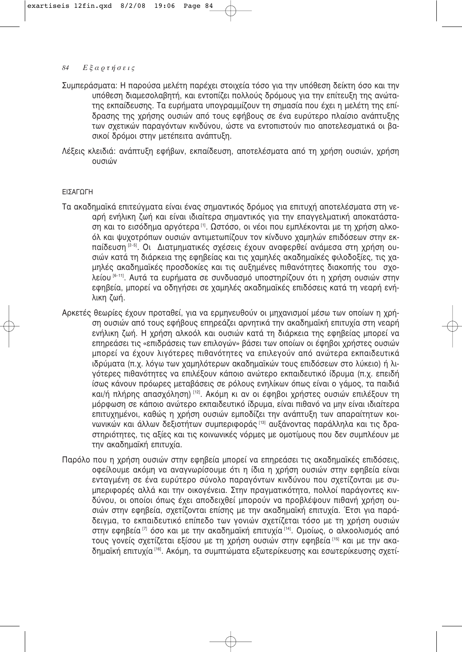- Συμπεράσματα: Η παρούσα μελέτη παρέχει στοιχεία τόσο για την υπόθεση δείκτη όσο και την υπόθεση διαμεσολαβητή, και εντοπίζει πολλούς δρόμους για την επίτευξη της ανώτατης εκπαίδευσης. Τα ευρήματα υπογραμμίζουν τη σημασία που έχει η μελέτη της επίδρασης της χρήσης ουσιών από τους εφήβους σε ένα ευρύτερο πλαίσιο ανάπτυξης των σχετικών παραγόντων κινδύνου, ώστε να εντοπιστούν πιο αποτελεσματικά οι βασικοί δρόμοι στην μετέπειτα ανάπτυξη.
- Λέξεις κλειδιά: ανάπτυξη εφήβων, εκπαίδευση, αποτελέσματα από τη χρήση ουσιών, χρήση ουσιών

# ΕΙΣΑΓΩΓΗ

- Τα ακαδημαϊκά επιτεύγματα είναι ένας σημαντικός δρόμος για επιτυχή αποτελέσματα στη νεαρή ενήλικη ζωή και είναι ιδιαίτερα σημαντικός για την επαγγελματική αποκατάσταση και το εισόδημα αργότερα <sup>[1]</sup>. Ωστόσο, οι νέοι που εμπλέκονται με τη χρήση αλκοόλ και ψυχοτρόπων ουσιών αντιμετωπίζουν τον κίνδυνο χαμηλών επιδόσεων στην εκπαίδευση <sup>[2–5]</sup>. Οι Διατμηματικές σχέσεις έχουν αναφερθεί ανάμεσα στη χρήση ουσιών κατά τη διάρκεια της εφηβείας και τις χαμηλές ακαδημαϊκές φιλοδοξίες, τις χαμηλές ακαδημαϊκές προσδοκίες και τις αυξημένες πιθανότητες διακοπής του σχολείου <sup>[6-11]</sup>. Αυτά τα ευρήματα σε συνδυασμό υποστηρίζουν ότι η χρήση ουσιών στην εφηβεία, μπορεί να οδηγήσει σε χαμηλές ακαδημαϊκές επιδόσεις κατά τη νεαρή ενήλικη ζωή.
- Αρκετές θεωρίες έχουν προταθεί, για να ερμηνευθούν οι μηχανισμοί μέσω των οποίων η χρήση ουσιών από τους εφήβους επηρεάζει αρνητικά την ακαδημαϊκή επιτυχία στη νεαρή ενήλικη ζωή. Η χρήση αλκοόλ και ουσιών κατά τη διάρκεια της εφηβείας μπορεί να επηρεάσει τις «επιδράσεις των επιλογών» βάσει των οποίων οι έφηβοι χρήστες ουσιών μπορεί να έχουν λιγότερες πιθανότητες να επιλεγούν από ανώτερα εκπαιδευτικά ιδρύματα (π.χ. λόγω των χαμηλότερων ακαδημαϊκών τους επιδόσεων στο λύκειο) ή λιγότερες πιθανότητες να επιλέξουν κάποιο ανώτερο εκπαιδευτικό ίδρυμα (π.χ. επειδή ίσως κάνουν πρόωρες μεταβάσεις σε ρόλους ενηλίκων όπως είναι ο γάμος, τα παιδιά και/ή πλήρης απασχόληση) <sup>[12]</sup>. Ακόμη κι αν οι έφηβοι χρήστες ουσιών επιλέξουν τη μόρφωση σε κάποιο ανώτερο εκπαιδευτικό ίδρυμα, είναι πιθανό να μην είναι ιδιαίτερα επιτυχημένοι, καθώς η χρήση ουσιών εμποδίζει την ανάπτυξη των απαραίτητων κοι-Vωνικών και άλλων δεξιοτήτων συμπεριφοράς [13] αυξάνοντας παράλληλα και τις δραστηριότητες, τις αξίες και τις κοινωνικές νόρμες με ομοτίμους που δεν συμπλέουν με την ακαδημαϊκή επιτυχία.
- Παρόλο που η χρήση ουσιών στην εφηβεία μπορεί να επηρεάσει τις ακαδημαϊκές επιδόσεις, οφείλουμε ακόμη να αναγνωρίσουμε ότι η ίδια η χρήση ουσιών στην εφηβεία είναι εντανμένη σε ένα ευρύτερο σύνολο παραγόντων κινδύνου που σχετίζονται με συμπεριφορές αλλά και την οικογένεια. Στην πραγματικότητα, πολλοί παράγοντες κινδύνου, οι οποίοι όπως έχει αποδειχθεί μπορούν να προβλέψουν πιθανή χρήση ουσιών στην εφηβεία, σχετίζονται επίσης με την ακαδημαϊκή επιτυχία. Έτσι για παράδειγμα, το εκπαιδευτικό επίπεδο των γονιών σχετίζεται τόσο με τη χρήση ουσιών στην εφηβεία<sup> μη</sup> όσο και με την ακαδημαϊκή επιτυχία <sup>[14]</sup>. Ομοίως, ο αλκοολισμός από τους γονείς σχετίζεται εξίσου με τη χρήση ουσιών στην εφηβεία [15] και με την ακαδημαϊκή επιτυχία<sup>[16]</sup>. Ακόμη, τα συμπτώματα εξωτερίκευσης και εσωτερίκευσης σχετί-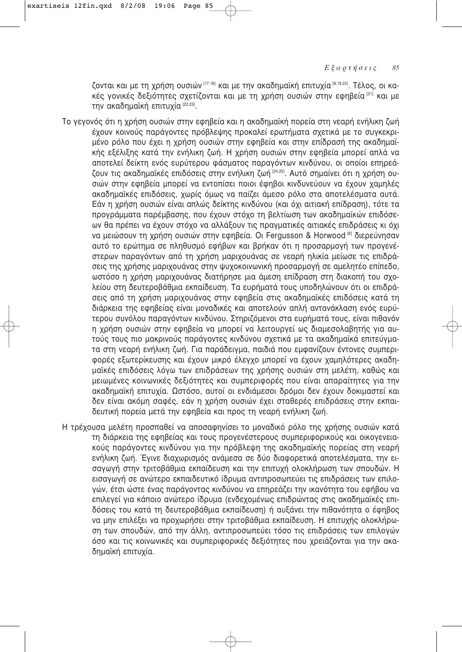ζονται και με τη χρήση ουσιών <sup>[17,18]</sup> και με την ακαδημαϊκή επιτυχία <sup>[8,19,20]</sup>. Τέλος, οι κακές γονικές δεξιότητες σχετίζονται και με τη χρήση ουσιών στην εφηβεία <sup>[21]</sup> και με την ακαδημαϊκή επιτυχία [22,23].

- Το γεγονός ότι η χρήση ουσιών στην εφηβεία και η ακαδημαϊκή πορεία στη νεαρή ενήλικη ζωή έχουν κοινούς παράγοντες πρόβλεψης προκαλεί ερωτήματα σχετικά με το συγκεκριμένο ρόλο που έχει η χρήση ουσιών στην εφηβεία και στην επίδρασή της ακαδημαϊκής εξέλιξης κατά την ενήλικη ζωή. Η χρήση ουσιών στην εφηβεία μπορεί απλά να αποτελεί δείκτη ενός ευρύτερου φάσματος παραγόντων κινδύνου, οι οποίοι επηρεάζουν τις ακαδημαϊκές επιδόσεις στην ενήλικη ζωή [24,25]. Αυτό σημαίνει ότι η χρήση ουσιών στην εφηβεία μπορεί να εντοπίσει ποιοι έφηβοι κινδυνεύουν να έχουν χαμηλές ακαδημαϊκές επιδόσεις, χωρίς όμως να παίζει άμεσο ρόλο στα αποτελέσματα αυτά. Εάν η χρήση ουσιών είναι απλώς δείκτης κινδύνου (και όχι αιτιακή επίδραση), τότε τα προγράμματα παρέμβασης, που έχουν στόχο τη βελτίωση των ακαδημαϊκών επιδόσεων θα πρέπει να έχουν στόχο να αλλάξουν τις πραγματικές αιτιακές επιδράσεις κι όχι vα μειώσουν τη χρήση ουσιών στην εφηβεία. Οι Fergusson & Horwood [8] διερεύνησαν αυτό το ερώτημα σε πληθυσμό εφήβων και βρήκαν ότι η προσαρμονή των προνενέστερων παραγόντων από τη χρήση μαριχουάνας σε νεαρή ηλικία μείωσε τις επιδράσεις της χρήσης μαριχουάνας στην ψυχοκοινωνική προσαρμογή σε αμελητέο επίπεδο, ωστόσο η χρήση μαριχουάνας διατήρησε μια άμεση επίδραση στη διακοπή του σχολείου στη δευτεροβάθμια εκπαίδευση. Τα ευρήματά τους υποδηλώνουν ότι οι επιδράσεις από τη χρήση μαριχουάνας στην εφηβεία στις ακαδημαϊκές επιδόσεις κατά τη διάρκεια της εφηβείας είναι μοναδικές και αποτελούν απλή αντανάκλαση ενός ευρύτερου συνόλου παραγόντων κινδύνου. Στηριζόμενοι στα ευρήματά τους, είναι πιθανόν η χρήση ουσιών στην εφηβεία να μπορεί να λειτουργεί ως διαμεσολαβητής για αυτούς τους πιο μακρινούς παράγοντες κινδύνου σχετικά με τα ακαδημαϊκά επιτεύγματα στη νεαρή ενήλικη ζωή. Για παράδειγμα, παιδιά που εμφανίζουν έντονες συμπεριφορές εξωτερίκευσης και έχουν μικρό έλεγχο μπορεί να έχουν χαμηλότερες ακαδημαϊκές επιδόσεις λόγω των επιδράσεων της χρήσης ουσιών στη μελέτη, καθώς και μειωμένες κοινωνικές δεξιότητες και συμπεριφορές που είναι απαραίτητες για την ακαδημαϊκή επιτυχία. Ωστόσο, αυτοί οι ενδιάμεσοι δρόμοι δεν έχουν δοκιμαστεί και δεν είναι ακόμη σαφές, εάν η χρήση ουσιών έχει σταθερές επιδράσεις στην εκπαιδευτική πορεία μετά την εφηβεία και προς τη νεαρή ενήλικη ζωή.
- Η τρέχουσα μελέτη προσπαθεί να αποσαφηνίσει το μοναδικό ρόλο της χρήσης ουσιών κατά τη διάρκεια της εφηβείας και τους προγενέστερους συμπεριφορικούς και οικογενειακούς παράγοντες κινδύνου για την πρόβλεψη της ακαδημαϊκής πορείας στη νεαρή ενήλικη ζωή. Έγινε διαχωρισμός ανάμεσα σε δύο διαφορετικά αποτελέσματα, την εισαγωγή στην τριτοβάθμια εκπαίδευση και την επιτυχή ολοκλήρωση των σπουδών. Η εισαγωγή σε ανώτερο εκπαιδευτικό ίδρυμα αντιπροσωπεύει τις επιδράσεις των επιλο-Υών, έτσι ώστε ένας παράγοντας κινδύνου να επηρεάζει την ικανότητα του εφήβου να επιλεγεί για κάποιο ανώτερο ίδρυμα (ενδεχομένως επιδρώντας στις ακαδημαϊκές επιδόσεις του κατά τη δευτεροβάθμια εκπαίδευση) ή αυξάνει την πιθανότητα ο έφηβος να μην επιλέξει να προχωρήσει στην τριτοβάθμια εκπαίδευση. Η επιτυχής ολοκλήρωση των σπουδών, από την άλλη, αντιπροσωπεύει τόσο τις επιδράσεις των επιλογών όσο και τις κοινωνικές και συμπεριφορικές δεξιότητες που χρειάζονται για την ακαδημαϊκή επιτυχία.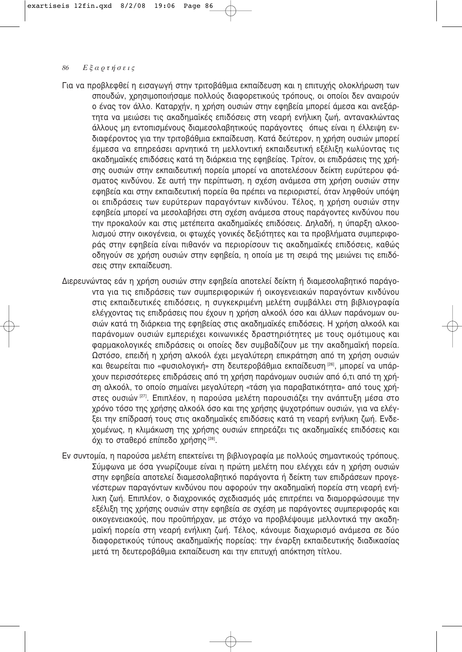- Για να προβλεφθεί η εισαγωγή στην τριτοβάθμια εκπαίδευση και η επιτυχής ολοκλήρωση των σπουδών, χρησιμοποιήσαμε πολλούς διαφορετικούς τρόπους, οι οποίοι δεν αναιρούν ο ένας τον άλλο. Καταρχήν, η χρήση ουσιών στην εφηβεία μπορεί άμεσα και ανεξάρτητα να μειώσει τις ακαδημαϊκές επιδόσεις στη νεαρή ενήλικη ζωή, αντανακλώντας άλλους μη εντοπισμένους διαμεσολαβητικούς παράγοντες όπως είναι η έλλειψη ενδιαφέροντος για την τριτοβάθμια εκπαίδευση. Κατά δεύτερον, η χρήση ουσιών μπορεί έμμεσα να επηρεάσει αρνητικά τη μελλοντική εκπαιδευτική εξέλιξη κωλύοντας τις ακαδημαϊκές επιδόσεις κατά τη διάρκεια της εφηβείας. Τρίτον, οι επιδράσεις της χρήσης ουσιών στην εκπαιδευτική πορεία μπορεί να αποτελέσουν δείκτη ευρύτερου φάσματος κινδύνου. Σε αυτή την περίπτωση, η σχέση ανάμεσα στη χρήση ουσιών στην εφηβεία και στην εκπαιδευτική πορεία θα πρέπει να περιοριστεί, όταν ληφθούν υπόψη οι επιδράσεις των ευρύτερων παραγόντων κινδύνου. Τέλος, η χρήση ουσιών στην εφηβεία μπορεί να μεσολαβήσει στη σχέση ανάμεσα στους παράγοντες κινδύνου που την προκαλούν και στις μετέπειτα ακαδημαϊκές επιδόσεις. Δηλαδή, η ύπαρξη αλκοολισμού στην οικογένεια, οι φτωχές γονικές δεξιότητες και τα προβλήματα συμπεριφοράς στην εφηβεία είναι πιθανόν να περιορίσουν τις ακαδημαϊκές επιδόσεις, καθώς οδηγούν σε χρήση ουσιών στην εφηβεία, η οποία με τη σειρά της μειώνει τις επιδόσεις στην εκπαίδευση.
- Διερευνώντας εάν η χρήση ουσιών στην εφηβεία αποτελεί δείκτη ή διαμεσολαβητικό παράγοντα για τις επιδράσεις των συμπεριφορικών ή οικογενειακών παραγόντων κινδύνου στις εκπαιδευτικές επιδόσεις, η συγκεκριμένη μελέτη συμβάλλει στη βιβλιογραφία ελέγχοντας τις επιδράσεις που έχουν η χρήση αλκοόλ όσο και άλλων παράνομων ουσιών κατά τη διάρκεια της εφηβείας στις ακαδημαϊκές επιδόσεις. Η χρήση αλκοόλ και παράνομων ουσιών εμπεριέχει κοινωνικές δραστηριότητες με τους ομότιμους και Φαρμακολογικές επιδράσεις οι οποίες δεν συμβαδίζουν με την ακαδημαϊκή πορεία. Ωστόσο, επειδή η χρήση αλκοόλ έχει μεγαλύτερη επικράτηση από τη χρήση ουσιών και θεωρείται πιο «φυσιολογική» στη δευτεροβάθμια εκπαίδευση <sup>[26]</sup>, μπορεί να υπάρχουν περισσότερες επιδράσεις από τη χρήση παράνομων ουσιών από ό,τι από τη χρήση αλκοόλ, το οποίο σημαίνει μεγαλύτερη «τάση για παραβατικότητα» από τους χρήστες ουσιών <sup>[27]</sup>. Επιπλέον, η παρούσα μελέτη παρουσιάζει την ανάπτυξη μέσα στο χρόνο τόσο της χρήσης αλκοόλ όσο και της χρήσης ψυχοτρόπων ουσιών, για να ελέγξει την επίδρασή τους στις ακαδημαϊκές επιδόσεις κατά τη νεαρή ενήλικη ζωή. Ενδεχομένως, η κλιμάκωση της χρήσης ουσιών επηρεάζει τις ακαδημαϊκές επιδόσεις και όχι το σταθερό επίπεδο χρήσης [28].
- Εν συντομία, η παρούσα μελέτη επεκτείνει τη βιβλιογραφία με πολλούς σημαντικούς τρόπους. Σύμφωνα με όσα γνωρίζουμε είναι η πρώτη μελέτη που ελέγχει εάν η χρήση ουσιών στην εφηβεία αποτελεί διαμεσολαβητικό παράγοντα ή δείκτη των επιδράσεων προγενέστερων παραγόντων κινδύνου που αφορούν την ακαδημαϊκή πορεία στη νεαρή ενήλικη ζωή. Επιπλέον, ο διαχρονικός σχεδιασμός μάς επιτρέπει να διαμορφώσουμε την εξέλιξη της χρήσης ουσιών στην εφηβεία σε σχέση με παράγοντες συμπεριφοράς και οικογενειακούς, που προϋπήρχαν, με στόχο να προβλέψουμε μελλοντικά την ακαδημαϊκή πορεία στη νεαρή ενήλικη ζωή. Τέλος, κάνουμε διαχωρισμό ανάμεσα σε δύο διαφορετικούς τύπους ακαδημαϊκής πορείας: την έναρξη εκπαιδευτικής διαδικασίας μετά τη δευτεροβάθμια εκπαίδευση και την επιτυχή απόκτηση τίτλου.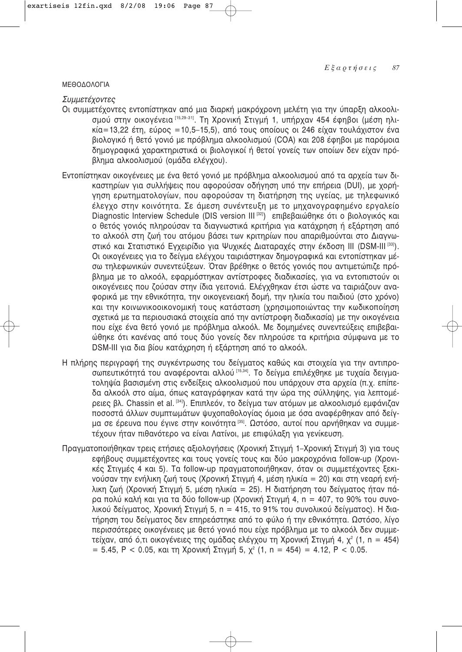#### exartiseis 12fin.qxd 8/2/08 19:06 Page 87

## ΜΕΘΟΔΟΛΟΓΙΑ

 $Σ$ *Uμμετέχοντες* 

- Οι συμμετέχοντες εντοπίστηκαν από μια διαρκή μακρόχρονη μελέτη για την ύπαρξη αλκοολισμού στην οικογένεια [15,29-31]. Τη Χρονική Στιγμή 1, υπήρχαν 454 έφηβοι (μέση ηλι-Kία=13,22 έτη, εύρος =10,5–15,5), από τους οποίους οι 246 είχαν τουλάχιστον ένα βιολογικό ή θετό γονιό με πρόβλημα αλκοολισμού (COA) και 208 έφηβοι με παρόμοια δημογραφικά χαρακτηριστικά οι βιολογικοί ή θετοί γονείς των οποίων δεν είχαν πρόβλημα αλκοολισμού (ομάδα ελέγχου).
- Εντοπίστηκαν οικογένειες με ένα θετό γονιό με πρόβλημα αλκοολισμού από τα αρχεία των δικαστηρίων για συλλήψεις που αφορούσαν οδήγηση υπό την επήρεια (DUI), με χορήγηση ερωτηματολογίων, που αφορούσαν τη διατήρηση της υγείας, με τηλεφωνικό έλεγχο στην κοινότητα. Σε άμεση συνέντευξη με το μηχανογραφημένο εργαλείο Diagnostic Interview Schedule (DIS version III<sup>[32]</sup>) επιβεβαιώθηκε ότι ο βιολογικός και ο θετός γονιός πληρούσαν τα διαγνωστικά κριτήρια για κατάχρηση ή εξάρτηση από το αλκοόλ στη ζωή του ατόμου βάσει των κριτηρίων που απαριθμούνται στο Διαγνωστικό και Στατιστικό Εγχειρίδιο για Ψυχικές Διαταραχές στην έκδοση ΙΙΙ (DSM-ΙΙΙ <sup>[33]</sup>). Οι οικογένειες για το δείγμα ελέγχου ταιριάστηκαν δημογραφικά και εντοπίστηκαν μέσω τηλεφωνικών συνεντεύξεων. Όταν βρέθηκε ο θετός γονιός που αντιμετώπιζε πρόβλημα με το αλκοόλ, εφαρμόστηκαν αντίστροφες διαδικασίες, για να εντοπιστούν οι οικογένειες που ζούσαν στην ίδια γειτονιά. Ελέγχθηκαν έτσι ώστε να ταιριάζουν αναφορικά με την εθνικότητα, την οικογενειακή δομή, την ηλικία του παιδιού (στο χρόνο) και την κοινωνικοοικονομική τους κατάσταση (χρησιμοποιώντας την κωδικοποίηση σχετικά με τα περιουσιακά στοιχεία από την αντίστροφη διαδικασία) με την οικογένεια που είχε ένα θετό γονιό με πρόβλημα αλκοόλ. Με δομημένες συνεντεύξεις επιβεβαιώθηκε ότι κανένας από τους δύο γονείς δεν πληρούσε τα κριτήρια σύμφωνα με το DSM-III για δια βίου κατάχρηση ή εξάρτηση από το αλκοόλ.
- Η πλήρης περιγραφή της συγκέντρωσης του δείγματος καθώς και στοιχεία για την αντιπροσωπευτικότητά του αναφέρονται αλλού [15,34]. Το δείγμα επιλέχθηκε με τυχαία δειγματοληψία βασισμένη στις ενδείξεις αλκοολισμού που υπάρχουν στα αρχεία (π.χ. επίπεδα αλκοόλ στο αίμα, όπως καταγράφηκαν κατά την ώρα της σύλληψης, για λεπτομέρειες βλ. Chassin et al. <sup>[34]</sup>). Επιπλεόν, το δείγμα των ατόμων με αλκοολισμό εμφάνιζαν ποσοστά άλλων συμπτωμάτων ψυχοπαθολογίας όμοια με όσα αναφέρθηκαν από δείγμα σε έρευνα που έγινε στην κοινότητα <sup>[35]</sup>. Ωστόσο, αυτοί που αρνήθηκαν να συμμετέχουν ήταν πιθανότερο να είναι Λατίνοι, με επιφύλαξη για γενίκευση.
- Πραγματοποιήθηκαν τρεις ετήσιες αξιολογήσεις (Χρονική Στιγμή 1–Χρονική Στιγμή 3) για τους εφήβους συμμετέχοντες και τους γονείς τους και δύο μακροχρόνια follow-up (Χρονικές Στιγμές 4 και 5). Τα follow-up πραγματοποιήθηκαν, όταν οι συμμετέχοντες ξεκιvούσαν την ενήλικη ζωή τους (Χρονική Στιγμή 4, μέση ηλικία = 20) και στη νεαρή ενήλικη ζωή (Χρονική Στιγμή 5, μέση ηλικία = 25). Η διατήρηση του δείγματος ήταν πάρα πολύ καλή και για τα δύο follow-up (Χρονική Στιγμή 4, n = 407, το 90% του συνολικού δείγματος, Χρονική Στιγμή 5, n = 415, το 91% του συνολικού δείγματος). Η διατήρηση του δείγματος δεν επηρεάστηκε από το φύλο ή την εθνικότητα. Ωστόσο, λίγο περισσότερες οικογένειες με θετό γονιό που είχε πρόβλημα με το αλκοόλ δεν συμμετείχαν, από ό,τι οικογένειες της ομάδας ελέγχου τη Χρονική Στιγμή 4, χ<sup>2</sup> (1, n = 454) = 5.45, P < 0.05, και τη Χρονική Στιγμή 5,  $\chi^2$  (1, n = 454) = 4.12, P < 0.05.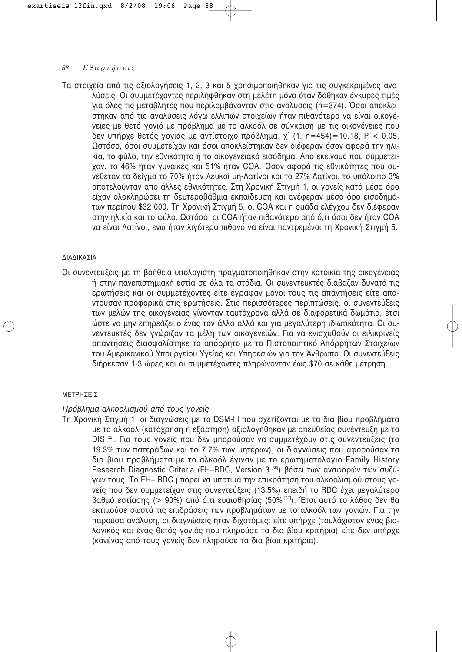Τα στοιχεία από τις αξιολογήσεις 1, 2, 3 και 5 χρησιμοποιήθηκαν για τις συγκεκριμένες αναλύσεις. Οι συμμετέχοντες περιλήφθηκαν στη μελέτη μόνο όταν δόθηκαν έγκυρες τιμές για όλες τις μεταβλητές που περιλαμβάνονταν στις αναλύσεις (n=374). Όσοι αποκλείστηκαν από τις αναλύσεις λόγω ελλιπών στοιχείων ήταν πιθανότερο να είναι οικογέ-VEIEC LIE θετό νονιό με πρόβλημα με το αλκοόλ σε σύνκριση με τις οικονένειες που δεν υπήρχε θετός γονιός με αντίστοιχο πρόβλημα,  $\chi^2$  (1, n=454)=10.18, P < 0.05. Ωστόσο, όσοι συμμετείχαν και όσοι αποκλείστηκαν δεν διέφεραν όσον αφορά την ηλικία, το φύλο, την εθνικότητα ή το οικογενειακό εισόδημα. Από εκείνους που συμμετείχαν, το 46% ήταν γυναίκες και 51% ήταν COA. Όσον αφορά τις εθνικότητες που συvέθεταν το δείγμα το 70% ήταν Λευκοί μη-Λατίνοι και το 27% Λατίνοι, το υπόλοιπο 3% αποτελούνταν από άλλες εθνικότητες. Στη Χρονική Στιγμή 1, οι γονείς κατά μέσο όρο είχαν ολοκληρώσει τη δευτεροβάθμια εκπαίδευση και ανέφεραν μέσο όρο εισοδημάτων περίπου \$32 000. Τη Χρονική Στιγμή 5, οι COA και η ομάδα ελέγχου δεν διέφεραν στην ηλικία και το φύλο. Ωστόσο, οι COA ήταν πιθανότερο από ό,τι όσοι δεν ήταν COA να είναι Λατίνοι, ενώ ήταν λιγότερο πιθανό να είναι παντρεμένοι τη Χρονική Στιγμή 5.

## ΔΙΑΔΙΚΑΣΙΑ

Οι συνεντεύξεις με τη βοήθεια υπολογιστή πραγματοποιήθηκαν στην κατοικία της οικογένειας ή στην πανεπιστημιακή εστία σε όλα τα στάδια. Οι συνεντευκτές διάβαζαν δυνατά τις ερωτήσεις και οι συμμετέχοντες είτε έγραφαν μόνοι τους τις απαντήσεις είτε απα-Vτούσαν προφορικά στις ερωτήσεις. Στις περισσότερες περιπτώσεις, οι συνεντεύξεις των μελών της οικογένειας γίνονταν ταυτόχρονα αλλά σε διαφορετικά δωμάτια, έτσι ώστε να μην επηρεάζει ο ένας τον άλλο αλλά και για μεγαλύτερη ιδιωτικότητα. Οι συ-Vεντευκτές δεν γνώριζαν τα μέλη των οικογενειών. Για να ενισχυθούν οι ειλικρινείς απαντήσεις διασφαλίστηκε το απόρρητο με το Πιστοποιητικό Απόρρητων Στοιχείων του Αμερικανικού Υπουργείου Υγείας και Υπηρεσιών για τον Άνθρωπο. Οι συνεντεύξεις διήρκεσαν 1-3 ώρες και οι συμμετέχοντες πληρώνονταν έως \$70 σε κάθε μέτρηση.

## ΜΕΤΡΗΣΕΙΣ

# *Πρόβλημα αλκοολισμού από τους γονείς*

Tη Χρονική Στιγμή 1, οι διαγνώσεις με το DSM-III που σχετίζονται με τα δια βίου προβλήματα με το αλκοόλ (κατάχρηση ή εξάρτηση) αξιολογήθηκαν με απευθείας συνέντευξη με το DIS<sup>(32)</sup>. Για τους γονείς που δεν μπορούσαν να συμμετέχουν στις συνεντεύξεις (το 19.3% των πατεράδων και το 7.7% των μητέρων), οι διαγνώσεις που αφορούσαν τα δια βίου προβλήματα με το αλκοόλ έγιναν με το ερωτηματολόγιο Family History Research Diagnostic Criteria (FH–RDC, Version 3<sup>[36]</sup>) βάσει των αναφορών των συζύγων τους. Το FH- RDC μπορεί να υποτιμά την επικράτηση του αλκοολισμού στους γονείς που δεν συμμετείχαν στις συνεντεύξεις (13.5%) επειδή το RDC έχει μεγαλύτερο  $\beta$ αθμό εστίασης (> 90%) από ό,τι ευαισθησίας (50% [37]). Έτσι αυτό το λάθος δεν θα εκτιμούσε σωστά τις επιδράσεις των προβλημάτων με το αλκοόλ των νονιών. Για την παρούσα ανάλυση, οι διαγνώσεις ήταν διχοτόμες: είτε υπήρχε (τουλάχιστον ένας βιολογικός και ένας θετός γονιός που πληρούσε τα δια βίου κριτήρια) είτε δεν υπήρχε (κανένας από τους νονείς δεν πληρούσε τα δια βίου κριτήρια).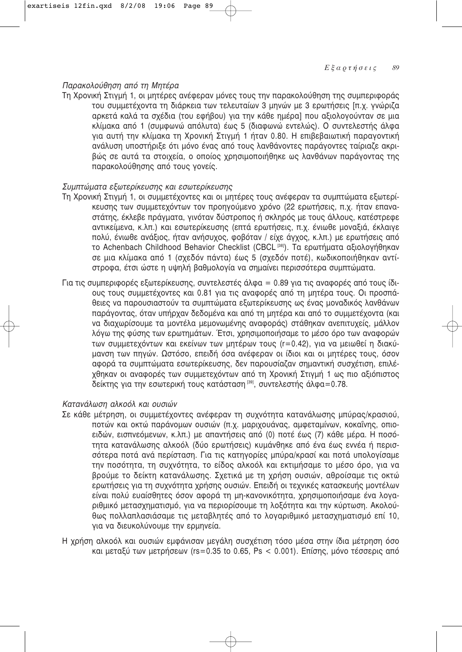## Παρακολούθηση από τη Μητέρα

Τη Χρονική Στιγμή 1, οι μητέρες ανέφεραν μόνες τους την παρακολούθηση της συμπεριφοράς του συμμετέχοντα τη διάρκεια των τελευταίων 3 μηνών με 3 ερωτήσεις [π.χ. γνώριζα αρκετά καλά τα σχέδια (του εφήβου) για την κάθε ημέρα] που αξιολογούνταν σε μια κλίμακα από 1 (συμφωνώ απόλυτα) έως 5 (διαφωνώ εντελώς). Ο συντελεστής άλφα για αυτή την κλίμακα τη Χρονική Στιγμή 1 ήταν 0.80. Η επιβεβαιωτική παραγοντική ανάλυση υποστήριξε ότι μόνο ένας από τους λανθάνοντες παράγοντες ταίριαζε ακριβώς σε αυτά τα στοιχεία, ο οποίος χρησιμοποιήθηκε ως λανθάνων παράγοντας της παρακολούθησης από τους γονείς.

# Συμπτώματα εξωτερίκευσης και εσωτερίκευσης

- Τη Χρονική Στιγμή 1, οι συμμετέχοντες και οι μητέρες τους ανέφεραν τα συμπτώματα εξωτερίκευσης των συμμετεχόντων τον προηγούμενο χρόνο (22 ερωτήσεις, π.χ. ήταν επαναστάτης, έκλεβε πράγματα, γινόταν δύστροπος ή σκληρός με τους άλλους, κατέστρεφε αντικείμενα, κ.λπ.) και εσωτερίκευσης (επτά ερωτήσεις, π.χ. ένιωθε μοναξιά, έκλαιγε πολύ, ένιωθε ανάξιος, ήταν ανήσυχος, φοβόταν / είχε άγχος, κ.λπ.) με ερωτήσεις από το Achenbach Childhood Behavior Checklist (CBCL<sup>[38]</sup>). Τα ερωτήματα αξιολογήθηκαν σε μια κλίμακα από 1 (σχεδόν πάντα) έως 5 (σχεδόν ποτέ), κωδικοποιήθηκαν αντίστροφα, έτσι ώστε η υψηλή βαθμολογία να σημαίνει περισσότερα συμπτώματα.
- Για τις συμπεριφορές εξωτερίκευσης, συντελεστές άλφα = 0.89 για τις αναφορές από τους ίδιους τους συμμετέχοντες και 0.81 για τις αναφορές από τη μητέρα τους. Οι προσπάθειες να παρουσιαστούν τα συμπτώματα εξωτερίκευσης ως ένας μοναδικός λανθάνων παράγοντας, όταν υπήρχαν δεδομένα και από τη μητέρα και από το συμμετέχοντα (και να διαχωρίσουμε τα μοντέλα μεμονωμένης αναφοράς) στάθηκαν ανεπιτυχείς, μάλλον λόγω της φύσης των ερωτημάτων. Έτσι, χρησιμοποιήσαμε το μέσο όρο των αναφορών των συμμετεχόντων και εκείνων των μητέρων τους (r=0.42), για να μειωθεί η διακύμανση των πηγών. Ωστόσο, επειδή όσα ανέφεραν οι ίδιοι και οι μητέρες τους, όσον αφορά τα συμπτώματα εσωτερίκευσης, δεν παρουσίαζαν σημαντική συσχέτιση, επιλέχθηκαν οι αναφορές των συμμετεχόντων από τη Χρονική Στιγμή 1 ως πιο αξιόπιστος δείκτης για την εσωτερική τους κατάσταση [39], συντελεστής άλφα=0.78.

# Κατανάλωση αλκοόλ και ουσιών

- Σε κάθε μέτρηση, οι συμμετέχοντες ανέφεραν τη συχνότητα κατανάλωσης μπύρας/κρασιού, ποτών και οκτώ παράνομων ουσιών (π.χ. μαριχουάνας, αμφεταμίνων, κοκαΐνης, οπιοειδών, εισπνεόμενων, κ.λπ.) με απαντήσεις από (0) ποτέ έως (7) κάθε μέρα. Η ποσότητα κατανάλωσης αλκοόλ (δύο ερωτήσεις) κυμάνθηκε από ένα έως εννέα ή περισσότερα ποτά ανά περίσταση. Για τις κατηγορίες μπύρα/κρασί και ποτά υπολογίσαμε την ποσότητα, τη συχνότητα, το είδος αλκοόλ και εκτιμήσαμε το μέσο όρο, για να βρούμε το δείκτη κατανάλωσης. Σχετικά με τη χρήση ουσιών, αθροίσαμε τις οκτώ ερωτήσεις για τη συχνότητα χρήσης ουσιών. Επειδή οι τεχνικές κατασκευής μοντέλων είναι πολύ ευαίσθητες όσον αφορά τη μη-κανονικότητα, χρησιμοποιήσαμε ένα λογαριθμικό μετασχηματισμό, για να περιορίσουμε τη λοξότητα και την κύρτωση. Ακολούθως πολλαπλασιάσαμε τις μεταβλητές από το λογαριθμικό μετασχηματισμό επί 10, για να διευκολύνουμε την ερμηνεία.
- Η χρήση αλκοόλ και ουσιών εμφάνισαν μεγάλη συσχέτιση τόσο μέσα στην ίδια μέτρηση όσο και μεταξύ των μετρήσεων (rs=0.35 to 0.65, Ps < 0.001). Επίσης, μόνο τέσσερις από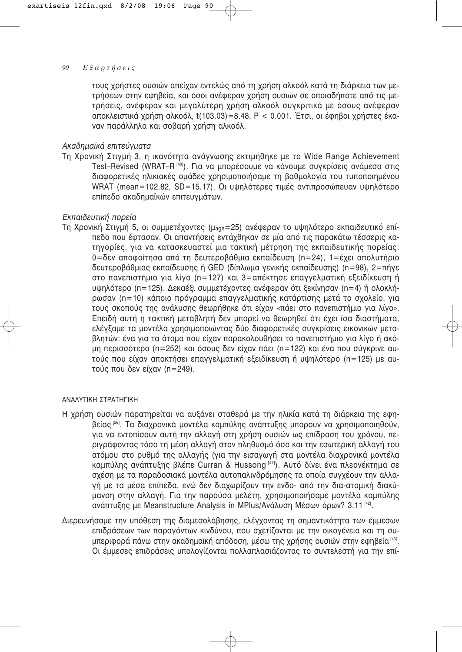τους χρήστες ουσιών απείχαν εντελώς από τη χρήση αλκοόλ κατά τη διάρκεια των μετρήσεων στην εφηβεία, και όσοι ανέφεραν χρήση ουσιών σε οποιαδήποτε από τις μετρήσεις, ανέφεραν και μεγαλύτερη χρήση αλκοόλ συγκριτικά με όσους ανέφεραν αποκλειστικά χρήση αλκοόλ, t(103.03)=8.48, P < 0.001. Έτσι, οι έφηβοι χρήστες έκαναν παράλληλα και σοβαρή χρήση αλκοόλ.

# *Aκαδημαϊκά επιτεύγματα*

Tη Χρονική Στιγμή 3, η ικανότητα ανάγνωσης εκτιμήθηκε με το Wide Range Achievement Test–Revised (WRAT–R<sup>[40]</sup>). Για να μπορέσουμε να κάνουμε συγκρίσεις ανάμεσα στις διαφορετικές ηλικιακές ομάδες χρησιμοποιήσαμε τη βαθμολογία του τυποποιημένου WRAT (mean=102.82, SD=15.17). Οι υψηλότερες τιμές αντιπροσώπευαν υψηλότερο επίπεδο ακαδημαϊκών επιτευγμάτων.

# *Eκπαιδευτική πορεία*

Tη Χρονική Στιγμή 5, οι συμμετέχοντες (μ<sub>age</sub>=25) ανέφεραν το υψηλότερο εκπαιδευτικό επίπεδο που έφτασαν. Οι απαντήσεις εντάχθηκαν σε μία από τις παρακάτω τέσσερις κατηγορίες, για να κατασκευαστεί μια τακτική μέτρηση της εκπαιδευτικής πορείας: 0=δεν αποφοίτησα από τη δευτεροβάθμια εκπαίδευση (n=24), 1=έχει απολυτήριο δευτεροβάθμιας εκπαίδευσης ή GED (δίπλωμα γενικής εκπαίδευσης) (n=98), 2=πήγε στο πανεπιστήμιο για λίγο (n=127) και 3=απέκτησε επαγγελματική εξειδίκευση ή υψηλότερο (n=125). Δεκαέξι συμμετέχοντες ανέφεραν ότι ξεκίνησαν (n=4) ή ολοκλήρωσαν (n=10) κάποιο πρόγραμμα επαγγελματικής κατάρτισης μετά το σχολείο, για τους σκοπούς της ανάλυσης θεωρήθηκε ότι είχαν «πάει στο πανεπιστήμιο για λίγο». Επειδή αυτή η τακτική μεταβλητή δεν μπορεί να θεωρηθεί ότι έχει ίσα διαστήματα, ελέγξαμε τα μοντέλα χρησιμοποιώντας δύο διαφορετικές συγκρίσεις εικονικών μεταβλητών: ένα για τα άτομα που είχαν παρακολουθήσει το πανεπιστήμιο για λίγο ή ακόμη περισσότερο (n=252) και όσους δεν είχαν πάει (n=122) και ένα που σύγκρινε αυτούς που είχαν αποκτήσει επαγγελματική εξειδίκευση ή υψηλότερο (n=125) με αυτούς που δεν είχαν (n=249).

## ΑΝΑΛΥΤΙΚΗ ΣΤΡΑΤΗΓΙΚΗ

- Η χρήση ουσιών παρατηρείται να αυξάνει σταθερά με την ηλικία κατά τη διάρκεια της εφηβείας <sup>[26]</sup>. Τα διαχρονικά μοντέλα καμπύλης ανάπτυξης μπορουν να χρησιμοποιηθούν, για να εντοπίσουν αυτή την αλλαγή στη χρήση ουσιών ως επίδραση του χρόνου, περιγράφοντας τόσο τη μέση αλλαγή στον πληθυσμό όσο και την εσωτερική αλλαγή του ατόμου στο ρυθμό της αλλαγής (για την εισαγωγή στα μοντέλα διαχρονικά μοντέλα καμπύλης ανάπτυξης βλέπε Curran & Hussong [41]). Αυτό δίνει ένα πλεονέκτημα σε σχέση με τα παραδοσιακά μοντέλα αυτοπαλινδρόμησης τα οποία συγχέουν την αλλαγή με τα μέσα επίπεδα, ενώ δεν διαχωρίζουν την ενδο- από την δια-ατομική διακύμανση στην αλλαγή. Για την παρούσα μελέτη, χρησιμοποιήσαμε μοντέλα καμπύλης ανάπτυξης με Meanstructure Analysis in MPlus/Ανάλυση Μέσων όρων? 3.11<sup>[42]</sup>.
- Διερευνήσαμε την υπόθεση της διαμεσολάβησης, ελέγχοντας τη σημαντικότητα των έμμεσων επιδράσεων των παραγόντων κινδύνου, που σχετίζονται με την οικογένεια και τη συμπεριφορά πάνω στην ακαδημαϊκή απόδοση, μέσω της χρήσης ουσιών στην εφηβεία [43]. Οι έμμεσες επιδράσεις υπολογίζονται πολλαπλασιάζοντας το συντελεστή για την επί-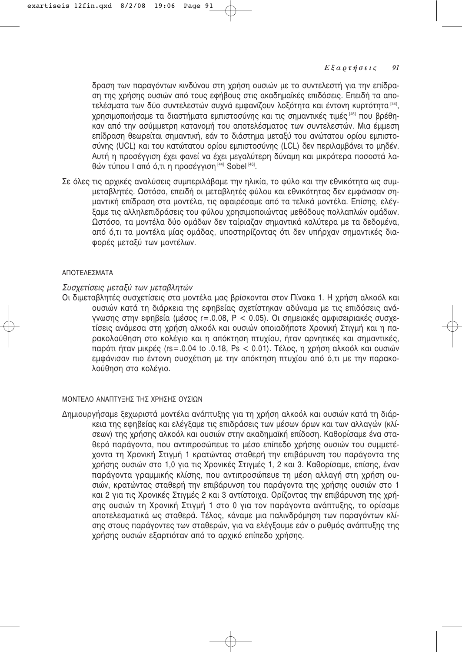δραση των παραγόντων κινδύνου στη χρήση ουσιών με το συντελεστή για την επίδραση της χρήσης ουσιών από τους εφήβους στις ακαδημαϊκές επιδόσεις. Επειδή τα αποτελέσματα των δύο συντελεστών συχνά εμφανίζουν λοξότητα και έντονη κυρτότητα<sup>[44]</sup>, χρησιμοποιήσαμε τα διαστήματα εμπιστοσύνης και τις σημαντικές τιμές [45] που βρέθηκαν από την ασύμμετρη κατανομή του αποτελέσματος των συντελεστών. Μια έμμεση επίδραση θεωρείται σημαντική, εάν το διάστημα μεταξύ του ανώτατου ορίου εμπιστοσύνης (UCL) και του κατώτατου ορίου εμπιστοσύνης (LCL) δεν περιλαμβάνει το μηδέν. Αυτή η προσέννιση έχει φανεί να έχει μεγαλύτερη δύναμη και μικρότερα ποσοστά λαθών τύπου Ι από ό,τι η προσέγγιση [44] Sobel [46].

Σε όλες τις αρχικές αναλύσεις συμπεριλάβαμε την ηλικία, το φύλο και την εθνικότητα ως συμμεταβλητές. Ωστόσο, επειδή οι μεταβλητές φύλου και εθνικότητας δεν εμφάνισαν ση-.<br>μαντική επίδραση στα μοντέλα, τις αφαιρέσαμε από τα τελικά μοντέλα. Επίσης, ελέγξαμε τις αλληλεπιδράσεις του φύλου χρησιμοποιώντας μεθόδους πολλαπλών ομάδων. Ωστόσο, τα μοντέλα δύο ομάδων δεν ταίριαζαν σημαντικά καλύτερα με τα δεδομένα, από ό,τι τα μοντέλα μίας ομάδας, υποστηρίζοντας ότι δεν υπήρχαν σημαντικές δια-Φορές μεταξύ των μοντέλων.

## AΠΟΤΕΛΕΣΜΑΤΑ

# Συσχετίσεις μεταξύ των μεταβλητών

Οι διμεταβλητές συσχετίσεις στα μοντέλα μας βρίσκονται στον Πίνακα 1. Η χρήση αλκοόλ και ουσιών κατά τη διάρκεια της εφηβείας σχετίστηκαν αδύναμα με τις επιδόσεις ανάγνωσης στην εφηβεία (μέσος r=.0.08, P < 0.05). Οι σημειακές αμφισειριακές συσχετίσεις ανάμεσα στη χρήση αλκοόλ και ουσιών οποιαδήποτε Χρονική Στιγμή και η παρακολούθηση στο κολέγιο και η απόκτηση πτυχίου, ήταν αρνητικές και σημαντικές, παρότι ήταν μικρές (rs=.0.04 to .0.18, Ps < 0.01). Τέλος, η χρήση αλκοόλ και ουσιών εμφάνισαν πιο έντονη συσχέτιση με την απόκτηση πτυχίου από ό,τι με την παρακολούθηση στο κολέγιο.

## ΜΟΝΤΕΛΟ ΑΝΑΠΤΥΞΗΣ ΤΗΣ ΧΡΗΣΗΣ ΟΥΣΙΩΝ

Δημιουργήσαμε ξεχωριστά μοντέλα ανάπτυξης για τη χρήση αλκοόλ και ουσιών κατά τη διάρ-Κεια της εφηβείας και ελέγξαμε τις επιδράσεις των μέσων όρων και των αλλαγών (κλίσεων) της χρήσης αλκοόλ και ουσιών στην ακαδημαϊκή επίδοση. Καθορίσαμε ένα σταθερό παράγοντα, που αντιπροσώπευε το μέσο επίπεδο χρήσης ουσιών του συμμετέχοντα τη Χρονική Στιγμή 1 κρατώντας σταθερή την επιβάρυνση του παράγοντα της χρήσης ουσιών στο 1,0 για τις Χρονικές Στιγμές 1, 2 και 3. Καθορίσαμε, επίσης, έναν παράγοντα γραμμικής κλίσης, που αντιπροσώπευε τη μέση αλλαγή στη χρήση ουσιών, κρατώντας σταθερή την επιβάρυνση του παράγοντα της χρήσης ουσιών στο 1 και 2 για τις Χρονικές Στιγμές 2 και 3 αντίστοιχα. Ορίζοντας την επιβάρυνση της χρήσης ουσιών τη Χρονική Στιγμή 1 στο 0 για τον παράγοντα ανάπτυξης, το ορίσαμε αποτελεσματικά ως σταθερά. Τέλος, κάναμε μια παλινδρόμηση των παραγόντων κλίσης στους παράγοντες των σταθερών, για να ελέγξουμε εάν ο ρυθμός ανάπτυξης της χρήσης ουσιών εξαρτιόταν από το αρχικό επίπεδο χρήσης.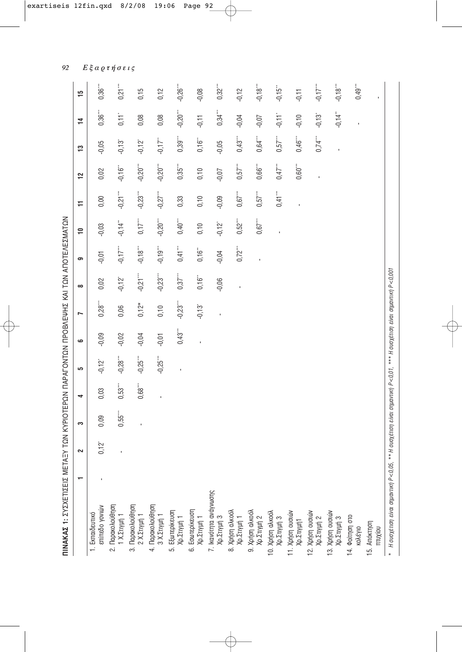| επίπεδο γονιών<br>1. Εκπαιδευτικό                                       |                     | S              | 4                     | ç                      | م         | ľ                    | $\infty$             | ၜ                      | ₽                      | Ξ                     | $\frac{2}{3}$          | 13                     | $\overline{4}$         | 15                      |
|-------------------------------------------------------------------------|---------------------|----------------|-----------------------|------------------------|-----------|----------------------|----------------------|------------------------|------------------------|-----------------------|------------------------|------------------------|------------------------|-------------------------|
|                                                                         | $\sim$              |                |                       |                        |           |                      |                      |                        |                        |                       |                        |                        |                        |                         |
|                                                                         | $0,12$ <sup>*</sup> | 0,09           | 0,03                  | $-0, 12$ <sup>*</sup>  | $-0,09$   | $0,28$ ***           | 0,02                 | $-0,01$                | $-0,03$                | 0,00                  | 0,02                   | $-0,05$                | 0,36"                  | $0,36$ <sup>****</sup>  |
| 2. Παρακολούθηση<br>1 Χ.Στιγμή 1                                        |                     | $0,55***$      | $0,53$ <sup>***</sup> | $-0,28$ <sup>***</sup> | $-0,02$   | 0,06                 | $-0, 12^{*}$         | $-0,17$ <sup>***</sup> | $-0, 14$ <sup>**</sup> | $-0,21***$            | $-0,16"$               | $-0,13"$               | $0,11$ <sup>*</sup>    | $0,21$ ***              |
| 3. Παρακολούθηση<br>2 Χ.Στιγμή 1                                        |                     | $\blacksquare$ | $0,68\dots$           | $-0,25***$             | $-0.04$   | $0,12*$              | $-0,21***$           | $-0,18***$             | $0,17***$              | $-0,23***$            | $-0.20***$             | $-0,12$ <sup>*</sup>   | 0,08                   | 0,15                    |
| 4. Παρακολούθηση<br>3 Χ.Στιγμή 1                                        |                     |                |                       | $-0.25$ <sup>***</sup> | $-0.01$   | 0,10                 | $-0,23***$           | $-0, 19$               | $-0,20***$             | $-0,27***$            | $-0.20***$             | $-0,17$ <sup>**</sup>  | 0,08                   | 0,12                    |
| 5. Εξωτερίκευση<br>Χρ.Στιγμή 1                                          |                     |                |                       | ı                      | $0,43***$ | $-0,23***$           | $0,37***$            | $0,41$ ***             | $0,40***$              | 0,33                  | $0,35$ <sup>***</sup>  | $0,39***$              | $-0,20***$             | $-0,26$ <sup>****</sup> |
| 6. Εσωτερίκευση<br>Χρ.Στιγμή 1                                          |                     |                |                       |                        |           | $-0,13$ <sup>*</sup> | $0,16$ <sup>**</sup> | $0,16$ <sup>**</sup>   | 0,10                   | 0,10                  | 0,10                   | $0,16$ <sup>**</sup>   | $-0,11$                | $-0,08$                 |
|                                                                         |                     |                |                       |                        |           |                      | $-0,06$              | $-0,04$                | $-0, 12$ <sup>*</sup>  | $-0,09$               | $-0.07$                | $-0,05$                | $0,34$ <sup>****</sup> | $0,32***$               |
| 7. Ικανόπητα ανάγνωσης<br>Χρ.Στιγμή 3<br>8. Χρήση αλκοόλ<br>Χρ.Στιγμή 1 |                     |                |                       |                        |           |                      | $\blacksquare$       | $0,72***$              | $0,52***$              | $0,67***$             | $0,57***$              | $0,43$ ***             | $-0,04$                | $-0,12$                 |
| 9. Χρήση αλκοόλ<br>Χρ.Στιγμή 2                                          |                     |                |                       |                        |           |                      |                      | $\blacksquare$         | 0,67                   | $0,57***$             | $0,66$ <sup>****</sup> | $0,64$ <sup>***</sup>  | $-0,07$                | $-0,18$ <sup>***</sup>  |
| 10. Χρήση αλκοόλ<br>Χρ.Στιγμή 3                                         |                     |                |                       |                        |           |                      |                      |                        | ï                      | $0,41$ <sup>***</sup> | $0,47$ $\cdots$        | $0,57$ <sup>***</sup>  | $-0, 11$ <sup>*</sup>  | $-0,15"$                |
| 11. Χρήση ουσιών<br>Χρ.Στιγμή1                                          |                     |                |                       |                        |           |                      |                      |                        |                        |                       | $0,60***$              | $0,46$ <sup>****</sup> | $-0, 10$               | $-0, 11$                |
| 12. Χρήση ουσιών<br>Χρ.Στιγμή 2                                         |                     |                |                       |                        |           |                      |                      |                        |                        |                       |                        | 0,74                   | $-0,13$ <sup>*</sup>   | $-0,17"$                |
| 13. Χρήση ουσιών<br>Χρ.Στιγμή 3                                         |                     |                |                       |                        |           |                      |                      |                        |                        |                       |                        | ï                      | $-0, 14$ <sup>**</sup> | $-0,18$ <sup>****</sup> |
| 14. Φοίτηση στο<br>κολέγιο                                              |                     |                |                       |                        |           |                      |                      |                        |                        |                       |                        |                        | $\blacksquare$         | $0,49***$               |
| 15. Artókmon<br>πυχίου                                                  |                     |                |                       |                        |           |                      |                      |                        |                        |                       |                        |                        |                        |                         |

 $\oplus$ 

 $\overline{\oplus}$ 

ΠΙΝΑΚΑΣ 1: ΣΥΣΧΕΤΙΣΕΙΣ ΜΕΤΑΞΥ ΤΩΝ ΚΥΡΙΟΤΕΡΩΝ ΠΑΡΑΓΟΝΤΩΝ ΠΡΟΒΛΕΨΗΣ ΚΑΙ ΤΩΝ ΑΠΟΤΕΛΕΣΜΑΤΩΝ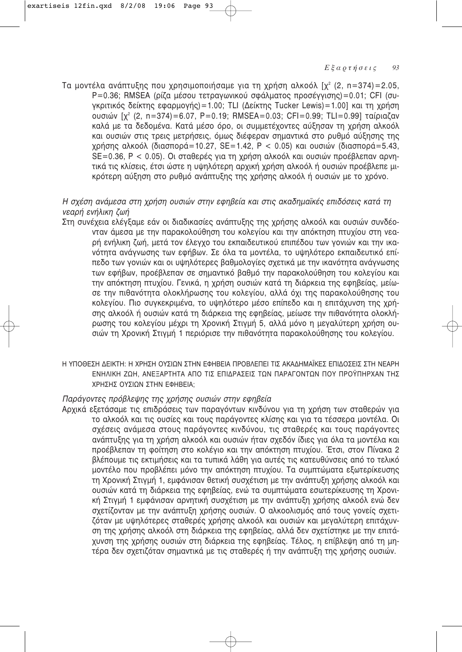Τα μοντέλα ανάπτυξης που χρησιμοποιήσαμε για τη χρήση αλκοόλ [x<sup>2</sup> (2, n=374)=2.05, P=0.36; RMSEA (ρίζα μέσου τετραγωνικού σφάλματος προσέγγισης)=0.01; CFI (συγκριτικός δείκτης εφαρμογής)=1.00; TLI (Δείκτης Tucker Lewis)=1.00] και τη χρήση  $\sigma$ υσιών [x<sup>2</sup> (2, n=374)=6.07, P=0.19; RMSEA=0.03; CFI=0.99; TLI=0.99] ταίριαζαν καλά με τα δεδομένα. Κατά μέσο όρο, οι συμμετέχοντες αύξησαν τη χρήση αλκοόλ και ουσιών στις τρεις μετρήσεις, όμως διέφεραν σημαντικά στο ρυθμό αύξησης της χρήσης αλκοόλ (διασπορά=10.27, SE=1.42, P < 0.05) και ουσιών (διασπορά=5.43,  $SE = 0.36$ , P < 0.05). Οι σταθερές για τη χρήση αλκοόλ και ουσιών προέβλεπαν αρνητικά τις κλίσεις, έτσι ώστε η υψηλότερη αρχική χρήση αλκοόλ ή ουσιών προέβλεπε μικρότερη αύξηση στο ρυθμό ανάπτυξης της χρήσης αλκοόλ ή ουσιών με το χρόνο.

*Η σχέση ανάμεσα στη χρήση ουσιών στην εφηβεία και στις ακαδημαϊκές επιδόσεις κατά τη νεαρή ενήλικη ζωή* 

- Στη συνέχεια ελέγξαμε εάν οι διαδικασίες ανάπτυξης της χρήσης αλκοόλ και ουσιών συνδέονταν άμεσα με την παρακολούθηση του κολεγίου και την απόκτηση πτυχίου στη νεαρή ενήλικη ζωή, μετά τον έλεγχο του εκπαιδευτικού επιπέδου των γονιών και την ικανότητα ανάγνωσης των εφήβων. Σε όλα τα μοντέλα, το υψηλότερο εκπαιδευτικό επίπεδο των γονιών και οι υψηλότερες βαθμολογίες σχετικά με την ικανότητα ανάγνωσης των εφήβων, προέβλεπαν σε σημαντικό βαθμό την παρακολούθηση του κολεγίου και την απόκτηση πτυχίου. Γενικά, η χρήση ουσιών κατά τη διάρκεια της εφηβείας, μείωσε την πιθανότητα ολοκλήρωσης του κολεγίου, αλλά όχι της παρακολούθησης του κολεγίου. Πιο συγκεκριμένα, το υψηλότερο μέσο επίπεδο και η επιτάχυνση της χρήσης αλκοόλ ή ουσιών κατά τη διάρκεια της εφηβείας, μείωσε την πιθανότητα ολοκλήρωσης του κολεγίου μέχρι τη Χρονική Στιγμή 5, αλλά μόνο η μεγαλύτερη χρήση ουσιών τη Χρονική Στιγμή 1 περιόρισε την πιθανότητα παρακολούθησης του κολεγίου.
- Η ΥΠΟΘΕΣΗ ΔΕΙΚΤΗ: Η ΧΡΗΣΗ ΟΥΣΙΩΝ ΣΤΗΝ ΕΦΗΒΕΙΑ ΠΡΟΒΛΕΠΕΙ ΤΙΣ ΑΚΑΔΗΜΑΪΚΕΣ ΕΠΙΔΟΣΕΙΣ ΣΤΗ ΝΕΑΡΗ ΕΝΗΛΙΚΉ ΖΩΗ, ΑΝΕΞΑΡΤΉΤΑ ΑΠΟ ΤΙΣ ΕΠΙΔΡΑΣΕΙΣ ΤΩΝ ΠΑΡΑΓΟΝΤΩΝ ΠΟΥ ΠΡΟΫ́ΠΗΡΧΑΝ ΤΗΣ ΧΡΗΣΗΣ ΟΥΣΙΩΝ ΣΤΗΝ ΕΦΗΒΕΙΑ;

# *Παράγοντες πρόβλεψης της χρήσης ουσιών στην εφηβεία*

exartiseis  $12fin,qxd$   $8/2/08$   $19:06$  Page

Αρχικά εξετάσαμε τις επιδράσεις των παραγόντων κινδύνου για τη χρήση των σταθερών για το αλκοόλ και τις ουσίες και τους παράγοντες κλίσης και για τα τέσσερα μοντέλα. Οι σχέσεις ανάμεσα στους παράγοντες κινδύνου, τις σταθερές και τους παράγοντες ανάπτυξης για τη χρήση αλκοόλ και ουσιών ήταν σχεδόν ίδιες για όλα τα μοντέλα και προέβλεπαν τη φοίτηση στο κολέγιο και την απόκτηση πτυχίου. Έτσι, στον Πίνακα 2 βλέπουμε τις εκτιμήσεις και τα τυπικά λάθη για αυτές τις κατευθύνσεις από το τελικό μοντέλο που προβλέπει μόνο την απόκτηση πτυχίου. Τα συμπτώματα εξωτερίκευσης τη Χρονική Στιγμή 1, εμφάνισαν θετική συσχέτιση με την ανάπτυξη χρήσης αλκοόλ και ουσιών κατά τη διάρκεια της εφηβείας, ενώ τα συμπτώματα εσωτερίκευσης τη Χρονική Στιγμή 1 εμφάνισαν αρνητική συσχέτιση με την ανάπτυξη χρήσης αλκοόλ ενώ δεν σχετίζονταν με την ανάπτυξη χρήσης ουσιών. Ο αλκοολισμός από τους γονείς σχετιζόταν με υψηλότερες σταθερές χρήσης αλκοόλ και ουσιών και μεγαλύτερη επιτάχυνση της χρήσης αλκοόλ στη διάρκεια της εφηβείας, αλλά δεν σχετίστηκε με την επιτά-<u>γυνση της χρήσης ουσιών στη διάρκεια της εφηβείας. Τέλος, η επίβλεψη από τη μη-</u> τέρα δεν σχετιζόταν σημαντικά με τις σταθερές ή την ανάπτυξη της χρήσης ουσιών.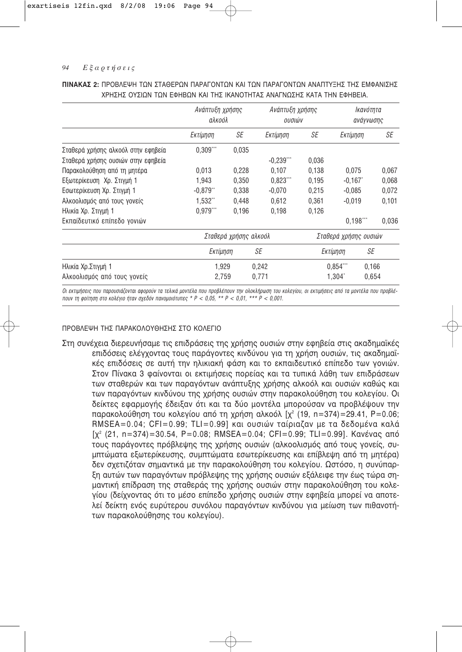|                                    | Ανάπτυξη χρήσης<br>αλκοόλ |                       | Ανάπτυξη χρήσης<br>ουσιών |       |                       | Ικανότητα<br>ανάγνωσης |       |
|------------------------------------|---------------------------|-----------------------|---------------------------|-------|-----------------------|------------------------|-------|
|                                    | Εκτίμηση                  | SE                    | Εκτίμηση                  | SE    | Εκτίμηση              |                        | SE    |
| Σταθερά χρήσης αλκοόλ στην εφηβεία | $0.309***$                | 0.035                 |                           |       |                       |                        |       |
| Σταθερά χρήσης ουσιών στην εφηβεία |                           |                       | $-0.239***$               | 0,036 |                       |                        |       |
| Παρακολούθηση από τη μητέρα        | 0,013                     | 0,228                 | 0,107                     | 0,138 | 0,075                 |                        | 0,067 |
| Εξωτερίκευση Χρ. Στιγμή 1          | 1,943                     | 0,350                 | $0.823***$                | 0,195 | $-0.167$              |                        | 0,068 |
| Εσωτερίκευση Χρ. Στιγμή 1          | $-0.879**$                | 0,338                 | $-0.070$                  | 0,215 | $-0.085$              |                        | 0,072 |
| Αλκοολισμός από τους γονείς        | 1,532"                    | 0,448                 | 0,612                     | 0,361 | $-0.019$              |                        | 0,101 |
| Ηλικία Χρ. Στιγμή 1                | $0.979***$                | 0,196                 | 0,198                     | 0,126 |                       |                        |       |
| Εκπαίδευτικό επίπεδο γονιών        |                           |                       |                           |       | 0.198                 |                        | 0.036 |
|                                    |                           | Σταθερά χρήσης αλκοόλ |                           |       | Σταθερά χρήσης ουσιών |                        |       |
|                                    | Εκτίμηση                  |                       | SE                        |       | Εκτίμηση              | SE                     |       |
| Ηλικία Χρ.Στιγμή 1                 | 1,929                     |                       | 0,242                     |       | $0.854***$            | 0,166                  |       |
| Αλκοολισμός από τους γονείς        | 2,759                     |                       | 0.771                     |       | $1,304^*$             | 0.654                  |       |

# **ΠΙΝΑΚΑΣ 2: ΠΡΟΒΛΕΨΗ ΤΩΝ ΣΤΑΘΕΡΩΝ ΠΑΡΑΓΟΝΤΩΝ ΚΑΙ ΤΩΝ ΠΑΡΑΓΟΝΤΩΝ ΑΝΑΠΤΥΞΗΣ ΤΗΣ ΕΜΦΑΝΙΣΗΣ** ΧΡΗΣΗΣ ΟΥΣΙΩΝ ΤΩΝ ΕΦΗΒΩΝ ΚΑΙ ΤΗΣ ΙΚΑΝΟΤΗΤΑΣ ΑΝΑΓΝΩΣΗΣ ΚΑΤΑ ΤΗΝ ΕΦΗΒΕΙΑ.

Οι εκτιμήσεις που παρουσιάζονται αφορούν τα τελικά μοντέλα που προβλέπουν την ολοκλήρωση του κολεγίου, οι εκτιμήσεις από τα μοντέλα που προβλέ*πουν τη φοίτηση στο κολέγιο ήταν σχεδόν πανομοιότυπες* \* *P < 0,05, \*\* P < 0,01, \*\*\* P < 0.001.* 

## ΠΡΟΒΛΕΨΗ ΤΗΣ ΠΑΡΑΚΟΛΟΥΘΗΣΗΣ ΣΤΟ ΚΟΛΕΓΙΟ

Στη συνέχεια διερευνήσαμε τις επιδράσεις της χρήσης ουσιών στην εφηβεία στις ακαδημαϊκές επιδόσεις ελέγχοντας τους παράγοντες κινδύνου για τη χρήση ουσιών, τις ακαδημαϊκές επιδόσεις σε αυτή την ηλικιακή φάση και το εκπαιδευτικό επίπεδο των γονιών. Στον Πίνακα 3 φαίνονται οι εκτιμήσεις πορείας και τα τυπικά λάθη των επιδράσεων των σταθερών και των παραγόντων ανάπτυξης χρήσης αλκοόλ και ουσιών καθώς και των παραγόντων κινδύνου της χρήσης ουσιών στην παρακολούθηση του κολεγίου. Οι δείκτες εφαρμογής έδειξαν ότι και τα δύο μοντέλα μπορούσαν να προβλέψουν την παρακολούθηση του κολεγίου από τη χρήση αλκοόλ [χ<sup>2</sup> (19, n=374)=29.41, P=0.06; RMSEA=0.04; CFI=0.99; TLI=0.99] και ουσιών ταίριαζαν με τα δεδομένα καλά  $[x^{2} (21, n=374)=30.54, P=0.08; RMSEA=0.04; CFI=0.99; TLI=0.99]$ . Κανένας από τους παράγοντες πρόβλεψης της χρήσης ουσιών (αλκοολισμός από τους γονείς, συμπτώματα εξωτερίκευσης, συμπτώματα εσωτερίκευσης και επίβλεψη από τη μητέρα) δεν σχετιζόταν σημαντικά με την παρακολούθηση του κολεγίου. Ωστόσο, η συνύπαρξη αυτών των παραγόντων πρόβλεψης της χρήσης ουσιών εξάλειφε την έως τώρα σημαντική επίδραση της σταθεράς της χρήσης ουσιών στην παρακολούθηση του κολεγίου (δείχνοντας ότι το μέσο επίπεδο χρήσης ουσιών στην εφηβεία μπορεί να αποτελεί δείκτη ενός ευρύτερου συνόλου παραγόντων κινδύνου για μείωση των πιθανοτήτων παρακολούθησης του κολεγίου).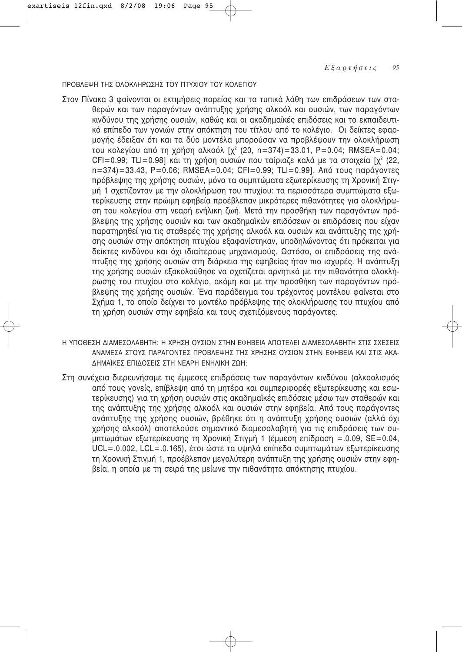ΠΡΟΒΛΕΨΗ ΤΗΣ ΟΛΟΚΛΗΡΩΣΗΣ ΤΟΥ ΠΤΥΧΙΟΥ ΤΟΥ ΚΟΛΕΓΙΟΥ

- Στον Πίνακα 3 φαίνονται οι εκτιμήσεις πορείας και τα τυπικά λάθη των επιδράσεων των σταθερών και των παραγόντων ανάπτυξης χρήσης αλκοόλ και ουσιών, των παραγόντων <u>κινδύνου της χρήσης ουσιών, καθώς και οι ακαδημαϊκές επιδόσεις και το εκπαιδευτι-</u> Κό επίπεδο των γονιών στην απόκτηση του τίτλου από το κολέγιο. Οι δείκτες εφαρμογής έδειξαν ότι και τα δύο μοντέλα μπορούσαν να προβλέψουν την ολοκλήρωση του κολεγίου από τη χρήση αλκοόλ [χ<sup>2</sup> (20, n=374)=33.01, P=0.04; RMSEA=0.04;  $CFI = 0.99$ ; TLI=0.98] και τη χρήση ουσιών που ταίριαζε καλά με τα στοιχεία [χ<sup>2</sup> (22,  $n=374$ )=33.43, P=0.06; RMSEA=0.04; CFI=0.99; TLI=0.99]. Από τους παράγοντες πρόβλεψης της χρήσης ουσιών, μόνο τα συμπτώματα εξωτερίκευσης τη Χρονική Στιγμή 1 σχετίζονταν με την ολοκλήρωση του πτυχίου: τα περισσότερα συμπτώματα εξωτερίκευσης στην πρώιμη εφηβεία προέβλεπαν μικρότερες πιθανότητες για ολοκλήρωση του κολεγίου στη νεαρή ενήλικη ζωή. Μετά την προσθήκη των παραγόντων πρόβλεψης της χρήσης ουσιών και των ακαδημαϊκών επιδόσεων οι επιδράσεις που είχαν παρατηρηθεί για τις σταθερές της χρήσης αλκοόλ και ουσιών και ανάπτυξης της χρήσης ουσιών στην απόκτηση πτυχίου εξαφανίστηκαν, υποδηλώνοντας ότι πρόκειται για δείκτες κινδύνου και όχι ιδιαίτερους μηχανισμούς. Ωστόσο, οι επιδράσεις της ανάπτυξης της χρήσης ουσιών στη διάρκεια της εφηβείας ήταν πιο ισχυρές. Η ανάπτυξη της χρήσης ουσιών εξακολούθησε να σχετίζεται αρνητικά με την πιθανότητα ολοκλήρωσης του πτυχίου στο κολέγιο, ακόμη και με την προσθήκη των παραγόντων πρόβλεψης της χρήσης ουσιών. Ένα παράδειγμα του τρέχοντος μοντέλου φαίνεται στο Σχήμα 1. το οποίο δείχνει το μοντέλο πρόβλεψης της ολοκλήρωσης του πτυχίου από τη χρήση ουσιών στην εφηβεία και τους σχετιζόμενους παράγοντες.
- Η ΥΠΟΘΕΣΗ ΔΙΑΜΕΣΟΛΑΒΗΤΗ: Η ΧΡΗΣΗ ΟΥΣΙΩΝ ΣΤΗΝ ΕΦΗΒΕΙΑ ΑΠΟΤΕΛΕΙ ΔΙΑΜΕΣΟΛΑΒΗΤΗ ΣΤΙΣ ΣΧΕΣΕΙΣ ΑΝΑΜΕΣΑ ΣΤΟΥΣ ΠΑΡΑΓΟΝΤΕΣ ΠΡΟΒΛΕΨΗΣ ΤΗΣ ΧΡΗΣΗΣ ΟΥΣΙΩΝ ΣΤΗΝ ΕΦΗΒΕΙΑ ΚΑΙ ΣΤΙΣ ΑΚΑ-ΔΗΜΑΪΚΕΣ ΕΠΙΔΟΣΕΙΣ ΣΤΗ ΝΕΑΡΗ ΕΝΗΛΙΚΗ ΖΩΗ:
- Στη συνέχεια διερευνήσαμε τις έμμεσες επιδράσεις των παρανόντων κινδύνου (αλκοολισμός από τους γονείς, επίβλεψη από τη μητέρα και συμπεριφορές εξωτερίκευσης και εσωτερίκευσης) για τη χρήση ουσιών στις ακαδημαϊκές επιδόσεις μέσω των σταθερών και της ανάπτυξης της χρήσης αλκοόλ και ουσιών στην εφηβεία. Από τους παράγοντες ανάπτυξης της χρήσης ουσιών, βρέθηκε ότι η ανάπτυξη χρήσης ουσιών (αλλά όχι χρήσης αλκοόλ) αποτελούσε σημαντικό διαμεσολαβητή για τις επιδράσεις των συμπτωμάτων εξωτερίκευσης τη Χρονική Στιγμή 1 (έμμεση επίδραση =.0.09, SE=0.04, UCL=.0.002, LCL=.0.165), έτσι ώστε τα υψηλά επίπεδα συμπτωμάτων εξωτερίκευσης τη Χρονική Στιγμή 1, προέβλεπαν μεγαλύτερη ανάπτυξη της χρήσης ουσιών στην εφηβεία, η οποία με τη σειρά της μείωνε την πιθανότητα απόκτησης πτυχίου.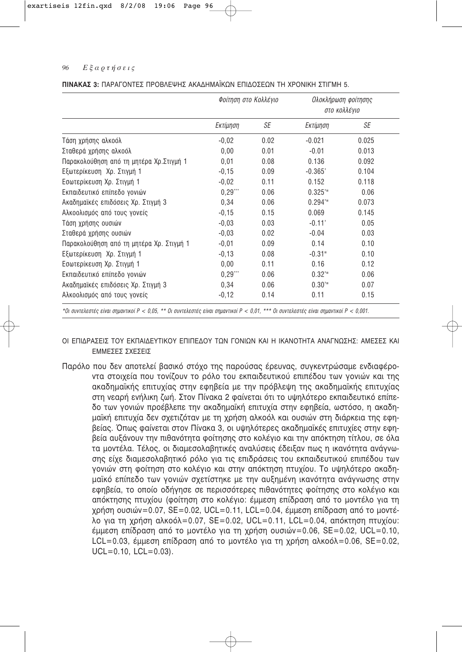## ΠΙΝΑΚΑΣ 3: ΠΑΡΑΓΟΝΤΕΣ ΠΡΟΒΛΕΨΗΣ ΑΚΑΔΗΜΑΪΚΩΝ ΕΠΙΔΟΣΕΩΝ ΤΗ ΧΡΟΝΙΚΗ ΣΤΙΓΜΗ 5.

|                                          | Φοίτηση στο Κολλέγιο |      | Ολοκλήρωση φοίτησης<br>στο κολλέγιο |       |
|------------------------------------------|----------------------|------|-------------------------------------|-------|
|                                          | Εκτίμηση             | SE   | Εκτίμηση                            | SE    |
| Τάση χρήσης αλκοόλ                       | $-0,02$              | 0.02 | $-0.021$                            | 0.025 |
| Σταθερά χρήσης αλκοόλ                    | 0,00                 | 0.01 | $-0.01$                             | 0.013 |
| Παρακολούθηση από τη μητέρα Χρ.Στιγμή 1  | 0.01                 | 0.08 | 0.136                               | 0.092 |
| Εξωτερίκευση Χρ. Στιγμή 1                | $-0.15$              | 0.09 | $-0.365'$                           | 0.104 |
| Εσωτερίκευση Χρ. Στιγμή 1                | $-0,02$              | 0.11 | 0.152                               | 0.118 |
| Εκπαιδευτικό επίπεδο γονιών              | $0.29***$            | 0.06 | 0.325"                              | 0.06  |
| Ακαδημαϊκές επιδόσεις Χρ. Στιγμή 3       | 0,34                 | 0.06 | 0.294"                              | 0.073 |
| Αλκοολισμός από τους γονείς              | $-0.15$              | 0.15 | 0.069                               | 0.145 |
| Τάση χρήσης ουσιών                       | $-0.03$              | 0.03 | $-0.11'$                            | 0.05  |
| Σταθερά χρήσης ουσιών                    | $-0.03$              | 0.02 | $-0.04$                             | 0.03  |
| Παρακολούθηση από τη μητέρα Χρ. Στιγμή 1 | $-0.01$              | 0.09 | 0.14                                | 0.10  |
| Εξωτερίκευση Χρ. Στιγμή 1                | $-0.13$              | 0.08 | $-0.31"$                            | 0.10  |
| Εσωτερίκευση Χρ. Στιγμή 1                | 0,00                 | 0.11 | 0.16                                | 0.12  |
| Εκπαιδευτικό επίπεδο γονιών              | $0,29***$            | 0.06 | 0.32"                               | 0.06  |
| Ακαδημαϊκές επιδόσεις Χρ. Στιγμή 3       | 0,34                 | 0.06 | 0.30"                               | 0.07  |
| Αλκοολισμός από τους γονείς              | $-0,12$              | 0.14 | 0.11                                | 0.15  |

\*Οι συντελεστές είναι σημαντικοί P < 0.05, \*\* Οι συντελεστές είναι σημαντικοί P < 0.01, \*\*\* Οι συντελεστές είναι σημαντικοί P < 0.001.

- ΟΙ ΕΠΙΔΡΑΣΕΙΣ ΤΟΥ ΕΚΠΑΙΔΕΥΤΙΚΟΥ ΕΠΙΠΕΔΟΥ ΤΩΝ ΓΟΝΙΩΝ ΚΑΙ Η ΙΚΑΝΟΤΗΤΑ ΑΝΑΓΝΩΣΗΣ: ΑΜΕΣΕΣ ΚΑΙ ΕΜΜΕΣΕΣ ΣΧΕΣΕΙΣ
- Παρόλο που δεν αποτελεί βασικό στόχο της παρούσας έρευνας, συγκεντρώσαμε ενδιαφέροντα στοιχεία που τονίζουν το ρόλο του εκπαιδευτικού επιπέδου των γονιών και της ακαδημαϊκής επιτυχίας στην εφηβεία με την πρόβλεψη της ακαδημαϊκής επιτυχίας στη νεαρή ενήλικη ζωή. Στον Πίνακα 2 φαίνεται ότι το υψηλότερο εκπαιδευτικό επίπεδο των γονιών προέβλεπε την ακαδημαϊκή επιτυχία στην εφηβεία, ωστόσο, η ακαδημαϊκή επιτυχία δεν σχετιζόταν με τη χρήση αλκοόλ και ουσιών στη διάρκεια της εφηβείας. Όπως φαίνεται στον Πίνακα 3, οι υψηλότερες ακαδημαϊκές επιτυχίες στην εφηβεία αυξάνουν την πιθανότητα φοίτησης στο κολέγιο και την απόκτηση τίτλου, σε όλα τα μοντέλα. Τέλος, οι διαμεσολαβητικές αναλύσεις έδειξαν πως η ικανότητα ανάγνωσης είχε διαμεσολαβητικό ρόλο για τις επιδράσεις του εκπαιδευτικού επιπέδου των γονιών στη φοίτηση στο κολέγιο και στην απόκτηση πτυχίου. Το υψηλότερο ακαδημαϊκό επίπεδο των γονιών σχετίστηκε με την αυξημένη ικανότητα ανάγνωσης στην εφηβεία, το οποίο οδήγησε σε περισσότερες πιθανότητες φοίτησης στο κολέγιο και απόκτησης πτυχίου (φοίτηση στο κολέγιο: έμμεση επίδραση από το μοντέλο για τη χρήση ουσιών=0.07, SE=0.02, UCL=0.11, LCL=0.04, έμμεση επίδραση από το μοντέλο για τη χρήση αλκοόλ=0.07, SE=0.02, UCL=0.11, LCL=0.04, απόκτηση πτυχίου: έμμεση επίδραση από το μοντέλο για τη χρήση ουσιών=0.06, SE=0.02, UCL=0.10,  $LCL = 0.03$ , έμμεση επίδραση από το μοντέλο για τη χρήση αλκοόλ=0.06, SE=0.02,  $UCL = 0.10$ ,  $LCL = 0.03$ ).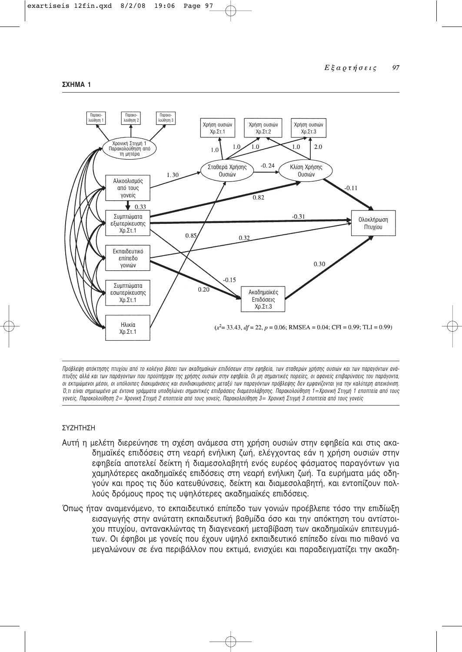#### Εξαρτήσεις  $Q\overline{Q}$

Παρακο-<br>λούθηση Παρακο-<br>Ιούθηση 2 Парако-<br>,ой0поп Χρήση ομαιών Χρήση ουσιών Χρήση ουσιών Χρ.Στ.1 Χρ.Στ.2 Χρ.Στ.3 Χρονική Στιγμή 1  $2.0$ ı n  $\overline{1}$  $\sqrt{ }$ Παρακολούθηση από  $\overline{1}$   $\overline{0}$ πη μητέρα  $-0.24$ Σταθερά Χρήσης Κλίση Χρήσης  $1,30$ Ωμσιών Ωμσιών Αλκοολισμός  $011$ από τους γονείς  $0.82$  $\bullet$  0.33 Συμπτώματα  $-0.31$ Ολοκλήρωση εξωτερίκευσης Πτυχίου Χρ. Στ. 1  $0.85$  $0.32$ Εκπαιδευτικό επίπεδο 0.30 νονιών  $-0.15$ Συμπτώματα  $0.2\overline{C}$ εσωτερίκευσης Ακαδημαϊκές Επιδόσεις Χρ. Στ. 1 Χρ. Στ. 3 Ηλικία  $(x^2 = 33.43, df = 22, p = 0.06; RMSEA = 0.04; CFI = 0.99; TLI = 0.99)$ Χρ.Στ.1

Πρόβλεψη απόκτησης πτυχίου από το κολέγιο βάσει των ακαδημαϊκών επιδόσεων στην εφηβεία, των σταθερών χρήσης ουσιών και των παραγόντων ανάπτυξης αλλά και των παράγοντων που προϋπήρχαν της χρήσης ουσιών στην εφηβεία. Οι μη σημαντικές πορείες, οι αφανείς επιβαρύνσεις του παράγοντα, οι εκτιμώμενοι μέσοι, οι υπόλοιπες διακυμάνσεις και συνδιακυμάνσεις μεταξύ των παραγόντων πρόβλεψης δεν εμφανίζονται για την καλύτερη απεικόνιση. Ό,τι είναι σημειωμένο με έντονα γράμματα υποδηλώνει σημαντικές επιδράσεις διαμεσολάβησης. Παρακολούθηση 1=Χρονική Στιγμή 1 εποπτεία από τους γονείς, Παρακολούθηση 2= Χρονική Στιγμή 2 εποπτεία από τους γονείς, Παρακολούθηση 3= Χρονική Στιγμή 3 εποπτεία από τους γονείς

# ΣΥΖΗΤΗΣΗ

- Αυτή η μελέτη διερεύνησε τη σχέση ανάμεσα στη χρήση ουσιών στην εφηβεία και στις ακαδημαϊκές επιδόσεις στη νεαρή ενήλικη ζωή, ελέγχοντας εάν η χρήση ουσιών στην εφηβεία αποτελεί δείκτη ή διαμεσολαβητή ενός ευρέος φάσματος παραγόντων για χαμηλότερες ακαδημαϊκές επιδόσεις στη νεαρή ενήλικη ζωή. Τα ευρήματα μάς οδηγούν και προς τις δύο κατευθύνσεις, δείκτη και διαμεσολαβητή, και εντοπίζουν πολλούς δρόμους προς τις υψηλότερες ακαδημαϊκές επιδόσεις.
- Όπως ήταν αναμενόμενο, το εκπαιδευτικό επίπεδο των γονιών προέβλεπε τόσο την επιδίωξη εισαγωγής στην ανώτατη εκπαιδευτική βαθμίδα όσο και την απόκτηση του αντίστοιχου πτυχίου, αντανακλώντας τη διαγενεακή μεταβίβαση των ακαδημαϊκών επιτευγμάτων. Οι έφηβοι με γονείς που έχουν υψηλό εκπαιδευτικό επίπεδο είναι πιο πιθανό να μεγαλώνουν σε ένα περιβάλλον που εκτιμά, ενισχύει και παραδειγματίζει την ακαδη-

ΣΧΗΜΑ 1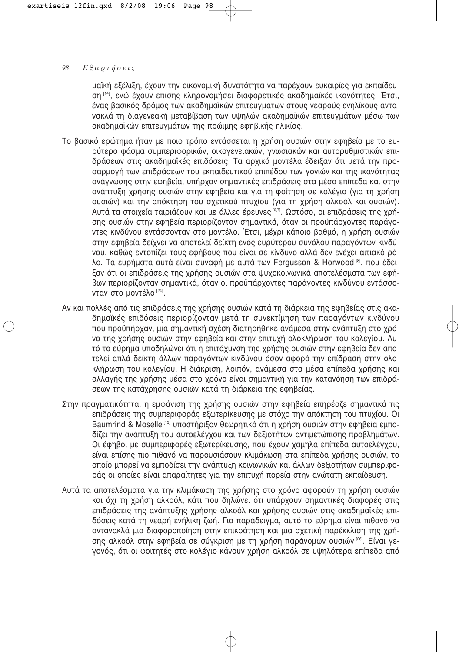μαϊκή εξέλιξη, έχουν την οικονομική δυνατότητα να παρέχουν ευκαιρίες για εκπαίδευση [14], ενώ έχουν επίσης κληρονομήσει διαφορετικές ακαδημαϊκές ικανότητες. Έτσι, ένας βασικός δρόμος των ακαδημαϊκών επιτευγμάτων στους νεαρούς ενηλίκους ανταvακλά τη διαγενεακή μεταβίβαση των υψηλών ακαδημαϊκών επιτευγμάτων μέσω των ακαδημαϊκών επιτευνμάτων της πρώιμης εφηβικής ηλικίας.

- Το βασικό ερώτημα ήταν με ποιο τρόπο εντάσσεται η χρήση ουσιών στην εφηβεία με το ευρύτερο φάσμα συμπεριφορικών, οικονενειακών, γνωσιακών και αυτορυθμιστικών επιδράσεων στις ακαδημαϊκές επιδόσεις. Τα αρχικά μοντέλα έδειξαν ότι μετά την προσαρμογή των επιδράσεων του εκπαιδευτικού επιπέδου των γονιών και της ικανότητας ανάγνωσης στην εφηβεία, υπήρχαν σημαντικές επιδράσεις στα μέσα επίπεδα και στην ανάπτυξη χρήσης ουσιών στην εφηβεία και για τη φοίτηση σε κολέγιο (για τη χρήση ουσιών) και την απόκτηση του σχετικού πτυχίου (για τη χρήση αλκοόλ και ουσιών). Aυτά τα στοιχεία ταιριάζουν και με άλλες έρευνες <sup>[6,7]</sup>. Ωστόσο, οι επιδράσεις της χρήσης ουσιών στην εφηβεία περιορίζονταν σημαντικά, όταν οι προϋπάρχοντες παράγοντες κινδύνου εντάσσονταν στο μοντέλο. Έτσι, μέχρι κάποιο βαθμό, η χρήση ουσιών στην εφηβεία δείχνει να αποτελεί δείκτη ενός ευρύτερου συνόλου παρανόντων κινδύ-VOU, Καθώς εντοπίζει τους εφήβους που είναι σε κίνδυνο αλλά δεν ενέχει αιτιακό ρόλο. Τα ευρήματα αυτά είναι συναφή με αυτά των Fergusson & Horwood [8], που έδειξαν ότι οι επιδράσεις της χρήσης ουσιών στα ψυχοκοινωνικά αποτελέσματα των εφήβων περιορίζονταν σημαντικά, όταν οι προϋπάρχοντες παράγοντες κινδύνου εντάσσο-VΤαν στο μοντέλο<sup>[24]</sup>.
- Aν και πολλές από τις επιδράσεις της χρήσης ουσιών κατά τη διάρκεια της εφηβείας στις ακαδημαϊκές επιδόσεις περιορίζονταν μετά τη συνεκτίμηση των παραγόντων κινδύνου που προϋπήρχαν, μια σημαντική σχέση διατηρήθηκε ανάμεσα στην ανάπτυξη στο χρόνο της χρήσης ουσιών στην εφηβεία και στην επιτυχή ολοκλήρωση του κολεγίου. Αυτό το εύρημα υποδηλώνει ότι η επιτάχυνση της χρήσης ουσιών στην εφηβεία δεν αποτελεί απλά δείκτη άλλων παραγόντων κινδύνου όσον αφορά την επίδρασή στην ολοκλήρωση του κολεγίου. Η διάκριση, λοιπόν, ανάμεσα στα μέσα επίπεδα χρήσης και αλλαγής της χρήσης μέσα στο χρόνο είναι σημαντική για την κατανόηση των επιδράσεων της κατάχρησης ουσιών κατά τη διάρκεια της εφηβείας.
- Στην πραγματικότητα, η εμφάνιση της χρήσης ουσιών στην εφηβεία επηρέαζε σημαντικά τις επιδράσεις της συμπεριφοράς εξωτερίκευσης με στόχο την απόκτηση του πτυχίου. Οι Baumrind & Moselle [13] υποστήριξαν θεωρητικά ότι η χρήση ουσιών στην εφηβεία εμποδίζει την ανάπτυξη του αυτοελέγχου και των δεξιοτήτων αντιμετώπισης προβλημάτων. Οι έφηβοι με συμπεριφορές εξωτερίκευσης, που έχουν χαμηλά επίπεδα αυτοελέγχου, είναι επίσης πιο πιθανό να παρουσιάσουν κλιμάκωση στα επίπεδα χρήσης ουσιών, το οποίο μπορεί να εμποδίσει την ανάπτυξη κοινωνικών και άλλων δεξιοτήτων συμπεριφοράς οι οποίες είναι απαραίτητες για την επιτυχή πορεία στην ανώτατη εκπαίδευση.
- Αυτά τα αποτελέσματα για την κλιμάκωση της χρήσης στο χρόνο αφορούν τη χρήση ουσιών και όχι τη χρήση αλκοόλ, κάτι που δηλώνει ότι υπάρχουν σημαντικές διαφορές στις επιδράσεις της ανάπτυξης χρήσης αλκοόλ και χρήσης ουσιών στις ακαδημαϊκές επιδόσεις κατά τη νεαρή ενήλικη ζωή. Για παράδειγμα, αυτό το εύρημα είναι πιθανό να αντανακλά μια διαφοροποίηση στην επικράτηση και μια σχετική παρέκκλιση της χρήσης αλκοόλ στην εφηβεία σε σύγκριση με τη χρήση παράνομων ουσιών <sup>[26]</sup>. Είναι νεγονός, ότι οι φοιτητές στο κολέγιο κάνουν χρήση αλκοόλ σε υψηλότερα επίπεδα από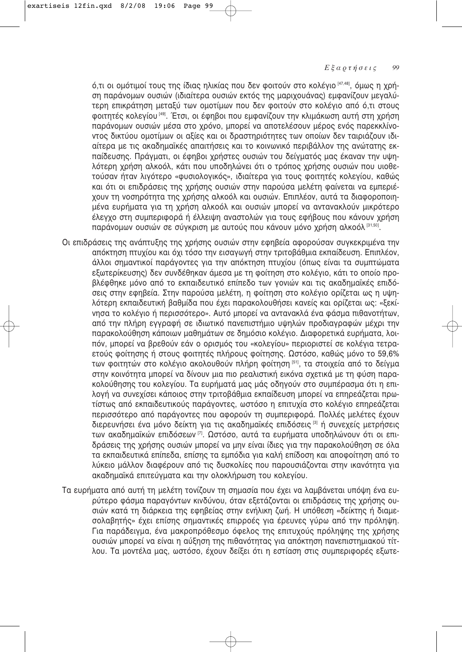ό,τι οι ομότιμοί τους της ίδιας ηλικίας που δεν φοιτούν στο κολέγιο <sup>[47,48]</sup>, όμως η χρήση παράνομων ουσιών (ιδιαίτερα ουσιών εκτός της μαριχουάνας) εμφανίζουν μεγαλύτερη επικράτηση μεταξύ των ομοτίμων που δεν φοιτούν στο κολέγιο από ό,τι στους Φοιτητές κολεγίου [49]. Έτσι, οι έφηβοι που εμφανίζουν την κλιμάκωση αυτή στη χρήση παράνομων ουσιών μέσα στο χρόνο, μπορεί να αποτελέσουν μέρος ενός παρεκκλίνο-VΤΟς δικτύου ομοτίμων οι αξίες και οι δραστηριότητες των οποίων δεν ταιριάζουν ιδιαίτερα με τις ακαδημαϊκές απαιτήσεις και το κοινωνικό περιβάλλον της ανώτατης εκπαίδευσης. Πράγματι, οι έφηβοι χρήστες ουσιών του δείγματός μας έκαναν την υψηλότερη χρήση αλκοόλ, κάτι που υποδηλώνει ότι ο τρόπος χρήσης ουσιών που υιοθετούσαν ήταν λιγότερο «φυσιολογικός», ιδιαίτερα για τους φοιτητές κολεγίου, καθώς και ότι οι επιδράσεις της χρήσης ουσιών στην παρούσα μελέτη φαίνεται να εμπεριέχουν τη νοσηρότητα της χρήσης αλκοόλ και ουσιών. Επιπλέον, αυτά τα διαφοροποιημένα ευρήματα για τη χρήση αλκοόλ και ουσιών μπορεί να αντανακλούν μικρότερο έλεγχο στη συμπεριφορά ή έλλειψη αναστολών για τους εφήβους που κάνουν χρήση παράνομων ουσιών σε σύγκριση με αυτούς που κάνουν μόνο χρήση αλκοόλ<sup>[31,50]</sup>.

- Οι επιδράσεις της ανάπτυξης της χρήσης ουσιών στην εφηβεία αφορούσαν συγκεκριμένα την απόκτηση πτυχίου και όχι τόσο την εισαγωγή στην τριτοβάθμια εκπαίδευση. Επιπλέον, άλλοι σημαντικοί παράγοντες για την απόκτηση πτυχίου (όπως είναι τα συμπτώματα εξωτερίκευσης) δεν συνδέθηκαν άμεσα με τη φοίτηση στο κολέγιο, κάτι το οποίο προ- $\beta$ λέφθηκε μόνο από το εκπαιδευτικό επίπεδο των νονιών και τις ακαδημαϊκές επιδόσεις στην εφηβεία. Στην παρούσα μελέτη, η φοίτηση στο κολέγιο ορίζεται ως η υψηλότερη εκπαιδευτική βαθμίδα που έχει παρακολουθήσει κανείς και ορίζεται ως: «ξεκίνησα το κολέγιο ή περισσότερο». Αυτό μπορεί να αντανακλά ένα φάσμα πιθανοτήτων, από την πλήρη εγγραφή σε ιδιωτικό πανεπιστήμιο υψηλών προδιαγραφών μέχρι την παρακολούθηση κάποιων μαθημάτων σε δημόσιο κολέγιο. Διαφορετικά ευρήματα, λοιπόν, μπορεί να βρεθούν εάν ο ορισμός του «κολεγίου» περιοριστεί σε κολέγια τετραετούς φοίτησης ή στους φοιτητές πλήρους φοίτησης. Ωστόσο, καθώς μόνο το 59,6% των φοιτητών στο κολέγιο ακολουθούν πλήρη φοίτηση [51], τα στοιχεία από το δείγμα στην κοινότητα μπορεί να δίνουν μια πιο ρεαλιστική εικόνα σχετικά με τη φύση παρακολούθησης του κολεγίου. Τα ευρήματά μας μάς οδηγούν στο συμπέρασμα ότι η επιλογή να συνεχίσει κάποιος στην τριτοβάθμια εκπαίδευση μπορεί να επηρεάζεται πρωτίστως από εκπαιδευτικούς παράγοντες, ωστόσο η επιτυχία στο κολέγιο επηρεάζεται περισσότερο από παράγοντες που αφορούν τη συμπεριφορά. Πολλές μελέτες έχουν διερευνήσει ένα μόνο δείκτη για τις ακαδημαϊκές επιδόσεις <sup>[3]</sup> ή συνεχείς μετρήσεις των ακαδημαϊκών επιδόσεων <sup>[7]</sup>. Ωστόσο, αυτά τα ευρήματα υποδηλώνουν ότι οι επιδράσεις της χρήσης ουσιών μπορεί να μην είναι ίδιες για την παρακολούθηση σε όλα τα εκπαιδευτικά επίπεδα, επίσης τα εμπόδια για καλή επίδοση και αποφοίτηση από το λύκειο μάλλον διαφέρουν από τις δυσκολίες που παρουσιάζονται στην ικανότητα για ακαδημαϊκά επιτεύγματα και την ολοκλήρωση του κολεγίου.
- Τα ευρήματα από αυτή τη μελέτη τονίζουν τη σημασία που έχει να λαμβάνεται υπόψη ένα ευρύτερο φάσμα παραγόντων κινδύνου, όταν εξετάζονται οι επιδράσεις της χρήσης ουσιών κατά τη διάρκεια της εφηβείας στην ενήλικη ζωή. Η υπόθεση «δείκτης ή διαμεσολαβητής» έχει επίσης σημαντικές επιρροές για έρευνες γύρω από την πρόληψη. Για παράδειγμα, ένα μακροπρόθεσμο όφελος της επιτυχούς πρόληψης της χρήσης ουσιών μπορεί να είναι η αύξηση της πιθανότητας για απόκτηση πανεπιστημιακού τίτλου. Τα μοντέλα μας, ωστόσο, έχουν δείξει ότι η εστίαση στις συμπεριφορές εξωτε-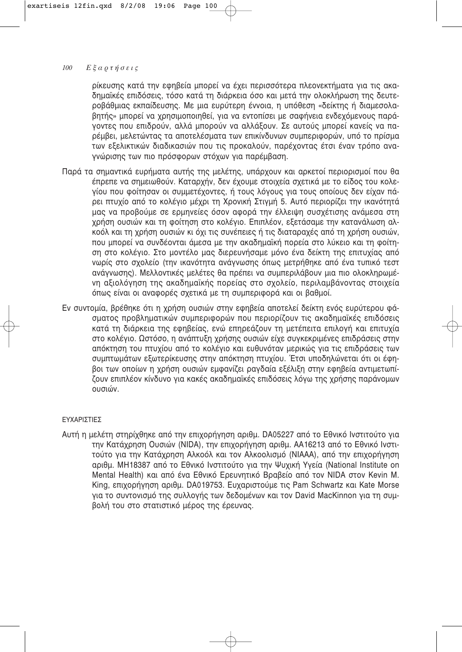ρίκευσης κατά την εφηβεία μπορεί να έχει περισσότερα πλεονεκτήματα για τις ακαδημαϊκές επιδόσεις, τόσο κατά τη διάρκεια όσο και μετά την ολοκλήρωση της δευτεροβάθμιας εκπαίδευσης. Με μια ευρύτερη έννοια, η υπόθεση «δείκτης ή διαμεσολα-Bητής» μπορεί να χρησιμοποιηθεί, για να εντοπίσει με σαφήνεια ενδεχόμενους παράγοντες που επιδρούν, αλλά μπορούν να αλλάξουν. Σε αυτούς μπορεί κανείς να παρέμβει, μελετώντας τα αποτελέσματα των επικίνδυνων συμπεριφορών, υπό το πρίσμα των εξελικτικών διαδικασιών που τις προκαλούν, παρέχοντας έτσι έναν τρόπο αναγνώρισης των πιο πρόσφορων στόχων για παρέμβαση.

- Παρά τα σημαντικά ευρήματα αυτής της μελέτης, υπάρχουν και αρκετοί περιορισμοί που θα έπρεπε να σημειωθούν. Καταρχήν, δεν έχουμε στοιχεία σχετικά με το είδος του κολεγίου που φοίτησαν οι συμμετέχοντες, ή τους λόγους για τους οποίους δεν είχαν πάρει πτυχίο από το κολέγιο μέχρι τη Χρονική Στιγμή 5. Αυτό περιορίζει την ικανότητά μας να προβούμε σε ερμηνείες όσον αφορά την έλλειψη συσχέτισης ανάμεσα στη χρήση ουσιών και τη φοίτηση στο κολέγιο. Επιπλέον, εξετάσαμε την κατανάλωση αλ-Κοόλ και τη χρήση ουσιών κι όχι τις συνέπειες ή τις διαταραχές από τη χρήση ουσιών, που μπορεί να συνδέονται άμεσα με την ακαδημαϊκή πορεία στο λύκειο και τη φοίτηση στο κολέγιο. Στο μοντέλο μας διερευνήσαμε μόνο ένα δείκτη της επιτυχίας από νωρίς στο σχολείο (την ικανότητα ανάγνωσης όπως μετρήθηκε από ένα τυπικό τεστ ανάγνωσης). Μελλοντικές μελέτες θα πρέπει να συμπεριλάβουν μια πιο ολοκληρωμέvη αξιολόγηση της ακαδημαϊκής πορείας στο σχολείο, περιλαμβάνοντας στοιχεία όπως είναι οι αναφορές σχετικά με τη συμπεριφορά και οι βαθμοί.
- εν συντομία, βρέθηκε ότι η χρήση ουσιών στην εφηβεία αποτελεί δείκτη ενός ευρύτερου φάσματος προβληματικών συμπεριφορών που περιορίζουν τις ακαδημαϊκές επιδόσεις κατά τη διάρκεια της εφηβείας, ενώ επηρεάζουν τη μετέπειτα επιλογή και επιτυχία στο κολέγιο. Ωστόσο, η ανάπτυξη χρήσης ουσιών είχε συγκεκριμένες επιδράσεις στην απόκτηση του πτυχίου από το κολέγιο και ευθυνόταν μερικώς για τις επιδράσεις των συμπτωμάτων εξωτερίκευσης στην απόκτηση πτυχίου. Έτσι υποδηλώνεται ότι οι έφηβοι των οποίων η χρήση ουσιών εμφανίζει ραγδαία εξέλιξη στην εφηβεία αντιμετωπίζουν επιπλέον κίνδυνο για κακές ακαδημαϊκές επιδόσεις λόγω της χρήσης παράνομων ουσιών.

# ΕΥΧΑΡΙΣΤΙΕΣ

Aυτή η μελέτη στηρίχθηκε από την επιχορήγηση αριθμ. DA05227 από το Εθνικό Ινστιτούτο για την Κατάχρηση Ουσιών (NIDA), την επιχορήγηση αριθμ. AA16213 από το Εθνικό Ινστιτούτο για την Κατάχρηση Αλκοόλ και τον Αλκοολισμό (ΝΙΑΑΑ), από την επιχορήγηση αριθμ. MH18387 από το Εθνικό Ινστιτούτο για την Ψυχική Υγεία (National Institute on Mental Health) και από ένα Εθνικό Ερευνητικό Βραβείο από τον NIDA στον Kevin M. King, επιχορήγηση αριθμ. DA019753. Ευχαριστούμε τις Pam Schwartz και Kate Morse για το συντονισμό της συλλογής των δεδομένων και τον David MacKinnon για τη συμβολή του στο στατιστικό μέρος της έρευνας.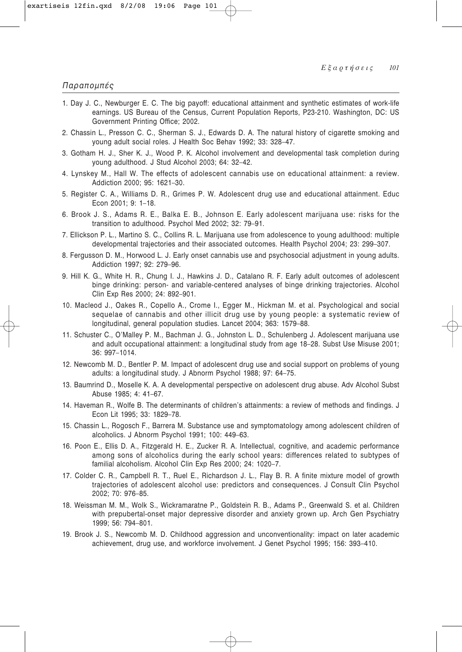## $\Pi$ αραπομπές

- 1. Day J. C., Newburger E. C. The big payoff: educational attainment and synthetic estimates of work-life earnings. US Bureau of the Census, Current Population Reports, P23-210. Washington, DC: US Government Printing Office; 2002.
- 2. Chassin L., Presson C. C., Sherman S. J., Edwards D. A. The natural history of cigarette smoking and young adult social roles. J Health Soc Behav 1992; 33: 328–47.
- 3. Gotham H. J., Sher K. J., Wood P. K. Alcohol involvement and developmental task completion during young adulthood. J Stud Alcohol 2003; 64: 32–42.
- 4. Lynskey M., Hall W. The effects of adolescent cannabis use on educational attainment: a review. Addiction 2000; 95: 1621–30.
- 5. Register C. A., Williams D. R., Grimes P. W. Adolescent drug use and educational attainment. Educ Econ 2001; 9: 1–18.
- 6. Brook J. S., Adams R. E., Balka E. B., Johnson E. Early adolescent marijuana use: risks for the transition to adulthood. Psychol Med 2002; 32: 79–91.
- 7. Ellickson P. L., Martino S. C., Collins R. L. Marijuana use from adolescence to young adulthood: multiple developmental trajectories and their associated outcomes. Health Psychol 2004; 23: 299–307.
- 8. Fergusson D. M., Horwood L. J. Early onset cannabis use and psychosocial adjustment in young adults. Addiction 1997; 92: 279–96.
- 9. Hill K. G., White H. R., Chung I. J., Hawkins J. D., Catalano R. F. Early adult outcomes of adolescent binge drinking: person- and variable-centered analyses of binge drinking trajectories. Alcohol Clin Exp Res 2000; 24: 892–901.
- 10. Macleod J., Oakes R., Copello A., Crome I., Egger M., Hickman M. et al. Psychological and social sequelae of cannabis and other illicit drug use by young people: a systematic review of longitudinal, general population studies. Lancet 2004; 363: 1579–88.
- 11. Schuster C., O'Malley P. M., Bachman J. G., Johnston L. D., Schulenberg J. Adolescent marijuana use and adult occupational attainment: a longitudinal study from age 18–28. Subst Use Misuse 2001; 36: 997–1014.
- 12. Newcomb M. D., Bentler P. M. Impact of adolescent drug use and social support on problems of young adults: a longitudinal study. J Abnorm Psychol 1988; 97: 64–75.
- 13. Baumrind D., Moselle K. A. A developmental perspective on adolescent drug abuse. Adv Alcohol Subst Abuse 1985; 4: 41–67.
- 14. Haveman R., Wolfe B. The determinants of children's attainments: a review of methods and findings. J Econ Lit 1995; 33: 1829–78.
- 15. Chassin L., Rogosch F., Barrera M. Substance use and symptomatology among adolescent children of alcoholics. J Abnorm Psychol 1991; 100: 449–63.
- 16. Poon E., Ellis D. A., Fitzgerald H. E., Zucker R. A. Intellectual, cognitive, and academic performance among sons of alcoholics during the early school years: differences related to subtypes of familial alcoholism. Alcohol Clin Exp Res 2000; 24: 1020–7.
- 17. Colder C. R., Campbell R. T., Ruel E., Richardson J. L., Flay B. R. A finite mixture model of growth trajectories of adolescent alcohol use: predictors and consequences. J Consult Clin Psychol 2002; 70: 976–85.
- 18. Weissman M. M., Wolk S., Wickramaratne P., Goldstein R. B., Adams P., Greenwald S. et al. Children with prepubertal-onset major depressive disorder and anxiety grown up. Arch Gen Psychiatry 1999; 56: 794–801.
- 19. Brook J. S., Newcomb M. D. Childhood aggression and unconventionality: impact on later academic achievement, drug use, and workforce involvement. J Genet Psychol 1995; 156: 393–410.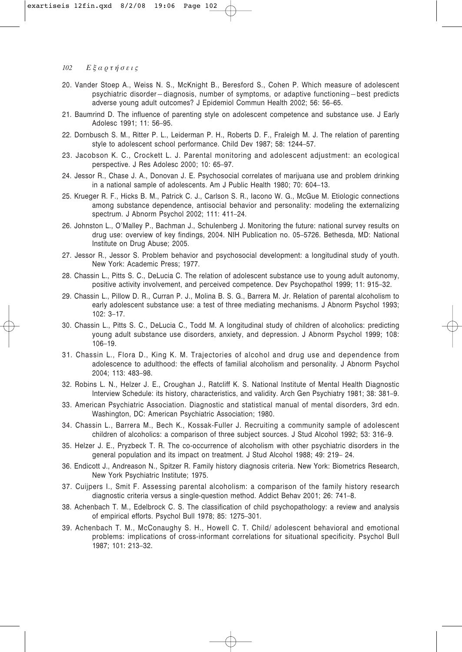- 20. Vander Stoep A., Weiss N. S., McKnight B., Beresford S., Cohen P. Which measure of adolescent psychiatric disorder—diagnosis, number of symptoms, or adaptive functioning—best predicts adverse young adult outcomes? J Epidemiol Commun Health 2002; 56: 56–65.
- 21. Baumrind D. The influence of parenting style on adolescent competence and substance use. J Early Adolesc 1991; 11: 56–95.
- 22. Dornbusch S. M., Ritter P. L., Leiderman P. H., Roberts D. F., Fraleigh M. J. The relation of parenting style to adolescent school performance. Child Dev 1987; 58: 1244–57.
- 23. Jacobson K. C., Crockett L. J. Parental monitoring and adolescent adjustment: an ecological perspective. J Res Adolesc 2000; 10: 65–97.
- 24. Jessor R., Chase J. A., Donovan J. E. Psychosocial correlates of marijuana use and problem drinking in a national sample of adolescents. Am J Public Health 1980; 70: 604–13.
- 25. Krueger R. F., Hicks B. M., Patrick C. J., Carlson S. R., Iacono W. G., McGue M. Etiologic connections among substance dependence, antisocial behavior and personality: modeling the externalizing spectrum. J Abnorm Psychol 2002; 111: 411–24.
- 26. Johnston L., O'Malley P., Bachman J., Schulenberg J. Monitoring the future: national survey results on drug use: overview of key findings, 2004. NIH Publication no. 05–5726. Bethesda, MD: National Institute on Drug Abuse; 2005.
- 27. Jessor R., Jessor S. Problem behavior and psychosocial development: a longitudinal study of youth. New York: Academic Press; 1977.
- 28. Chassin L., Pitts S. C., DeLucia C. The relation of adolescent substance use to young adult autonomy, positive activity involvement, and perceived competence. Dev Psychopathol 1999; 11: 915–32.
- 29. Chassin L., Pillow D. R., Curran P. J., Molina B. S. G., Barrera M. Jr. Relation of parental alcoholism to early adolescent substance use: a test of three mediating mechanisms. J Abnorm Psychol 1993; 102: 3–17.
- 30. Chassin L., Pitts S. C., DeLucia C., Todd M. A longitudinal study of children of alcoholics: predicting young adult substance use disorders, anxiety, and depression. J Abnorm Psychol 1999; 108: 106–19.
- 31. Chassin L., Flora D., King K. M. Trajectories of alcohol and drug use and dependence from adolescence to adulthood: the effects of familial alcoholism and personality. J Abnorm Psychol 2004; 113: 483–98.
- 32. Robins L. N., Helzer J. E., Croughan J., Ratcliff K. S. National Institute of Mental Health Diagnostic Interview Schedule: its history, characteristics, and validity. Arch Gen Psychiatry 1981; 38: 381–9.
- 33. American Psychiatric Association. Diagnostic and statistical manual of mental disorders, 3rd edn. Washington, DC: American Psychiatric Association; 1980.
- 34. Chassin L., Barrera M., Bech K., Kossak-Fuller J. Recruiting a community sample of adolescent children of alcoholics: a comparison of three subject sources. J Stud Alcohol 1992; 53: 316–9.
- 35. Helzer J. E., Pryzbeck T. R. The co-occurrence of alcoholism with other psychiatric disorders in the general population and its impact on treatment. J Stud Alcohol 1988; 49: 219– 24.
- 36. Endicott J., Andreason N., Spitzer R. Family history diagnosis criteria. New York: Biometrics Research, New York Psychiatric Institute; 1975.
- 37. Cuijpers I., Smit F. Assessing parental alcoholism: a comparison of the family history research diagnostic criteria versus a single-question method. Addict Behav 2001; 26: 741–8.
- 38. Achenbach T. M., Edelbrock C. S. The classification of child psychopathology: a review and analysis of empirical efforts. Psychol Bull 1978; 85: 1275–301.
- 39. Achenbach T. M., McConaughy S. H., Howell C. T. Child/ adolescent behavioral and emotional problems: implications of cross-informant correlations for situational specificity. Psychol Bull 1987; 101: 213–32.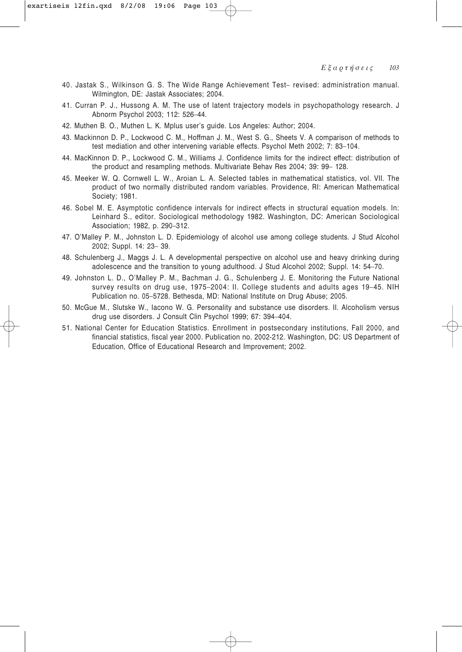exartiseis 12fin.qxd 8/2/08 19:06 Page 103

- 40. Jastak S., Wilkinson G. S. The Wide Range Achievement Test– revised: administration manual. Wilmington, DE: Jastak Associates; 2004.
- 41. Curran P. J., Hussong A. M. The use of latent trajectory models in psychopathology research. J Abnorm Psychol 2003; 112: 526–44.
- 42. Muthen B. O., Muthen L. K. Mplus user's guide. Los Angeles: Author; 2004.
- 43. Mackinnon D. P., Lockwood C. M., Hoffman J. M., West S. G., Sheets V. A comparison of methods to test mediation and other intervening variable effects. Psychol Meth 2002; 7: 83–104.
- 44. MacKinnon D. P., Lockwood C. M., Williams J. Confidence limits for the indirect effect: distribution of the product and resampling methods. Multivariate Behav Res 2004; 39: 99– 128.
- 45. Meeker W. Q. Cornwell L. W., Aroian L. A. Selected tables in mathematical statistics, vol. VII. The product of two normally distributed random variables. Providence, RI: American Mathematical Society; 1981.
- 46. Sobel M. E. Asymptotic confidence intervals for indirect effects in structural equation models. In: Leinhard S., editor. Sociological methodology 1982. Washington, DC: American Sociological Association; 1982, p. 290–312.
- 47. O'Malley P. M., Johnston L. D. Epidemiology of alcohol use among college students. J Stud Alcohol 2002; Suppl. 14: 23– 39.
- 48. Schulenberg J., Maggs J. L. A developmental perspective on alcohol use and heavy drinking during adolescence and the transition to young adulthood. J Stud Alcohol 2002; Suppl. 14: 54–70.
- 49. Johnston L. D., O'Malley P. M., Bachman J. G., Schulenberg J. E. Monitoring the Future National survey results on drug use, 1975–2004: II. College students and adults ages 19–45. NIH Publication no. 05–5728. Bethesda, MD: National Institute on Drug Abuse; 2005.
- 50. McGue M., Slutske W., Iacono W. G. Personality and substance use disorders. II. Alcoholism versus drug use disorders. J Consult Clin Psychol 1999; 67: 394–404.
- 51. National Center for Education Statistics. Enrollment in postsecondary institutions, Fall 2000, and financial statistics, fiscal year 2000. Publication no. 2002-212. Washington, DC: US Department of Education, Office of Educational Research and Improvement; 2002.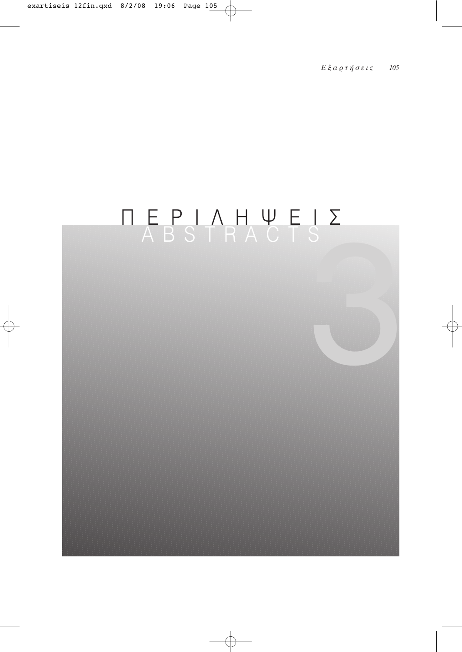exartiseis 12fin.qxd 8/2/08 19:06 Page 105

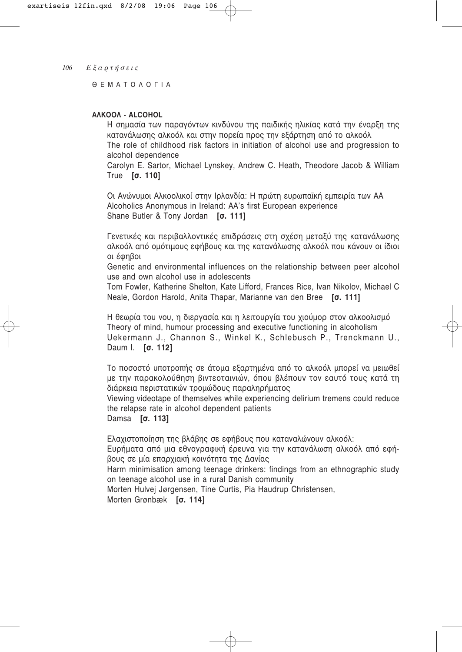**OEMATO A OFIA** 

# ANKOON - ALCOHOL

Η σημασία των παραγόντων κινδύνου της παιδικής ηλικίας κατά την έναρξη της κατανάλωσης αλκοόλ και στην πορεία προς την εξάρτηση από το αλκοόλ The role of childhood risk factors in initiation of alcohol use and progression to alcohol dependence

Carolyn E. Sartor, Michael Lynskey, Andrew C. Heath, Theodore Jacob & William True [o. 110]

Οι Ανώνυμοι Αλκοολικοί στην Ιρλανδία: Η πρώτη ευρωπαϊκή εμπειρία των ΑΑ Alcoholics Anonymous in Ireland: AA's first European experience Shane Butler & Tony Jordan [o. 111]

Γενετικές και περιβαλλοντικές επιδράσεις στη σχέση μεταξύ της κατανάλωσης αλκοόλ από ομότιμους εφήβους και της κατανάλωσης αλκοόλ που κάνουν οι ίδιοι οι έφηβοι

Genetic and environmental influences on the relationship between peer alcohol use and own alcohol use in adolescents

Tom Fowler, Katherine Shelton, Kate Lifford, Frances Rice, Ivan Nikolov, Michael C Neale, Gordon Harold, Anita Thapar, Marianne van den Bree [o. 111]

Η θεωρία του νου, η διεργασία και η λειτουργία του χιούμορ στον αλκοολισμό Theory of mind, humour processing and executive functioning in alcoholism Uekermann J., Channon S., Winkel K., Schlebusch P., Trenckmann U., Daum I. **[o. 112]** 

Το ποσοστό υποτροπής σε άτομα εξαρτημένα από το αλκοόλ μπορεί να μειωθεί με την παρακολούθηση βιντεοταινιών, όπου βλέπουν τον εαυτό τους κατά τη διάρκεια περιστατικών τρομώδους παραληρήματος

Viewing videotape of themselves while experiencing delirium tremens could reduce the relapse rate in alcohol dependent patients

Damsa [o. 113]

Ελαχιστοποίηση της βλάβης σε εφήβους που καταναλώνουν αλκοόλ:

Ευρήματα από μια εθνογραφική έρευνα για την κατανάλωση αλκοόλ από εφήβους σε μία επαρχιακή κοινότητα της Δανίας

Harm minimisation among teenage drinkers: findings from an ethnographic study on teenage alcohol use in a rural Danish community

Morten Hulvej Jørgensen, Tine Curtis, Pia Haudrup Christensen, Morten Grønbæk [o. 114]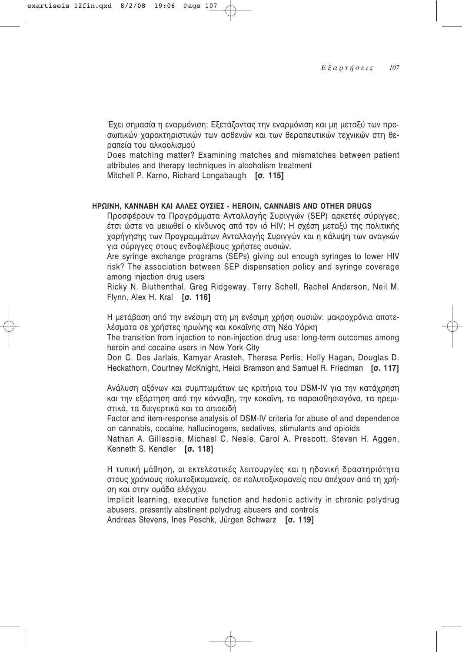exartiseis 12fin.qxd 8/2/08 19:06 Page 107

Έχει σημασία η εναρμόνιση; Εξετάζοντας την εναρμόνιση και μη μεταξύ των προσωπικών χαρακτηριστικών των ασθενών και των θεραπευτικών τεχνικών στη θεραπεία του αλκοολισμού

Does matching matter? Examining matches and mismatches between patient attributes and therapy techniques in alcoholism treatment

Mitchell P. Karno, Richard Longabaugh **[o. 115]** 

# $H$ ΡΩΙΝΗ, ΚΑΝΝΑΒΗ ΚΑΙ ΑΛΛΕΣ ΟΥΣΙΕΣ - HEROIN, CANNABIS AND OTHER DRUGS

Προσφέρουν τα Προγράμματα Ανταλλαγής Συριγγών (SEP) αρκετές σύριγγες, έτσι ώστε να μειωθεί ο κίνδυνος από τον ιό HIV; Η σχέση μεταξύ της πολιτικής χορήγησης των Προγραμμάτων Ανταλλαγής Συριγγών και η κάλυψη των αναγκών για σύριγγες στους ενδοφλέβιους χρήστες ουσιών.

Are syringe exchange programs (SEPs) giving out enough syringes to lower HIV risk? The association between SEP dispensation policy and syringe coverage among injection drug users

Ricky N. Bluthenthal, Greg Ridgeway, Terry Schell, Rachel Anderson, Neil M. Flynn, Alex H. Kral **[o. 116]** 

Η μετάβαση από την ενέσιμη στη μη ενέσιμη χρήση ουσιών: μακροχρόνια αποτελέσματα σε χρήστες ηρωίνης και κοκαΐνης στη Νέα Υόρκη

The transition from injection to non-injection drug use: long-term outcomes among heroin and cocaine users in New York City

Don C. Des Jarlais, Kamyar Arasteh, Theresa Perlis, Holly Hagan, Douglas D. Heckathorn, Courtney McKnight, Heidi Bramson and Samuel R. Friedman **[o. 117]** 

Ανάλυση αξόνων και συμπτωμάτων ως κριτήρια του DSM-IV για την κατάχρηση και την εξάρτηση από την κάνναβη, την κοκαΐνη, τα παραισθησιογόνα, τα ηρεμιστικά, τα διεγερτικά και τα οπιοειδή

Factor and item-response analysis of DSM-IV criteria for abuse of and dependence on cannabis, cocaine, hallucinogens, sedatives, stimulants and opioids

Nathan A. Gillespie, Michael C. Neale, Carol A. Prescott, Steven H. Aggen, Kenneth S. Kendler **[o. 118]** 

Η τυπική μάθηση, οι εκτελεστικές λειτουργίες και η ηδονική δραστηριότητα στους χρόνιους πολυτοξικομανείς, σε πολυτοξικομανείς που απέχουν από τη χρήση και στην ομάδα ελέγχου

Implicit learning, executive function and hedonic activity in chronic polydrug abusers, presently abstinent polydrug abusers and controls

Andreas Stevens, Ines Peschk, Jürgen Schwarz [o. 119]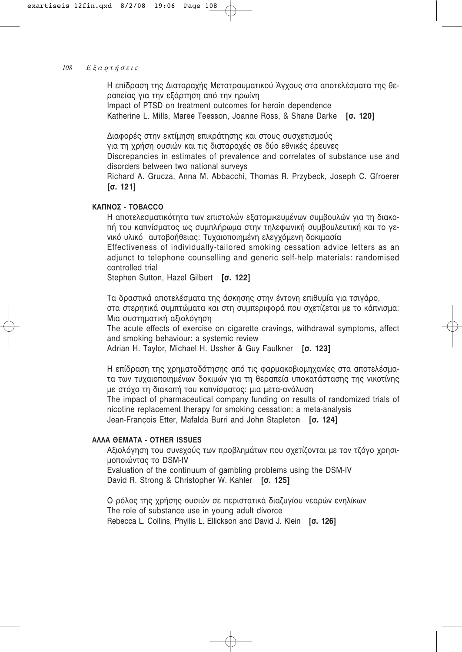Η επίδραση της Διαταραχής Μετατραυματικού Άγχους στα αποτελέσματα της θεραπείας για την εξάρτηση από την ηρωίνη

Impact of PTSD on treatment outcomes for heroin dependence

Katherine L. Mills, Maree Teesson, Joanne Ross, & Shane Darke [o. 120]

Διαφορές στην εκτίμηση επικράτησης και στους συσχετισμούς για τη χρήση ουσιών και τις διαταραχές σε δύο εθνικές έρευνες Discrepancies in estimates of prevalence and correlates of substance use and

disorders between two national surveys Richard A. Grucza, Anna M. Abbacchi, Thomas R. Przybeck, Joseph C. Gfroerer  $\sigma$ . 121]

# ΚΑΠΝΟΣ - TOBACCO

Η αποτελεσματικότητα των επιστολών εξατομικευμένων συμβουλών για τη διακοπή του καπνίσματος ως συμπλήρωμα στην τηλεφωνική συμβουλευτική και το γενικό υλικό αυτοβοήθειας: Τυχαιοποιημένη ελεγχόμενη δοκιμασία

Effectiveness of individually-tailored smoking cessation advice letters as an adjunct to telephone counselling and generic self-help materials: randomised controlled trial

Stephen Sutton, Hazel Gilbert [o. 122]

Τα δραστικά αποτελέσματα της άσκησης στην έντονη επιθυμία για τσιγάρο, στα στερητικά συμπτώματα και στη συμπεριφορά που σχετίζεται με το κάπνισμα: Μια συστηματική αξιολόγηση

The acute effects of exercise on cigarette cravings, withdrawal symptoms, affect and smoking behaviour: a systemic review

Adrian H. Taylor, Michael H. Ussher & Guy Faulkner [o. 123]

Η επίδραση της χρηματοδότησης από τις φαρμακοβιομηχανίες στα αποτελέσματα των τυχαιοποιημένων δοκιμών για τη θεραπεία υποκατάστασης της νικοτίνης με στόχο τη διακοπή του καπνίσματος: μια μετα-ανάλυση

The impact of pharmaceutical company funding on results of randomized trials of nicotine replacement therapy for smoking cessation: a meta-analysis Jean-François Etter, Mafalda Burri and John Stapleton [o. 124]

# **AAAA GEMATA - OTHER ISSUES**

Αξιολόγηση του συνεχούς των προβλημάτων που σχετίζονται με τον τζόγο χρησιμοποιώντας το DSM-IV

Evaluation of the continuum of gambling problems using the DSM-IV David R. Strong & Christopher W. Kahler [o. 125]

Ο ρόλος της χρήσης ουσιών σε περιστατικά διαζυγίου νεαρών ενηλίκων The role of substance use in young adult divorce Rebecca L. Collins, Phyllis L. Ellickson and David J. Klein [o. 126]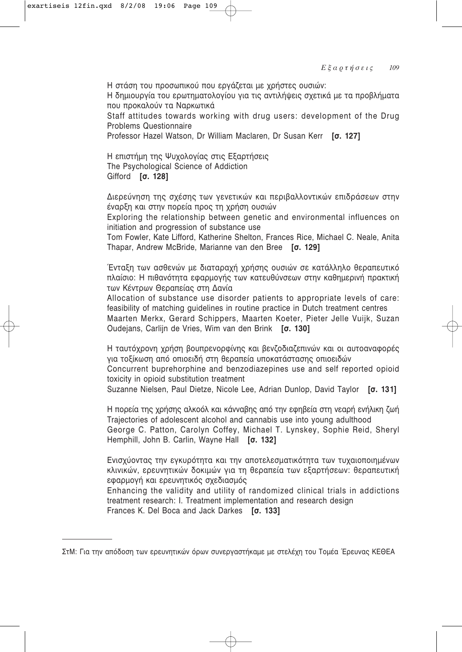Η στάση του προσωπικού που εργάζεται με χρήστες ουσιών:

Η δημιουργία του ερωτηματολογίου για τις αντιλήψεις σχετικά με τα προβλήματα που προκαλούν τα Ναρκωτικά

Staff attitudes towards working with drug users: development of the Drug Problems Questionnaire

Professor Hazel Watson, Dr William Maclaren, Dr Susan Kerr [o. 127]

Η επιστήμη της Ψυχολογίας στις Εξαρτήσεις The Psychological Science of Addiction Gifford [o. 128]

Διερεύνηση της σχέσης των γενετικών και περιβαλλοντικών επιδράσεων στην έναρξη και στην πορεία προς τη χρήση ουσιών

Exploring the relationship between genetic and environmental influences on initiation and progression of substance use

Tom Fowler, Kate Lifford, Katherine Shelton, Frances Rice, Michael C. Neale, Anita Thapar, Andrew McBride, Marianne van den Bree [o. 129]

Ένταξη των ασθενών με διαταραχή χρήσης ουσιών σε κατάλληλο θεραπευτικό πλαίσιο: Η πιθανότητα εφαρμογής των κατευθύνσεων στην καθημερινή πρακτική των Κέντρων Θεραπείας στη Δανία

Allocation of substance use disorder patients to appropriate levels of care: feasibility of matching quidelines in routine practice in Dutch treatment centres

Maarten Merkx, Gerard Schippers, Maarten Koeter, Pieter Jelle Vuijk, Suzan Oudejans, Carlijn de Vries, Wim van den Brink [o. 130]

Η ταυτόχρονη χρήση βουπρενορφίνης και βενζοδιαζεπινών και οι αυτοαναφορές για τοξίκωση από οπιοειδή στη θεραπεία υποκατάστασης οπιοειδών

Concurrent buprehorphine and benzodiazepines use and self reported opioid toxicity in opioid substitution treatment

Suzanne Nielsen, Paul Dietze, Nicole Lee, Adrian Dunlop, David Taylor [o. 131]

Η πορεία της χρήσης αλκοόλ και κάνναβης από την εφηβεία στη νεαρή ενήλικη ζωή Trajectories of adolescent alcohol and cannabis use into young adulthood

George C. Patton, Carolyn Coffey, Michael T. Lynskey, Sophie Reid, Sheryl Hemphill, John B. Carlin, Wayne Hall [o. 132]

Ενισχύοντας την εγκυρότητα και την αποτελεσματικότητα των τυχαιοποιημένων κλινικών, ερευνητικών δοκιμών για τη θεραπεία των εξαρτήσεων: θεραπευτική εφαρμογή και ερευνητικός σχεδιασμός

Enhancing the validity and utility of randomized clinical trials in addictions treatment research: I. Treatment implementation and research design Frances K. Del Boca and Jack Darkes [o. 133]

ΣτΜ: Για την απόδοση των ερευνητικών όρων συνεργαστήκαμε με στελέχη του Τομέα Έρευνας ΚΕΘΕΑ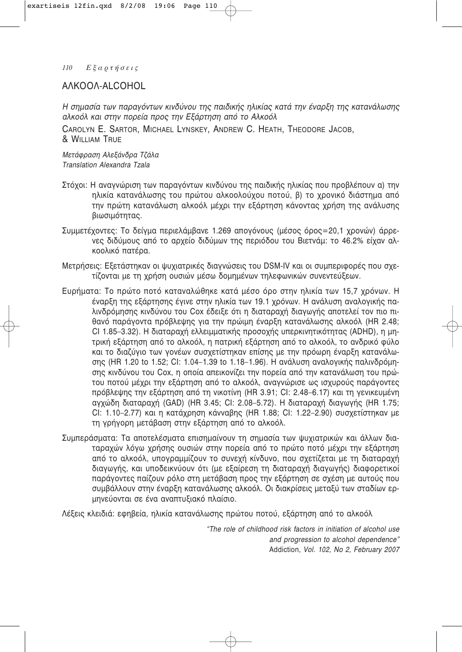# ∞§∫√√§-ALCOHOL

*Η σημασία των παραγόντων κινδύνου της παιδικής ηλικίας κατά την έναρξη της κατανάλωσης* αλκοόλ και στην πορεία προς την Εξάρτηση από το Αλκοόλ

CAROLYN E. SARTOR, MICHAEL LYNSKEY, ANDREW C. HEATH, THEODORE JACOB, & WILLIAM TRUE

*Μετάφραση Αλεξάνδρα Τζάλα Translation Alexandra Tzala*

- Στόχοι: Η αναγνώριση των παραγόντων κινδύνου της παιδικής ηλικίας που προβλέπουν α) την ηλικία κατανάλωσης του πρώτου αλκοολούχου ποτού, β) το χρονικό διάστημα από την πρώτη κατανάλωση αλκοόλ μέχρι την εξάρτηση κάνοντας χρήση της ανάλυσης βιωσιμότητας.
- Συμμετέχοντες: Το δείγμα περιελάμβανε 1.269 απογόνους (μέσος όρος=20,1 χρονών) άρρε-Vες διδύμους από το αρχείο διδύμων της περιόδου του Βιετνάμ: το 46.2% είχαν αλκοολικό πατέρα.
- Μετρήσεις: Εξετάστηκαν οι ψυχιατρικές διαγνώσεις του DSM-IV και οι συμπεριφορές που σχετίζονται με τη χρήση ουσιών μέσω δομημένων τηλεφωνικών συνεντεύξεων.
- Ευρήματα: Το πρώτο ποτό καταναλώθηκε κατά μέσο όρο στην ηλικία των 15,7 χρόνων. Η έναρξη της εξάρτησης έγινε στην ηλικία των 19.1 χρόνων. Η ανάλυση αναλογικής παλινδρόμησης κινδύνου του Cox έδειξε ότι η διαταραχή διαγωγής αποτελεί τον πιο πιθανό παράγοντα πρόβλεψης για την πρώιμη έναρξη κατανάλωσης αλκοόλ (ΗR 2.48; CI 1.85–3.32). Η διαταραχή ελλειμματικής προσοχής υπερκινητικότητας (ADHD), η μητρική εξάρτηση από το αλκοόλ, η πατρική εξάρτηση από το αλκοόλ, το ανδρικό φύλο και το διαζύγιο των γονέων συσχετίστηκαν επίσης με την πρόωρη έναρξη κατανάλωσης (HR 1.20 to 1.52; CI: 1.04–1.39 to 1.18–1.96). Η ανάλυση αναλογικής παλινδρόμησης κινδύνου του Cox, η οποία απεικονίζει την πορεία από την κατανάλωση του πρώτου ποτού μέχρι την εξάρτηση από το αλκοόλ, αναγνώρισε ως ισχυρούς παράγοντες πρόβλεψης την εξάρτηση από τη νικοτίνη (HR 3.91; CI: 2.48-6.17) και τη γενικευμένη αγχώδη διαταραχή (GAD) (HR 3.45; CI: 2.08–5.72). Η διαταραχή διαγωγής (HR 1.75; CI: 1.10–2.77) και η κατάχρηση κάνναβης (HR 1.88; CI: 1.22–2.90) συσχετίστηκαν με τη γρήγορη μετάβαση στην εξάρτηση από το αλκοόλ.
- Συμπεράσματα: Τα αποτελέσματα επισημαίνουν τη σημασία των ψυχιατρικών και άλλων διαταραχών λόγω χρήσης ουσιών στην πορεία από το πρώτο ποτό μέχρι την εξάρτηση από το αλκοόλ, υπογραμμίζουν το συνεχή κίνδυνο, που σχετίζεται με τη διαταραχή διαγωγής, και υποδεικνύουν ότι (με εξαίρεση τη διαταραχή διαγωγής) διαφορετικοί παράγοντες παίζουν ρόλο στη μετάβαση προς την εξάρτηση σε σχέση με αυτούς που συμβάλλουν στην έναρξη κατανάλωσης αλκοόλ. Οι διακρίσεις μεταξύ των σταδίων ερμηνεύονται σε ένα αναπτυξιακό πλαίσιο.

Λέξεις κλειδιά: εφηβεία, ηλικία κατανάλωσης πρώτου ποτού, εξάρτηση από το αλκοόλ

*"The role of childhood risk factors in initiation of alcohol use and progression to alcohol dependence"* Addiction*, Vol. 102, No 2, February 2007*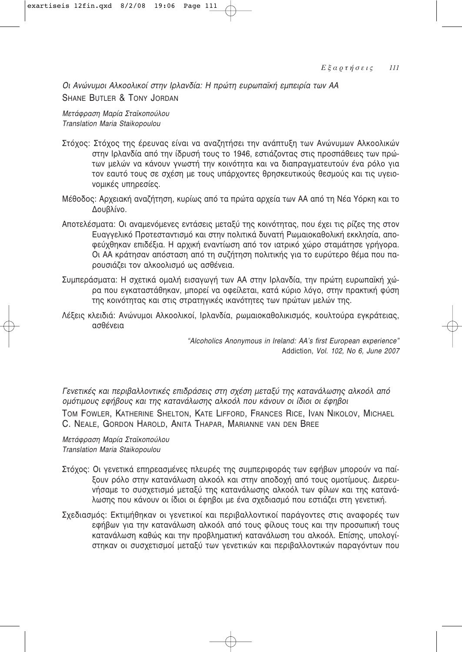exartiseis 12fin.qxd 8/2/08 19:06 Page 111

Οι Ανώνυμοι Αλκοολικοί στην Ιρλανδία: Η πρώτη ευρωπαϊκή εμπειρία των ΑΑ SHANE BUTLER & TONY JORDAN

*Μετάφραση Μαρία Σταϊκοπούλου Translation Maria Staikopoulou*

- Στόχος: Στόχος της έρευνας είναι να αναζητήσει την ανάπτυξη των Ανώνυμων Αλκοολικών στην Ιρλανδία από την ίδρυσή τους το 1946, εστιάζοντας στις προσπάθειες των πρώτων μελών να κάνουν γνωστή την κοινότητα και να διαπραγματευτούν ένα ρόλο για τον εαυτό τους σε σχέση με τους υπάρχοντες θρησκευτικούς θεσμούς και τις υγειονομικές υπηρεσίες.
- Μέθοδος: Αρχειακή αναζήτηση, κυρίως από τα πρώτα αρχεία των ΑΑ από τη Νέα Υόρκη και το Δουβλίνο.
- Αποτελέσματα: Οι αναμενόμενες εντάσεις μεταξύ της κοινότητας, που έχει τις ρίζες της στον Ευαγγελικό Προτεσταντισμό και στην πολιτικά δυνατή Ρωμαιοκαθολική εκκλησία, αποφεύχθηκαν επιδέξια. Η αρχική εναντίωση από τον ιατρικό χώρο σταμάτησε γρήγορα. Οι ΑΑ κράτησαν απόσταση από τη συζήτηση πολιτικής για το ευρύτερο θέμα που παρουσιάζει τον αλκοολισμό ως ασθένεια.
- Συμπεράσματα: Η σχετικά ομαλή εισαγωγή των ΑΑ στην Ιρλανδία, την πρώτη ευρωπαϊκή χώρα που εγκαταστάθηκαν, μπορεί να οφείλεται, κατά κύριο λόγο, στην πρακτική φύση της κοινότητας και στις στρατηγικές ικανότητες των πρώτων μελών της.
- Λέξεις κλειδιά: Ανώνυμοι Αλκοολικοί, Ιρλανδία, ρωμαιοκαθολικισμός, κουλτούρα εγκράτειας, ασθένεια

*"Alcoholics Anonymous in Ireland: AA's first European experience"*  Addiction*, Vol. 102, No 6, June 2007*

Γενετικές και περιβαλλοντικές επιδράσεις στη σχέση μεταξύ της κατανάλωσης αλκοόλ από *Ομότιμους εφήβους και της κατανάλωσης αλκοόλ που κάνουν οι ίδιοι οι έφηβοι* TOM FOWLER, KATHERINE SHELTON, KATE LIFFORD, FRANCES RICE, IVAN NIKOLOV, MICHAEL C. NEALE, GORDON HAROLD, ANITA THAPAR, MARIANNE VAN DEN BREE

*Μετάφραση Μαρία Σταϊκοπούλου Translation Maria Staikopoulou*

- Στόχος: Οι γενετικά επηρεασμένες πλευρές της συμπεριφοράς των εφήβων μπορούν να παίξουν ρόλο στην κατανάλωση αλκοόλ και στην αποδοχή από τους ομοτίμους. Διερευνήσαμε το συσχετισμό μεταξύ της κατανάλωσης αλκοόλ των φίλων και της κατανάλωσης που κάνουν οι ίδιοι οι έφηβοι με ένα σχεδιασμό που εστιάζει στη γενετική.
- Σχεδιασμός: Εκτιμήθηκαν οι γενετικοί και περιβαλλοντικοί παράγοντες στις αναφορές των εφήβων για την κατανάλωση αλκοόλ από τους φίλους τους και την προσωπική τους κατανάλωση καθώς και την προβληματική κατανάλωση του αλκοόλ. Επίσης, υπολογίστηκαν οι συσχετισμοί μεταξύ των γενετικών και περιβαλλοντικών παραγόντων που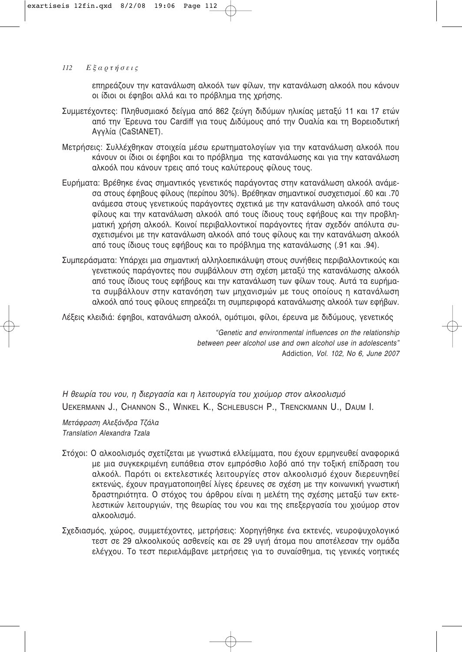επηρεάζουν την κατανάλωση αλκοόλ των φίλων, την κατανάλωση αλκοόλ που κάνουν οι ίδιοι οι έφηβοι αλλά και το πρόβλημα της χρήσης.

- Συμμετέχοντες: Πληθυσμιακό δείγμα από 862 ζεύγη διδύμων ηλικίας μεταξύ 11 και 17 ετών από την Έρευνα του Cardiff για τους Διδύμους από την Ουαλία και τη Βορειοδυτική Αγγλία (CaStANET).
- Μετρήσεις: Συλλέχθηκαν στοιχεία μέσω ερωτηματολογίων για την κατανάλωση αλκοόλ που κάνουν οι ίδιοι οι έφηβοι και το πρόβλημα της κατανάλωσης και για την κατανάλωση αλκοόλ που κάνουν τρεις από τους καλύτερους φίλους τους.
- Ευρήματα: Βρέθηκε ένας σημαντικός γενετικός παράγοντας στην κατανάλωση αλκοόλ ανάμεσα στους έφηβους φίλους (περίπου 30%). Βρέθηκαν σημαντικοί συσχετισμοί .60 και .70 ανάμεσα στους γενετικούς παράγοντες σχετικά με την κατανάλωση αλκοόλ από τους φίλους και την κατανάλωση αλκοόλ από τους ίδιους τους εφήβους και την προβληματική χρήση αλκοόλ. Κοινοί περιβαλλοντικοί παράγοντες ήταν σχεδόν απόλυτα συσχετισμένοι με την κατανάλωση αλκοόλ από τους φίλους και την κατανάλωση αλκοόλ από τους ίδιους τους εφήβους και το πρόβλημα της κατανάλωσης (.91 και .94).
- Συμπεράσματα: Υπάρχει μια σημαντική αλληλοεπικάλυψη στους συνήθεις περιβαλλοντικούς και γενετικούς παράγοντες που συμβάλλουν στη σχέση μεταξύ της κατανάλωσης αλκοόλ από τους ίδιους τους εφήβους και την κατανάλωση των φίλων τους. Αυτά τα ευρήματα συμβάλλουν στην κατανόηση των μηχανισμών με τους οποίους η κατανάλωση αλκοόλ από τους φίλους επηρεάζει τη συμπεριφορά κατανάλωσης αλκοόλ των εφήβων.

Λέξεις κλειδιά: έφηβοι, κατανάλωση αλκοόλ, ομότιμοι, φίλοι, έρευνα με διδύμους, γενετικός

"Genetic and environmental influences on the relationship between peer alcohol use and own alcohol use in adolescents" Addiction, Vol. 102, No 6, June 2007

Η θεωρία του νου, η διεργασία και η λειτουργία του χιούμορ στον αλκοολισμό UEKERMANN J., CHANNON S., WINKEL K., SCHLEBUSCH P., TRENCKMANN U., DAUM I.

Μετάφραση Αλεξάνδρα Τζάλα Translation Alexandra Tzala

- Στόχοι: Ο αλκοολισμός σχετίζεται με γνωστικά ελλείμματα, που έχουν ερμηνευθεί αναφορικά με μια συγκεκριμένη ευπάθεια στον εμπρόσθιο λοβό από την τοξική επίδραση του αλκοόλ. Παρότι οι εκτελεστικές λειτουργίες στον αλκοολισμό έχουν διερευνηθεί εκτενώς, έχουν πραγματοποιηθεί λίγες έρευνες σε σχέση με την κοινωνική γνωστική δραστηριότητα. Ο στόχος του άρθρου είναι η μελέτη της σχέσης μεταξύ των εκτελεστικών λειτουργιών, της θεωρίας του νου και της επεξεργασία του χιούμορ στον αλκοολισμό.
- Σχεδιασμός, χώρος, συμμετέχοντες, μετρήσεις: Χορηγήθηκε ένα εκτενές, νευροψυχολογικό τεστ σε 29 αλκοολικούς ασθενείς και σε 29 υγιή άτομα που αποτέλεσαν την ομάδα ελέγχου. Το τεστ περιελάμβανε μετρήσεις για το συναίσθημα, τις γενικές νοητικές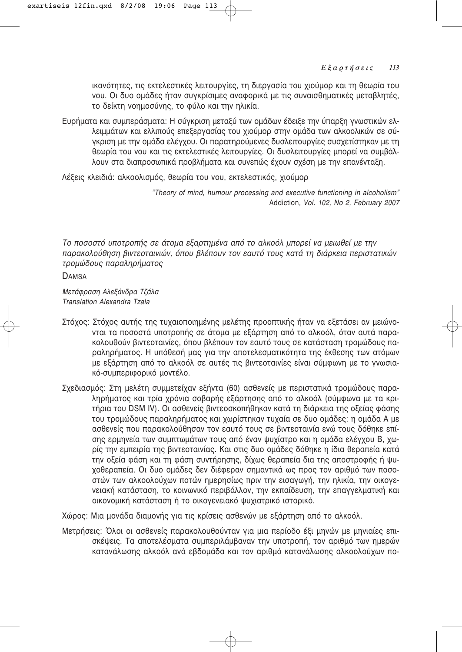ικανότητες, τις εκτελεστικές λειτουργίες, τη διεργασία του χιούμορ και τη θεωρία του VOU. Οι δυο ομάδες ήταν συγκρίσιμες αναφορικά με τις συναισθηματικές μεταβλητές, το δείκτη νοημοσύνης, το φύλο και την ηλικία.

Ευρήματα και συμπεράσματα: Η σύγκριση μεταξύ των ομάδων έδειξε την ύπαρξη γνωστικών ελλειμμάτων και ελλιπούς επεξεργασίας του χιούμορ στην ομάδα των αλκοολικών σε σύγκριση με την ομάδα ελέγχου. Οι παρατηρούμενες δυσλειτουργίες συσχετίστηκαν με τη θεωρία του νου και τις εκτελεστικές λειτουργίες. Οι δυσλειτουργίες μπορεί να συμβάλλουν στα διαπροσωπικά προβλήματα και συνεπώς έχουν σχέση με την επανένταξη.

Λέξεις κλειδιά: αλκοολισμός, θεωρία του νου, εκτελεστικός, χιούμορ

*"Theory of mind, humour processing and executive functioning in alcoholism"* Addiction*, Vol. 102, No 2, February 2007*

*Το ποσοστό υποτροπής σε άτομα εξαρτημένα από το αλκοόλ μπορεί να μειωθεί με την* rαρακολούθηση βιντεοταινιών, όπου βλέπουν τον εαυτό τους κατά τη διάρκεια περιστατικών *τρομώδους παραληρήματος* 

**DAMSA** 

 $M$ ετάφραση Αλεξάνδρα Τζάλα *Translation Alexandra Tzala*

exartiseis 12fin.qxd 8/2/08 19:06 Page 113

- Στόχος: Στόχος αυτής της τυχαιοποιημένης μελέτης προοπτικής ήταν να εξετάσει αν μειώνονται τα ποσοστά υποτροπής σε άτομα με εξάρτηση από το αλκοόλ, όταν αυτά παρακολουθούν βιντεοταινίες, όπου βλέπουν τον εαυτό τους σε κατάσταση τρομώδους παραληρήματος. Η υπόθεσή μας για την αποτελεσματικότητα της έκθεσης των ατόμων με εξάρτηση από το αλκοόλ σε αυτές τις βιντεοταινίες είναι σύμφωνη με το γνωσια**κό-συμπεριφορικό μοντέλο.**
- Σχεδιασμός: Στη μελέτη συμμετείχαν εξήντα (60) ασθενείς με περιστατικά τρομώδους παραληρήματος και τρία χρόνια σοβαρής εξάρτησης από το αλκοόλ (σύμφωνα με τα κριτήρια του DSM IV). Οι ασθενείς βιντεοσκοπήθηκαν κατά τη διάρκεια της οξείας φάσης του τρομώδους παραληρήματος και χωρίστηκαν τυχαία σε δυο ομάδες: η ομάδα A με ασθενείς που παρακολούθησαν τον εαυτό τους σε βιντεοταινία ενώ τους δόθηκε επίσης ερμηνεία των συμπτωμάτων τους από έναν ψυχίατρο και η ομάδα ελέγχου Β, χωρίς την εμπειρία της βιντεοταινίας. Και στις δυο ομάδες δόθηκε η ίδια θεραπεία κατά την οξεία φάση και τη φάση συντήρησης, δίχως θεραπεία δια της αποστροφής ή ψυχοθεραπεία. Οι δυο ομάδες δεν διέφεραν σημαντικά ως προς τον αριθμό των ποσοστών των αλκοολούχων ποτών ημερησίως πριν την εισαγωγή, την ηλικία, την οικογενειακή κατάσταση, το κοινωνικό περιβάλλον, την εκπαίδευση, την επαγγελματική και οικονομική κατάσταση ή το οικογενειακό ψυχιατρικό ιστορικό.

Χώρος: Μια μονάδα διαμονής για τις κρίσεις ασθενών με εξάρτηση από το αλκοόλ.

Μετρήσεις: Όλοι οι ασθενείς παρακολουθούνταν για μια περίοδο έξι μηνών με μηνιαίες επισκέψεις. Τα αποτελέσματα συμπεριλάμβαναν την υποτροπή, τον αριθμό των ημερών κατανάλωσης αλκοόλ ανά εβδομάδα και τον αριθμό κατανάλωσης αλκοολούχων πο-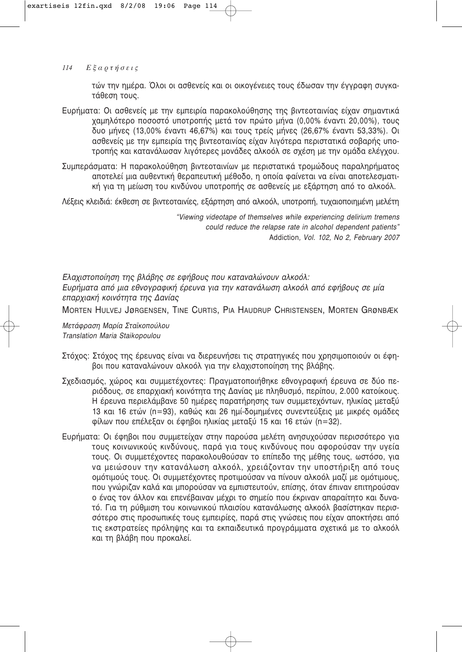τών την ημέρα. Όλοι οι ασθενείς και οι οικογένειες τους έδωσαν την έγγραφη συγκατάθεση τους.

- Ευρήματα: Οι ασθενείς με την εμπειρία παρακολούθησης της βιντεοταινίας είχαν σημαντικά χαμηλότερο ποσοστό υποτροπής μετά τον πρώτο μήνα (0,00% έναντι 20,00%), τους δυο μήνες (13,00% έναντι 46,67%) και τους τρείς μήνες (26,67% έναντι 53,33%). Οι ασθενείς με την εμπειρία της βιντεοταινίας είχαν λιγότερα περιστατικά σοβαρής υποτροπής και κατανάλωσαν λιγότερες μονάδες αλκοόλ σε σχέση με την ομάδα ελέγχου.
- Συμπεράσματα: Η παρακολούθηση βιντεοταινίων με περιστατικά τρομώδους παραληρήματος αποτελεί μια αυθεντική θεραπευτική μέθοδο, η οποία φαίνεται να είναι αποτελεσματική για τη μείωση του κινδύνου υποτροπής σε ασθενείς με εξάρτηση από το αλκοόλ.
- Λέξεις κλειδιά: έκθεση σε βιντεοταινίες, εξάρτηση από αλκοόλ, υποτροπή, τυχαιοποιημένη μελέτη

*"Viewing videotape of themselves while experiencing delirium tremens could reduce the relapse rate in alcohol dependent patients"* Addiction*, Vol. 102, No 2, February 2007*

*Eλαχιστοποίηση της βλάβης σε εφήβους που καταναλώνουν αλκοόλ: Eυρήματα από μια εθνογραφική έρευνα για την κατανάλωση αλκοόλ από εφήβους σε μία επαρχιακή κοινότητα της Δανίας* 

MORTEN HULVEJ JøRGENSEN, TINE CURTIS, PIA HAUDRUP CHRISTENSEN, MORTEN GRøNBÆK

*Μετάφραση Μαρία Σταϊκοπούλου Translation Maria Staikopoulou*

- Στόχος: Στόχος της έρευνας είναι να διερευνήσει τις στρατηγικές που χρησιμοποιούν οι έφηβοι που καταναλώνουν αλκοόλ για την ελαχιστοποίηση της βλάβης.
- Σχεδιασμός, χώρος και συμμετέχοντες: Πραγματοποιήθηκε εθνογραφική έρευνα σε δύο περιόδους, σε επαρχιακή κοινότητα της Δανίας με πληθυσμό, περίπου, 2.000 κατοίκους. Η έρευνα περιελάμβανε 50 ημέρες παρατήρησης των συμμετεχόντων, ηλικίας μεταξύ 13 και 16 ετών (n=93), καθώς και 26 ημί-δομημένες συνεντεύξεις με μικρές ομάδες φίλων που επέλεξαν οι έφηβοι ηλικίας μεταξύ 15 και 16 ετών (n=32).
- Ευρήματα: Οι έφηβοι που συμμετείχαν στην παρούσα μελέτη ανησυχούσαν περισσότερο για τους κοινωνικούς κινδύνους, παρά για τους κινδύνους που αφορούσαν την υγεία τους. Οι συμμετέχοντες παρακολουθούσαν το επίπεδο της μέθης τους, ωστόσο, για να μειώσουν την κατανάλωση αλκοόλ, χρειάζονταν την υποστήριξη από τους ομότιμούς τους. Οι συμμετέχοντες προτιμούσαν να πίνουν αλκοόλ μαζί με ομότιμους, που γνώριζαν καλά και μπορούσαν να εμπιστευτούν, επίσης, όταν έπιναν επιτηρούσαν ο ένας τον άλλον και επενέβαιναν μέχρι το σημείο που έκριναν απαραίτητο και δυνατό. Για τη ρύθμιση του κοινωνικού πλαισίου κατανάλωσης αλκοόλ βασίστηκαν περισσότερο στις προσωπικές τους εμπειρίες, παρά στις γνώσεις που είχαν αποκτήσει από τις εκστρατείες πρόληψης και τα εκπαιδευτικά προγράμματα σχετικά με το αλκοόλ και τη βλάβη που προκαλεί.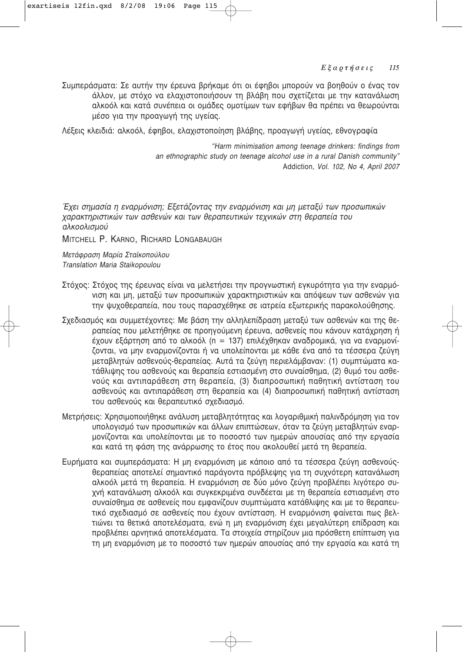Συμπεράσματα: Σε αυτήν την έρευνα βρήκαμε ότι οι έφηβοι μπορούν να βοηθούν ο ένας τον άλλον, με στόχο να ελαχιστοποιήσουν τη βλάβη που σχετίζεται με την κατανάλωση αλκοόλ και κατά συνέπεια οι ομάδες ομοτίμων των εφήβων θα πρέπει να θεωρούνται μέσο για την προαγωγή της υγείας.

Λέξεις κλειδιά: αλκοόλ, έφηβοι, ελαχιστοποίηση βλάβης, προαγωγή υγείας, εθνογραφία

"Harm minimisation among teenage drinkers: findings from an ethnographic study on teenage alcohol use in a rural Danish community" Addiction. Vol. 102. No 4. April 2007

Έχει σημασία η εναρμόνιση; Εξετάζοντας την εναρμόνιση και μη μεταξύ των προσωπικών χαρακτηριστικών των ασθενών και των θεραπευτικών τεχνικών στη θεραπεία του αλκοολισμού

MITCHELL P. KARNO, RICHARD LONGABAUGH

Μετάφραση Μαρία Σταϊκοπούλου Translation Maria Staikopoulou

- Στόχος: Στόχος της έρευνας είναι να μελετήσει την προγνωστική εγκυρότητα για την εναρμόνιση και μη, μεταξύ των προσωπικών χαρακτηριστικών και απόψεων των ασθενών νια την ψυχοθεραπεία, που τους παρασχέθηκε σε ιατρεία εξωτερικής παρακολούθησης.
- Σχεδιασμός και συμμετέχοντες: Με βάση την αλληλεπίδραση μεταξύ των ασθενών και της θεραπείας που μελετήθηκε σε προηγούμενη έρευνα, ασθενείς που κάνουν κατάχρηση ή έχουν εξάρτηση από το αλκοόλ (n = 137) επιλέχθηκαν αναδρομικά, νια να εναρμονίζονται, να μην εναρμονίζονται ή να υπολείπονται με κάθε ένα από τα τέσσερα ζεύγη μεταβλητών ασθενούς-θεραπείας. Αυτά τα ζεύγη περιελάμβαναν: (1) συμπτώματα κατάθλιψης του ασθενούς και θεραπεία εστιασμένη στο συναίσθημα, (2) θυμό του ασθενούς και αντιπαράθεση στη θεραπεία, (3) διαπροσωπική παθητική αντίσταση του ασθενούς και αντιπαράθεση στη θεραπεία και (4) διαπροσωπική παθητική αντίσταση του ασθενούς και θεραπευτικό σχεδιασμό.
- Μετρήσεις: Χρησιμοποιήθηκε ανάλυση μεταβλητότητας και λογαριθμική παλινδρόμηση για τον υπολογισμό των προσωπικών και άλλων επιπτώσεων, όταν τα ζεύγη μεταβλητών εναρμονίζονται και υπολείπονται με το ποσοστό των ημερών απουσίας από την εργασία και κατά τη φάση της ανάρρωσης το έτος που ακολουθεί μετά τη θεραπεία.
- Ευρήματα και συμπεράσματα: Η μη εναρμόνιση με κάποιο από τα τέσσερα ζεύγη ασθενούςθεραπείας αποτελεί σημαντικό παράγοντα πρόβλεψης για τη συχνότερη κατανάλωση αλκοόλ μετά τη θεραπεία. Η εναρμόνιση σε δύο μόνο ζεύγη προβλέπει λιγότερο συχνή κατανάλωση αλκοόλ και συγκεκριμένα συνδέεται με τη θεραπεία εστιασμένη στο συναίσθημα σε ασθενείς που εμφανίζουν συμπτώματα κατάθλιψης και με το θεραπευτικό σχεδιασμό σε ασθενείς που έχουν αντίσταση. Η εναρμόνιση φαίνεται πως βελτιώνει τα θετικά αποτελέσματα, ενώ η μη εναρμόνιση έχει μεγαλύτερη επίδραση και προβλέπει αρνητικά αποτελέσματα. Τα στοιχεία στηρίζουν μια πρόσθετη επίπτωση για τη μη εναρμόνιση με το ποσοστό των ημερών απουσίας από την εργασία και κατά τη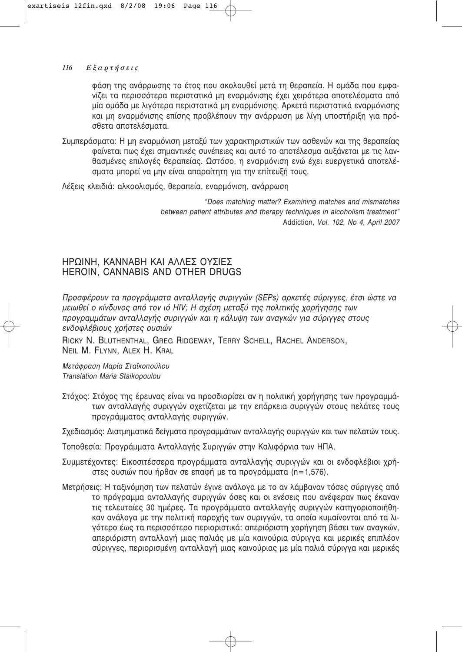φάση της ανάρρωσης το έτος που ακολουθεί μετά τη θεραπεία. Η ομάδα που εμφανίζει τα περισσότερα περιστατικά μη εναρμόνισης έχει χειρότερα αποτελέσματα από μία ομάδα με λιγότερα περιστατικά μη εναρμόνισης. Αρκετά περιστατικά εναρμόνισης και μη εναρμόνισης επίσης προβλέπουν την ανάρρωση με λίγη υποστήριξη για πρόσθετα αποτελέσματα.

Συμπεράσματα: Η μη εναρμόνιση μεταξύ των χαρακτηριστικών των ασθενών και της θεραπείας Φαίνεται πως έχει σημαντικές συνέπειες και αυτό το αποτέλεσμα αυξάνεται με τις λανθασμένες επιλογές θεραπείας. Ωστόσο, η εναρμόνιση ενώ έχει ευεργετικά αποτελέσματα μπορεί να μην είναι απαραίτητη για την επίτευξή τους.

Λέξεις κλειδιά: αλκοολισμός, θεραπεία, εναρμόνιση, ανάρρωση

*"Does matching matter? Examining matches and mismatches between patient attributes and therapy techniques in alcoholism treatment"*  Addiction*, Vol. 102, No 4, April 2007*

# ΗΡΩΙΝΗ, ΚΑΝΝΑΒΗ ΚΑΙ ΑΛΛΕΣ ΟΥΣΙΕΣ HEROIN, CANNABIS AND OTHER DRUGS

*Προσφέρουν τα προγράμματα ανταλλαγής συριγγών (SEPs) αρκετές σύριγγες, έτσι ώστε να* ιμειωθεί ο κίνδυνος από τον ιό HIV; Η σχέση μεταξύ της πολιτικής χορήγησης των προγραμμάτων ανταλλαγής συριγγών και η κάλυψη των αναγκών για σύριγγες στους ενδοφλέβιους χρήστες ουσιών

RICKY N. BLUTHENTHAL, GREG RIDGEWAY, TERRY SCHELL, RACHEL ANDERSON, NEIL M. FLYNN, ALEX H. KRAL

*Μετάφραση Μαρία Σταϊκοπούλου Translation Maria Staikopoulou*

Στόχος: Στόχος της έρευνας είναι να προσδιορίσει αν η πολιτική χορήγησης των προγραμμάτων ανταλλαγής συριγγών σχετίζεται με την επάρκεια συριγγών στους πελάτες τους προγράμματος ανταλλαγής συριγγών.

Σχεδιασμός: Διατμηματικά δείγματα προγραμμάτων ανταλλαγής συριγγών και των πελατών τους.

Τοποθεσία: Προγράμματα Ανταλλαγής Συριγγών στην Καλιφόρνια των ΗΠΑ.

- Συμμετέχοντες: Εικοσιτέσσερα προγράμματα ανταλλαγής συριγγών και οι ενδοφλέβιοι χρήστες ουσιών που ήρθαν σε επαφή με τα προγράμματα (n=1,576).
- Μετρήσεις: Η ταξινόμηση των πελατών έγινε ανάλογα με το αν λάμβαναν τόσες σύριγγες από το πρόγραμμα ανταλλαγής συριγγών όσες και οι ενέσεις που ανέφεραν πως έκαναν τις τελευταίες 30 ημέρες. Τα προγράμματα ανταλλαγής συριγγών κατηγοριοποιήθηκαν ανάλογα με την πολιτική παροχής των συριγγών, τα οποία κυμαίνονται από τα λιγότερο έως τα περισσότερο περιοριστικά: απεριόριστη χορήγηση βάσει των αναγκών, απεριόριστη ανταλλαγή μιας παλιάς με μία καινούρια σύριγγα και μερικές επιπλέον σύριγγες, περιορισμένη ανταλλαγή μιας καινούριας με μία παλιά σύριγγα και μερικές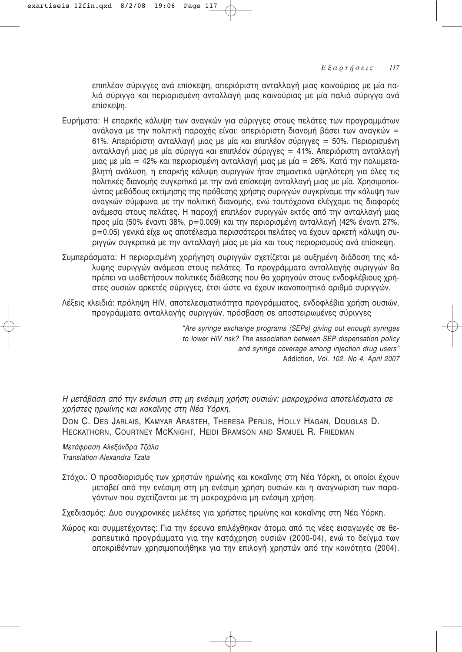επιπλέον σύριγγες ανά επίσκεψη, απεριόριστη ανταλλαγή μιας καινούριας με μία παλιά σύριγγα και περιορισμένη ανταλλαγή μιας καινούριας με μία παλιά σύριγγα ανά επίσκεψη.

- Ευρήματα: Η επαρκής κάλυψη των αναγκών για σύριγγες στους πελάτες των προγραμμάτων ανάλογα με την πολιτική παροχής είναι: απεριόριστη διανομή βάσει των αναγκών = 61%. Απεριόριστη ανταλλαγή μιας με μία και επιπλέον σύριγγες = 50%. Περιορισμένη ανταλλανή μιας με μία σύριννα και επιπλέον σύριννες = 41%. Απεριόριστη ανταλλανή μιας με μία = 42% και περιορισμένη ανταλλαγή μιας με μία = 26%. Κατά την πολυμεταβλητή ανάλυση, η επαρκής κάλυψη συριγγών ήταν σημαντικά υψηλότερη για όλες τις πολιτικές διανομής συγκριτικά με την ανά επίσκεψη ανταλλαγή μιας με μία. Χρησιμοποιώντας μεθόδους εκτίμησης της πρόθεσης χρήσης συριγγών συγκρίναμε την κάλυψη των αναγκών σύμφωνα με την πολιτική διανομής, ενώ ταυτόχρονα ελέγχαμε τις διαφορές ανάμεσα στους πελάτες. Η παροχή επιπλέον συριγγών εκτός από την ανταλλαγή μιας προς μία (50% έναντι 38%, p=0.009) και την περιορισμένη ανταλλαγή (42% έναντι 27%, p=0.05) γενικά είχε ως αποτέλεσμα περισσότεροι πελάτες να έχουν αρκετή κάλυψη συριγγών συγκριτικά με την ανταλλαγή μίας με μία και τους περιορισμούς ανά επίσκεψη.
- Συμπεράσματα: Η περιορισμένη χορήγηση συριγγών σχετίζεται με αυξημένη διάδοση της κάλυψης συριγγών ανάμεσα στους πελάτες. Τα προγράμματα ανταλλαγής συριγγών θα πρέπει να υιοθετήσουν πολιτικές διάθεσης που θα χορηγούν στους ενδοφλέβιους χρήστες ουσιών αρκετές σύριγγες, έτσι ώστε να έχουν ικανοποιητικό αριθμό συριγγών.
- Λέξεις κλειδιά: πρόληψη HIV, αποτελεσματικότητα προγράμματος, ενδοφλέβια χρήση ουσιών, προγράμματα ανταλλαγής συριγγών, πρόσβαση σε αποστειρωμένες σύριγγες

*"Are syringe exchange programs (SEPs) giving out enough syringes to lower HIV risk? The association between SEP dispensation policy and syringe coverage among injection drug users"* Addiction*, Vol. 102, No 4, April 2007*

*Η μετάβαση από την ενέσιμη στη μη ενέσιμη χρήση ουσιών: μακροχρόνια αποτελέσματα σε χρήστες ηρωίνης και κοκαΐνης στη Νέα Υόρκη.* 

DON C. DES JARLAIS, KAMYAR ARASTEH, THERESA PERLIS, HOLLY HAGAN, DOUGLAS D. HECKATHORN, COURTNEY MCKNIGHT, HEIDI BRAMSON AND SAMUEL R. FRIEDMAN

*Μετάφραση Αλεξάνδρα Τζάλα Translation Alexandra Tzala*

exartiseis 12fin.qxd 8/2/08 19:06 Page 117

Στόχοι: Ο προσδιορισμός των χρηστών ηρωίνης και κοκαΐνης στη Νέα Υόρκη, οι οποίοι έχουν μεταβεί από την ενέσιμη στη μη ενέσιμη χρήση ουσιών και η αναγνώριση των παραγόντων που σχετίζονται με τη μακροχρόνια μη ενέσιμη χρήση.

Σχεδιασμός: Δυο συγχρονικές μελέτες για χρήστες ηρωίνης και κοκαΐνης στη Νέα Υόρκη.

Χώρος και συμμετέχοντες: Για την έρευνα επιλέχθηκαν άτομα από τις νέες εισαγωγές σε θεραπευτικά προγράμματα για την κατάχρηση ουσιών (2000-04), ενώ το δείγμα των αποκριθέντων χρησιμοποιήθηκε για την επιλογή χρηστών από την κοινότητα (2004).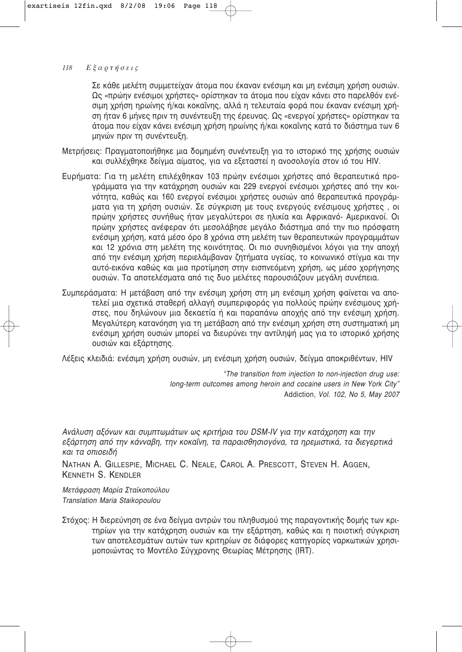Σε κάθε μελέτη συμμετείχαν άτομα που έκαναν ενέσιμη και μη ενέσιμη χρήση ουσιών. Ως «πρώην ενέσιμοι χρήστες» ορίστηκαν τα άτομα που είχαν κάνει στο παρελθόν ενέσιμη χρήση ηρωίνης ή/και κοκαΐνης, αλλά η τελευταία φορά που έκαναν ενέσιμη χρήση ήταν 6 μήνες πριν τη συνέντευξη της έρευνας. Ως «ενεργοί χρήστες» ορίστηκαν τα άτομα που είχαν κάνει ενέσιμη χρήση ηρωίνης ή/και κοκαΐνης κατά το διάστημα των 6 μηνών πριν τη συνέντευξη.

- Μετρήσεις: Πραγματοποιήθηκε μια δομημένη συνέντευξη για το ιστορικό της χρήσης ουσιών και συλλέχθηκε δείγμα αίματος, για να εξεταστεί η ανοσολογία στον ιό του HIV.
- Ευρήματα: Για τη μελέτη επιλέχθηκαν 103 πρώην ενέσιμοι χρήστες από θεραπευτικά προγράμματα για την κατάχρηση ουσιών και 229 ενεργοί ενέσιμοι χρήστες από την κοινότητα, καθώς και 160 ενερνοί ενέσιμοι χρήστες ουσιών από θεραπευτικά προνράμματα για τη χρήση ουσιών. Σε σύγκριση με τους ενεργούς ενέσιμους χρήστες, οι πρώην χρήστες συνήθως ήταν μεγαλύτεροι σε ηλικία και Αφρικανό- Αμερικανοί. Οι πρώην χρήστες ανέφεραν ότι μεσολάβησε μενάλο διάστημα από την πιο πρόσφατη ενέσιμη χρήση, κατά μέσο όρο 8 χρόνια στη μελέτη των θεραπευτικών προγραμμάτων και 12 χρόνια στη μελέτη της κοινότητας. Οι πιο συνηθισμένοι λόγοι για την αποχή από την ενέσιμη χρήση περιελάμβαναν ζητήματα υγείας, το κοινωνικό στίγμα και την αυτό-εικόνα καθώς και μια προτίμηση στην εισπνεόμενη χρήση, ως μέσο χορήγησης ουσιών. Τα αποτελέσματα από τις δυο μελέτες παρουσιάζουν μεγάλη συνέπεια.
- Συμπεράσματα: Η μετάβαση από την ενέσιμη χρήση στη μη ενέσιμη χρήση φαίνεται να αποτελεί μια σχετικά σταθερή αλλαγή συμπεριφοράς για πολλούς πρώην ενέσιμους χρήστες, που δηλώνουν μια δεκαετία ή και παραπάνω αποχής από την ενέσιμη χρήση. Μεγαλύτερη κατανόηση για τη μετάβαση από την ενέσιμη χρήση στη συστηματική μη ενέσιμη χρήση ουσιών μπορεί να διευρύνει την αντίληψή μας για το ιστορικό χρήσης ουσιών και εξάρτησης.

Λέξεις κλειδιά: ενέσιμη χρήση ουσιών, μη ενέσιμη χρήση ουσιών, δείγμα αποκριθέντων, HIV

*"The transition from injection to non-injection drug use: long-term outcomes among heroin and cocaine users in New York City"* Addiction*, Vol. 102, No 5, May 2007*

*Ανάλυση αξόνων και συμπτωμάτων ως κριτήρια του DSM-IV για την κατάχρηση και την εξάρτηση από την κάνναβη, την κοκαΐνη, τα παραισθησιογόνα, τα ηρεμιστικά, τα διεγερτικά και τα οπιοειδή* 

NATHAN A. GILLESPIE, MICHAEL C. NEALE, CAROL A. PRESCOTT, STEVEN H. AGGEN, KENNETH S. KENDLER

*Μετάφραση Μαρία Σταϊκοπούλου Translation Maria Staikopoulou*

Στόχος: Η διερεύνηση σε ένα δείγμα αντρών του πληθυσμού της παραγοντικής δομής των κριτηρίων για την κατάχρηση ουσιών και την εξάρτηση, καθώς και η ποιοτική σύγκριση των αποτελεσμάτων αυτών των κριτηρίων σε διάφορες κατηγορίες ναρκωτικών χρησιμοποιώντας το Μοντέλο Σύγχρονης Θεωρίας Μέτρησης (IRT).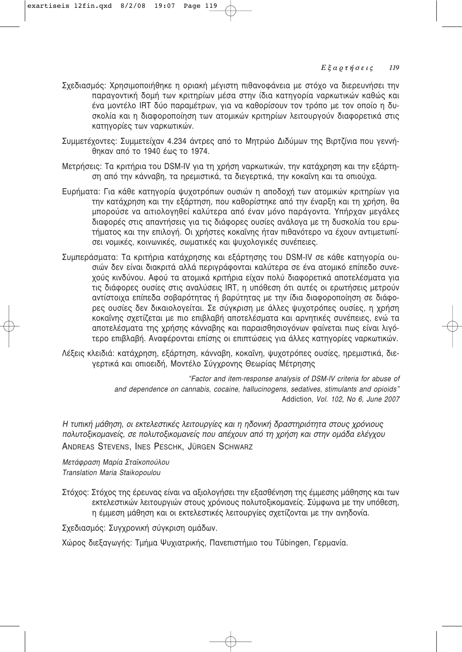Σχεδιασμός: Χρησιμοποιήθηκε η οριακή μέγιστη πιθανοφάνεια με στόχο να διερευνήσει την παραγοντική δομή των κριτηρίων μέσα στην ίδια κατηγορία ναρκωτικών καθώς και ένα μοντέλο IRT δύο παραμέτρων, για να καθορίσουν τον τρόπο με τον οποίο η δυσκολία και η διαφοροποίηση των ατομικών κριτηρίων λειτουργούν διαφορετικά στις κατηγορίες των ναρκωτικών.

19:07 Page 119

- Συμμετέχοντες: Συμμετείχαν 4.234 άντρες από το Μητρώο Διδύμων της Βιρτζίνια που γεννήθηκαν από το 1940 έως το 1974.
- Μετρήσεις: Τα κριτήρια του DSM-IV για τη χρήση ναρκωτικών, την κατάχρηση και την εξάρτηση από την κάνναβη, τα ηρεμιστικά, τα διεγερτικά, την κοκαΐνη και τα οπιούχα.
- Ευρήματα: Για κάθε κατηγορία ψυχοτρόπων ουσιών η αποδοχή των ατομικών κριτηρίων για την κατάχρηση και την εξάρτηση, που καθορίστηκε από την έναρξη και τη χρήση, θα μπορούσε να αιτιολογηθεί καλύτερα από έναν μόνο παράγοντα. Υπήρχαν μεγάλες διαφορές στις απαντήσεις για τις διάφορες ουσίες ανάλογα με τη δυσκολία του ερωτήματος και την επιλογή. Οι χρήστες κοκαΐνης ήταν πιθανότερο να έχουν αντιμετωπίσει νομικές, κοινωνικές, σωματικές και ψυχολογικές συνέπειες.
- Συμπεράσματα: Τα κριτήρια κατάχρησης και εξάρτησης του DSM-IV σε κάθε κατηγορία ουσιών δεν είναι διακριτά αλλά περιγράφονται καλύτερα σε ένα ατομικό επίπεδο συνεχούς κινδύνου. Αφού τα ατομικά κριτήρια είχαν πολύ διαφορετικά αποτελέσματα για τις διάφορες ουσίες στις αναλύσεις IRT, η υπόθεση ότι αυτές οι ερωτήσεις μετρούν αντίστοιχα επίπεδα σοβαρότητας ή βαρύτητας με την ίδια διαφοροποίηση σε διάφορες ουσίες δεν δικαιολογείται. Σε σύγκριση με άλλες ψυχοτρόπες ουσίες, η χρήση κοκαΐνης σχετίζεται με πιο επιβλαβή αποτελέσματα και αρνητικές συνέπειες, ενώ τα αποτελέσματα της χρήσης κάνναβης και παραισθησιογόνων φαίνεται πως είναι λιγότερο επιβλαβή. Αναφέρονται επίσης οι επιπτώσεις για άλλες κατηγορίες ναρκωτικών.
- Λέξεις κλειδιά: κατάχρηση, εξάρτηση, κάνναβη, κοκαΐνη, ψυχοτρόπες ουσίες, ηρεμιστικά, διεγερτικά και οπιοειδή, Μοντέλο Σύγχρονης Θεωρίας Μέτρησης

"Factor and item-response analysis of DSM-IV criteria for abuse of and dependence on cannabis, cocaine, hallucinogens, sedatives, stimulants and opioids" Addiction, Vol. 102, No 6, June 2007

Η τυπική μάθηση, οι εκτελεστικές λειτουργίες και η ηδονική δραστηριότητα στους χρόνιους πολυτοξικομανείς, σε πολυτοξικομανείς που απέχουν από τη χρήση και στην ομάδα ελέγχου ANDREAS STEVENS, INES PESCHK, JÜRGEN SCHWARZ

Μετάφραση Μαρία Σταϊκοπούλου Translation Maria Staikopoulou

exartiseis 12fin.qxd 8/2/08

Στόχος: Στόχος της έρευνας είναι να αξιολογήσει την εξασθένηση της έμμεσης μάθησης και των εκτελεστικών λειτουργιών στους χρόνιους πολυτοξικομανείς. Σύμφωνα με την υπόθεση, η έμμεση μάθηση και οι εκτελεστικές λειτουργίες σχετίζονται με την ανηδονία.

Σχεδιασμός: Συγχρονική σύγκριση ομάδων.

Χώρος διεξαγωγής: Τμήμα Ψυχιατρικής, Πανεπιστήμιο του Tübingen, Γερμανία.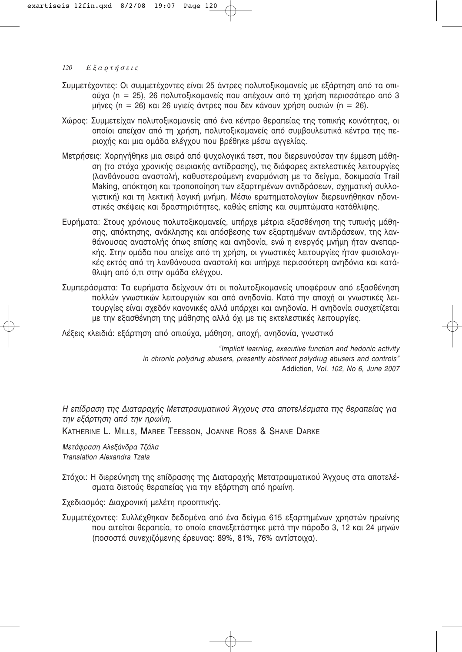- Συμμετέχοντες: Οι συμμετέχοντες είναι 25 άντρες πολυτοξικομανείς με εξάρτηση από τα οπιούχα (n = 25), 26 πολυτοξικομανείς που απέχουν από τη χρήση περισσότερο από 3 μήνες (n = 26) και 26 υγιείς άντρες που δεν κάνουν χρήση ουσιών (n = 26).
- Χώρος: Συμμετείχαν πολυτοξικομανείς από ένα κέντρο θεραπείας της τοπικής κοινότητας, οι οποίοι απείχαν από τη χρήση, πολυτοξικομανείς από συμβουλευτικά κέντρα της περιοχής και μια ομάδα ελέγχου που βρέθηκε μέσω αγγελίας.
- Μετρήσεις: Χορηγήθηκε μια σειρά από ψυχολογικά τεστ, που διερευνούσαν την έμμεση μάθηση (το στόχο χρονικής σειριακής αντίδρασης), τις διάφορες εκτελεστικές λειτουργίες (λανθάνουσα αναστολή, καθυστερούμενη εναρμόνιση με το δείγμα, δοκιμασία Trail Making, απόκτηση και τροποποίηση των εξαρτημένων αντιδράσεων, σχηματική συλλο-VΙστική) και τη λεκτική λογική μνήμη. Μέσω ερωτηματολογίων διερευνήθηκαν ηδονιστικές σκέψεις και δραστηριότητες, καθώς επίσης και συμπτώματα κατάθλιψης.
- Ευρήματα: Στους χρόνιους πολυτοξικομανείς, υπήρχε μέτρια εξασθένηση της τυπικής μάθησης, απόκτησης, ανάκλησης και απόσβεσης των εξαρτημένων αντιδράσεων, της λανθάνουσας αναστολής όπως επίσης και ανηδονία, ενώ η ενεργός μνήμη ήταν ανεπαρκής. Στην ομάδα που απείχε από τη χρήση, οι γνωστικές λειτουργίες ήταν φυσιολογικές εκτός από τη λανθάνουσα αναστολή και υπήρχε περισσότερη ανηδόνια και κατάθλιψη από ό,τι στην ομάδα ελέγχου.
- Συμπεράσματα: Τα ευρήματα δείχνουν ότι οι πολυτοξικομανείς υποφέρουν από εξασθένηση πολλών γνωστικών λειτουργιών και από ανηδονία. Κατά την αποχή οι γνωστικές λειτουργίες είναι σχεδόν κανονικές αλλά υπάρχει και ανηδονία. Η ανηδονία συσχετίζεται με την εξασθένηση της μάθησης αλλά όχι με τις εκτελεστικές λειτουργίες.

Λέξεις κλειδιά: εξάρτηση από οπιούχα, μάθηση, αποχή, ανηδονία, γνωστικό

*"Implicit learning, executive function and hedonic activity in chronic polydrug abusers, presently abstinent polydrug abusers and controls"* Addiction*, Vol. 102, No 6, June 2007*

*Η επίδραση της Διαταραχής Μετατραυματικού Άγχους στα αποτελέσματα της θεραπείας για την εξάρτηση από την ηρωίνη.* 

KATHERINE L. MILLS, MAREE TEESSON, JOANNE ROSS & SHANE DARKE

*Μετάφραση Αλεξάνδρα Τζάλα Translation Alexandra Tzala*

Στόχοι: Η διερεύνηση της επίδρασης της Διαταραχής Μετατραυματικού Άγχους στα αποτελέσματα διετούς θεραπείας για την εξάρτηση από ηρωίνη.

Σχεδιασμός: Διαχρονική μελέτη προοπτικής.

Συμμετέχοντες: Συλλέχθηκαν δεδομένα από ένα δείγμα 615 εξαρτημένων χρηστών ηρωίνης που αιτείται θεραπεία, το οποίο επανεξετάστηκε μετά την πάροδο 3, 12 και 24 μηνών (ποσοστά συνεχιζόμενης έρευνας: 89%, 81%, 76% αντίστοιχα).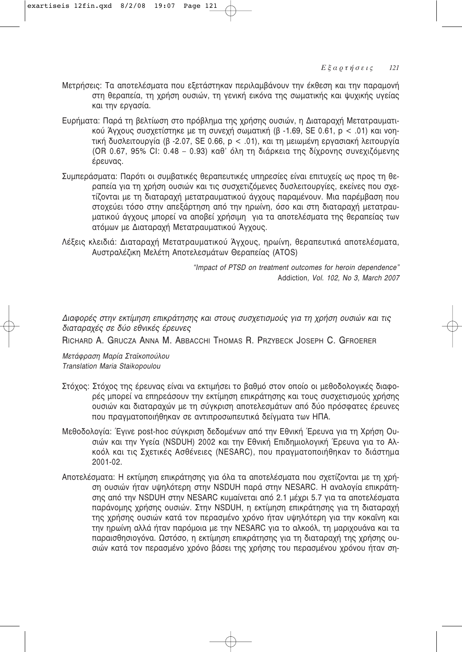$19:07$ 

Page

 $121$ 

exartiseis 12fin.qxd 8/2/08

- Μετρήσεις: Τα αποτελέσματα που εξετάστηκαν περιλαμβάνουν την έκθεση και την παραμονή στη θεραπεία, τη χρήση ουσιών, τη γενική εικόνα της σωματικής και ψυχικής υγείας και την εργασία.
- Ευρήματα: Παρά τη βελτίωση στο πρόβλημα της χρήσης ουσιών, η Διαταραχή Μετατραυματικού Άγχους συσχετίστηκε με τη συνεχή σωματική (β-1.69, SE 0.61, p < .01) και νοητική δυσλειτουργία (β-2.07, SE 0.66, p < .01), και τη μειωμένη εργασιακή λειτουργία (OR 0.67, 95% CI; 0.48 - 0.93) καθ' όλη τη διάρκεια της δίχρονης συνεχιζόμενης έρευνας.
- Συμπεράσματα: Παρότι οι συμβατικές θεραπευτικές υπηρεσίες είναι επιτυχείς ως προς τη θεραπεία για τη χρήση ουσιών και τις συσχετιζόμενες δυσλειτουργίες, εκείνες που σχετίζονται με τη διαταραχή μετατραυματικού άνχους παραμένουν. Μια παρέμβαση που στοχεύει τόσο στην απεξάρτηση από την ηρωίνη, όσο και στη διαταραχή μετατραυματικού άγχους μπορεί να αποβεί χρήσιμη για τα αποτελέσματα της θεραπείας των ατόμων με Διαταραχή Μετατραυματικού Άνχους.
- Λέξεις κλειδιά: Διαταραχή Μετατραυματικού Άγχους, ηρωίνη, θεραπευτικά αποτελέσματα, Αυστραλέζικη Μελέτη Αποτελεσμάτων Θεραπείας (ATOS)

"Impact of PTSD on treatment outcomes for heroin dependence" Addiction, Vol. 102, No 3, March 2007

Διαφορές στην εκτίμηση επικράτησης και στους συσχετισμούς για τη χρήση ουσιών και τις διαταραχές σε δύο εθνικές έρευνες

RICHARD A. GRUCZA ANNA M. ABBACCHI THOMAS R. PRZYBECK JOSEPH C. GFROERER

Μετάφραση Μαρία Σταϊκοπούλου Translation Maria Staikopoulou

- Στόχος: Στόχος της έρευνας είναι να εκτιμήσει το βαθμό στον οποίο οι μεθοδολογικές διαφορές μπορεί να επηρεάσουν την εκτίμηση επικράτησης και τους συσχετισμούς χρήσης ουσιών και διαταραχών με τη σύγκριση αποτελεσμάτων από δύο πρόσφατες έρευνες που πραγματοποιήθηκαν σε αντιπροσωπευτικά δείγματα των ΗΠΑ.
- Μεθοδολογία: Έγινε post-hoc σύγκριση δεδομένων από την Εθνική Έρευνα για τη Χρήση Ουσιών και την Υγεία (NSDUH) 2002 και την Εθνική Επιδημιολογική Έρευνα για το Αλκοόλ και τις Σχετικές Ασθένειες (NESARC), που πραγματοποιήθηκαν το διάστημα 2001-02.
- Αποτελέσματα: Η εκτίμηση επικράτησης για όλα τα αποτελέσματα που σχετίζονται με τη χρήση ουσιών ήταν υψηλότερη στην NSDUH παρά στην NESARC. Η αναλογία επικράτησης από την NSDUH στην NESARC κυμαίνεται από 2.1 μέχρι 5.7 για τα αποτελέσματα παράνομης χρήσης ουσιών. Στην NSDUH, η εκτίμηση επικράτησης για τη διαταραχή της χρήσης ουσιών κατά τον περασμένο χρόνο ήταν υψηλότερη για την κοκαΐνη και την ηρωίνη αλλά ήταν παρόμοια με την NESARC για το αλκοόλ, τη μαριχουάνα και τα παραισθησιογόνα. Ωστόσο, η εκτίμηση επικράτησης για τη διαταραχή της χρήσης ουσιών κατά τον περασμένο χρόνο βάσει της χρήσης του περασμένου χρόνου ήταν ση-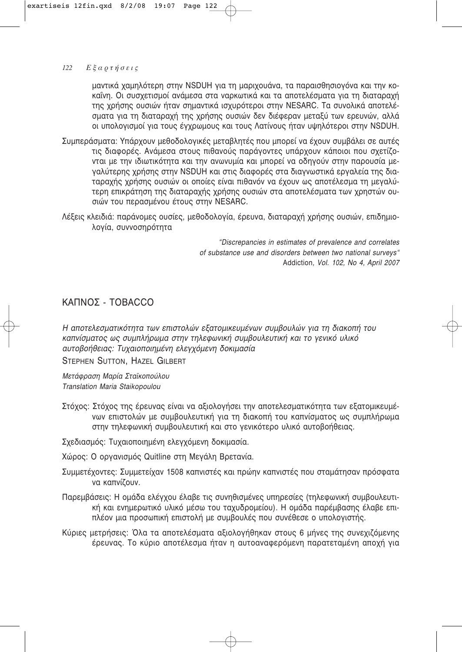μαντικά χαμηλότερη στην NSDUH για τη μαριχουάνα, τα παραισθησιογόνα και την κοκαΐνη. Οι συσχετισμοί ανάμεσα στα ναρκωτικά και τα αποτελέσματα για τη διαταραχή της χρήσης ουσιών ήταν σημαντικά ισχυρότεροι στην NESARC. Τα συνολικά αποτελέσματα για τη διαταραχή της χρήσης ουσιών δεν διέφεραν μεταξύ των ερευνών, αλλά οι υπολογισμοί για τους έγχρωμους και τους Λατίνους ήταν υψηλότεροι στην NSDUH.

- Συμπεράσματα: Υπάρχουν μεθοδολογικές μεταβλητές που μπορεί να έχουν συμβάλει σε αυτές τις διαφορές. Ανάμεσα στους πιθανούς παράνοντες υπάρχουν κάποιοι που σχετίζο-Vται με την ιδιωτικότητα και την ανωνυμία και μπορεί να οδηγούν στην παρουσία μεγαλύτερης χρήσης στην NSDUH και στις διαφορές στα διαγνωστικά εργαλεία της διαταραχής χρήσης ουσιών οι οποίες είναι πιθανόν να έχουν ως αποτέλεσμα τη μεγαλύτερη επικράτηση της διαταραχής χρήσης ουσιών στα αποτελέσματα των χρηστών ουσιών του περασμένου έτους στην NESARC.
- Λέξεις κλειδιά: παράνομες ουσίες, μεθοδολογία, έρευνα, διαταραχή χρήσης ουσιών, επιδημιολονία, συννοσηρότητα

*"Discrepancies in estimates of prevalence and correlates of substance use and disorders between two national surveys"* Addiction*, Vol. 102, No 4, April 2007*

# ∫∞¶¡√™ - TOBACCO

*Η αποτελεσματικότητα των επιστολών εξατομικευμένων συμβουλών για τη διακοπή του* καπνίσματος ως συμπλήρωμα στην τηλεφωνική συμβουλευτική και το γενικό υλικό *αυτοβοήθειας: Τυχαιοποιημένη ελεγχόμενη δοκιμασία* 

STEPHEN SUTTON, HAZEL GILBERT

*Μετάφραση Μαρία Σταϊκοπούλου Translation Maria Staikopoulou*

Στόχος: Στόχος της έρευνας είναι να αξιολογήσει την αποτελεσματικότητα των εξατομικευμένων επιστολών με συμβουλευτική για τη διακοπή του καπνίσματος ως συμπλήρωμα στην τηλεφωνική συμβουλευτική και στο γενικότερο υλικό αυτοβοήθειας.

Σχεδιασμός: Τυχαιοποιημένη ελεγχόμενη δοκιμασία.

Χώρος: Ο οργανισμός Quitline στη Μεγάλη Βρετανία.

- Συμμετέχοντες: Συμμετείχαν 1508 καπνιστές και πρώην καπνιστές που σταμάτησαν πρόσφατα να καπνίζουν.
- Παρεμβάσεις: Η ομάδα ελέγχου έλαβε τις συνηθισμένες υπηρεσίες (τηλεφωνική συμβουλευτική και ενημερωτικό υλικό μέσω του ταχυδρομείου). Η ομάδα παρέμβασης έλαβε επιπλέον μια προσωπική επιστολή με συμβουλές που συνέθεσε ο υπολογιστής.
- Κύριες μετρήσεις: Όλα τα αποτελέσματα αξιολογήθηκαν στους 6 μήνες της συνεχιζόμενης έρευνας. Το κύριο αποτέλεσμα ήταν η αυτοαναφερόμενη παρατεταμένη αποχή για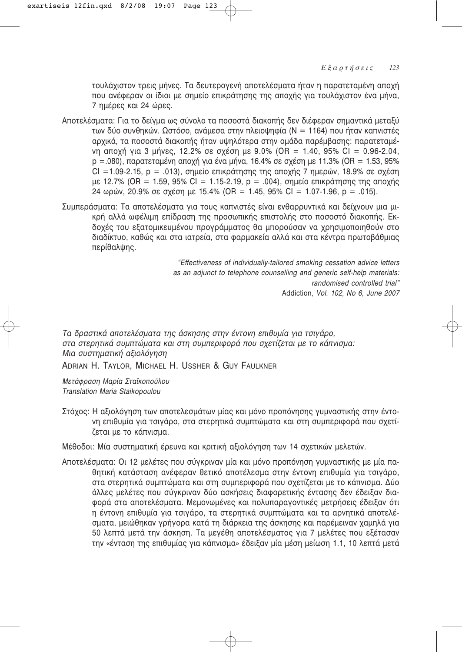τουλάχιστον τρεις μήνες. Τα δευτερογενή αποτελέσματα ήταν η παρατεταμένη αποχή

που ανέφεραν οι ίδιοι με σημείο επικράτησης της αποχής για τουλάχιστον ένα μήνα, 7 ημέρες και 24 ώρες.

- Αποτελέσματα: Για το δείνμα ως σύνολο τα ποσοστά διακοπής δεν διέφεραν σημαντικά μεταξύ των δύο συνθηκών. Ωστόσο, ανάμεσα στην πλειοψηφία (N = 1164) που ήταν καπνιστές αρχικά, τα ποσοστά διακοπής ήταν υψηλότερα στην ομάδα παρέμβασης: παρατεταμέ-Vn αποχή για 3 μήνες, 12.2% σε σχέση με 9.0% (OR = 1.40, 95% CI = 0.96-2.04, p =.080), παρατεταμένη αποχή για ένα μήνα, 16.4% σε σχέση με 11.3% (OR = 1.53, 95% CI = 1.09-2.15, p = .013), σημείο επικράτησης της αποχής 7 ημερών, 18.9% σε σχέση με 12.7% (OR = 1.59, 95% CI = 1.15-2.19, p = .004), σημείο επικράτησης της αποχής 24 ωρών, 20.9% σε σχέση με 15.4% (OR = 1.45, 95% CI = 1.07-1.96, p = .015).
- Συμπεράσματα: Τα αποτελέσματα για τους καπνιστές είναι ενθαρρυντικά και δείχνουν μια μικρή αλλά ωφέλιμη επίδραση της προσωπικής επιστολής στο ποσοστό διακοπής. Εκδοχές του εξατομικευμένου προγράμματος θα μπορούσαν να χρησιμοποιηθούν στο διαδίκτυο, καθώς και στα ιατρεία, στα φαρμακεία αλλά και στα κέντρα πρωτοβάθμιας περίθαλψης.

*"Effectiveness of individually-tailored smoking cessation advice letters as an adjunct to telephone counselling and generic self-help materials: randomised controlled trial"* Addiction*, Vol. 102, No 6, June 2007*

*Τα δραστικά αποτελέσματα της άσκησης στην έντονη επιθυμία για τσιγάρο,* στα στερητικά συμπτώματα και στη συμπεριφορά που σχετίζεται με το κάπνισμα: *Μια συστηματική αξιολόγηση* 

ADRIAN H. TAYLOR, MICHAEL H. USSHER & GUY FAULKNER

**Μετάφραση Μαρία Σταϊκοπούλου** *Translation Maria Staikopoulou*

exartiseis 12fin.qxd 8/2/08 19:07 Page 123

Στόχος: Η αξιολόγηση των αποτελεσμάτων μίας και μόνο προπόνησης γυμναστικής στην έντονη επιθυμία για τσιγάρο, στα στερητικά συμπτώματα και στη συμπεριφορά που σχετίζεται με το κάπνισμα.

Μέθοδοι: Μία συστηματική έρευνα και κριτική αξιολόγηση των 14 σχετικών μελετών.

Αποτελέσματα: Οι 12 μελέτες που σύγκριναν μία και μόνο προπόνηση γυμναστικής με μία παθητική κατάσταση ανέφεραν θετικό αποτέλεσμα στην έντονη επιθυμία για τσιγάρο, στα στερητικά συμπτώματα και στη συμπεριφορά που σχετίζεται με το κάπνισμα. Δύο άλλες μελέτες που σύγκριναν δύο ασκήσεις διαφορετικής έντασης δεν έδειξαν διαφορά στα αποτελέσματα. Μεμονωμένες και πολυπαραγοντικές μετρήσεις έδειξαν ότι η έντονη επιθυμία για τσιγάρο, τα στερητικά συμπτώματα και τα αρνητικά αποτελέσματα, μειώθηκαν γρήγορα κατά τη διάρκεια της άσκησης και παρέμειναν χαμηλά για 50 λεπτά μετά την άσκηση. Τα μεγέθη αποτελέσματος για 7 μελέτες που εξέτασαν την «ένταση της επιθυμίας για κάπνισμα» έδειξαν μία μέση μείωση 1.1, 10 λεπτά μετά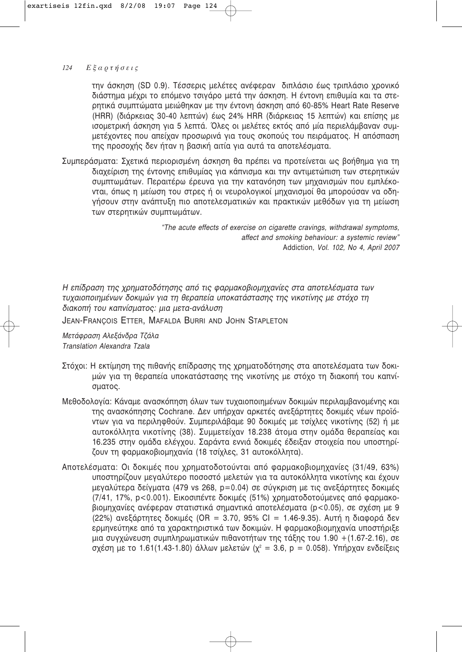την άσκηση (SD 0.9). Τέσσερις μελέτες ανέφεραν διπλάσιο έως τριπλάσιο χρονικό διάστημα μέχρι το επόμενο τσιγάρο μετά την άσκηση. Η έντονη επιθυμία και τα στερητικά συμπτώματα μειώθηκαν με την έντονη άσκηση από 60-85% Heart Rate Reserve (HRR) (διάρκειας 30-40 λεπτών) έως 24% HRR (διάρκειας 15 λεπτών) και επίσης με ισομετρική άσκηση για 5 λεπτά. Όλες οι μελέτες εκτός από μία περιελάμβαναν συμμετέχοντες που απείχαν προσωρινά για τους σκοπούς του πειράματος. Η απόσπαση της προσοχής δεν ήταν η βασική αιτία για αυτά τα αποτελέσματα.

Συμπεράσματα: Σχετικά περιορισμένη άσκηση θα πρέπει να προτείνεται ως βοήθημα για τη διαχείριση της έντονης επιθυμίας για κάπνισμα και την αντιμετώπιση των στερητικών συμπτωμάτων. Περαιτέρω έρευνα για την κατανόηση των μηχανισμών που εμπλέκονται, όπως η μείωση του στρες ή οι νευρολογικοί μηχανισμοί θα μπορούσαν να οδηγήσουν στην ανάπτυξη πιο αποτελεσματικών και πρακτικών μεθόδων για τη μείωση των στερητικών συμπτωμάτων.

> *"The acute effects of exercise on cigarette cravings, withdrawal symptoms, affect and smoking behaviour: a systemic review"* Addiction*, Vol. 102, No 4, April 2007*

*Η επίδραση της χρηματοδότησης από τις φαρμακοβιομηχανίες στα αποτελέσματα των* τυχαιοποιημένων δοκιμών για τη θεραπεία υποκατάστασης της γικοτίνης με στόχο τη  $\delta$ ιακοπή του καπνίσματος: μια μετα-ανάλυση

JEAN-FRANÇOIS ETTER, MAFALDA BURRI AND JOHN STAPLETON

*Μετάφραση Αλεξάνδρα Τζάλα Translation Alexandra Tzala*

- Στόχοι: Η εκτίμηση της πιθανής επίδρασης της χρηματοδότησης στα αποτελέσματα των δοκιμών για τη θεραπεία υποκατάστασης της νικοτίνης με στόχο τη διακοπή του καπνίσματος.
- Μεθοδολογία: Κάναμε ανασκόπηση όλων των τυχαιοποιημένων δοκιμών περιλαμβανομένης και της ανασκόπησης Cochrane. Δεν υπήρχαν αρκετές ανεξάρτητες δοκιμές νέων προϊό-Vτων για να περιληφθούν. Συμπεριλάβαμε 90 δοκιμές με τσίχλες νικοτίνης (52) ή με αυτοκόλλητα νικοτίνης (38). Συμμετείχαν 18.238 άτομα στην ομάδα θεραπείας και 16.235 στην ομάδα ελέγχου. Σαράντα εννιά δοκιμές έδειξαν στοιχεία που υποστηρίζουν τη φαρμακοβιομηχανία (18 τσίχλες, 31 αυτοκόλλητα).
- Αποτελέσματα: Οι δοκιμές που χρηματοδοτούνται από φαρμακοβιομηχανίες (31/49, 63%) υποστηρίζουν μεγαλύτερο ποσοστό μελετών για τα αυτοκόλλητα νικοτίνης και έχουν μεγαλύτερα δείγματα (479 vs 268, p=0.04) σε σύγκριση με τις ανεξάρτητες δοκιμές (7/41, 17%, p<0.001). Εικοσιπέντε δοκιμές (51%) χρηματοδοτούμενες από φαρμακοβιομηχανίες ανέφεραν στατιστικά σημαντικά αποτελέσματα (p<0.05), σε σχέση με 9 (22%) ανεξάρτητες δοκιμές (OR = 3.70, 95% CI = 1.46-9.35). Αυτή η διαφορά δεν ερμηνεύτηκε από τα χαρακτηριστικά των δοκιμών. Η φαρμακοβιομηχανία υποστήριξε μια συγχώνευση συμπληρωματικών πιθανοτήτων της τάξης του 1.90 +(1.67-2.16), σε σχέση με το 1.61(1.43-1.80) άλλων μελετών (χ<sup>2</sup> = 3.6, p = 0.058). Υπήρχαν ενδείξεις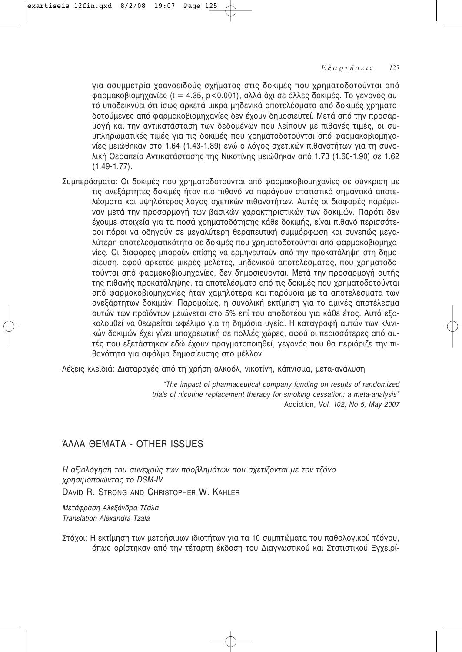για ασυμμετρία χοανοειδούς σχήματος στις δοκιμές που χρηματοδοτούνται από  $\phi$ αρμακοβιομηχανίες (t = 4.35, p<0.001), αλλά όχι σε άλλες δοκιμές. Το γεγονός αυτό υποδεικνύει ότι ίσως αρκετά μικρά μηδενικά αποτελέσματα από δοκιμές χρηματοδοτούμενες από φαρμακοβιομηχανίες δεν έχουν δημοσιευτεί. Μετά από την προσαρμογή και την αντικατάσταση των δεδομένων που λείπουν με πιθανές τιμές, οι συμπληρωματικές τιμές για τις δοκιμές που χρηματοδοτούνται από φαρμακοβιομηχανίες μειώθηκαν στο 1.64 (1.43-1.89) ενώ ο λόγος σχετικών πιθανοτήτων για τη συνολική Θεραπεία Αντικατάστασης της Νικοτίνης μειώθηκαν από 1.73 (1.60-1.90) σε 1.62 (1.49-1.77).

Συμπεράσματα: Οι δοκιμές που χρηματοδοτούνται από φαρμακοβιομηχανίες σε σύγκριση με τις ανεξάρτητες δοκιμές ήταν πιο πιθανό να παράγουν στατιστικά σημαντικά αποτελέσματα και υψηλότερος λόγος σχετικών πιθανοτήτων. Αυτές οι διαφορές παρέμειναν μετά την προσαρμογή των βασικών χαρακτηριστικών των δοκιμών. Παρότι δεν έχουμε στοιχεία για τα ποσά χρηματοδότησης κάθε δοκιμής, είναι πιθανό περισσότεροι πόροι να οδηγούν σε μεγαλύτερη θεραπευτική συμμόρφωση και συνεπώς μεγαλύτερη αποτελεσματικότητα σε δοκιμές που χρηματοδοτούνται από φαρμακοβιομηχανίες. Οι διαφορές μπορούν επίσης να ερμηνευτούν από την προκατάληψη στη δημοσίευση, αφού αρκετές μικρές μελέτες, μηδενικού αποτελέσματος, που χρηματοδοτούνται από φαρμοκοβιομηχανίες, δεν δημοσιεύονται. Μετά την προσαρμογή αυτής της πιθανής προκατάληψης, τα αποτελέσματα από τις δοκιμές που χρηματοδοτούνται από φαρμοκοβιομηχανίες ήταν χαμηλότερα και παρόμοια με τα αποτελέσματα των ανεξάρτητων δοκιμών. Παρομοίως, η συνολική εκτίμηση για το αμιγές αποτέλεσμα αυτών των προϊόντων μειώνεται στο 5% επί του αποδοτέου για κάθε έτος. Αυτό εξακολουθεί να θεωρείται ωφέλιμο για τη δημόσια υγεία. Η καταγραφή αυτών των κλινικών δοκιμών έχει γίνει υποχρεωτική σε πολλές χώρες, αφού οι περισσότερες από αυτές που εξετάστηκαν εδώ έχουν πραγματοποιηθεί, γεγονός που θα περιόριζε την πιθανότητα για σφάλμα δημοσίευσης στο μέλλον.

Λέξεις κλειδιά: Διαταραχές από τη χρήση αλκοόλ, νικοτίνη, κάπνισμα, μετα-ανάλυση

*"The impact of pharmaceutical company funding on results of randomized trials of nicotine replacement therapy for smoking cessation: a meta-analysis"* Addiction*, Vol. 102, No 5, May 2007*

# ΆΛΛΑ ΘΕΜΑΤΑ - OTHER ISSUES

exartiseis 12fin.qxd 8/2/08 19:07 Page 125

*Η αξιολόγηση του συνεχούς των προβλημάτων που σχετίζονται με τον τζόγο* χρησιμοποιώντας το DSM-IV DAVID R. STRONG AND CHRISTOPHER W. KAHLER

*Μετάφραση Αλεξάνδρα Τζάλα Translation Alexandra Tzala*

Στόχοι: Η εκτίμηση των μετρήσιμων ιδιοτήτων για τα 10 συμπτώματα του παθολογικού τζόγου, όπως ορίστηκαν από την τέταρτη έκδοση του Διαγνωστικού και Στατιστικού Εγχειρί-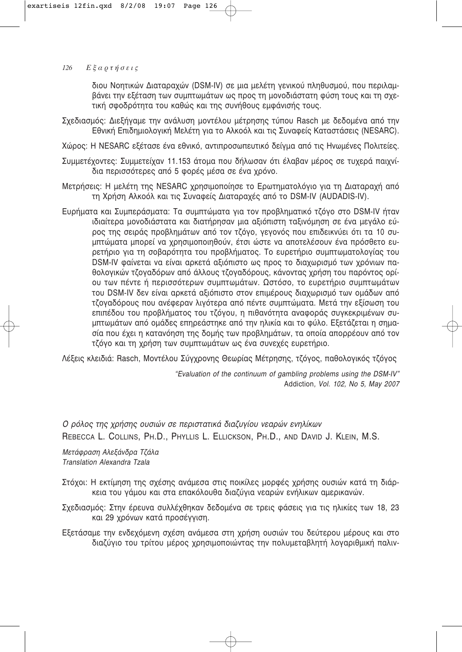διου Νοητικών Διαταραχών (DSM-IV) σε μια μελέτη γενικού πληθυσμού, που περιλαμβάνει την εξέταση των συμπτωμάτων ως προς τη μονοδιάστατη φύση τους και τη σχετική σφοδρότητα του καθώς και της συνήθους εμφάνισής τους.

- Σχεδιασμός: Διεξήναμε την ανάλυση μοντέλου μέτρησης τύπου Rasch με δεδομένα από την Εθνική Επιδημιολογική Μελέτη για το Αλκοόλ και τις Συναφείς Καταστάσεις (NESARC).
- Χώρος: Η NESARC εξέτασε ένα εθνικό, αντιπροσωπευτικό δείγμα από τις Ηνωμένες Πολιτείες.
- Συμμετέχοντες: Συμμετείχαν 11.153 άτομα που δήλωσαν ότι έλαβαν μέρος σε τυχερά παιχνίδια περισσότερες από 5 φορές μέσα σε ένα χρόνο.
- Μετρήσεις: Η μελέτη της NESARC χρησιμοποίησε το Ερωτηματολόγιο για τη Διαταραχή από τη Χρήση Αλκοόλ και τις Συναφείς Διαταραχές από το DSM-IV (AUDADIS-IV).
- Ευρήματα και Συμπεράσματα: Τα συμπτώματα για τον προβληματικό τζόγο στο DSM-IV ήταν ιδιαίτερα μονοδιάστατα και διατήρησαν μια αξιόπιστη ταξινόμηση σε ένα μενάλο εύρος της σειράς προβλημάτων από τον τζόγο, γεγονός που επιδεικνύει ότι τα 10 συμπτώματα μπορεί να χρησιμοποιηθούν, έτσι ώστε να αποτελέσουν ένα πρόσθετο ευρετήριο για τη σοβαρότητα του προβλήματος. Το ευρετήριο συμπτωματολογίας του DSM-IV φαίνεται να είναι αρκετά αξιόπιστο ως προς το διαχωρισμό των χρόνιων παθολογικών τζογαδόρων από άλλους τζογαδόρους, κάνοντας χρήση του παρόντος ορίου των πέντε ή περισσότερων συμπτωμάτων. Ωστόσο, το ευρετήριο συμπτωμάτων του DSM-IV δεν είναι αρκετά αξιόπιστο στον επιμέρους διαχωρισμό των ομάδων από τζογαδόρους που ανέφεραν λιγότερα από πέντε συμπτώματα. Μετά την εξίσωση του επιπέδου του προβλήματος του τζόγου, η πιθανότητα αναφοράς συγκεκριμένων συμπτωμάτων από ομάδες επηρεάστηκε από την ηλικία και το φύλο. Εξετάζεται η σημασία που έχει η κατανόηση της δομής των προβλημάτων, τα οποία απορρέουν από τον τζόγο και τη χρήση των συμπτωμάτων ως ένα συνεχές ευρετήριο.

Λέξεις κλειδιά: Rasch, Μοντέλου Σύγχρονης Θεωρίας Μέτρησης, τζόγος, παθολογικός τζόγος

*"Evaluation of the continuum of gambling problems using the DSM-IV"* Addiction*, Vol. 102, No 5, May 2007*

Ο ρόλος της χρήσης ουσιών σε περιστατικά διαζυγίου νεαρών ενηλίκων REBECCA L. COLLINS, PH.D., PHYLLIS L. ELLICKSON, PH.D., AND DAVID J. KLEIN, M.S.

*Μετάφραση Αλεξάνδρα Τζάλα Translation Alexandra Tzala*

- Στόχοι: Η εκτίμηση της σχέσης ανάμεσα στις ποικίλες μορφές χρήσης ουσιών κατά τη διάρκεια του γάμου και στα επακόλουθα διαζύγια νεαρών ενήλικων αμερικανών.
- Σχεδιασμός: Στην έρευνα συλλέχθηκαν δεδομένα σε τρεις φάσεις για τις ηλικίες των 18, 23 και 29 χρόνων κατά προσέγγιση.
- Εξετάσαμε την ενδεχόμενη σχέση ανάμεσα στη χρήση ουσιών του δεύτερου μέρους και στο διαζύγιο του τρίτου μέρος χρησιμοποιώντας την πολυμεταβλητή λογαριθμική παλιν-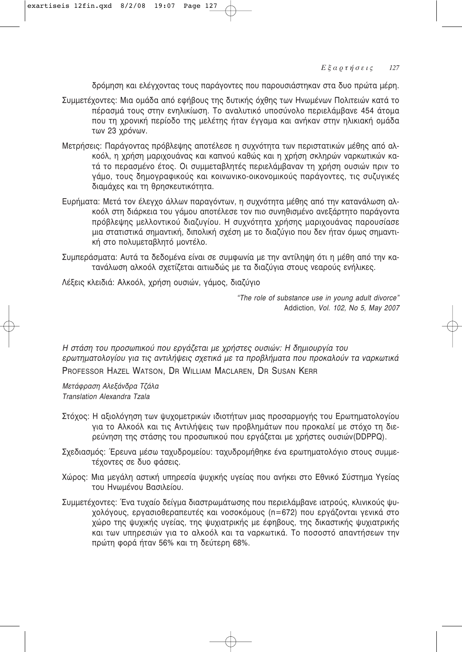exartiseis  $12fin,qxd$   $8/2/08$   $19:07$  Page

δρόμηση και ελέγχοντας τους παράγοντες που παρουσιάστηκαν στα δυο πρώτα μέρη.

- Συμμετέχοντες: Μια ομάδα από εφήβους της δυτικής όχθης των Ηνωμένων Πολιτειών κατά το πέρασμά τους στην ενηλικίωση. Το αναλυτικό υποσύνολο περιελάμβανε 454 άτομα που τη χρονική περίοδο της μελέτης ήταν ένναμα και ανήκαν στην ηλικιακή ομάδα των 23 χρόνων.
- Μετρήσεις: Παράγοντας πρόβλεψης αποτέλεσε η συχνότητα των περιστατικών μέθης από αλκοόλ, η χρήση μαριχουάνας και καπνού καθώς και η χρήση σκληρών ναρκωτικών κατά το περασμένο έτος. Οι συμμεταβλητές περιελάμβαναν τη χρήση ουσιών πριν το γάμο, τους δημογραφικούς και κοινωνικο-οικονομικούς παράγοντες, τις συζυγικές διαμάχες και τη θρησκευτικότητα.
- Ευρήματα: Μετά τον έλεγχο άλλων παραγόντων, η συχνότητα μέθης από την κατανάλωση αλκοόλ στη διάρκεια του γάμου αποτέλεσε τον πιο συνηθισμένο ανεξάρτητο παράγοντα πρόβλεψης μελλοντικού διαζυγίου. Η συχνότητα χρήσης μαριχουάνας παρουσίασε μια στατιστικά σημαντική, διπολική σχέση με το διαζύγιο που δεν ήταν όμως σημαντική στο πολυμεταβλητό μοντέλο.
- Συμπεράσματα: Αυτά τα δεδομένα είναι σε συμφωνία με την αντίληψη ότι η μέθη από την κατανάλωση αλκοόλ σχετίζεται αιτιωδώς με τα διαζύγια στους νεαρούς ενήλικες.

Λέξεις κλειδιά: Αλκοόλ, χρήση ουσιών, γάμος, διαζύγιο

*"The role of substance use in young adult divorce"* Addiction*, Vol. 102, No 5, May 2007*

Η στάση του προσωπικού που εργάζεται με χρήστες ουσιών: Η δημιουργία του ερωτηματολογίου για τις αντιλήψεις σχετικά με τα προβλήματα που προκαλούν τα ναρκωτικά PROFESSOR HAZEL WATSON, DR WILLIAM MACLAREN, DR SUSAN KERR

*Μετάφραση Αλεξάνδρα Τζάλα Translation Alexandra Tzala*

- Στόχος: Η αξιολόγηση των ψυχομετρικών ιδιοτήτων μιας προσαρμογής του Ερωτηματολογίου για το Αλκοόλ και τις Αντιλήψεις των προβλημάτων που προκαλεί με στόχο τη διερεύνηση της στάσης του προσωπικού που εργάζεται με χρήστες ουσιών(DDPPQ).
- Σχεδιασμός: Έρευνα μέσω ταχυδρομείου: ταχυδρομήθηκε ένα ερωτηματολόγιο στους συμμετέχοντες σε δυο φάσεις.
- Χώρος: Μια μεγάλη αστική υπηρεσία ψυχικής υγείας που ανήκει στο Εθνικό Σύστημα Υγείας του Ηνωμένου Βασιλείου.
- Συμμετέχοντες: Ένα τυχαίο δείγμα διαστρωμάτωσης που περιελάμβανε ιατρούς, κλινικούς ψυχολόγους, εργασιοθεραπευτές και νοσοκόμους (n=672) που εργάζονται γενικά στο χώρο της ψυχικής υγείας, της ψυχιατρικής με έφηβους, της δικαστικής ψυχιατρικής και των υπηρεσιών για το αλκοόλ και τα ναρκωτικά. Το ποσοστό απαντήσεων την πρώτη φορά ήταν 56% και τη δεύτερη 68%.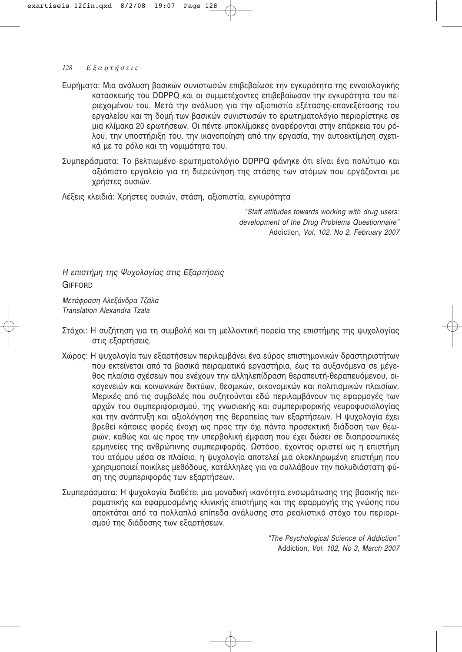- Ευρήματα: Μια ανάλυση βασικών συνιστωσών επιβεβαίωσε την εγκυρότητα της εννοιολογικής κατασκευής του DDPPQ και οι συμμετέχοντες επιβεβαίωσαν την εγκυρότητα του περιεχομένου του. Μετά την ανάλυση για την αξιοπιστία εξέτασης-επανεξέτασης του εργαλείου και τη δομή των βασικών συνιστωσών το ερωτηματολόγιο περιορίστηκε σε μια κλίμακα 20 ερωτήσεων. Οι πέντε υποκλίμακες αναφέρονται στην επάρκεια του ρόλου, την υποστήριξη του, την ικανοποίηση από την εργασία, την αυτοεκτίμηση σχετικά με το ρόλο και τη νομιμότητα του.
- Συμπεράσματα: Το βελτιωμένο ερωτηματολόγιο DDPPQ φάνηκε ότι είναι ένα πολύτιμο και αξιόπιστο εργαλείο για τη διερεύνηση της στάσης των ατόμων που εργάζονται με χρήστες ουσιών.

Λέξεις κλειδιά: Χρήστες ουσιών, στάση, αξιοπιστία, ενκυρότητα

*"Staff attitudes towards working with drug users: development of the Drug Problems Questionnaire"* Addiction*, Vol. 102, No 2, February 2007*

Η επιστήμη της Ψυχολογίας στις Εξαρτήσεις **GIFFORD** 

*Μετάφραση Αλεξάνδρα Τζάλα Translation Alexandra Tzala*

- Στόχοι: Η συζήτηση για τη συμβολή και τη μελλοντική πορεία της επιστήμης της ψυχολογίας στις εξαρτήσεις.
- Χώρος: Η ψυχολογία των εξαρτήσεων περιλαμβάνει ένα εύρος επιστημονικών δραστηριοτήτων που εκτείνεται από τα βασικά πειραματικά εργαστήρια, έως τα αυξανόμενα σε μέγεθος πλαίσια σχέσεων που ενέχουν την αλληλεπίδραση θεραπευτή-θεραπευόμενου, οι-Κογενειών και κοινωνικών δικτύων, θεσμικών, οικονομικών και πολιτισμικών πλαισίων. Μερικές από τις συμβολές που συζητούνται εδώ περιλαμβάνουν τις εφαρμογές των αρχών του συμπεριφορισμού, της γνωσιακής και συμπεριφορικής νευροφυσιολογίας και την ανάπτυξη και αξιολόγηση της θεραπείας των εξαρτήσεων. Η ψυχολογία έχει βρεθεί κάποιες φορές ένοχη ως προς την όχι πάντα προσεκτική διάδοση των θεωριών, καθώς και ως προς την υπερβολική έμφαση που έχει δώσει σε διαπροσωπικές ερμηνείες της ανθρώπινης συμπεριφοράς. Ωστόσο, έχοντας οριστεί ως η επιστήμη του ατόμου μέσα σε πλαίσιο, η ψυχολογία αποτελεί μια ολοκληρωμένη επιστήμη που χρησιμοποιεί ποικίλες μεθόδους, κατάλληλες για να συλλάβουν την πολυδιάστατη φύση της συμπεριφοράς των εξαρτήσεων.
- Συμπεράσματα: Η ψυχολογία διαθέτει μια μοναδική ικανότητα ενσωμάτωσης της βασικής πειpαματικής και εφαρμοσμένης κλινικής επιστήμης και της εφαρμογής της γνώσης που αποκτάται από τα πολλαπλά επίπεδα ανάλυσης στο ρεαλιστικό στόχο του περιορισμού της διάδοσης των εξαρτήσεων.

*"The Psychological Science of Addiction"* Addiction*, Vol. 102, No 3, March 2007*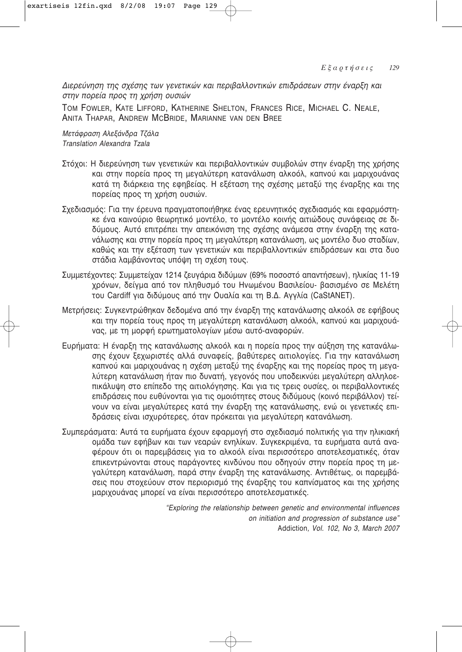exartiseis 12fin.qxd 8/2/08 19:07 Page 129

*Διερεύνηση της σχέσης των γενετικών και περιβαλλοντικών επιδράσεων στην έναρξη και ÛÙËÓ ÔÚ›· ÚÔ˜ ÙË ¯Ú‹ÛË Ô˘ÛÈÒÓ*

TOM FOWLER, KATE LIFFORD, KATHERINE SHELTON, FRANCES RICE, MICHAEL C. NEALE, ANITA THAPAR, ANDREW MCBRIDE, MARIANNE VAN DEN BREE

*Μετάφραση Αλεξάνδρα Τζάλα Translation Alexandra Tzala*

- Στόχοι: Η διερεύνηση των γενετικών και περιβαλλοντικών συμβολών στην έναρξη της χρήσης και στην πορεία προς τη μεγαλύτερη κατανάλωση αλκοόλ, καπνού και μαριχουάνας κατά τη διάρκεια της εφηβείας. Η εξέταση της σχέσης μεταξύ της έναρξης και της πορείας προς τη χρήση ουσιών.
- Σχεδιασμός: Για την έρευνα πραγματοποιήθηκε ένας ερευνητικός σχεδιασμός και εφαρμόστηκε ένα καινούριο θεωρητικό μοντέλο, το μοντέλο κοινής αιτιώδους συνάφειας σε διδύμους. Αυτό επιτρέπει την απεικόνιση της σχέσης ανάμεσα στην έναρξη της κατανάλωσης και στην πορεία προς τη μεγαλύτερη κατανάλωση, ως μοντέλο δυο σταδίων, καθώς και την εξέταση των γενετικών και περιβαλλοντικών επιδράσεων και στα δυο στάδια λαμβάνοντας υπόψη τη σχέση τους.
- Συμμετέχοντες: Συμμετείχαν 1214 ζευγάρια διδύμων (69% ποσοστό απαντήσεων), ηλικίας 11-19 χρόνων, δείγμα από τον πληθυσμό του Ηνωμένου Βασιλείου- βασισμένο σε Μελέτη του Cardiff για διδύμους από την Ουαλία και τη Β.Δ. Αγγλία (CaStANET).
- Μετρήσεις: Συγκεντρώθηκαν δεδομένα από την έναρξη της κατανάλωσης αλκοόλ σε εφήβους και την πορεία τους προς τη μεγαλύτερη κατανάλωση αλκοόλ, καπνού και μαριχουάνας, με τη μορφή ερωτηματολογίων μέσω αυτό-αναφορών.
- Ευρήματα: Η έναρξη της κατανάλωσης αλκοόλ και η πορεία προς την αύξηση της κατανάλωσης έχουν ξεχωριστές αλλά συναφείς, βαθύτερες αιτιολογίες. Για την κατανάλωση καπνού και μαριχουάνας η σχέση μεταξύ της έναρξης και της πορείας προς τη μεγαλύτερη κατανάλωση ήταν πιο δυνατή, γεγονός που υποδεικνύει μεγαλύτερη αλληλοεπικάλυψη στο επίπεδο της αιτιολόγησης. Και για τις τρεις ουσίες, οι περιβαλλοντικές επιδράσεις που ευθύνονται για τις ομοιότητες στους διδύμους (κοινό περιβάλλον) τείνουν να είναι μεγαλύτερες κατά την έναρξη της κατανάλωσης, ενώ οι γενετικές επιδράσεις είναι ισχυρότερες, όταν πρόκειται για μεγαλύτερη κατανάλωση.
- Συμπεράσματα: Αυτά τα ευρήματα έχουν εφαρμογή στο σχεδιασμό πολιτικής για την ηλικιακή ομάδα των εφήβων και των νεαρών ενηλίκων. Συγκεκριμένα, τα ευρήματα αυτά αναφέρουν ότι οι παρεμβάσεις για το αλκοόλ είναι περισσότερο αποτελεσματικές, όταν επικεντρώνονται στους παράγοντες κινδύνου που οδηγούν στην πορεία προς τη μεγαλύτερη κατανάλωση, παρά στην έναρξη της κατανάλωσης. Αντιθέτως, οι παρεμβάσεις που στοχεύουν στον περιορισμό της έναρξης του καπνίσματος και της χρήσης μαριχουάνας μπορεί να είναι περισσότερο αποτελεσματικές.

*"Exploring the relationship between genetic and environmental influences on initiation and progression of substance use"* Addiction*, Vol. 102, No 3, March 2007*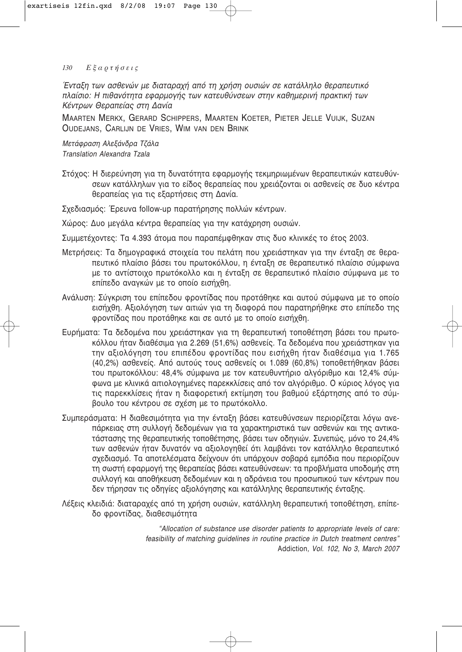Ένταξη των ασθενών με διαταραχή από τη χρήση ουσιών σε κατάλληλο θεραπευτικό πλαίσιο: Η πιθανότητα εφαρμογής των κατευθύνσεων στην καθημερινή πρακτική των *Κέντρων Θεραπείας στη Δανία* 

MAARTEN MERKX, GERARD SCHIPPERS, MAARTEN KOETER, PIETER JELLE VUIJK, SUZAN OUDEJANS, CARLIJN DE VRIES, WIM VAN DEN BRINK

*Μετάφραση Αλεξάνδρα Τζάλα Translation Alexandra Tzala*

Στόχος: Η διερεύνηση για τη δυνατότητα εφαρμογής τεκμηριωμένων θεραπευτικών κατευθύνσεων κατάλληλων για το είδος θεραπείας που χρειάζονται οι ασθενείς σε δυο κέντρα θεραπείας για τις εξαρτήσεις στη Δανία.

Σχεδιασμός: Έρευνα follow-up παρατήρησης πολλών κέντρων.

Χώρος: Δυο μεγάλα κέντρα θεραπείας για την κατάχρηση ουσιών.

Συμμετέχοντες: Τα 4.393 άτομα που παραπέμφθηκαν στις δυο κλινικές το έτος 2003.

- Μετρήσεις: Τα δημογραφικά στοιχεία του πελάτη που χρειάστηκαν για την ένταξη σε θεραπευτικό πλαίσιο βάσει του πρωτοκόλλου, η ένταξη σε θεραπευτικό πλαίσιο σύμφωνα με το αντίστοιχο πρωτόκολλο και η ένταξη σε θεραπευτικό πλαίσιο σύμφωνα με το επίπεδο αναγκών με το οποίο εισήχθη.
- Ανάλυση: Σύγκριση του επίπεδου φροντίδας που προτάθηκε και αυτού σύμφωνα με το οποίο εισήχθη. Αξιολόγηση των αιτιών για τη διαφορά που παρατηρήθηκε στο επίπεδο της φροντίδας που προτάθηκε και σε αυτό με το οποίο εισήχθη.
- Ευρήματα: Τα δεδομένα που χρειάστηκαν για τη θεραπευτική τοποθέτηση βάσει του πρωτοκόλλου ήταν διαθέσιμα για 2.269 (51,6%) ασθενείς. Τα δεδομένα που χρειάστηκαν για την αξιολόγηση του επιπέδου φροντίδας που εισήχθη ήταν διαθέσιμα για 1.765 (40,2%) ασθενείς. Από αυτούς τους ασθενείς οι 1.089 (60,8%) τοποθετήθηκαν βάσει του πρωτοκόλλου: 48,4% σύμφωνα με τον κατευθυντήριο αλγόριθμο και 12,4% σύμφωνα με κλινικά αιτιολογημένες παρεκκλίσεις από τον αλγόριθμο. Ο κύριος λόγος για τις παρεκκλίσεις ήταν η διαφορετική εκτίμηση του βαθμού εξάρτησης από το σύμβουλο του κέντρου σε σχέση με το πρωτόκολλο.
- Συμπεράσματα: Η διαθεσιμότητα για την ένταξη βάσει κατευθύνσεων περιορίζεται λόγω ανεπάρκειας στη συλλογή δεδομένων για τα χαρακτηριστικά των ασθενών και της αντικατάστασης της θεραπευτικής τοποθέτησης, βάσει των οδηγιών. Συνεπώς, μόνο το 24,4% των ασθενών ήταν δυνατόν να αξιολογηθεί ότι λαμβάνει τον κατάλληλο θεραπευτικό σχεδιασμό. Τα αποτελέσματα δείχνουν ότι υπάρχουν σοβαρά εμπόδια που περιορίζουν τη σωστή εφαρμογή της θεραπείας βάσει κατευθύνσεων: τα προβλήματα υποδομής στη συλλογή και αποθήκευση δεδομένων και η αδράνεια του προσωπικού των κέντρων που δεν τήρησαν τις οδηγίες αξιολόγησης και κατάλληλης θεραπευτικής ένταξης.
- Λέξεις κλειδιά: διαταραχές από τη χρήση ουσιών, κατάλληλη θεραπευτική τοποθέτηση, επίπεδο φροντίδας, διαθεσιμότητα

*"Allocation of substance use disorder patients to appropriate levels of care: feasibility of matching guidelines in routine practice in Dutch treatment centres"* Addiction*, Vol. 102, No 3, March 2007*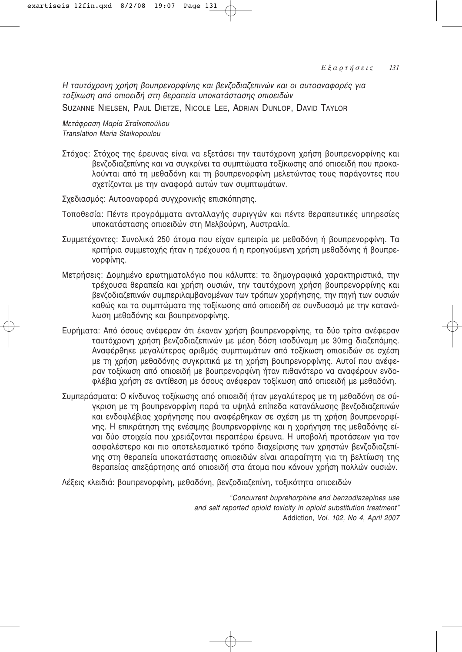exartiseis 12fin.qxd 8/2/08 19:07 Page 131

Η ταυτόχρονη χρήση βουπρενορφίνης και βενζοδιαζεπινών και οι αυτοαναφορές για τοξίκωση από οπιοειδή στη θεραπεία υποκατάστασης οπιοειδών SUZANNE NIELSEN, PAUL DIETZE, NICOLE LEE, ADRIAN DUNLOP, DAVID TAYLOR

Μετάφραση Μαρία Σταϊκοπούλου Translation Maria Staikopoulou

Στόχος: Στόχος της έρευνας είναι να εξετάσει την ταυτόχρονη χρήση βουπρενορφίνης και βενζοδιαζεπίνης και να συγκρίνει τα συμπτώματα τοξίκωσης από οπιοειδή που προκαλούνται από τη μεθαδόνη και τη βουπρενορφίνη μελετώντας τους παράγοντες που σχετίζονται με την αναφορά αυτών των συμπτωμάτων.

Σχεδιασμός: Αυτοαναφορά συγχρονικής επισκόπησης.

- Τοποθεσία: Πέντε προγράμματα ανταλλαγής συριγγών και πέντε θεραπευτικές υπηρεσίες υποκατάστασης οπιοειδών στη Μελβούρνη, Αυστραλία,
- Συμμετέχοντες: Συνολικά 250 άτομα που είχαν εμπειρία με μεθαδόνη ή βουπρενορφίνη. Τα κριτήρια συμμετοχής ήταν η τρέχουσα ή η προηγούμενη χρήση μεθαδόνης ή βουπρενορφίνης.
- Μετρήσεις: Δομημένο ερωτηματολόγιο που κάλυπτε: τα δημογραφικά χαρακτηριστικά, την τρέχουσα θεραπεία και χρήση ουσιών, την ταυτόχρονη χρήση βουπρενορφίνης και βενζοδιαζεπινών συμπεριλαμβανομένων των τρόπων χορήνησης, την πηνή των ουσιών καθώς και τα συμπτώματα της τοξίκωσης από οπιοειδή σε συνδυασμό με την κατανάλωση μεθαδόνης και βουπρενορφίνης.
- Ευρήματα: Από όσους ανέφεραν ότι έκαναν χρήση βουπρενορφίνης, τα δύο τρίτα ανέφεραν ταυτόχρονη χρήση βενζοδιαζεπινών με μέση δόση ισοδύναμη με 30mg διαζεπάμης. Αναφέρθηκε μεγαλύτερος αριθμός συμπτωμάτων από τοξίκωση οπιοειδών σε σχέση με τη χρήση μεθαδόνης συγκριτικά με τη χρήση βουπρενορφίνης. Αυτοί που ανέφεραν τοξίκωση από οπιοειδή με βουπρενορφίνη ήταν πιθανότερο να αναφέρουν ενδοφλέβια χρήση σε αντίθεση με όσους ανέφεραν τοξίκωση από οπιοειδή με μεθαδόνη.
- Συμπεράσματα: Ο κίνδυνος τοξίκωσης από οπιοειδή ήταν μεγαλύτερος με τη μεθαδόνη σε σύγκριση με τη βουπρενορφίνη παρά τα υψηλά επίπεδα κατανάλωσης βενζοδιαζεπινών και ενδοφλέβιας χορήγησης που αναφέρθηκαν σε σχέση με τη χρήση βουπρενορφίνης. Η επικράτηση της ενέσιμης βουπρενορφίνης και η χορήγηση της μεθαδόνης είναι δύο στοιχεία που χρειάζονται περαιτέρω έρευνα. Η υποβολή προτάσεων για τον ασφαλέστερο και πιο αποτελεσματικό τρόπο διαχείρισης των χρηστών βενζοδιαζεπίνης στη θεραπεία υποκατάστασης οπιοειδών είναι απαραίτητη για τη βελτίωση της θεραπείας απεξάρτησης από οπιοειδή στα άτομα που κάνουν χρήση πολλών ουσιών.

Λέξεις κλειδιά: βουπρενορφίνη, μεθαδόνη, βενζοδιαζεπίνη, τοξικότητα οπιοειδών

"Concurrent buprehorphine and benzodiazepines use and self reported opioid toxicity in opioid substitution treatment" Addiction, Vol. 102, No 4, April 2007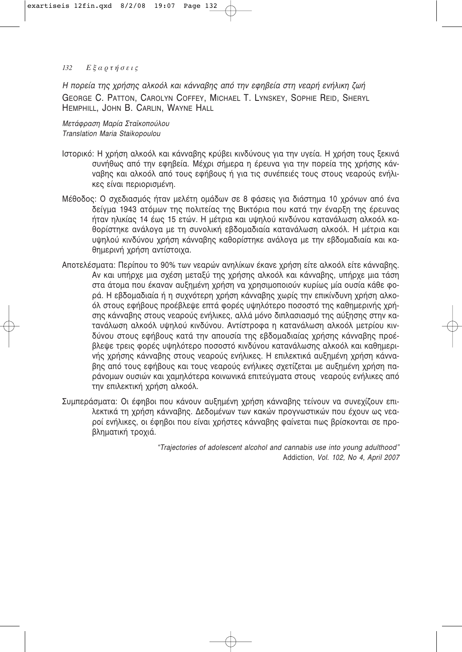*H* πορεία της χρήσης αλκοόλ και κάνναβης από την εφηβεία στη νεαρή ενήλικη ζωή GEORGE C. PATTON, CAROLYN COFFEY, MICHAEL T. LYNSKEY, SOPHIE REID, SHERYL HEMPHILL, JOHN B. CARLIN, WAYNE HALL

*Μετάφραση Μαρία Σταϊκοπούλου Translation Maria Staikopoulou*

- Ιστορικό: Η χρήση αλκοόλ και κάνναβης κρύβει κινδύνους για την υγεία. Η χρήση τους ξεκινά συνήθως από την εφηβεία. Μέχρι σήμερα η έρευνα για την πορεία της χρήσης κάνvαβης και αλκοόλ από τους εφήβους ή για τις συνέπειές τους στους νεαρούς ενήλικες είναι περιορισμένη.
- Μέθοδος: Ο σχεδιασμός ήταν μελέτη ομάδων σε 8 φάσεις για διάστημα 10 χρόνων από ένα δείγμα 1943 ατόμων της πολιτείας της Βικτόρια που κατά την έναρξη της έρευνας ήταν ηλικίας 14 έως 15 ετών. Η μέτρια και υψηλού κινδύνου κατανάλωση αλκοόλ καθορίστηκε ανάλογα με τη συνολική εβδομαδιαία κατανάλωση αλκοόλ. Η μέτρια και υψηλού κινδύνου χρήση κάνναβης καθορίστηκε ανάλογα με την εβδομαδιαία και καθημερινή χρήση αντίστοιχα.
- Αποτελέσματα: Περίπου το 90% των νεαρών ανηλίκων έκανε χρήση είτε αλκοόλ είτε κάνναβης. Aν και υπήρχε μια σχέση μεταξύ της χρήσης αλκοόλ και κάνναβης, υπήρχε μια τάση στα άτομα που έκαναν αυξημένη χρήση να χρησιμοποιούν κυρίως μία ουσία κάθε φορά. Η εβδομαδιαία ή η συχνότερη χρήση κάνναβης χωρίς την επικίνδυνη χρήση αλκοόλ στους εφήβους προέβλεψε επτά φορές υψηλότερο ποσοστό της καθημερινής χρήσης κάνναβης στους νεαρούς ενήλικες, αλλά μόνο διπλασιασμό της αύξησης στην κατανάλωση αλκοόλ υψηλού κινδύνου. Αντίστροφα η κατανάλωση αλκοόλ μετρίου κινδύνου στους εφήβους κατά την απουσία της εβδομαδιαίας χρήσης κάνναβης προέβλεψε τρεις φορές υψηλότερο ποσοστό κινδύνου κατανάλωσης αλκοόλ και καθημερινής χρήσης κάνναβης στους νεαρούς ενήλικες. Η επιλεκτικά αυξημένη χρήση κάνναβης από τους εφήβους και τους νεαρούς ενήλικες σχετίζεται με αυξημένη χρήση παράνομων ουσιών και χαμηλότερα κοινωνικά επιτεύγματα στους νεαρούς ενήλικες από την επιλεκτική χρήση αλκοόλ.
- Συμπεράσματα: Οι έφηβοι που κάνουν αυξημένη χρήση κάνναβης τείνουν να συνεχίζουν επιλεκτικά τη χρήση κάνναβης. Δεδομένων των κακών προγνωστικών που έχουν ως νεαροί ενήλικες, οι έφηβοι που είναι χρήστες κάνναβης φαίνεται πως βρίσκονται σε προβληματική τροχιά.

*"Trajectories of adolescent alcohol and cannabis use into young adulthood"*  Addiction*, Vol. 102, No 4, April 2007*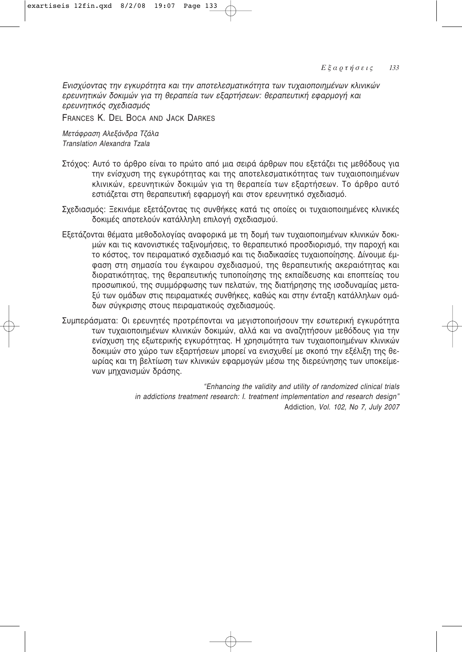*Ενισχύοντας την εγκυρότητα και την αποτελεσματικότητα των τυχαιοποιημένων κλινικών* ερευνητικών δοκιμών για τη θεραπεία των εξαρτήσεων: θεραπευτική εφαρμογή και ερευνητικός σχεδιασμός

FRANCES K. DEL BOCA AND JACK DARKES

*Μετάφραση Αλεξάνδρα Τζάλα Translation Alexandra Tzala*

exartiseis 12fin.qxd 8/2/08 19:07 Page 133

- Στόχος: Αυτό το άρθρο είναι το πρώτο από μια σειρά άρθρων που εξετάζει τις μεθόδους για την ενίσχυση της εγκυρότητας και της αποτελεσματικότητας των τυχαιοποιημένων κλινικών, ερευνητικών δοκιμών για τη θεραπεία των εξαρτήσεων. Το άρθρο αυτό εστιάζεται στη θεραπευτική εφαρμογή και στον ερευνητικό σχεδιασμό.
- Σχεδιασμός: Ξεκινάμε εξετάζοντας τις συνθήκες κατά τις οποίες οι τυχαιοποιημένες κλινικές δοκιμές αποτελούν κατάλληλη επιλογή σχεδιασμού.
- Εξετάζονται θέματα μεθοδολογίας αναφορικά με τη δομή των τυχαιοποιημένων κλινικών δοκιμών και τις κανονιστικές ταξινομήσεις, το θεραπευτικό προσδιορισμό, την παροχή και το κόστος, τον πειραματικό σχεδιασμό και τις διαδικασίες τυχαιοποίησης. Δίνουμε έμφαση στη σημασία του έγκαιρου σχεδιασμού, της θεραπευτικής ακεραιότητας και διορατικότητας, της θεραπευτικής τυποποίησης της εκπαίδευσης και εποπτείας του προσωπικού, της συμμόρφωσης των πελατών, της διατήρησης της ισοδυναμίας μεταξύ των ομάδων στις πειραματικές συνθήκες, καθώς και στην ένταξη κατάλληλων ομάδων σύγκρισης στους πειραματικούς σχεδιασμούς.
- Συμπεράσματα: Οι ερευνητές προτρέπονται να μεγιστοποιήσουν την εσωτερική εγκυρότητα των τυχαιοποιημένων κλινικών δοκιμών, αλλά και να αναζητήσουν μεθόδους για την ενίσχυση της εξωτερικής εγκυρότητας. Η χρησιμότητα των τυχαιοποιημένων κλινικών δοκιμών στο χώρο των εξαρτήσεων μπορεί να ενισχυθεί με σκοπό την εξέλιξη της θεωρίας και τη βελτίωση των κλινικών εφαρμογών μέσω της διερεύνησης των υποκείμενων μηχανισμών δράσης.

*"Enhancing the validity and utility of randomized clinical trials in addictions treatment research: I. treatment implementation and research design"* Addiction*, Vol. 102, No 7, July 2007*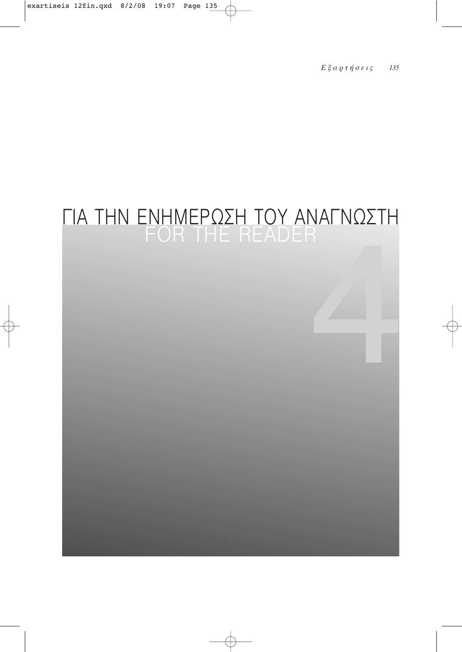$E$ ξαρτήσεις 135

# ΓΙΑ ΤΗΝ ΕΝΗΜΕΡΩΣΗ ΤΟΥ ΑΝΑΓΝΩΣΤΗ<br>FOR THE READER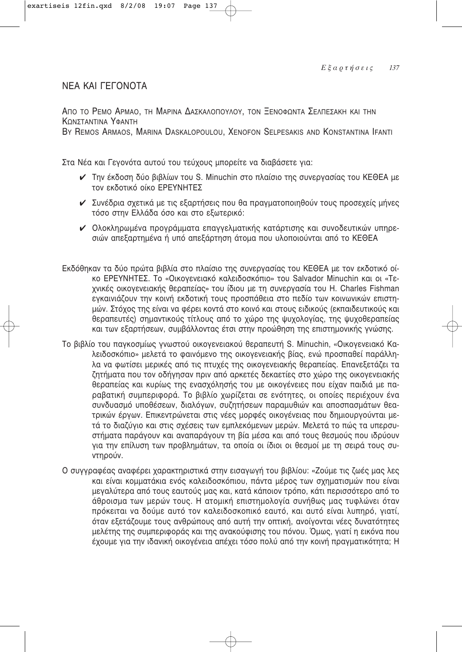# NFA KAI FFFONOTA

ΑΠΟ ΤΟ ΡΕΜΟ ΑΡΜΑΟ, ΤΗ ΜΑΡΙΝΑ ΔΑΣΚΑΛΟΠΟΥΛΟΥ, ΤΟΝ ΞΕΝΟΦΩΝΤΑ ΣΕΛΠΕΣΑΚΗ ΚΑΙ ΤΗΝ **KONSTANTINA YOANTH** BY REMOS ARMAOS, MARINA DASKALOPOULOU, XENOFON SELPESAKIS AND KONSTANTINA FRANTI

Στα Νέα και Γενονότα αυτού του τεύχους μπορείτε να διαβάσετε για:

- V Tην έκδοση δύο βιβλίων του S. Minuchin στο πλαίσιο της συνεργασίας του ΚΕΘΕΑ με τον εκδοτικό οίκο ΕΡΕΥΝΗΤΕΣ
- ► Συνέδρια σχετικά με τις εξαρτήσεις που θα πραγματοποιηθούν τους προσεχείς μήνες τόσο στην Ελλάδα όσο και στο εξωτερικό:
- Ολοκληρωμένα προγράμματα επαγγελματικής κατάρτισης και συνοδευτικών υπηρεσιών απεξαρτημένα ή υπό απεξάρτηση άτομα που υλοποιούνται από το ΚΕΘΕΑ
- Εκδόθηκαν τα δύο πρώτα βιβλία στο πλαίσιο της συνεργασίας του ΚΕΘΕΑ με τον εκδοτικό οίκο ΕΡΕΥΝΗΤΕΣ. Το «Οικογενειακό καλειδοσκόπιο» του Salvador Minuchin και οι «Τεχνικές οικονενειακής θεραπείας» του ίδιου με τη συνεργασία του H. Charles Fishman εγκαινιάζουν την κοινή εκδοτική τους προσπάθεια στο πεδίο των κοινωνικών επιστημών. Στόχος της είναι να φέρει κοντά στο κοινό και στους ειδικούς (εκπαιδευτικούς και θεραπευτές) σημαντικούς τίτλους από το χώρο της ψυχολογίας, της ψυχοθεραπείας και των εξαρτήσεων, συμβάλλοντας έτσι στην προώθηση της επιστημονικής γνώσης.
- Το βιβλίο του παγκοσμίως γνωστού οικογενειακού θεραπευτή S. Minuchin, «Οικογενειακό Καλειδοσκόπιο» μελετά το φαινόμενο της οικογενειακής βίας, ενώ προσπαθεί παράλληλα να φωτίσει μερικές από τις πτυχές της οικογενειακής θεραπείας. Επανεξετάζει τα ζητήματα που τον οδήγησαν πριν από αρκετές δεκαετίες στο χώρο της οικογενειακής θεραπείας και κυρίως της ενασχόλησής του με οικογένειες που είχαν παιδιά με παραβατική συμπεριφορά. Το βιβλίο χωρίζεται σε ενότητες, οι οποίες περιέχουν ένα συνδυασμό υποθέσεων, διαλόγων, συζητήσεων παραμυθιών και αποσπασμάτων θεατρικών έργων. Επικεντρώνεται στις νέες μορφές οικογένειας που δημιουργούνται μετά το διαζύγιο και στις σχέσεις των εμπλεκόμενων μερών. Μελετά το πώς τα υπερσυστήματα παράγουν και αναπαράγουν τη βία μέσα και από τους θεσμούς που ιδρύουν για την επίλυση των προβλημάτων, τα οποία οι ίδιοι οι θεσμοί με τη σειρά τους συντηρούν.
- Ο συγγραφέας αναφέρει χαρακτηριστικά στην εισαγωγή του βιβλίου: «Ζούμε τις ζωές μας λες και είναι κομματάκια ενός καλειδοσκόπιου, πάντα μέρος των σχηματισμών που είναι μεγαλύτερα από τους εαυτούς μας και, κατά κάποιον τρόπο, κάτι περισσότερο από το άθροισμα των μερών τους. Η ατομική επιστημολογία συνήθως μας τυφλώνει όταν πρόκειται να δούμε αυτό τον καλειδοσκοπικό εαυτό, και αυτό είναι λυπηρό, γιατί, όταν εξετάζουμε τους ανθρώπους από αυτή την οπτική, ανοίγονται νέες δυνατότητες μελέτης της συμπεριφοράς και της ανακούφισης του πόνου. Όμως, γιατί η εικόνα που έχουμε για την ιδανική οικογένεια απέχει τόσο πολύ από την κοινή πραγματικότητα; Η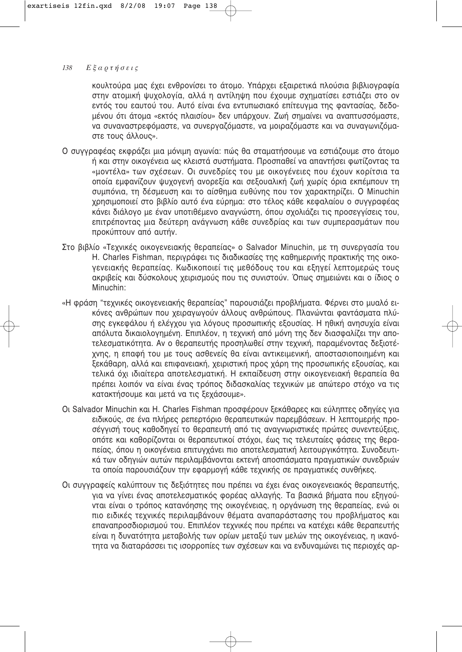ΚΟυλτούρα μας έχει ενθρονίσει το άτομο. Υπάρχει εξαιρετικά πλούσια βιβλιογραφία στην ατομική ψυχολογία, αλλά η αντίληψη που έχουμε σχηματίσει εστιάζει στο ον εντός του εαυτού του. Αυτό είναι ένα εντυπωσιακό επίτευγμα της φαντασίας, δεδομένου ότι άτομα «εκτός πλαισίου» δεν υπάρχουν. Ζωή σημαίνει να αναπτυσσόμαστε, .<br>va συναναστρεφόμαστε, να συνεργαζόμαστε, να μοιραζόμαστε και να συναγωνιζόμαστε τους άλλους».

- Ο συννραφέας εκφράζει μια μόνιμη αγωνία: πώς θα σταματήσουμε να εστιάζουμε στο άτομο ή και στην οικογένεια ως κλειστά συστήματα. Προσπαθεί να απαντήσει φωτίζοντας τα «μοντέλα» των σχέσεων. Οι συνεδρίες του με οικογένειες που έχουν κορίτσια τα οποία εμφανίζουν ψυχογενή ανορεξία και σεξουαλική ζωή χωρίς όρια εκπέμπουν τη συμπόνια, τη δέσμευση και το αίσθημα ευθύνης που τον χαρακτηρίζει. Ο Minuchin χρησιμοποιεί στο βιβλίο αυτό ένα εύρημα: στο τέλος κάθε κεφαλαίου ο συγγραφέας κάνει διάλονο με έναν υποτιθέμενο αναννώστη, όπου σχολιάζει τις προσεννίσεις του, επιτρέποντας μια δεύτερη ανάγνωση κάθε συνεδρίας και των συμπερασμάτων που προκύπτουν από αυτήν.
- Στο βιβλίο «Τεχνικές οικογενειακής θεραπείας» ο Salvador Minuchin, με τη συνεργασία του H. Charles Fishman, περιγράφει τις διαδικασίες της καθημερινής πρακτικής της οικογενειακής θεραπείας. Κωδικοποιεί τις μεθόδους του και εξηνεί λεπτομερώς τους ακριβείς και δύσκολους χειρισμούς που τις συνιστούν. Όπως σημειώνει και ο ίδιος ο Minuchin:
- «Η φράση "τεχνικές οικογενειακής θεραπείας" παρουσιάζει προβλήματα. Φέρνει στο μυαλό εικόνες ανθρώπων που χειραγωγούν άλλους ανθρώπους. Πλανώνται φαντάσματα πλύσης εγκεφάλου ή ελέγχου για λόγους προσωπικής εξουσίας. Η ηθική ανησυχία είναι απόλυτα δικαιολογημένη. Επιπλέον, η τεχνική από μόνη της δεν διασφαλίζει την αποτελεσματικότητα. Αν ο θεραπευτής προσηλωθεί στην τεχνική, παραμένοντας δεξιοτέχνης, η επαφή του με τους ασθενείς θα είναι αντικειμενική, αποστασιοποιημένη και ξεκάθαρη, αλλά και επιφανειακή, χειριστική προς χάρη της προσωπικής εξουσίας, και τελικά όχι ιδιαίτερα αποτελεσματική. Η εκπαίδευση στην οικογενειακή θεραπεία θα πρέπει λοιπόν να είναι ένας τρόπος διδασκαλίας τεχνικών με απώτερο στόχο να τις κατακτήσουμε και μετά να τις ξεχάσουμε».
- Οι Salvador Minuchin και H. Charles Fishman προσφέρουν ξεκάθαρες και εύληπτες οδηγίες για ειδικούς, σε ένα πλήρες ρεπερτόριο θεραπευτικών παρεμβάσεων. Η λεπτομερής προσέγγισή τους καθοδηγεί το θεραπευτή από τις αναγνωριστικές πρώτες συνεντεύξεις, οπότε και καθορίζονται οι θεραπευτικοί στόχοι, έως τις τελευταίες φάσεις της θεραπείας, όπου η οικογένεια επιτυγχάνει πιο αποτελεσματική λειτουργικότητα. Συνοδευτικά των οδηγιών αυτών περιλαμβάνονται εκτενή αποσπάσματα πραγματικών συνεδριών τα οποία παρουσιάζουν την εφαρμογή κάθε τεχνικής σε πραγματικές συνθήκες.
- Οι συγγραφείς καλύπτουν τις δεξιότητες που πρέπει να έχει ένας οικογενειακός θεραπευτής, για να γίνει ένας αποτελεσματικός φορέας αλλαγής. Τα βασικά βήματα που εξηγούνται είναι ο τρόπος κατανόησης της οικογένειας, η οργάνωση της θεραπείας, ενώ οι πιο ειδικές τεχνικές περιλαμβάνουν θέματα αναπαράστασης του προβλήματος και επαναπροσδιορισμού του. Επιπλέον τεχνικές που πρέπει να κατέχει κάθε θεραπευτής είναι η δυνατότητα μεταβολής των ορίων μεταξύ των μελών της οικογένειας, η ικανότητα να διαταράσσει τις ισορροπίες των σχέσεων και να ενδυναμώνει τις περιοχές αρ-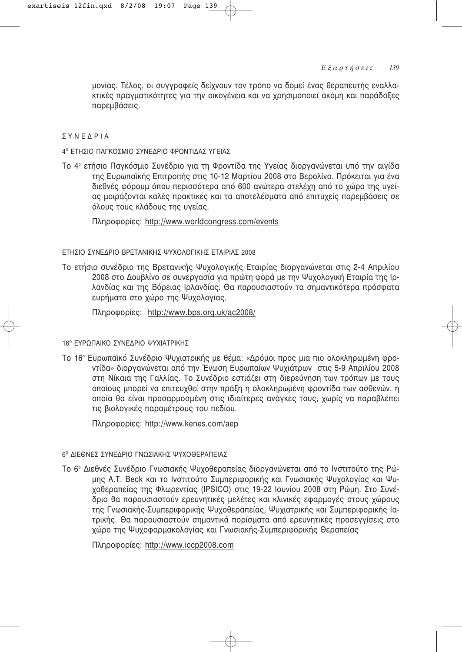μονίας. Τέλος, οι συγγραφείς δείχνουν τον τρόπο να δομεί ένας θεραπευτής εναλλα-Κτικές πραγματικότητες για την οικογένεια και να χρησιμοποιεί ακόμη και παράδοξες παρεμβάσεις.

# ΣΥΝΕΔΡΙΑ

4<sup>°</sup> ΕΤΗΣΙΟ ΠΑΓΚΟΣΜΙΟ ΣΥΝΕΔΡΙΟ ΦΡΟΝΤΙΔΑΣ ΥΓΕΙΑΣ

exartiseis 12fin.qxd 8/2/08 19:07 Page 139

Το 4° ετήσιο Παγκόσμιο Συνέδριο για τη Φροντίδα της Υγείας διοργανώνεται υπό την αιγίδα της Ευρωπαϊκής Επιτροπής στις 10-12 Μαρτίου 2008 στο Βερολίνο. Πρόκειται για ένα διεθνές φόρουμ όπου περισσότερα από 600 ανώτερα στελέχη από το χώρο της υγείας μοιράζονται καλές πρακτικές και τα αποτελέσματα από επιτυχείς παρεμβάσεις σε όλους τους κλάδους της υγείας.

 $\Pi$ ληροφορίες: http://www.worldcongress.com/events

## ΕΤΗΣΙΟ ΣΥΝΕΔΡΙΟ ΒΡΕΤΑΝΙΚΗΣ ΨΥΧΟΛΟΓΙΚΗΣ ΕΤΑΙΡΙΑΣ 2008

Το ετήσιο συνέδριο της Βρετανικής Ψυχολογικής Εταιρίας διοργανώνεται στις 2-4 Απριλίου 2008 στο Δουβλίνο σε συνεργασία για πρώτη φορά με την Ψυχολογική Εταιρία της Ιρλανδίας και της Βόρειας Ιρλανδίας. Θα παρουσιαστούν τα σημαντικότερα πρόσφατα ευρήματα στο χώρο της Ψυχολογίας.

Πληροφορίες: http://www.bps.org.uk/ac2008/

- 16° ΕΥΡΩΠΑΙΚΟ ΣΥΝΕΔΡΙΟ ΨΥΧΙΑΤΡΙΚΗΣ
- Το 16° Ευρωπαϊκό Συνέδριο Ψυχιατρικής με θέμα: «Δρόμοι προς μια πιο ολοκληρωμένη φροντίδα» διοργανώνεται από την Ένωση Ευρωπαίων Ψυχιάτρων στις 5-9 Απριλίου 2008 στη Νίκαια της Γαλλίας. Το Συνέδριο εστιάζει στη διερεύνηση των τρόπων με τους οποίους μπορεί να επιτευχθεί στην πράξη η ολοκληρωμένη φροντίδα των ασθενών, η οποία θα είναι προσαρμοσμένη στις ιδιαίτερες ανάγκες τους, χωρίς να παραβλέπει τις βιολονικές παραμέτρους του πεδίου.

 $\Pi$ ληροφορίες: http://www.kenes.com/aep

# 6° ΔΙΕΘΝΕΣ ΣΥΝΕΔΡΙΟ ΓΝΩΣΙΑΚΗΣ ΨΥΧΟΘΕΡΑΠΕΙΑΣ

Το 6° Διεθνές Συνέδριο Γνωσιακής Ψυχοθεραπείας διοργανώνεται από το Ινστιτούτο της Ρώμης Α.Τ. Beck και το Ινστιτούτο Συμπεριφορικής και Γνωσιακής Ψυχολογίας και Ψυχοθεραπείας της Φλωρεντίας (IPSICO) στις 19-22 Ιουνίου 2008 στη Ρώμη. Στο Συνέδριο θα παρουσιαστούν ερευνητικές μελέτες και κλινικές εφαρμογές στους χώρους της Γνωσιακής-Συμπεριφορικής Ψυχοθεραπείας, Ψυχιατρικής και Συμπεριφορικής Ιατρικής. Θα παρουσιαστούν σημαντικά πορίσματα από ερευνητικές προσεγγίσεις στο χώρο της Ψυχοφαρμακολογίας και Γνωσιακής-Συμπεριφορικής Θεραπείας

Πληροφορίες: http://www.iccp2008.com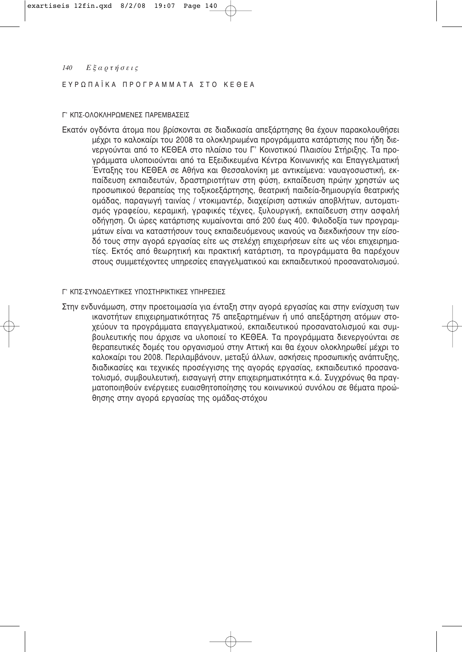$E$ ΥΡΩΠΑΪΚΑ ΠΡΟΓΡΑΜΜΑΤΑ ΣΤΟ ΚΕΘΕΑ

# Γ' ΚΠΣ-ΟΛΟΚΛΗΡΩΜΕΝΕΣ ΠΑΡΕΜΒΑΣΕΙΣ

Eκατόν ογδόντα άτομα που βρίσκονται σε διαδικασία απεξάρτησης θα έχουν παρακολουθήσει μέχρι το καλοκαίρι του 2008 τα ολοκληρωμένα προγράμματα κατάρτισης που ήδη διενεργούνται από το ΚΕΘΕΑ στο πλαίσιο του Γ' Κοινοτικού Πλαισίου Στήριξης. Τα προγράμματα υλοποιούνται από τα Εξειδικευμένα Κέντρα Κοινωνικής και Επαγγελματική Ένταξης του ΚΕΘΕΑ σε Αθήνα και Θεσσαλονίκη με αντικείμενα: ναυαγοσωστική, εκπαίδευση εκπαιδευτών, δραστηριοτήτων στη φύση, εκπαίδευση πρώην χρηστών ως προσωπικού θεραπείας της τοξικοεξάρτησης, θεατρική παιδεία-δημιουργία θεατρικής ομάδας, παραγωγή ταινίας / ντοκιμαντέρ, διαχείριση αστικών αποβλήτων, αυτοματισμός γραφείου, κεραμική, γραφικές τέχνες, ξυλουργική, εκπαίδευση στην ασφαλή οδήγηση. Οι ώρες κατάρτισης κυμαίνονται από 200 έως 400. Φιλοδοξία των προγραμμάτων είναι να καταστήσουν τους εκπαιδευόμενους ικανούς να διεκδικήσουν την είσοδό τους στην αγορά εργασίας είτε ως στελέχη επιχειρήσεων είτε ως νέοι επιχειρηματίες. Εκτός από θεωρητική και πρακτική κατάρτιση, τα προγράμματα θα παρέχουν στους συμμετέχοντες υπηρεσίες επαννελματικού και εκπαιδευτικού προσανατολισμού.

# Γ' ΚΠΣ-ΣΥΝΟΔΕΥΤΙΚΕΣ ΥΠΟΣΤΗΡΙΚΤΙΚΕΣ ΥΠΗΡΕΣΙΕΣ

Στην ενδυνάμωση, στην προετοιμασία για ένταξη στην αγορά εργασίας και στην ενίσχυση των ικανοτήτων επιχειρηματικότητας 75 απεξαρτημένων ή υπό απεξάρτηση ατόμων στοχεύουν τα προγράμματα επαγγελματικού, εκπαιδευτικού προσανατολισμού και συμβουλευτικής που άρχισε να υλοποιεί το KEΘEA. Τα προγράμματα διενεργούνται σε θεραπευτικές δομές του οργανισμού στην Αττική και θα έχουν ολοκληρωθεί μέχρι το καλοκαίρι του 2008. Περιλαμβάνουν, μεταξύ άλλων, ασκήσεις προσωπικής ανάπτυξης, διαδικασίες και τεχνικές προσέγγισης της αγοράς εργασίας, εκπαιδευτικό προσανατολισμό, συμβουλευτική, εισανωνή στην επιχειρηματικότητα κ.ά. Συνχρόνως θα πραγματοποιηθούν ενέργειες ευαισθητοποίησης του κοινωνικού συνόλου σε θέματα προώθησης στην αγορά εργασίας της ομάδας-στόχου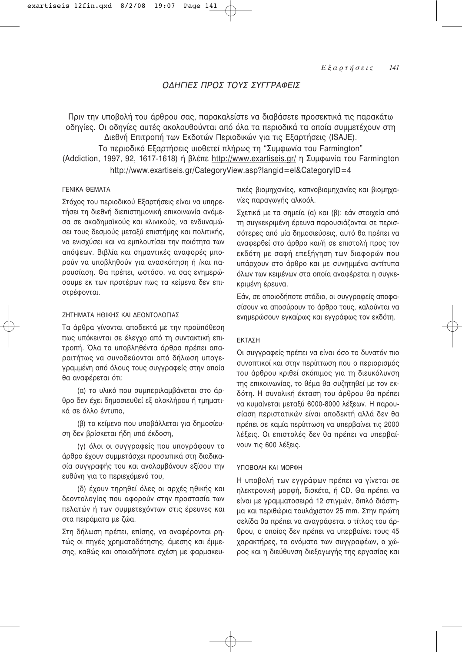#### exartiseis 12fin.gxd Page  $8/2/08$ 141

# ΟΛΗΓΙΕΣ ΠΡΟΣ ΤΟΥΣ ΣΥΓΓΡΑΦΕΙΣ

Πριν την υποβολή του άρθρου σας, παρακαλείστε να διαβάσετε προσεκτικά τις παρακάτω οδηγίες. Οι οδηγίες αυτές ακολουθούνται από όλα τα περιοδικά τα οποία συμμετέχουν στη Διεθνή Επιτροπή των Εκδοτών Περιοδικών για τις Εξαρτήσεις (ISAJE).

Το περιοδικό Εξαρτήσεις υιοθετεί πλήρως τη "Συμφωνία του Farmington" (Addiction, 1997, 92, 1617-1618) ή βλέπε http://www.exartiseis.gr/ η Συμφωνία του Farmington http://www.exartiseis.gr/CategoryView.asp?langid=el&CategoryID=4

# *TENIKA ΘΕΜΑΤΑ*

Στόχος του περιοδικού Εξαρτήσεις είναι να υπηρετήσει τη διεθνή διεπιστημονική επικοινωνία ανάμεσα σε ακαδημαϊκούς και κλινικούς, να ενδυναμώσει τους δεσμούς μεταξύ επιστήμης και πολιτικής, να ενισχύσει και να εμπλουτίσει την ποιότητα των απόψεων. Βιβλία και σημαντικές αναφορές μπορούν να υποβληθούν για ανασκόπηση ή /και παρουσίαση. Θα πρέπει, ωστόσο, να σας ενημερώσουμε εκ των προτέρων πως τα κείμενα δεν επιστρέφονται.

## ΖΗΤΗΜΑΤΑ ΗΘΙΚΗΣ ΚΑΙ ΔΕΟΝΤΟΛΟΓΙΑΣ

Τα άρθρα γίνονται αποδεκτά με την προϋπόθεση πως υπόκεινται σε έλεγχο από τη συντακτική επιτροπή. Όλα τα υποβληθέντα άρθρα πρέπει απαραιτήτως να συνοδεύονται από δήλωση υπογεγραμμένη από όλους τους συγγραφείς στην οποία θα αναφέρεται ότι:

(α) το υλικό που συμπεριλαμβάνεται στο άρθρο δεν έχει δημοσιευθεί εξ ολοκλήρου ή τμηματικά σε άλλο έντυπο.

(β) το κείμενο που υποβάλλεται για δημοσίευση δεν βρίσκεται ήδη υπό έκδοση,

(γ) όλοι οι συγγραφείς που υπογράφουν το άρθρο έχουν συμμετάσχει προσωπικά στη διαδικασία συγγραφής του και αναλαμβάνουν εξίσου την ευθύνη για το περιεχόμενό του,

(δ) έχουν τηρηθεί όλες οι αρχές ηθικής και δεοντολογίας που αφορούν στην προστασία των πελατών ή των συμμετεχόντων στις έρευνες και στα πειράματα με ζώα.

Στη δήλωση πρέπει, επίσης, να αναφέρονται ρητώς οι πηγές χρηματοδότησης, άμεσης και έμμεσης, καθώς και οποιαδήποτε σχέση με φαρμακευτικές βιομηχανίες, καπνοβιομηχανίες και βιομηχανίες παραγωγής αλκοόλ.

Σχετικά με τα σημεία (α) και (β): εάν στοιχεία από τη συγκεκριμένη έρευνα παρουσιάζονται σε περισσότερες από μία δημοσιεύσεις, αυτό θα πρέπει να αναφερθεί στο άρθρο και/ή σε επιστολή προς τον εκδότη με σαφή επεξήγηση των διαφορών που υπάρχουν στο άρθρο και με συνημμένα αντίτυπα όλων των κειμένων στα οποία αναφέρεται η συγκεκριμένη έρευνα.

Εάν, σε οποιοδήποτε στάδιο, οι συγγραφείς αποφασίσουν να αποσύρουν το άρθρο τους, καλούνται να ενημερώσουν εγκαίρως και εγγράφως τον εκδότη.

# ΕΚΤΑΣΗ

Οι συγγραφείς πρέπει να είναι όσο το δυνατόν πιο συνοπτικοί και στην περίπτωση που ο περιορισμός του άρθρου κριθεί σκόπιμος για τη διευκόλυνση της επικοινωνίας, το θέμα θα συζητηθεί με τον εκδότη. Η συνολική έκταση του άρθρου θα πρέπει να κυμαίνεται μεταξύ 6000-8000 λέξεων. Η παρουσίαση περιστατικών είναι αποδεκτή αλλά δεν θα πρέπει σε καμία περίπτωση να υπερβαίνει τις 2000 λέξεις. Οι επιστολές δεν θα πρέπει να υπερβαίνουν τις 600 λέξεις.

# ҮПОВОЛН КАІ МОРФН

Η υποβολή των εγγράφων πρέπει να γίνεται σε ηλεκτρονική μορφή, δισκέτα, ή CD. Θα πρέπει να είναι με γραμματοσειρά 12 στιγμών, διπλό διάστημα και περιθώρια τουλάχιστον 25 mm. Στην πρώτη σελίδα θα πρέπει να αναγράφεται ο τίτλος του άρθρου, ο οποίος δεν πρέπει να υπερβαίνει τους 45 χαρακτήρες, τα ονόματα των συγγραφέων, ο χώρος και η διεύθυνση διεξαγωγής της εργασίας και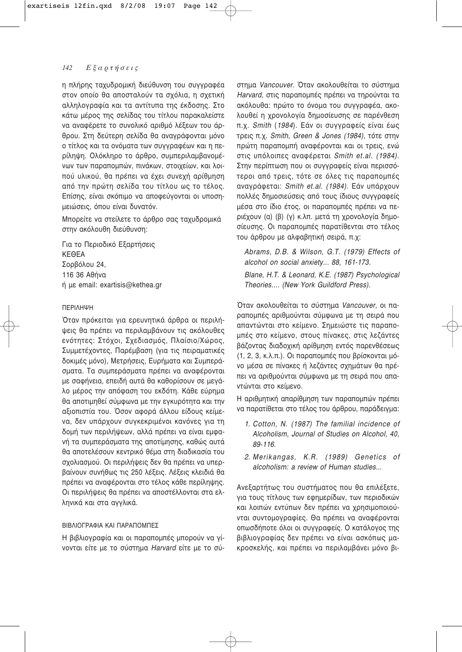η πλήρης ταχυδρομική διεύθυνση του συγγραφέα στον οποίο θα αποσταλούν τα σχόλια, η σχετική αλληλογραφία και τα αντίτυπα της έκδοσης. Στο κάτω μέρος της σελίδας του τίτλου παρακαλείστε να αναφέρετε το συνολικό αριθμό λέξεων του άρθρου. Στη δεύτερη σελίδα θα αναγράφονται μόνο ο τίτλος και τα ονόματα των συγγραφέων και η περίληψη. Ολόκληρο το άρθρο, συμπεριλαμβανομένων των παραπομπών, πινάκων, στοιχείων, και λοιπού υλικού, θα πρέπει να έχει συνεχή αρίθμηση από την πρώτη σελίδα του τίτλου ως το τέλος. Επίσης, είναι σκόπιμο να αποφεύγονται οι υποσημειώσεις, όπου είναι δυνατόν.

Μπορείτε να στείλετε το άρθρο σας ταχυδρομικά στην ακόλουθη διεύθυνση:

Για το Περιοδικό Εξαρτήσεις **KEOEA** Σορβόλου 24, 116 36 Αθήνα ή με email: exartisis@kethea.gr

## ПЕРІЛНФН

Όταν πρόκειται για ερευνητικά άρθρα οι περιλήψεις θα πρέπει να περιλαμβάνουν τις ακόλουθες ενότητες: Στόχοι, Σχεδιασμός, Πλαίσιο/Χώρος, Συμμετέχοντες, Παρέμβαση (για τις πειραματικές δοκιμές μόνο), Μετρήσεις, Ευρήματα και Συμπεράσματα. Τα συμπεράσματα πρέπει να αναφέρονται με σαφήνεια, επειδή αυτά θα καθορίσουν σε μεγάλο μέρος την απόφαση του εκδότη. Κάθε εύρημα θα αποτιμηθεί σύμφωνα με την εγκυρότητα και την αξιοπιστία του. Όσον αφορά άλλου είδους κείμενα, δεν υπάρχουν συγκεκριμένοι κανόνες για τη δομή των περιλήψεων, αλλά πρέπει να είναι εμφανή τα συμπεράσματα της αποτίμησης, καθώς αυτά θα αποτελέσουν κεντρικό θέμα στη διαδικασία του σχολιασμού. Οι περιλήψεις δεν θα πρέπει να υπερβαίνουν συνήθως τις 250 λέξεις. Λέξεις κλειδιά θα πρέπει να αναφέρονται στο τέλος κάθε περίληψης. Οι περιλήψεις θα πρέπει να αποστέλλονται στα ελληνικά και στα αγγλικά.

## ΒΙΒΛΙΟΓΡΑΦΙΑ ΚΑΙ ΠΑΡΑΠΟΜΠΕΣ

Η βιβλιογραφία και οι παραπομπές μπορούν να γίνονται είτε με το σύστημα Harvard είτε με το σύ-

στημα Vancouver. Όταν ακολουθείται το σύστημα Harvard, στις παραπομπές πρέπει να τηρούνται τα ακόλουθα: πρώτο το όνομα του συγγραφέα, ακολουθεί η χρονολογία δημοσίευσης σε παρένθεση π.χ. Smith (1984). Εάν οι συγγραφείς είναι έως τρεις π.χ. Smith, Green & Jones (1984), τότε στην πρώτη παραπομπή αναφέρονται και οι τρεις, ενώ στις υπόλοιπες αναφέρεται Smith et.al. (1984). Στην περίπτωση που οι συγγραφείς είναι περισσότεροι από τρεις, τότε σε όλες τις παραπομπές αναγράφεται: Smith et.al. (1984). Εάν υπάρχουν πολλές δημοσιεύσεις από τους ίδιους συγγραφείς μέσα στο ίδιο έτος, οι παραπομπές πρέπει να περιέχουν (α) (β) (γ) κ.λπ. μετά τη χρονολογία δημοσίευσης. Οι παραπομπές παρατίθενται στο τέλος του άρθρου με αλφαβητική σειρά, π.χ:

Abrams, D.B. & Wilson, G.T. (1979) Effects of alcohol on social anxiety... 88, 161-173. Blane, H.T. & Leonard, K.E. (1987) Psychological Theories.... (New York Guildford Press).

Όταν ακολουθείται το σύστημα Vancouver, οι παραπομπές αριθμούνται σύμφωνα με τη σειρά που απαντώνται στο κείμενο. Σημειώστε τις παραπομπές στο κείμενο, στους πίνακες, στις λεζάντες βάζοντας διαδοχική αρίθμηση εντός παρενθέσεως (1, 2, 3, κ.λ.π.). Οι παραπομπές που βρίσκονται μόνο μέσα σε πίνακες ή λεζάντες σχημάτων θα πρέπει να αριθμούνται σύμφωνα με τη σειρά που απαντώνται στο κείμενο.

Η αριθμητική απαρίθμηση των παραπομπών πρέπει να παρατίθεται στο τέλος του άρθρου, παράδειγμα:

- 1. Cotton, N. (1987) The familial incidence of Alcoholism, Journal of Studies on Alcohol, 40, 89-116.
- 2. Merikangas, K.R. (1989) Genetics of alcoholism: a review of Human studies...

Ανεξαρτήτως του συστήματος που θα επιλέξετε, για τους τίτλους των εφημερίδων, των περιοδικών και λοιπών εντύπων δεν πρέπει να χρησιμοποιούνται συντομογραφίες. Θα πρέπει να αναφέρονται οπωσδήποτε όλοι οι συγγραφείς. Ο κατάλογος της βιβλιογραφίας δεν πρέπει να είναι ασκόπως μακροσκελής, και πρέπει να περιλαμβάνει μόνο βι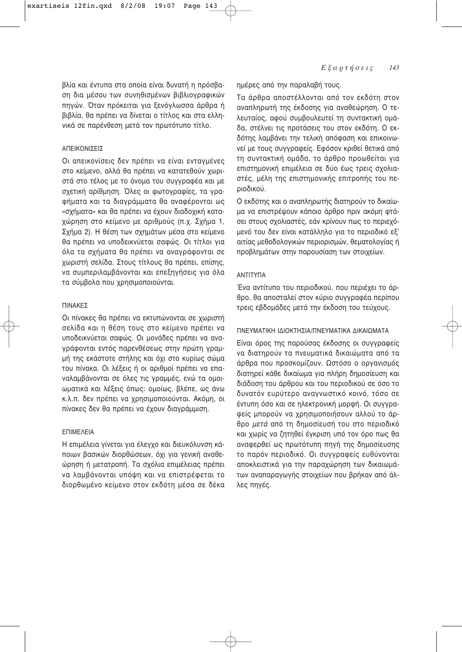βλία και έντυπα στα οποία είναι δυνατή η πρόσβαση δια μέσου των συνηθισμένων βιβλιογραφικών πηγών. Όταν πρόκειται για ξενόγλωσσα άρθρα ή βιβλία, θα πρέπει να δίνεται ο τίτλος και στα ελληνικά σε παρένθεση μετά τον πρωτότυπο τίτλο.

# ΑΠΕΙΚΟΝΙΣΕΙΣ

Οι απεικονίσεις δεν πρέπει να είναι ενταγμένες στο κείμενο, αλλά θα πρέπει να κατατεθούν χωριστά στο τέλος με το όνομα του συγγραφέα και με σχετική αρίθμηση. Όλες οι φωτογραφίες, τα γραφήματα και τα διαγράμματα θα αναφέρονται ως «σχήματα» και θα πρέπει να έχουν διαδοχική καταχώρηση στο κείμενο με αριθμούς (π.χ. Σχήμα 1, Σχήμα 2). Η θέση των σχημάτων μέσα στο κείμενο θα πρέπει να υποδεικνύεται σαφώς. Οι τίτλοι για όλα τα σχήματα θα πρέπει να αναγράφονται σε χωριστή σελίδα. Στους τίτλους θα πρέπει, επίσης, να συμπεριλαμβάνονται και επεξηγήσεις για όλα τα σύμβολα που χρησιμοποιούνται.

# ΠΙΝΑΚΕΣ

Οι πίνακες θα πρέπει να εκτυπώνονται σε χωριστή σελίδα και η θέση τους στο κείμενο πρέπει να υποδεικνύεται σαφώς. Οι μονάδες πρέπει να αναγράφονται εντός παρενθέσεως στην πρώτη γραμμή της εκάστοτε στήλης και όχι στο κυρίως σώμα του πίνακα. Οι λέξεις ή οι αριθμοί πρέπει να επαναλαμβάνονται σε όλες τις γραμμές, ενώ τα ομοιωματικά και λέξεις όπως: ομοίως, βλέπε, ως άνω κ.λ.π. δεν πρέπει να χρησιμοποιούνται. Ακόμη, οι πίνακες δεν θα πρέπει να έχουν διαγράμμιση.

# ΕΠΙΜΕΛΕΙΑ

Η επιμέλεια γίνεται για έλεγχο και διευκόλυνση κάποιων βασικών διορθώσεων, όχι για γενική αναθεώρηση ή μετατροπή. Τα σχόλια επιμέλειας πρέπει να λαμβάνονται υπόψη και να επιστρέφεται το διορθωμένο κείμενο στον εκδότη μέσα σε δέκα

### Εξαρτήσεις 143

ημέρες από την παραλαβή τους.

Τα άρθρα αποστέλλονται από τον εκδότη στον αναπληρωτή της έκδοσης για αναθεώρηση. Ο τελευταίος, αφού συμβουλευτεί τη συντακτική ομάδα, στέλνει τις προτάσεις του στον εκδότη. Ο εκδότης λαμβάνει την τελική απόφαση και επικοινωνεί με τους συγγραφείς. Εφόσον κριθεί θετικά από τη συντακτική ομάδα, το άρθρο προωθείται για επιστημονική επιμέλεια σε δύο έως τρεις σχολιαστές, μέλη της επιστημονικής επιτροπής του περιοδικού.

Ο εκδότης και ο αναπληρωτής διατηρούν το δικαίωμα να επιστρέψουν κάποιο άρθρο πριν ακόμη φτάσει στους σχολιαστές, εάν κρίνουν πως το περιεχόμενό του δεν είναι κατάλληλο για το περιοδικό εξ' αιτίας μεθοδολογικών περιορισμών, θεματολογίας ή προβλημάτων στην παρουσίαση των στοιχείων.

# ΑΝΤΙΤΥΠΑ

Ένα αντίτυπο του περιοδικού, που περιέχει το άρθρο, θα αποσταλεί στον κύριο συγγραφέα περίπου τρεις εβδομάδες μετά την έκδοση του τεύχους.

# ΠΝΕΥΜΑΤΙΚΗ ΙΔΙΟΚΤΗΣΙΑ/ΠΝΕΥΜΑΤΙΚΑ ΔΙΚΑΙΩΜΑΤΑ

Είναι όρος της παρούσας έκδοσης οι συγγραφείς να διατηρούν τα πνευματικά δικαιώματα από τα άρθρα που προσκομίζουν. Ωστόσο ο οργανισμός διατηρεί κάθε δικαίωμα για πλήρη δημοσίευση και διάδοση του άρθρου και του περιοδικού σε όσο το δυνατόν ευρύτερο αναγνωστικό κοινό, τόσο σε έντυπη όσο και σε ηλεκτρονική μορφή. Οι συγγραφείς μπορούν να χρησιμοποιήσουν αλλού το άρθρο μετά από τη δημοσίευσή του στο περιοδικό και χωρίς να ζητηθεί έγκριση υπό τον όρο πως θα αναφερθεί ως πρωτότυπη πηγή της δημοσίευσης το παρόν περιοδικό. Οι συγγραφείς ευθύνονται αποκλειστικά για την παραχώρηση των δικαιωμάτων αναπαραγωγής στοιχείων που βρήκαν από άλλες πηγές.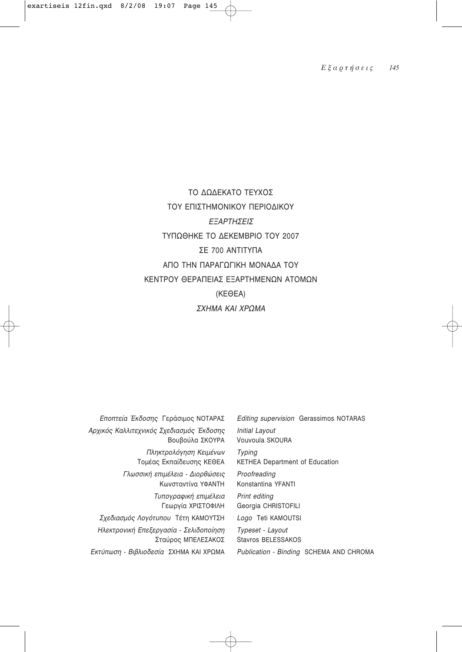exartiseis 12fin.qxd 8/2/08 19:07 Page 145

ΤΟ ΔΩΔΕΚΑΤΟ ΤΕΥΧΟΣ ΤΟΥ ΕΠΙΣΤΗΜΟΝΙΚΟΥ ΠΕΡΙΟΔΙΚΟΥ ΕΞΑΡΤΗΣΕΙΣ ΤΥΠΩΘΗΚΕ ΤΟ ΔΕΚΕΜΒΡΙΟ ΤΟΥ 2007 ΣΕ 700 ΑΝΤΙΤΥΠΑ ΑΠΟ ΤΗΝ ΠΑΡΑΓΩΓΙΚΗ ΜΟΝΑΔΑ ΤΟΥ ΚΕΝΤΡΟΥ ΘΕΡΑΠΕΙΑΣ ΕΞΑΡΤΗΜΕΝΩΝ ΑΤΟΜΩΝ  $(KE $\Theta$ E $A$ )$ ΣΧΗΜΑ ΚΑΙ ΧΡΩΜΑ

| Εποπτεία Έκδοσης Γεράσιμος ΝΟΤΑΡΑΣ       | Editing supervision Gerassimos NOTARAS  |
|------------------------------------------|-----------------------------------------|
| Αρχικός Καλλιτεχνικός Σχεδιασμός Έκδοσης | <b>Initial Layout</b>                   |
| Βουβούλα ΣΚΟΥΡΑ                          | Vouvoula SKOURA                         |
| Πληκτρολόγηση Κειμένων                   | Typing                                  |
| Τομέας Εκπαίδευσης ΚΕΘΕΑ                 | <b>KETHEA Department of Education</b>   |
| Γλωσσική επιμέλεια - Διορθώσεις          | Proofreading                            |
| Κωνσταντίνα ΥΦΑΝΤΗ                       | Konstantina YFANTI                      |
| Τυπογραφική επιμέλεια                    | Print editing                           |
| Γεωργία ΧΡΙΣΤΟΦΙΛΗ                       | Georgia CHRISTOFILI                     |
| Σχεδιασμός Λογότυπου Τέτη ΚΑΜΟΥΤΣΗ       | Logo Teti KAMOUTSI                      |
| Ηλεκτρονική Επεξεργασία - Σελιδοποίηση   | Typeset - Layout                        |
| Σταύρος ΜΠΕΛΕΣΑΚΟΣ                       | Stavros BELESSAKOS                      |
| Εκτύπωση - Βιβλιοδεσία ΣΧΗΜΑ ΚΑΙ ΧΡΩΜΑ   | Publication - Binding SCHEMA AND CHROMA |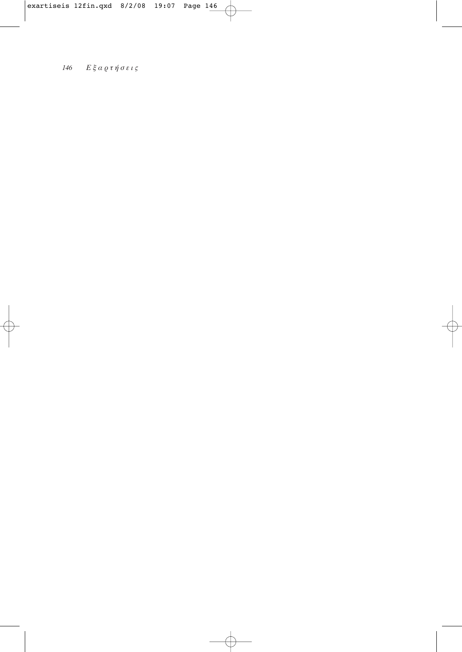$E$  ξ α  $\varrho$  τ ή σ ε ι ς 146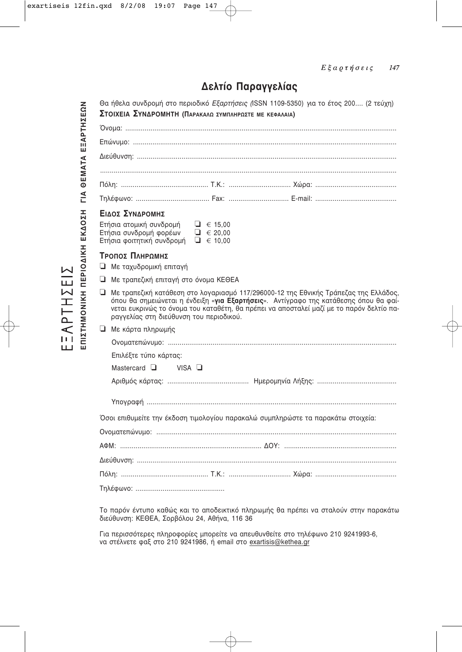## $E$ ξαρτήσεις 147

## Δελτίο Παραγγελίας

ΕΠΙΣΤΗΜΟΝΙΚΗ ΠΕΡΙΟΔΙΚΗ ΕΚΔΟΣΗ ΓΙΑ ΘΕΜΑΤΑ ΕΞΑΡΤΗΣΕΩΝ EEAPTHZEIZ

| Θα ήθελα συνδρομή στο περιοδικό Εξαρτήσεις (ISSN 1109-5350) για το έτος 200 (2 τεύχη)<br>ΣΤΟΙΧΕΙΑ ΣΥΝΔΡΟΜΗΤΗ (ΠΑΡΑΚΑΛΩ ΣΥΜΠΛΗΡΩΣΤΕ ΜΕ ΚΕΦΑΛΑΙΑ)                                                                                                                                                                       |
|-----------------------------------------------------------------------------------------------------------------------------------------------------------------------------------------------------------------------------------------------------------------------------------------------------------------------|
|                                                                                                                                                                                                                                                                                                                       |
|                                                                                                                                                                                                                                                                                                                       |
|                                                                                                                                                                                                                                                                                                                       |
|                                                                                                                                                                                                                                                                                                                       |
|                                                                                                                                                                                                                                                                                                                       |
|                                                                                                                                                                                                                                                                                                                       |
| ΕΙΔΟΣ ΣΥΝΔΡΟΜΗΣ                                                                                                                                                                                                                                                                                                       |
| Ετήσια ατομική συνδρομή ■ € 15,00                                                                                                                                                                                                                                                                                     |
| <b>ΤΡΟΠΟΣ ΠΛΗΡΩΜΗΣ</b><br>Με ταχυδρομική επιταγή<br>⊔                                                                                                                                                                                                                                                                 |
| ■ Με τραπεζική επιταγή στο όνομα ΚΕΘΕΑ                                                                                                                                                                                                                                                                                |
| Δ Με τραπεζική κατάθεση στο λογαριασμό 117/296000-12 της Εθνικής Τράπεζας της Ελλάδος,<br>όπου θα σημειώνεται η ένδειξη «για Εξαρτήσεις». Αντίγραφο της κατάθεσης όπου θα φαί-<br>νεται ευκρινώς το όνομα του καταθέτη, θα πρέπει να αποσταλεί μαζί με το παρόν δελτίο πα-<br>ραγγελίας στη διεύθυνση του περιοδικού. |
| <b>Δ</b> Με κάρτα πληρωμής                                                                                                                                                                                                                                                                                            |
|                                                                                                                                                                                                                                                                                                                       |
| Επιλέξτε τύπο κάρτας:                                                                                                                                                                                                                                                                                                 |
| Mastercard $\Box$ VISA $\Box$                                                                                                                                                                                                                                                                                         |
|                                                                                                                                                                                                                                                                                                                       |
|                                                                                                                                                                                                                                                                                                                       |
| Όσοι επιθυμείτε την έκδοση τιμολογίου παρακαλώ συμπληρώστε τα παρακάτω στοιχεία:                                                                                                                                                                                                                                      |
|                                                                                                                                                                                                                                                                                                                       |
|                                                                                                                                                                                                                                                                                                                       |
|                                                                                                                                                                                                                                                                                                                       |
|                                                                                                                                                                                                                                                                                                                       |
|                                                                                                                                                                                                                                                                                                                       |

Το παρόν έντυπο καθώς και το αποδεικτικό πληρωμής θα πρέπει να σταλούν στην παρακάτω διεύθυνση: ΚΕΘΕΑ, Σορβόλου 24, Αθήνα, 116 36

Για περισσότερες πληροφορίες μπορείτε να απευθυνθείτε στο τηλέφωνο 210 9241993-6, να στέλνετε φαξ στο 210 9241986, ή email στο exartisis@kethea.gr